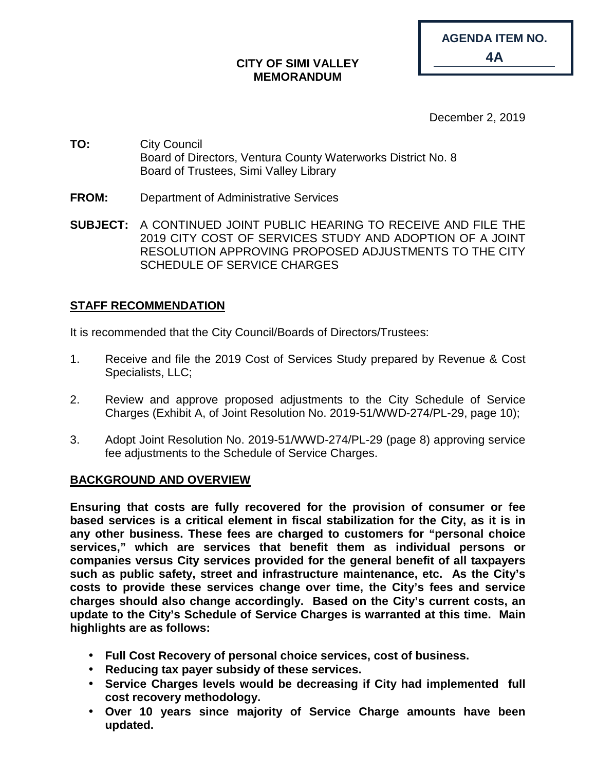| CITY OF SIMI VALLEY |  |
|---------------------|--|
| <b>MEMORANDUM</b>   |  |

| <b>AGENDA ITEM NO.</b> |
|------------------------|
| 4A                     |

December 2, 2019

- **TO:** City Council Board of Directors, Ventura County Waterworks District No. 8 Board of Trustees, Simi Valley Library
- **FROM:** Department of Administrative Services
- **SUBJECT:** A CONTINUED JOINT PUBLIC HEARING TO RECEIVE AND FILE THE 2019 CITY COST OF SERVICES STUDY AND ADOPTION OF A JOINT RESOLUTION APPROVING PROPOSED ADJUSTMENTS TO THE CITY SCHEDULE OF SERVICE CHARGES

## **STAFF RECOMMENDATION**

It is recommended that the City Council/Boards of Directors/Trustees:

- 1. Receive and file the 2019 Cost of Services Study prepared by Revenue & Cost Specialists, LLC;
- 2. Review and approve proposed adjustments to the City Schedule of Service Charges (Exhibit A, of Joint Resolution No. 2019-51/WWD-274/PL-29, page 10);
- 3. Adopt Joint Resolution No. 2019-51/WWD-274/PL-29 (page 8) approving service fee adjustments to the Schedule of Service Charges.

## **BACKGROUND AND OVERVIEW**

**Ensuring that costs are fully recovered for the provision of consumer or fee based services is a critical element in fiscal stabilization for the City, as it is in any other business. These fees are charged to customers for "personal choice services," which are services that benefit them as individual persons or companies versus City services provided for the general benefit of all taxpayers such as public safety, street and infrastructure maintenance, etc. As the City's costs to provide these services change over time, the City's fees and service charges should also change accordingly. Based on the City's current costs, an update to the City's Schedule of Service Charges is warranted at this time. Main highlights are as follows:**

- **Full Cost Recovery of personal choice services, cost of business.**
- **Reducing tax payer subsidy of these services.**
- **Service Charges levels would be decreasing if City had implemented full cost recovery methodology.**
- $\mathcal{L}^{\text{max}}$ **Over 10 years since majority of Service Charge amounts have been updated.**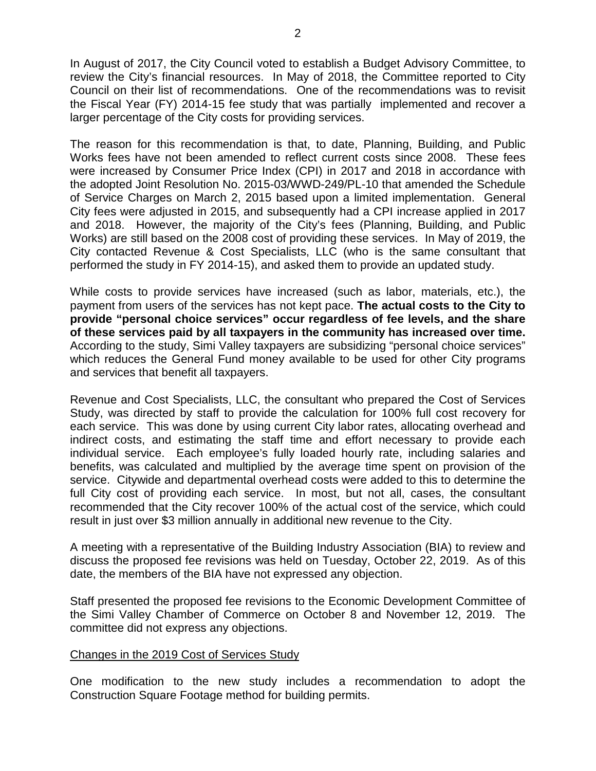In August of 2017, the City Council voted to establish a Budget Advisory Committee, to review the City's financial resources. In May of 2018, the Committee reported to City Council on their list of recommendations. One of the recommendations was to revisit the Fiscal Year (FY) 2014-15 fee study that was partially implemented and recover a larger percentage of the City costs for providing services.

The reason for this recommendation is that, to date, Planning, Building, and Public Works fees have not been amended to reflect current costs since 2008. These fees were increased by Consumer Price Index (CPI) in 2017 and 2018 in accordance with the adopted Joint Resolution No. 2015-03/WWD-249/PL-10 that amended the Schedule of Service Charges on March 2, 2015 based upon a limited implementation. General City fees were adjusted in 2015, and subsequently had a CPI increase applied in 2017 and 2018. However, the majority of the City's fees (Planning, Building, and Public Works) are still based on the 2008 cost of providing these services. In May of 2019, the City contacted Revenue & Cost Specialists, LLC (who is the same consultant that performed the study in FY 2014-15), and asked them to provide an updated study.

While costs to provide services have increased (such as labor, materials, etc.), the payment from users of the services has not kept pace. **The actual costs to the City to provide "personal choice services" occur regardless of fee levels, and the share of these services paid by all taxpayers in the community has increased over time.** According to the study, Simi Valley taxpayers are subsidizing "personal choice services" which reduces the General Fund money available to be used for other City programs and services that benefit all taxpayers.

Revenue and Cost Specialists, LLC, the consultant who prepared the Cost of Services Study, was directed by staff to provide the calculation for 100% full cost recovery for each service. This was done by using current City labor rates, allocating overhead and indirect costs, and estimating the staff time and effort necessary to provide each individual service. Each employee's fully loaded hourly rate, including salaries and benefits, was calculated and multiplied by the average time spent on provision of the service. Citywide and departmental overhead costs were added to this to determine the full City cost of providing each service. In most, but not all, cases, the consultant recommended that the City recover 100% of the actual cost of the service, which could result in just over \$3 million annually in additional new revenue to the City.

A meeting with a representative of the Building Industry Association (BIA) to review and discuss the proposed fee revisions was held on Tuesday, October 22, 2019. As of this date, the members of the BIA have not expressed any objection.

Staff presented the proposed fee revisions to the Economic Development Committee of the Simi Valley Chamber of Commerce on October 8 and November 12, 2019. The committee did not express any objections.

## Changes in the 2019 Cost of Services Study

One modification to the new study includes a recommendation to adopt the Construction Square Footage method for building permits.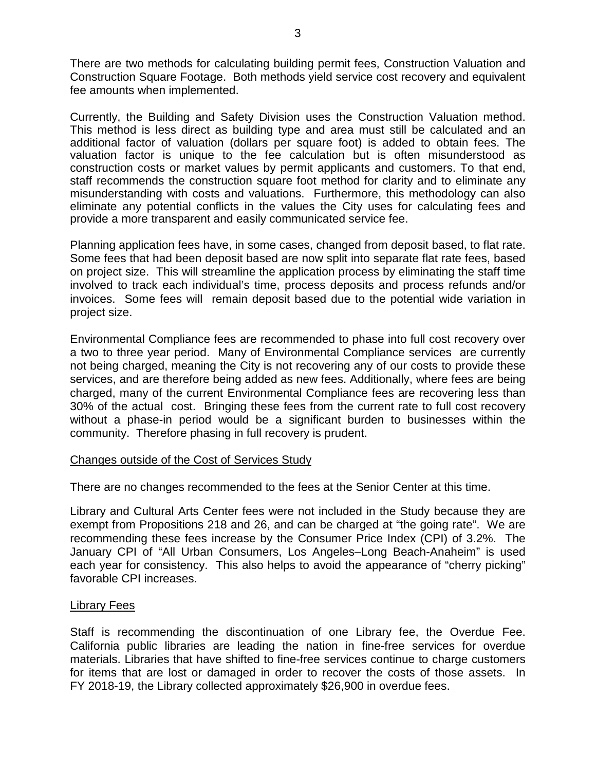There are two methods for calculating building permit fees, Construction Valuation and Construction Square Footage. Both methods yield service cost recovery and equivalent fee amounts when implemented.

Currently, the Building and Safety Division uses the Construction Valuation method. This method is less direct as building type and area must still be calculated and an additional factor of valuation (dollars per square foot) is added to obtain fees. The valuation factor is unique to the fee calculation but is often misunderstood as construction costs or market values by permit applicants and customers. To that end, staff recommends the construction square foot method for clarity and to eliminate any misunderstanding with costs and valuations. Furthermore, this methodology can also eliminate any potential conflicts in the values the City uses for calculating fees and provide a more transparent and easily communicated service fee.

Planning application fees have, in some cases, changed from deposit based, to flat rate. Some fees that had been deposit based are now split into separate flat rate fees, based on project size. This will streamline the application process by eliminating the staff time involved to track each individual's time, process deposits and process refunds and/or invoices. Some fees will remain deposit based due to the potential wide variation in project size.

Environmental Compliance fees are recommended to phase into full cost recovery over a two to three year period. Many of Environmental Compliance services are currently not being charged, meaning the City is not recovering any of our costs to provide these services, and are therefore being added as new fees. Additionally, where fees are being charged, many of the current Environmental Compliance fees are recovering less than 30% of the actual cost. Bringing these fees from the current rate to full cost recovery without a phase-in period would be a significant burden to businesses within the community. Therefore phasing in full recovery is prudent.

### Changes outside of the Cost of Services Study

There are no changes recommended to the fees at the Senior Center at this time.

Library and Cultural Arts Center fees were not included in the Study because they are exempt from Propositions 218 and 26, and can be charged at "the going rate". We are recommending these fees increase by the Consumer Price Index (CPI) of 3.2%. The January CPI of "All Urban Consumers, Los Angeles–Long Beach-Anaheim" is used each year for consistency. This also helps to avoid the appearance of "cherry picking" favorable CPI increases.

### Library Fees

Staff is recommending the discontinuation of one Library fee, the Overdue Fee. California public libraries are leading the nation in fine-free services for overdue materials. Libraries that have shifted to fine-free services continue to charge customers for items that are lost or damaged in order to recover the costs of those assets. In FY 2018-19, the Library collected approximately \$26,900 in overdue fees.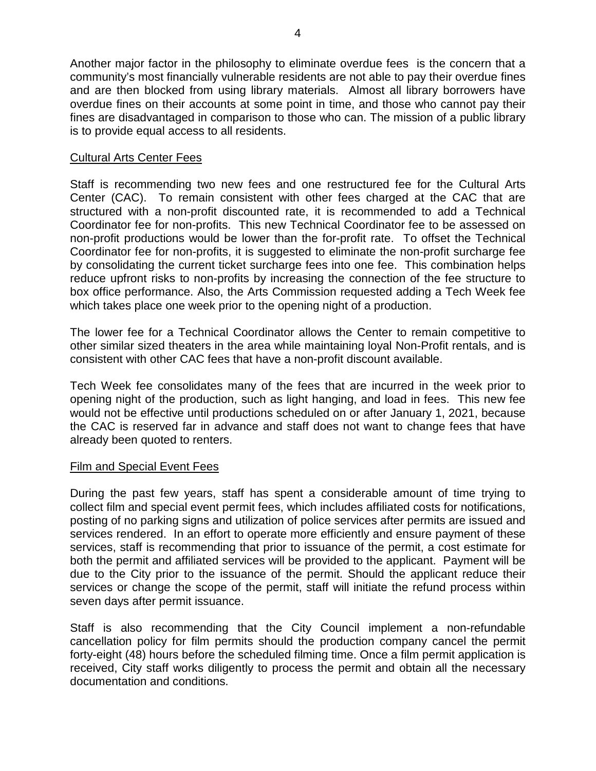Another major factor in the philosophy to eliminate overdue fees is the concern that a community's most financially vulnerable residents are not able to pay their overdue fines and are then blocked from using library materials. Almost all library borrowers have overdue fines on their accounts at some point in time, and those who cannot pay their fines are disadvantaged in comparison to those who can. The mission of a public library is to provide equal access to all residents.

## Cultural Arts Center Fees

Staff is recommending two new fees and one restructured fee for the Cultural Arts Center (CAC). To remain consistent with other fees charged at the CAC that are structured with a non-profit discounted rate, it is recommended to add a Technical Coordinator fee for non-profits. This new Technical Coordinator fee to be assessed on non-profit productions would be lower than the for-profit rate. To offset the Technical Coordinator fee for non-profits, it is suggested to eliminate the non-profit surcharge fee by consolidating the current ticket surcharge fees into one fee. This combination helps reduce upfront risks to non-profits by increasing the connection of the fee structure to box office performance. Also, the Arts Commission requested adding a Tech Week fee which takes place one week prior to the opening night of a production.

The lower fee for a Technical Coordinator allows the Center to remain competitive to other similar sized theaters in the area while maintaining loyal Non-Profit rentals, and is consistent with other CAC fees that have a non-profit discount available.

Tech Week fee consolidates many of the fees that are incurred in the week prior to opening night of the production, such as light hanging, and load in fees. This new fee would not be effective until productions scheduled on or after January 1, 2021, because the CAC is reserved far in advance and staff does not want to change fees that have already been quoted to renters.

## Film and Special Event Fees

During the past few years, staff has spent a considerable amount of time trying to collect film and special event permit fees, which includes affiliated costs for notifications, posting of no parking signs and utilization of police services after permits are issued and services rendered. In an effort to operate more efficiently and ensure payment of these services, staff is recommending that prior to issuance of the permit, a cost estimate for both the permit and affiliated services will be provided to the applicant. Payment will be due to the City prior to the issuance of the permit. Should the applicant reduce their services or change the scope of the permit, staff will initiate the refund process within seven days after permit issuance.

Staff is also recommending that the City Council implement a non-refundable cancellation policy for film permits should the production company cancel the permit forty-eight (48) hours before the scheduled filming time. Once a film permit application is received, City staff works diligently to process the permit and obtain all the necessary documentation and conditions.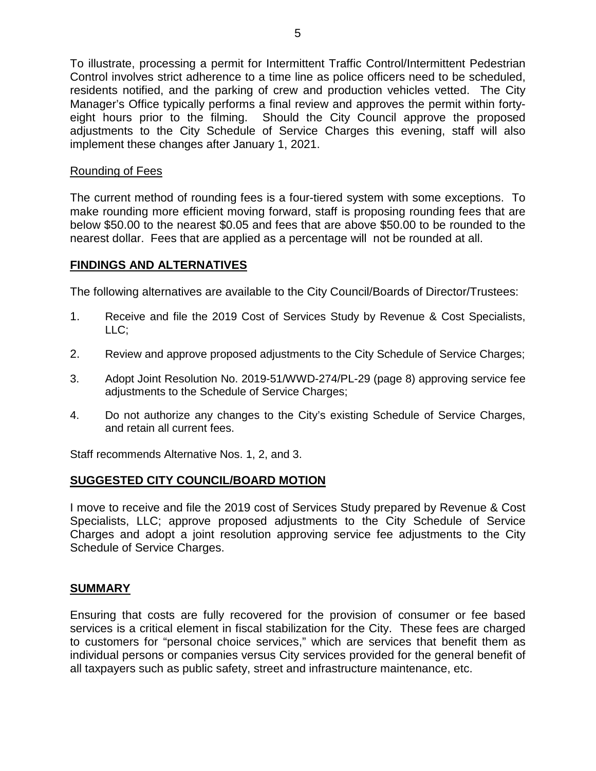To illustrate, processing a permit for Intermittent Traffic Control/Intermittent Pedestrian Control involves strict adherence to a time line as police officers need to be scheduled, residents notified, and the parking of crew and production vehicles vetted. The City Manager's Office typically performs a final review and approves the permit within fortyeight hours prior to the filming. Should the City Council approve the proposed adjustments to the City Schedule of Service Charges this evening, staff will also implement these changes after January 1, 2021.

## Rounding of Fees

The current method of rounding fees is a four-tiered system with some exceptions. To make rounding more efficient moving forward, staff is proposing rounding fees that are below \$50.00 to the nearest \$0.05 and fees that are above \$50.00 to be rounded to the nearest dollar. Fees that are applied as a percentage will not be rounded at all.

## **FINDINGS AND ALTERNATIVES**

The following alternatives are available to the City Council/Boards of Director/Trustees:

- 1. Receive and file the 2019 Cost of Services Study by Revenue & Cost Specialists, LLC;
- 2. Review and approve proposed adjustments to the City Schedule of Service Charges;
- 3. Adopt Joint Resolution No. 2019-51/WWD-274/PL-29 (page 8) approving service fee adjustments to the Schedule of Service Charges;
- 4. Do not authorize any changes to the City's existing Schedule of Service Charges, and retain all current fees.

Staff recommends Alternative Nos. 1, 2, and 3.

### **SUGGESTED CITY COUNCIL/BOARD MOTION**

I move to receive and file the 2019 cost of Services Study prepared by Revenue & Cost Specialists, LLC; approve proposed adjustments to the City Schedule of Service Charges and adopt a joint resolution approving service fee adjustments to the City Schedule of Service Charges.

### **SUMMARY**

Ensuring that costs are fully recovered for the provision of consumer or fee based services is a critical element in fiscal stabilization for the City. These fees are charged to customers for "personal choice services," which are services that benefit them as individual persons or companies versus City services provided for the general benefit of all taxpayers such as public safety, street and infrastructure maintenance, etc.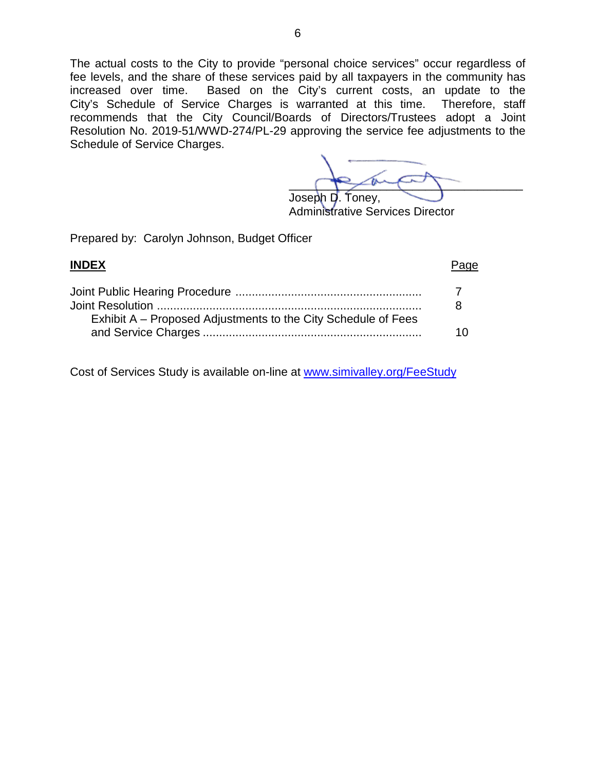The actual costs to the City to provide "personal choice services" occur regardless of fee levels, and the share of these services paid by all taxpayers in the community has increased over time. Based on the City's current costs, an update to the City's Schedule of Service Charges is warranted at this time. Therefore, staff recommends that the City Council/Boards of Directors/Trustees adopt a Joint Resolution No. 2019-51/WWD-274/PL-29 approving the service fee adjustments to the Schedule of Service Charges.

 $\sim$ Joseph D. Toney,

Administrative Services Director

Prepared by: Carolyn Johnson, Budget Officer

| <b>INDEX</b>                                                  | Page |
|---------------------------------------------------------------|------|
|                                                               |      |
| Exhibit A – Proposed Adjustments to the City Schedule of Fees |      |

Cost of Services Study is available on-line at www.simivalley.org/FeeStudy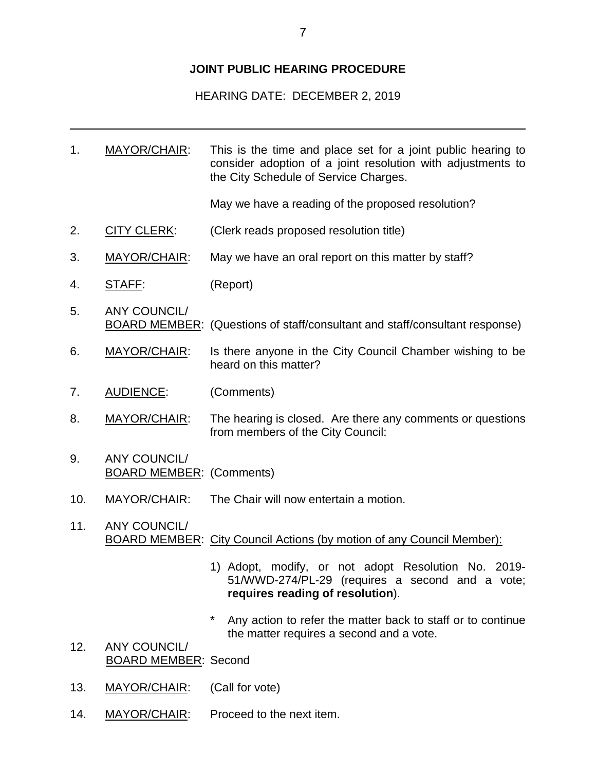## **JOINT PUBLIC HEARING PROCEDURE**

HEARING DATE: DECEMBER 2, 2019

1. MAYOR/CHAIR: This is the time and place set for a joint public hearing to consider adoption of a joint resolution with adjustments to the City Schedule of Service Charges.

May we have a reading of the proposed resolution?

- 2. CITY CLERK: (Clerk reads proposed resolution title)
- 3. MAYOR/CHAIR: May we have an oral report on this matter by staff?
- 4. STAFF: (Report)
- 5. ANY COUNCIL/ BOARD MEMBER: (Questions of staff/consultant and staff/consultant response)
- 6. MAYOR/CHAIR: Is there anyone in the City Council Chamber wishing to be heard on this matter?
- 7. AUDIENCE: (Comments)
- 8. MAYOR/CHAIR: The hearing is closed. Are there any comments or questions from members of the City Council:
- 9. ANY COUNCIL/ BOARD MEMBER: (Comments)
- 10. MAYOR/CHAIR: The Chair will now entertain a motion.
- 11. ANY COUNCIL/ BOARD MEMBER: City Council Actions (by motion of any Council Member):
	- 1) Adopt, modify, or not adopt Resolution No. 2019- 51/WWD-274/PL-29 (requires a second and a vote; **requires reading of resolution**).
	- \* Any action to refer the matter back to staff or to continue the matter requires a second and a vote.
- 12. ANY COUNCIL/ BOARD MEMBER: Second
- 13. MAYOR/CHAIR: (Call for vote)
- 14. MAYOR/CHAIR: Proceed to the next item.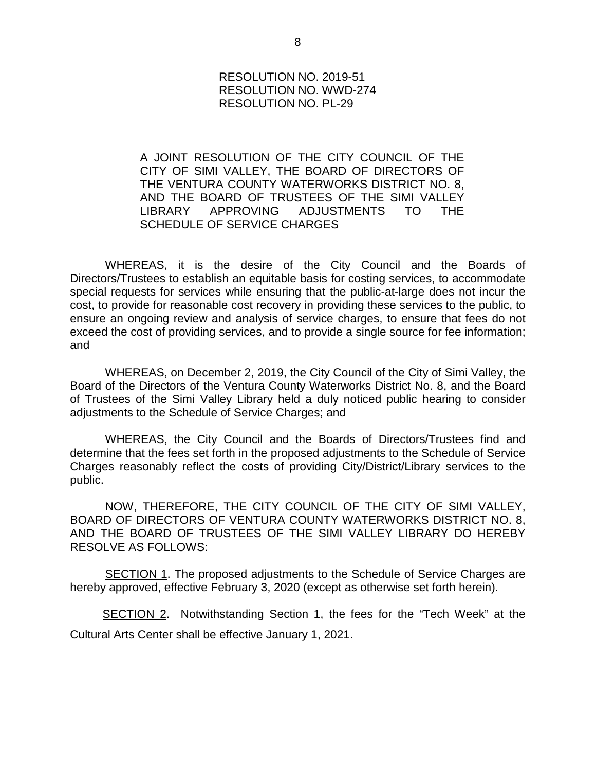### RESOLUTION NO. 2019-51 RESOLUTION NO. WWD-274 RESOLUTION NO. PL-29

A JOINT RESOLUTION OF THE CITY COUNCIL OF THE CITY OF SIMI VALLEY, THE BOARD OF DIRECTORS OF THE VENTURA COUNTY WATERWORKS DISTRICT NO. 8, AND THE BOARD OF TRUSTEES OF THE SIMI VALLEY LIBRARY APPROVING ADJUSTMENTS TO THE SCHEDULE OF SERVICE CHARGES

WHEREAS, it is the desire of the City Council and the Boards of Directors/Trustees to establish an equitable basis for costing services, to accommodate special requests for services while ensuring that the public-at-large does not incur the cost, to provide for reasonable cost recovery in providing these services to the public, to ensure an ongoing review and analysis of service charges, to ensure that fees do not exceed the cost of providing services, and to provide a single source for fee information; and

WHEREAS, on December 2, 2019, the City Council of the City of Simi Valley, the Board of the Directors of the Ventura County Waterworks District No. 8, and the Board of Trustees of the Simi Valley Library held a duly noticed public hearing to consider adjustments to the Schedule of Service Charges; and

WHEREAS, the City Council and the Boards of Directors/Trustees find and determine that the fees set forth in the proposed adjustments to the Schedule of Service Charges reasonably reflect the costs of providing City/District/Library services to the public.

NOW, THEREFORE, THE CITY COUNCIL OF THE CITY OF SIMI VALLEY, BOARD OF DIRECTORS OF VENTURA COUNTY WATERWORKS DISTRICT NO. 8, AND THE BOARD OF TRUSTEES OF THE SIMI VALLEY LIBRARY DO HEREBY RESOLVE AS FOLLOWS:

SECTION 1. The proposed adjustments to the Schedule of Service Charges are hereby approved, effective February 3, 2020 (except as otherwise set forth herein).

 SECTION 2. Notwithstanding Section 1, the fees for the "Tech Week" at the Cultural Arts Center shall be effective January 1, 2021.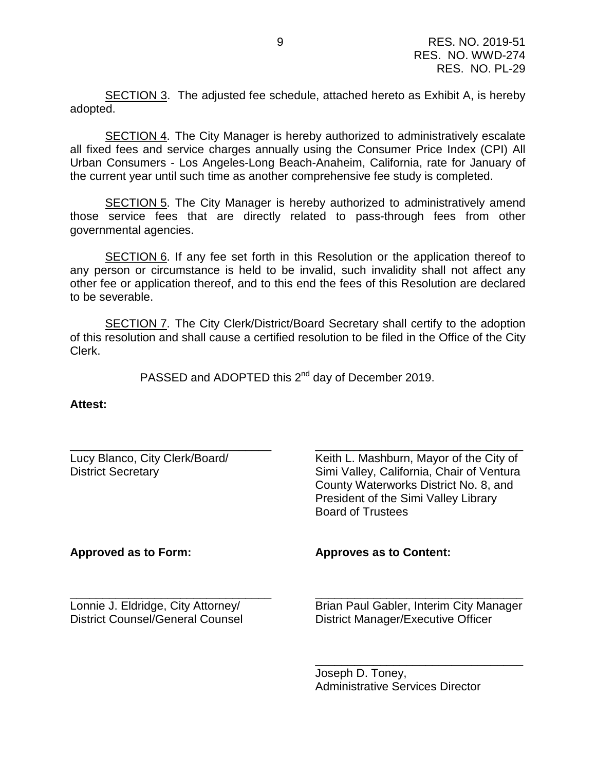SECTION 3. The adjusted fee schedule, attached hereto as Exhibit A, is hereby adopted.

SECTION 4. The City Manager is hereby authorized to administratively escalate all fixed fees and service charges annually using the Consumer Price Index (CPI) All Urban Consumers - Los Angeles-Long Beach-Anaheim, California, rate for January of the current year until such time as another comprehensive fee study is completed.

SECTION 5. The City Manager is hereby authorized to administratively amend those service fees that are directly related to pass-through fees from other governmental agencies.

SECTION 6. If any fee set forth in this Resolution or the application thereof to any person or circumstance is held to be invalid, such invalidity shall not affect any other fee or application thereof, and to this end the fees of this Resolution are declared to be severable.

**SECTION 7.** The City Clerk/District/Board Secretary shall certify to the adoption of this resolution and shall cause a certified resolution to be filed in the Office of the City Clerk.

PASSED and ADOPTED this 2<sup>nd</sup> day of December 2019.

**Attest:**

| Lucy Blanco, City Clerk/Board/<br><b>District Secretary</b> | Keith L. Mashburn, Mayor of the City of<br>Simi Valley, California, Chair of Ventura<br>County Waterworks District No. 8, and<br>President of the Simi Valley Library<br><b>Board of Trustees</b> |
|-------------------------------------------------------------|---------------------------------------------------------------------------------------------------------------------------------------------------------------------------------------------------|
| Approved as to Form:                                        | <b>Approves as to Content:</b>                                                                                                                                                                    |
|                                                             |                                                                                                                                                                                                   |

Joseph D. Toney, Administrative Services Director

\_\_\_\_\_\_\_\_\_\_\_\_\_\_\_\_\_\_\_\_\_\_\_\_\_\_\_\_\_\_\_\_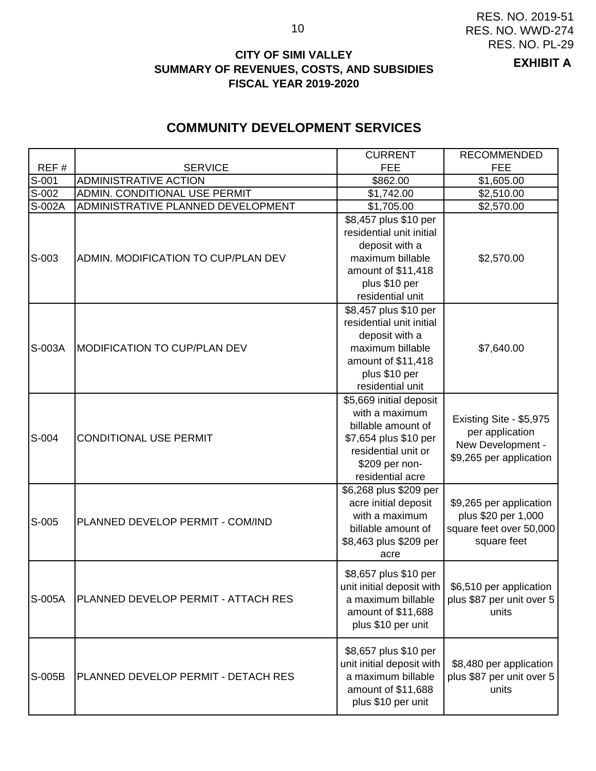## **CITY OF SIMI VALLEY SUMMARY OF REVENUES, COSTS, AND SUBSIDIES FISCAL YEAR 2019-2020**

### **EXHIBIT A**

## **COMMUNITY DEVELOPMENT SERVICES**

|                     |                                     | <b>CURRENT</b>                                                                                                                                        | <b>RECOMMENDED</b>                                                                             |
|---------------------|-------------------------------------|-------------------------------------------------------------------------------------------------------------------------------------------------------|------------------------------------------------------------------------------------------------|
| REF#                | <b>SERVICE</b>                      | <b>FEE</b>                                                                                                                                            | <b>FEE</b>                                                                                     |
| S-001               | <b>ADMINISTRATIVE ACTION</b>        | \$862.00                                                                                                                                              | \$1,605.00                                                                                     |
| $\overline{S}$ -002 | ADMIN. CONDITIONAL USE PERMIT       | \$1,742.00                                                                                                                                            | \$2,510.00                                                                                     |
| S-002A              | ADMINISTRATIVE PLANNED DEVELOPMENT  | \$1,705.00                                                                                                                                            | \$2,570.00                                                                                     |
| S-003               | ADMIN. MODIFICATION TO CUP/PLAN DEV | \$8,457 plus \$10 per<br>residential unit initial<br>deposit with a<br>maximum billable<br>amount of \$11,418                                         | \$2,570.00                                                                                     |
|                     |                                     | plus \$10 per<br>residential unit                                                                                                                     |                                                                                                |
| S-003A              | <b>MODIFICATION TO CUP/PLAN DEV</b> | \$8,457 plus \$10 per<br>residential unit initial<br>deposit with a<br>maximum billable<br>amount of \$11,418<br>plus \$10 per<br>residential unit    | \$7,640.00                                                                                     |
| S-004               | <b>CONDITIONAL USE PERMIT</b>       | \$5,669 initial deposit<br>with a maximum<br>billable amount of<br>\$7,654 plus \$10 per<br>residential unit or<br>\$209 per non-<br>residential acre | Existing Site - \$5,975<br>per application<br>New Development -<br>\$9,265 per application     |
| S-005               | PLANNED DEVELOP PERMIT - COM/IND    | \$6,268 plus \$209 per<br>acre initial deposit<br>with a maximum<br>billable amount of<br>\$8,463 plus \$209 per<br>acre                              | \$9,265 per application<br>plus \$20 per 1,000<br>square feet over 50,000<br>square feet       |
| S-005A              | PLANNED DEVELOP PERMIT - ATTACH RES | \$8,657 plus \$10 per<br>a maximum billable<br>amount of \$11,688<br>plus \$10 per unit                                                               | unit initial deposit with $\mid$ \$6,510 per application<br>plus \$87 per unit over 5<br>units |
| S-005B              | PLANNED DEVELOP PERMIT - DETACH RES | \$8,657 plus \$10 per<br>unit initial deposit with<br>a maximum billable<br>amount of \$11,688<br>plus \$10 per unit                                  | \$8,480 per application<br>plus \$87 per unit over 5<br>units                                  |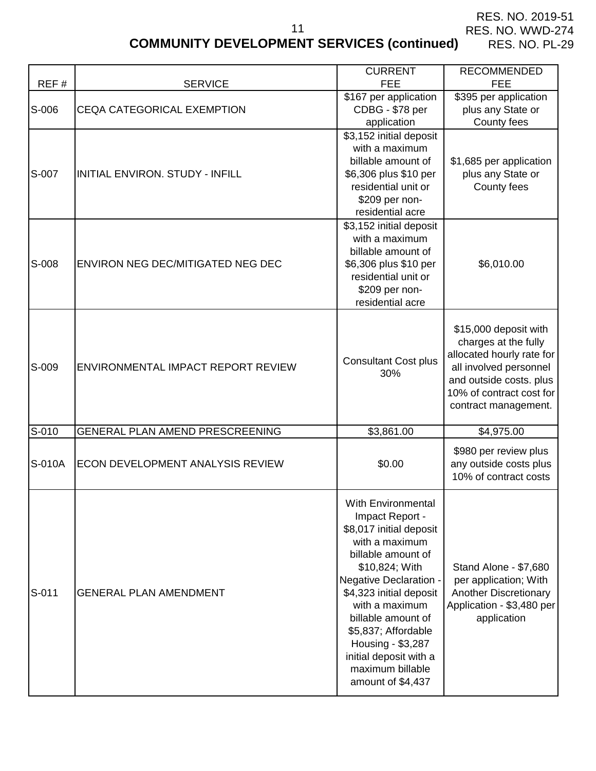application

# **COMMUNITY DEVELOPMENT SERVICES (continued)**

11

RES. NO. PL-29

CURRENT RECOMMENDED

| REF#   | <b>SERVICE</b>                           | <b>FEE</b>                                                                                                                                                                                               | <b>FEE</b>                                                                                                                                                                          |
|--------|------------------------------------------|----------------------------------------------------------------------------------------------------------------------------------------------------------------------------------------------------------|-------------------------------------------------------------------------------------------------------------------------------------------------------------------------------------|
| S-006  | <b>CEQA CATEGORICAL EXEMPTION</b>        | \$167 per application<br>CDBG - \$78 per<br>application                                                                                                                                                  | \$395 per application<br>plus any State or<br>County fees                                                                                                                           |
| S-007  | <b>INITIAL ENVIRON, STUDY - INFILL</b>   | \$3,152 initial deposit<br>with a maximum<br>billable amount of<br>\$6,306 plus \$10 per<br>residential unit or<br>\$209 per non-<br>residential acre                                                    | \$1,685 per application<br>plus any State or<br>County fees                                                                                                                         |
| S-008  | <b>ENVIRON NEG DEC/MITIGATED NEG DEC</b> | \$3,152 initial deposit<br>with a maximum<br>billable amount of<br>\$6,306 plus \$10 per<br>residential unit or<br>\$209 per non-<br>residential acre                                                    | \$6,010.00                                                                                                                                                                          |
| S-009  | ENVIRONMENTAL IMPACT REPORT REVIEW       | <b>Consultant Cost plus</b><br>30%                                                                                                                                                                       | \$15,000 deposit with<br>charges at the fully<br>allocated hourly rate for<br>all involved personnel<br>and outside costs. plus<br>10% of contract cost for<br>contract management. |
| S-010  | GENERAL PLAN AMEND PRESCREENING          | \$3,861.00                                                                                                                                                                                               | \$4,975.00                                                                                                                                                                          |
| S-010A | ECON DEVELOPMENT ANALYSIS REVIEW         | \$0.00                                                                                                                                                                                                   | \$980 per review plus<br>any outside costs plus<br>10% of contract costs                                                                                                            |
| S-011  | <b>GENERAL PLAN AMENDMENT</b>            | <b>With Environmental</b><br>Impact Report -<br>\$8,017 initial deposit<br>with a maximum<br>billable amount of<br>\$10,824; With<br>Negative Declaration -<br>\$4,323 initial deposit<br>with a maximum | Stand Alone - \$7,680<br>per application; With<br><b>Another Discretionary</b><br>Application - \$3,480 per                                                                         |

billable amount of \$5,837; Affordable Housing - \$3,287 initial deposit with a maximum billable amount of \$4,437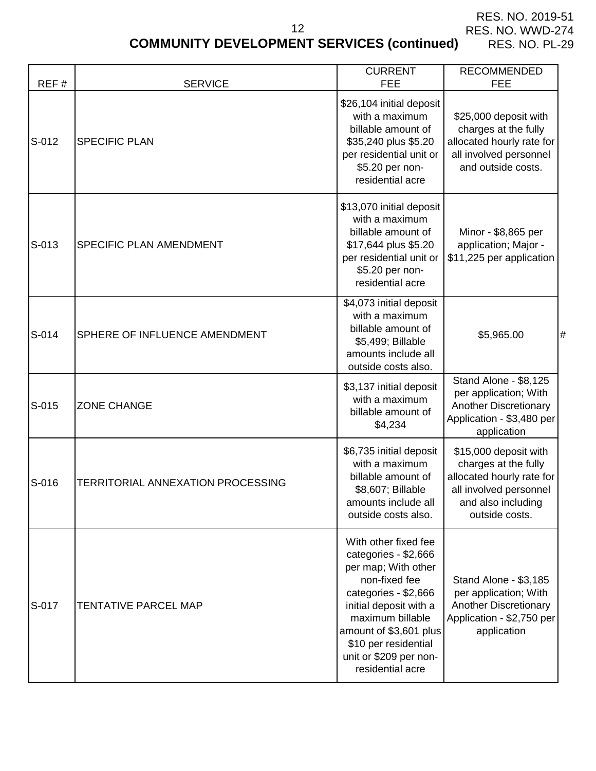# **COMMUNITY DEVELOPMENT SERVICES (continued)**

12

| REF#  | <b>SERVICE</b>                    | <b>CURRENT</b><br><b>FEE</b>                                                                                                                                                                                                                               | <b>RECOMMENDED</b><br><b>FEE</b>                                                                                                             |
|-------|-----------------------------------|------------------------------------------------------------------------------------------------------------------------------------------------------------------------------------------------------------------------------------------------------------|----------------------------------------------------------------------------------------------------------------------------------------------|
| S-012 | <b>SPECIFIC PLAN</b>              | \$26,104 initial deposit<br>with a maximum<br>billable amount of<br>\$35,240 plus \$5.20<br>per residential unit or<br>\$5.20 per non-<br>residential acre                                                                                                 | \$25,000 deposit with<br>charges at the fully<br>allocated hourly rate for<br>all involved personnel<br>and outside costs.                   |
| S-013 | SPECIFIC PLAN AMENDMENT           | \$13,070 initial deposit<br>with a maximum<br>billable amount of<br>\$17,644 plus \$5.20<br>per residential unit or<br>\$5.20 per non-<br>residential acre                                                                                                 | Minor - \$8,865 per<br>application; Major -<br>\$11,225 per application                                                                      |
| S-014 | SPHERE OF INFLUENCE AMENDMENT     | \$4,073 initial deposit<br>with a maximum<br>billable amount of<br>\$5,499; Billable<br>amounts include all<br>outside costs also.                                                                                                                         | \$5,965.00<br>Ħ                                                                                                                              |
| S-015 | <b>ZONE CHANGE</b>                | \$3,137 initial deposit<br>with a maximum<br>billable amount of<br>\$4,234                                                                                                                                                                                 | Stand Alone - \$8,125<br>per application; With<br><b>Another Discretionary</b><br>Application - \$3,480 per<br>application                   |
| S-016 | TERRITORIAL ANNEXATION PROCESSING | \$6,735 initial deposit<br>with a maximum<br>billable amount of<br>\$8,607; Billable<br>amounts include all<br>outside costs also.                                                                                                                         | \$15,000 deposit with<br>charges at the fully<br>allocated hourly rate for<br>all involved personnel<br>and also including<br>outside costs. |
| S-017 | <b>TENTATIVE PARCEL MAP</b>       | With other fixed fee<br>categories - \$2,666<br>per map; With other<br>non-fixed fee<br>categories - \$2,666<br>initial deposit with a<br>maximum billable<br>amount of \$3,601 plus<br>\$10 per residential<br>unit or \$209 per non-<br>residential acre | Stand Alone - \$3,185<br>per application; With<br><b>Another Discretionary</b><br>Application - \$2,750 per<br>application                   |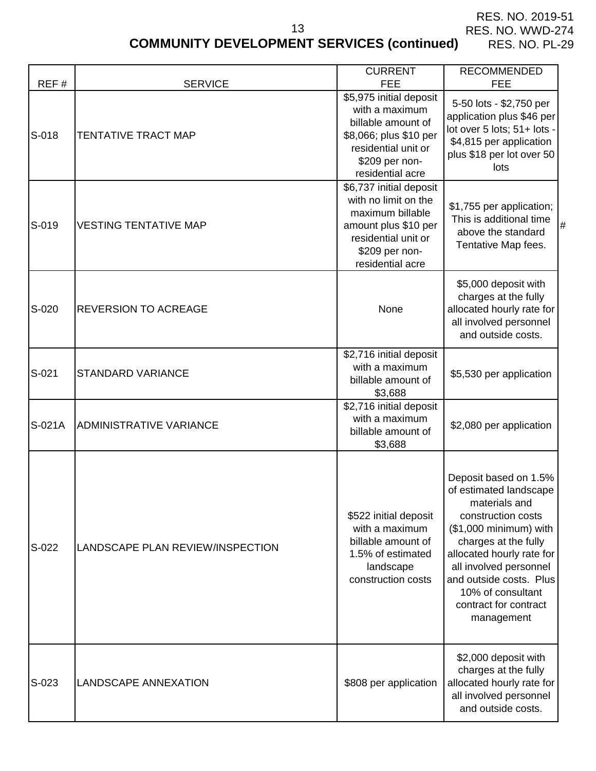# **COMMUNITY DEVELOPMENT SERVICES (continued)**

13

| REF#    | <b>SERVICE</b>                   | <b>CURRENT</b><br><b>FEE</b>                                                                                                                             | <b>RECOMMENDED</b><br><b>FEE</b>                                                                                                                                                                                                                                                       |
|---------|----------------------------------|----------------------------------------------------------------------------------------------------------------------------------------------------------|----------------------------------------------------------------------------------------------------------------------------------------------------------------------------------------------------------------------------------------------------------------------------------------|
| S-018   | TENTATIVE TRACT MAP              | \$5,975 initial deposit<br>with a maximum<br>billable amount of<br>\$8,066; plus \$10 per<br>residential unit or<br>\$209 per non-<br>residential acre   | 5-50 lots - \$2,750 per<br>application plus \$46 per<br>lot over 5 lots; 51+ lots -<br>\$4,815 per application<br>plus \$18 per lot over 50<br>lots                                                                                                                                    |
| S-019   | <b>VESTING TENTATIVE MAP</b>     | \$6,737 initial deposit<br>with no limit on the<br>maximum billable<br>amount plus \$10 per<br>residential unit or<br>\$209 per non-<br>residential acre | \$1,755 per application;<br>This is additional time<br>#<br>above the standard<br>Tentative Map fees.                                                                                                                                                                                  |
| S-020   | <b>REVERSION TO ACREAGE</b>      | None                                                                                                                                                     | \$5,000 deposit with<br>charges at the fully<br>allocated hourly rate for<br>all involved personnel<br>and outside costs.                                                                                                                                                              |
| S-021   | <b>STANDARD VARIANCE</b>         | \$2,716 initial deposit<br>with a maximum<br>billable amount of<br>\$3,688                                                                               | \$5,530 per application                                                                                                                                                                                                                                                                |
| S-021A  | <b>ADMINISTRATIVE VARIANCE</b>   | \$2,716 initial deposit<br>with a maximum<br>billable amount of<br>\$3,688                                                                               | \$2,080 per application                                                                                                                                                                                                                                                                |
| S-022   | LANDSCAPE PLAN REVIEW/INSPECTION | \$522 initial deposit<br>with a maximum<br>billable amount of<br>1.5% of estimated<br>landscape<br>construction costs                                    | Deposit based on 1.5%<br>of estimated landscape<br>materials and<br>construction costs<br>(\$1,000 minimum) with<br>charges at the fully<br>allocated hourly rate for<br>all involved personnel<br>and outside costs. Plus<br>10% of consultant<br>contract for contract<br>management |
| $S-023$ | <b>LANDSCAPE ANNEXATION</b>      | \$808 per application                                                                                                                                    | \$2,000 deposit with<br>charges at the fully<br>allocated hourly rate for<br>all involved personnel<br>and outside costs.                                                                                                                                                              |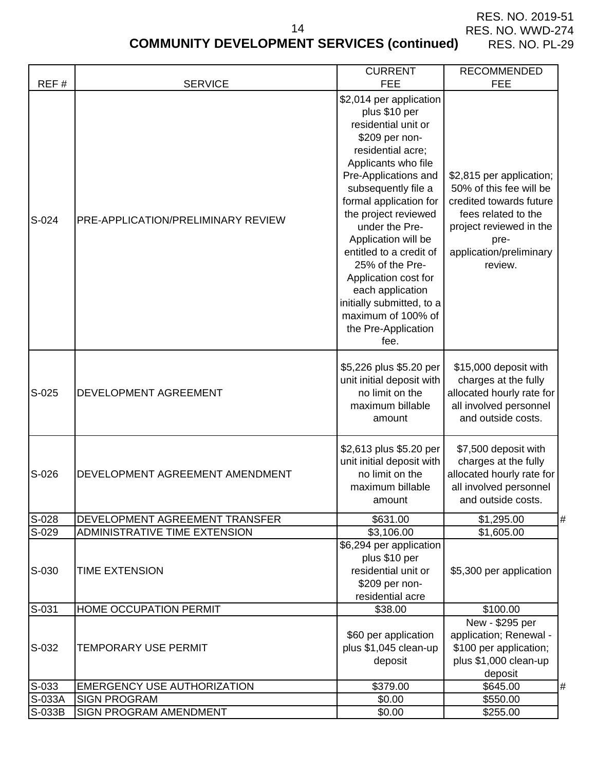# **COMMUNITY DEVELOPMENT SERVICES (continued)** RES. NO. PL-29

|        |                                    | <b>CURRENT</b>                                                                                                                                                                                                                                                                                                                                                                                                                                      | <b>RECOMMENDED</b>                                                                                                                                                             |
|--------|------------------------------------|-----------------------------------------------------------------------------------------------------------------------------------------------------------------------------------------------------------------------------------------------------------------------------------------------------------------------------------------------------------------------------------------------------------------------------------------------------|--------------------------------------------------------------------------------------------------------------------------------------------------------------------------------|
| REF#   | <b>SERVICE</b>                     | <b>FEE</b>                                                                                                                                                                                                                                                                                                                                                                                                                                          | <b>FEE</b>                                                                                                                                                                     |
| S-024  | PRE-APPLICATION/PRELIMINARY REVIEW | \$2,014 per application<br>plus \$10 per<br>residential unit or<br>\$209 per non-<br>residential acre;<br>Applicants who file<br>Pre-Applications and<br>subsequently file a<br>formal application for<br>the project reviewed<br>under the Pre-<br>Application will be<br>entitled to a credit of<br>25% of the Pre-<br>Application cost for<br>each application<br>initially submitted, to a<br>maximum of 100% of<br>the Pre-Application<br>fee. | \$2,815 per application;<br>50% of this fee will be<br>credited towards future<br>fees related to the<br>project reviewed in the<br>pre-<br>application/preliminary<br>review. |
| S-025  | DEVELOPMENT AGREEMENT              | \$5,226 plus \$5.20 per<br>unit initial deposit with<br>no limit on the<br>maximum billable<br>amount                                                                                                                                                                                                                                                                                                                                               | \$15,000 deposit with<br>charges at the fully<br>allocated hourly rate for<br>all involved personnel<br>and outside costs.                                                     |
| S-026  | DEVELOPMENT AGREEMENT AMENDMENT    | \$2,613 plus \$5.20 per<br>unit initial deposit with<br>no limit on the<br>maximum billable<br>amount                                                                                                                                                                                                                                                                                                                                               | \$7,500 deposit with<br>charges at the fully<br>allocated hourly rate for<br>all involved personnel<br>and outside costs.                                                      |
| S-028  | DEVELOPMENT AGREEMENT TRANSFER     | \$631.00                                                                                                                                                                                                                                                                                                                                                                                                                                            | \$1,295.00                                                                                                                                                                     |
| S-029  | ADMINISTRATIVE TIME EXTENSION      | \$3,106.00                                                                                                                                                                                                                                                                                                                                                                                                                                          | \$1,605.00                                                                                                                                                                     |
| S-030  | <b>TIME EXTENSION</b>              | \$6,294 per application<br>plus \$10 per<br>residential unit or<br>\$209 per non-<br>residential acre                                                                                                                                                                                                                                                                                                                                               | \$5,300 per application                                                                                                                                                        |
| S-031  | HOME OCCUPATION PERMIT             | \$38.00                                                                                                                                                                                                                                                                                                                                                                                                                                             | \$100.00                                                                                                                                                                       |
| S-032  | <b>TEMPORARY USE PERMIT</b>        | \$60 per application<br>plus \$1,045 clean-up<br>deposit                                                                                                                                                                                                                                                                                                                                                                                            | New - \$295 per<br>application; Renewal -<br>\$100 per application;<br>plus \$1,000 clean-up<br>deposit                                                                        |
| S-033  | <b>EMERGENCY USE AUTHORIZATION</b> | \$379.00                                                                                                                                                                                                                                                                                                                                                                                                                                            | \$645.00<br>#                                                                                                                                                                  |
| S-033A | <b>SIGN PROGRAM</b>                | \$0.00                                                                                                                                                                                                                                                                                                                                                                                                                                              | $\overline{$}550.00$                                                                                                                                                           |
| S-033B | SIGN PROGRAM AMENDMENT             | \$0.00                                                                                                                                                                                                                                                                                                                                                                                                                                              | \$255.00                                                                                                                                                                       |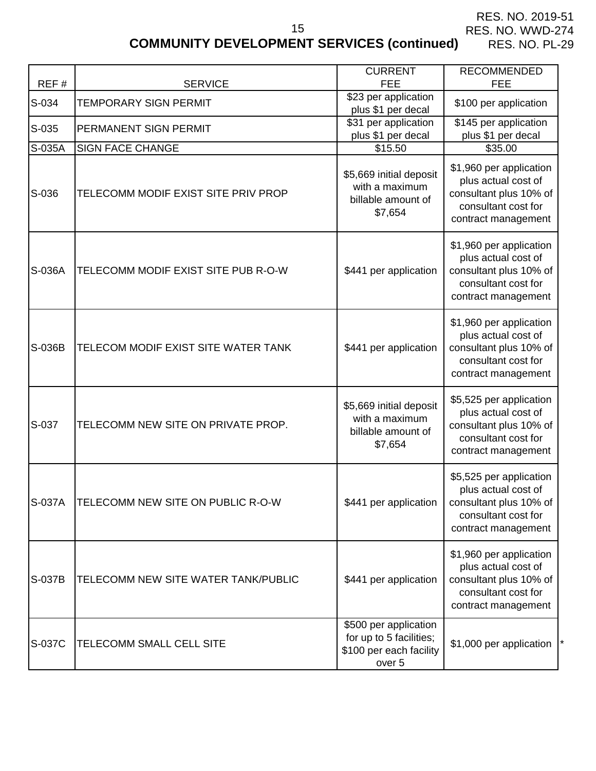# **COMMUNITY DEVELOPMENT SERVICES (continued)**

15

| REF#   | <b>SERVICE</b>                      | <b>CURRENT</b><br><b>FEE</b>                                                                     | <b>RECOMMENDED</b><br><b>FEE</b>                                                                                       |
|--------|-------------------------------------|--------------------------------------------------------------------------------------------------|------------------------------------------------------------------------------------------------------------------------|
| S-034  | <b>TEMPORARY SIGN PERMIT</b>        | \$23 per application<br>plus \$1 per decal                                                       | \$100 per application                                                                                                  |
| S-035  | PERMANENT SIGN PERMIT               | \$31 per application<br>plus \$1 per decal                                                       | \$145 per application<br>plus \$1 per decal                                                                            |
| S-035A | <b>SIGN FACE CHANGE</b>             | \$15.50                                                                                          | \$35.00                                                                                                                |
| S-036  | TELECOMM MODIF EXIST SITE PRIV PROP | \$5,669 initial deposit<br>with a maximum<br>billable amount of<br>\$7,654                       | \$1,960 per application<br>plus actual cost of<br>consultant plus 10% of<br>consultant cost for<br>contract management |
| S-036A | TELECOMM MODIF EXIST SITE PUB R-O-W | \$441 per application                                                                            | \$1,960 per application<br>plus actual cost of<br>consultant plus 10% of<br>consultant cost for<br>contract management |
| S-036B | TELECOM MODIF EXIST SITE WATER TANK | \$441 per application                                                                            | \$1,960 per application<br>plus actual cost of<br>consultant plus 10% of<br>consultant cost for<br>contract management |
| S-037  | TELECOMM NEW SITE ON PRIVATE PROP.  | \$5,669 initial deposit<br>with a maximum<br>billable amount of<br>\$7,654                       | \$5,525 per application<br>plus actual cost of<br>consultant plus 10% of<br>consultant cost for<br>contract management |
| S-037A | TELECOMM NEW SITE ON PUBLIC R-O-W   | \$441 per application                                                                            | \$5,525 per application<br>plus actual cost of<br>consultant plus 10% of<br>consultant cost for<br>contract management |
| S-037B | TELECOMM NEW SITE WATER TANK/PUBLIC | \$441 per application                                                                            | \$1,960 per application<br>plus actual cost of<br>consultant plus 10% of<br>consultant cost for<br>contract management |
| S-037C | TELECOMM SMALL CELL SITE            | \$500 per application<br>for up to 5 facilities;<br>\$100 per each facility<br>over <sub>5</sub> | \$1,000 per application                                                                                                |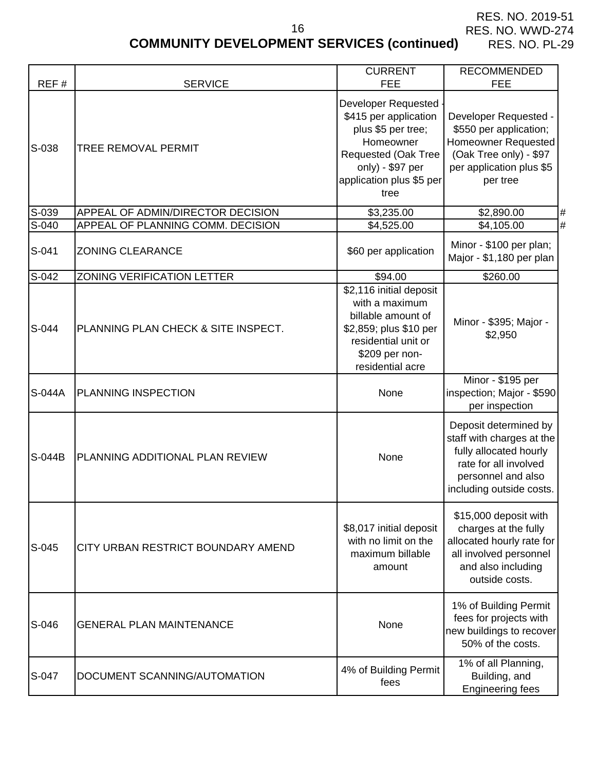# **COMMUNITY DEVELOPMENT SERVICES (continued)**

16

| REF#   | <b>SERVICE</b>                      | <b>CURRENT</b><br><b>FEE</b>                                                                                                                                   | <b>RECOMMENDED</b><br><b>FEE</b>                                                                                                                        |
|--------|-------------------------------------|----------------------------------------------------------------------------------------------------------------------------------------------------------------|---------------------------------------------------------------------------------------------------------------------------------------------------------|
| S-038  | <b>TREE REMOVAL PERMIT</b>          | Developer Requested<br>\$415 per application<br>plus \$5 per tree;<br>Homeowner<br>Requested (Oak Tree<br>only) - \$97 per<br>application plus \$5 per<br>tree | Developer Requested -<br>\$550 per application;<br><b>Homeowner Requested</b><br>(Oak Tree only) - \$97<br>per application plus \$5<br>per tree         |
| S-039  | APPEAL OF ADMIN/DIRECTOR DECISION   | \$3,235.00                                                                                                                                                     | \$2,890.00<br>#                                                                                                                                         |
| S-040  | APPEAL OF PLANNING COMM. DECISION   | \$4,525.00                                                                                                                                                     | #<br>\$4,105.00                                                                                                                                         |
| S-041  | <b>ZONING CLEARANCE</b>             | \$60 per application                                                                                                                                           | Minor - \$100 per plan;<br>Major - \$1,180 per plan                                                                                                     |
| S-042  | <b>ZONING VERIFICATION LETTER</b>   | \$94.00                                                                                                                                                        | \$260.00                                                                                                                                                |
| S-044  | PLANNING PLAN CHECK & SITE INSPECT. | \$2,116 initial deposit<br>with a maximum<br>billable amount of<br>\$2,859; plus \$10 per<br>residential unit or<br>\$209 per non-<br>residential acre         | Minor - \$395; Major -<br>\$2,950                                                                                                                       |
| S-044A | <b>PLANNING INSPECTION</b>          | None                                                                                                                                                           | Minor - \$195 per<br>inspection; Major - \$590<br>per inspection                                                                                        |
| S-044B | PLANNING ADDITIONAL PLAN REVIEW     | None                                                                                                                                                           | Deposit determined by<br>staff with charges at the<br>fully allocated hourly<br>rate for all involved<br>personnel and also<br>including outside costs. |
| S-045  | CITY URBAN RESTRICT BOUNDARY AMEND  | \$8,017 initial deposit<br>with no limit on the<br>maximum billable<br>amount                                                                                  | \$15,000 deposit with<br>charges at the fully<br>allocated hourly rate for<br>all involved personnel<br>and also including<br>outside costs.            |
| S-046  | <b>GENERAL PLAN MAINTENANCE</b>     | None                                                                                                                                                           | 1% of Building Permit<br>fees for projects with<br>new buildings to recover<br>50% of the costs.                                                        |
| S-047  | DOCUMENT SCANNING/AUTOMATION        | 4% of Building Permit<br>fees                                                                                                                                  | 1% of all Planning,<br>Building, and<br><b>Engineering fees</b>                                                                                         |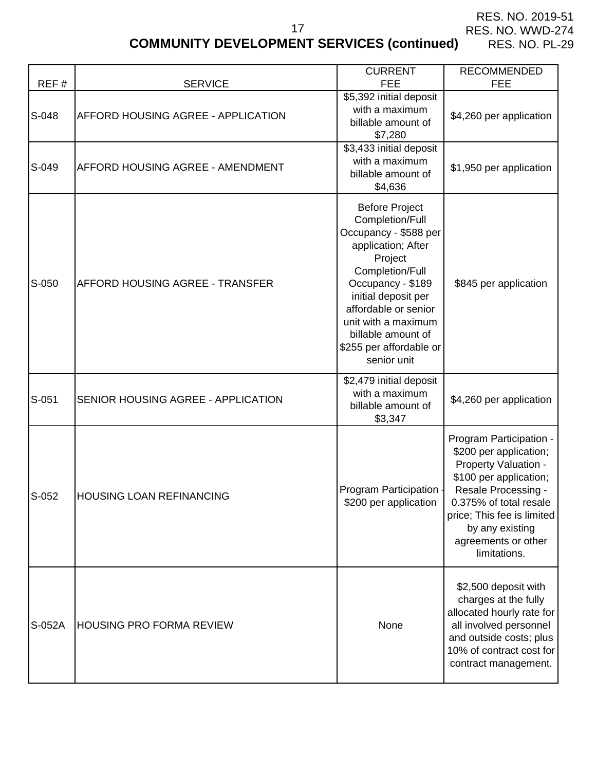# **COMMUNITY DEVELOPMENT SERVICES (continued)**

17

| REF#   | <b>SERVICE</b>                            | <b>CURRENT</b><br><b>FEE</b>                                                                                                                                                                                                                                                     | <b>RECOMMENDED</b><br><b>FEE</b>                                                                                                                                                                                                             |
|--------|-------------------------------------------|----------------------------------------------------------------------------------------------------------------------------------------------------------------------------------------------------------------------------------------------------------------------------------|----------------------------------------------------------------------------------------------------------------------------------------------------------------------------------------------------------------------------------------------|
| S-048  | <b>AFFORD HOUSING AGREE - APPLICATION</b> | \$5,392 initial deposit<br>with a maximum<br>billable amount of<br>\$7,280                                                                                                                                                                                                       | \$4,260 per application                                                                                                                                                                                                                      |
| S-049  | <b>AFFORD HOUSING AGREE - AMENDMENT</b>   | \$3,433 initial deposit<br>with a maximum<br>billable amount of<br>\$4,636                                                                                                                                                                                                       | \$1,950 per application                                                                                                                                                                                                                      |
| S-050  | <b>AFFORD HOUSING AGREE - TRANSFER</b>    | <b>Before Project</b><br>Completion/Full<br>Occupancy - \$588 per<br>application; After<br>Project<br>Completion/Full<br>Occupancy - \$189<br>initial deposit per<br>affordable or senior<br>unit with a maximum<br>billable amount of<br>\$255 per affordable or<br>senior unit | \$845 per application                                                                                                                                                                                                                        |
| S-051  | SENIOR HOUSING AGREE - APPLICATION        | \$2,479 initial deposit<br>with a maximum<br>billable amount of<br>\$3,347                                                                                                                                                                                                       | \$4,260 per application                                                                                                                                                                                                                      |
| S-052  | HOUSING LOAN REFINANCING                  | Program Participation -<br>\$200 per application                                                                                                                                                                                                                                 | Program Participation -<br>\$200 per application;<br>Property Valuation -<br>\$100 per application;<br>Resale Processing -<br>0.375% of total resale<br>price; This fee is limited<br>by any existing<br>agreements or other<br>limitations. |
| S-052A | <b>HOUSING PRO FORMA REVIEW</b>           | None                                                                                                                                                                                                                                                                             | \$2,500 deposit with<br>charges at the fully<br>allocated hourly rate for<br>all involved personnel<br>and outside costs; plus<br>10% of contract cost for<br>contract management.                                                           |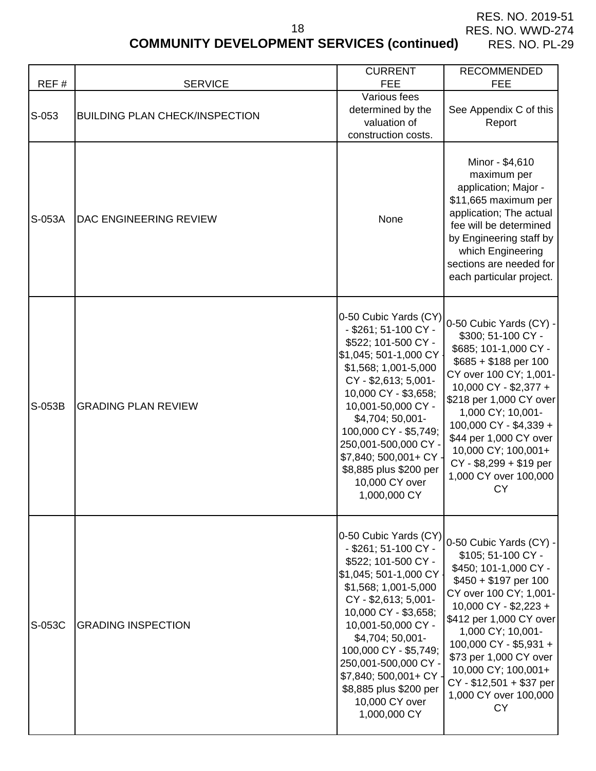# **COMMUNITY DEVELOPMENT SERVICES (continued)**

18

|        |                                       | <b>CURRENT</b>                                                                                                                                                                                                                                                                                                                                       | <b>RECOMMENDED</b>                                                                                                                                                                                                                                                                                                                              |
|--------|---------------------------------------|------------------------------------------------------------------------------------------------------------------------------------------------------------------------------------------------------------------------------------------------------------------------------------------------------------------------------------------------------|-------------------------------------------------------------------------------------------------------------------------------------------------------------------------------------------------------------------------------------------------------------------------------------------------------------------------------------------------|
| REF#   | <b>SERVICE</b>                        | <b>FEE</b>                                                                                                                                                                                                                                                                                                                                           | <b>FEE</b>                                                                                                                                                                                                                                                                                                                                      |
| S-053  | <b>BUILDING PLAN CHECK/INSPECTION</b> | Various fees<br>determined by the<br>valuation of<br>construction costs.                                                                                                                                                                                                                                                                             | See Appendix C of this<br>Report                                                                                                                                                                                                                                                                                                                |
| S-053A | DAC ENGINEERING REVIEW                | None                                                                                                                                                                                                                                                                                                                                                 | Minor - \$4,610<br>maximum per<br>application; Major -<br>\$11,665 maximum per<br>application; The actual<br>fee will be determined<br>by Engineering staff by<br>which Engineering<br>sections are needed for<br>each particular project.                                                                                                      |
| S-053B | <b>GRADING PLAN REVIEW</b>            | 0-50 Cubic Yards (CY)<br>- \$261; 51-100 CY -<br>\$522; 101-500 CY -<br>\$1,045; 501-1,000 CY<br>\$1,568; 1,001-5,000<br>CY - \$2,613; 5,001-<br>10,000 CY - \$3,658;<br>10,001-50,000 CY -<br>\$4,704; 50,001-<br>100,000 CY - \$5,749;<br>250,001-500,000 CY -<br>\$7,840; 500,001+ CY<br>\$8,885 plus \$200 per<br>10,000 CY over<br>1,000,000 CY | 0-50 Cubic Yards (CY) -<br>\$300; 51-100 CY -<br>\$685; 101-1,000 CY -<br>$$685 + $188$ per 100<br>CY over 100 CY; 1,001-<br>10,000 CY - \$2,377 +<br>\$218 per 1,000 CY over<br>1,000 CY; 10,001-<br>100,000 CY - \$4,339 +<br>\$44 per 1,000 CY over<br>10,000 CY; 100,001+<br>CY - \$8,299 + \$19 per<br>1,000 CY over 100,000<br><b>CY</b>  |
| S-053C | <b>GRADING INSPECTION</b>             | 0-50 Cubic Yards (CY)<br>- \$261; 51-100 CY -<br>\$522; 101-500 CY -<br>\$1,045; 501-1,000 CY<br>\$1,568; 1,001-5,000<br>CY - \$2,613; 5,001-<br>10,000 CY - \$3,658;<br>10,001-50,000 CY -<br>$$4,704;50,001-$<br>100,000 CY - \$5,749;<br>250,001-500,000 CY -<br>\$7,840; 500,001+ CY<br>\$8,885 plus \$200 per<br>10,000 CY over<br>1,000,000 CY | 0-50 Cubic Yards (CY) -<br>\$105; 51-100 CY -<br>\$450; 101-1,000 CY -<br>$$450 + $197$ per 100<br>CY over 100 CY; 1,001-<br>10,000 CY - \$2,223 +<br>\$412 per 1,000 CY over<br>1,000 CY; 10,001-<br>100,000 CY - \$5,931 +<br>\$73 per 1,000 CY over<br>10,000 CY; 100,001+<br>CY - \$12,501 + \$37 per<br>1,000 CY over 100,000<br><b>CY</b> |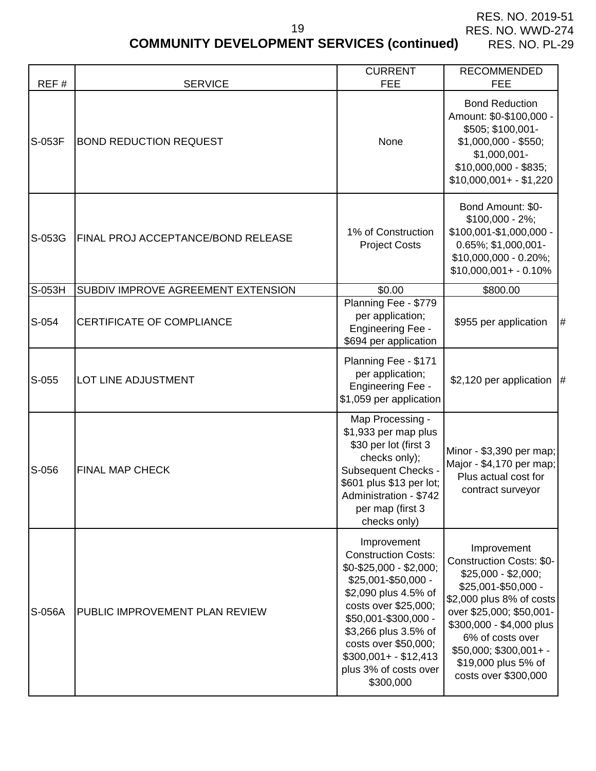# **COMMUNITY DEVELOPMENT SERVICES (continued)**

19

| REF#    | <b>SERVICE</b>                            | <b>CURRENT</b><br><b>FEE</b>                                                                                                                                                                                                                                                         | <b>RECOMMENDED</b><br><b>FEE</b>                                                                                                                                                                                                                                              |
|---------|-------------------------------------------|--------------------------------------------------------------------------------------------------------------------------------------------------------------------------------------------------------------------------------------------------------------------------------------|-------------------------------------------------------------------------------------------------------------------------------------------------------------------------------------------------------------------------------------------------------------------------------|
| S-053F  | <b>BOND REDUCTION REQUEST</b>             | None                                                                                                                                                                                                                                                                                 | <b>Bond Reduction</b><br>Amount: \$0-\$100,000 -<br>\$505; \$100,001-<br>$$1,000,000 - $550;$<br>\$1,000,001-<br>$$10,000,000 - $835;$<br>$$10,000,001+ - $1,220$                                                                                                             |
| S-053G  | <b>FINAL PROJ ACCEPTANCE/BOND RELEASE</b> | 1% of Construction<br><b>Project Costs</b>                                                                                                                                                                                                                                           | Bond Amount: \$0-<br>$$100,000 - 2\%;$<br>\$100,001-\$1,000,000 -<br>0.65%; \$1,000,001-<br>\$10,000,000 - 0.20%;<br>$$10,000,001 + -0.10\%$                                                                                                                                  |
| S-053H  | SUBDIV IMPROVE AGREEMENT EXTENSION        | \$0.00                                                                                                                                                                                                                                                                               | \$800.00                                                                                                                                                                                                                                                                      |
| S-054   | CERTIFICATE OF COMPLIANCE                 | Planning Fee - \$779<br>per application;<br><b>Engineering Fee -</b><br>\$694 per application                                                                                                                                                                                        | #<br>\$955 per application                                                                                                                                                                                                                                                    |
| $S-055$ | LOT LINE ADJUSTMENT                       | Planning Fee - \$171<br>per application;<br><b>Engineering Fee -</b><br>\$1,059 per application                                                                                                                                                                                      | \$2,120 per application $\vert \#$                                                                                                                                                                                                                                            |
| S-056   | <b>FINAL MAP CHECK</b>                    | Map Processing -<br>\$1,933 per map plus<br>\$30 per lot (first 3<br>checks only);<br><b>Subsequent Checks -</b><br>\$601 plus \$13 per lot;<br>Administration - \$742<br>per map (first 3<br>checks only)                                                                           | Minor - \$3,390 per map;<br>Major - \$4,170 per map;<br>Plus actual cost for<br>contract surveyor                                                                                                                                                                             |
| S-056A  | PUBLIC IMPROVEMENT PLAN REVIEW            | Improvement<br><b>Construction Costs:</b><br>$$0 - $25,000 - $2,000;$<br>\$25,001-\$50,000 -<br>\$2,090 plus 4.5% of<br>costs over \$25,000;<br>\$50,001-\$300,000 -<br>\$3,266 plus 3.5% of<br>costs over \$50,000;<br>$$300,001 + - $12,413$<br>plus 3% of costs over<br>\$300,000 | Improvement<br><b>Construction Costs: \$0-</b><br>$$25,000 - $2,000;$<br>\$25,001-\$50,000 -<br>\$2,000 plus 8% of costs<br>over \$25,000; \$50,001-<br>\$300,000 - \$4,000 plus<br>6% of costs over<br>$$50,000; $300,001+ -$<br>\$19,000 plus 5% of<br>costs over \$300,000 |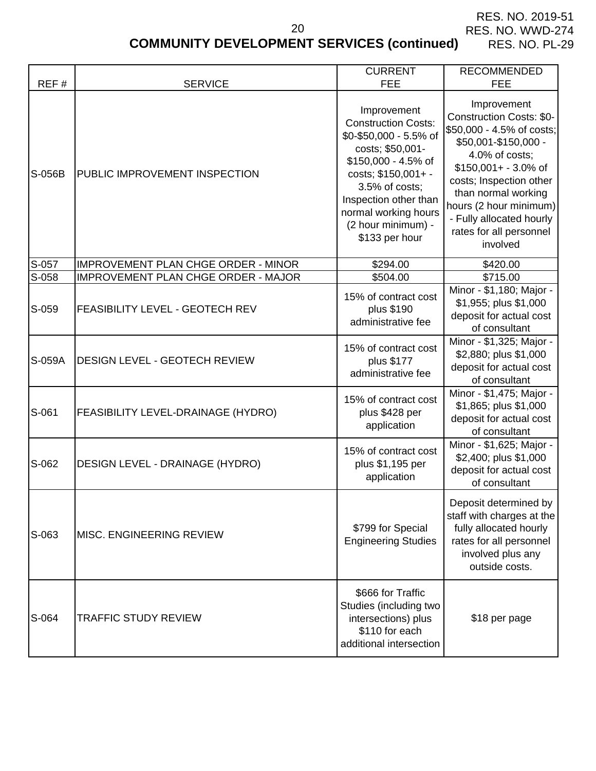# **COMMUNITY DEVELOPMENT SERVICES (continued)**

|       | <b>COMMUNITY DEVELOPMENT SERVICES (continued)</b><br><b>RES. NO. PL-29</b> |                                                                                                                                         |                                                                                                                                                 |  |  |
|-------|----------------------------------------------------------------------------|-----------------------------------------------------------------------------------------------------------------------------------------|-------------------------------------------------------------------------------------------------------------------------------------------------|--|--|
| REF#  | <b>SERVICE</b>                                                             | <b>CURRENT</b><br>FEE.                                                                                                                  | <b>RECOMMENDED</b><br>FEE.                                                                                                                      |  |  |
| -056B | <b>IPUBLIC IMPROVEMENT INSPECTION</b>                                      | Improvement<br><b>Construction Costs:</b><br>\$0-\$50,000 - 5.5% of<br>costs; \$50,001-<br>\$150,000 - 4.5% of<br>$costs: $150.001 + -$ | Improvement<br><b>Construction Costs: \$0-</b><br>\$50,000 - 4.5% of costs;<br>\$50,001-\$150,000 -<br>4.0% of costs;<br>$$150,001+ - 3.0\%$ of |  |  |

| S-056B | PUBLIC IMPROVEMENT INSPECTION              | <b>Construction Costs:</b><br>\$0-\$50,000 - 5.5% of<br>costs; \$50,001-<br>\$150,000 - 4.5% of<br>costs; \$150,001+ -<br>3.5% of costs;<br>Inspection other than<br>normal working hours<br>(2 hour minimum) -<br>\$133 per hour | ບບກວດເບບແບກ ບບວເວ. ພບະ<br>\$50,000 - 4.5% of costs;<br>\$50,001-\$150,000 -<br>4.0% of costs;<br>$$150,001+ - 3.0\%$ of<br>costs; Inspection other<br>than normal working<br>hours (2 hour minimum)<br>- Fully allocated hourly<br>rates for all personnel<br>involved |
|--------|--------------------------------------------|-----------------------------------------------------------------------------------------------------------------------------------------------------------------------------------------------------------------------------------|------------------------------------------------------------------------------------------------------------------------------------------------------------------------------------------------------------------------------------------------------------------------|
| S-057  | <b>IMPROVEMENT PLAN CHGE ORDER - MINOR</b> | \$294.00                                                                                                                                                                                                                          | \$420.00                                                                                                                                                                                                                                                               |
| S-058  | IMPROVEMENT PLAN CHGE ORDER - MAJOR        | \$504.00                                                                                                                                                                                                                          | \$715.00                                                                                                                                                                                                                                                               |
| S-059  | <b>FEASIBILITY LEVEL - GEOTECH REV</b>     | 15% of contract cost<br>plus \$190<br>administrative fee                                                                                                                                                                          | Minor - \$1,180; Major -<br>\$1,955; plus \$1,000<br>deposit for actual cost<br>of consultant                                                                                                                                                                          |
| S-059A | <b>DESIGN LEVEL - GEOTECH REVIEW</b>       | 15% of contract cost<br>plus \$177<br>administrative fee                                                                                                                                                                          | Minor - \$1,325; Major -<br>\$2,880; plus \$1,000<br>deposit for actual cost<br>of consultant                                                                                                                                                                          |
| S-061  | <b>FEASIBILITY LEVEL-DRAINAGE (HYDRO)</b>  | 15% of contract cost<br>plus \$428 per<br>application                                                                                                                                                                             | Minor - \$1,475; Major -<br>\$1,865; plus \$1,000<br>deposit for actual cost<br>of consultant                                                                                                                                                                          |
| S-062  | <b>DESIGN LEVEL - DRAINAGE (HYDRO)</b>     | 15% of contract cost<br>plus \$1,195 per<br>application                                                                                                                                                                           | Minor - \$1,625; Major -<br>\$2,400; plus \$1,000<br>deposit for actual cost<br>of consultant                                                                                                                                                                          |
| S-063  | <b>MISC. ENGINEERING REVIEW</b>            | \$799 for Special<br><b>Engineering Studies</b>                                                                                                                                                                                   | Deposit determined by<br>staff with charges at the<br>fully allocated hourly<br>rates for all personnel<br>involved plus any<br>outside costs.                                                                                                                         |
| S-064  | <b>TRAFFIC STUDY REVIEW</b>                | \$666 for Traffic<br>Studies (including two<br>intersections) plus<br>\$110 for each<br>additional intersection                                                                                                                   | \$18 per page                                                                                                                                                                                                                                                          |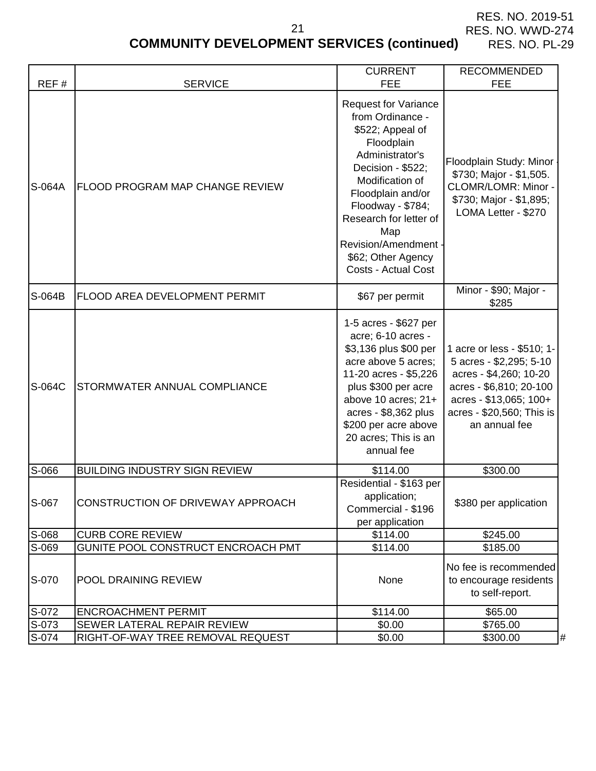$\mathsf{l}$ 

CURRENT | RECOMMENDED

# **COMMUNITY DEVELOPMENT SERVICES (continued)**

 $\mathsf{I}$ 

 $\mathbf{I}$ 

| REF#   | <b>SERVICE</b>                           | <b>FEE</b>                                                                                                                                                                                                                                                                                   | <b>FEE</b>                                                                                                                                                                         |
|--------|------------------------------------------|----------------------------------------------------------------------------------------------------------------------------------------------------------------------------------------------------------------------------------------------------------------------------------------------|------------------------------------------------------------------------------------------------------------------------------------------------------------------------------------|
| S-064A | FLOOD PROGRAM MAP CHANGE REVIEW          | Request for Variance<br>from Ordinance -<br>\$522; Appeal of<br>Floodplain<br>Administrator's<br>Decision - \$522;<br>Modification of<br>Floodplain and/or<br>Floodway - \$784;<br>Research for letter of<br>Map<br>Revision/Amendment -<br>\$62; Other Agency<br><b>Costs - Actual Cost</b> | Floodplain Study: Minor<br>\$730; Major - \$1,505.<br>CLOMR/LOMR: Minor -<br>\$730; Major - \$1,895;<br>LOMA Letter - \$270                                                        |
| S-064B | FLOOD AREA DEVELOPMENT PERMIT            | \$67 per permit                                                                                                                                                                                                                                                                              | Minor - \$90; Major -<br>\$285                                                                                                                                                     |
| S-064C | STORMWATER ANNUAL COMPLIANCE             | 1-5 acres - \$627 per<br>acre; 6-10 acres -<br>\$3,136 plus \$00 per<br>acre above 5 acres;<br>11-20 acres - \$5,226<br>plus \$300 per acre<br>above 10 acres; 21+<br>acres - \$8,362 plus<br>\$200 per acre above<br>20 acres; This is an<br>annual fee                                     | 1 acre or less - \$510; 1-<br>5 acres - \$2,295; 5-10<br>acres - \$4,260; 10-20<br>acres - \$6,810; 20-100<br>acres - \$13,065; 100+<br>acres - \$20,560; This is<br>an annual fee |
| S-066  | <b>BUILDING INDUSTRY SIGN REVIEW</b>     | \$114.00                                                                                                                                                                                                                                                                                     | \$300.00                                                                                                                                                                           |
| S-067  | <b>CONSTRUCTION OF DRIVEWAY APPROACH</b> | Residential - \$163 per<br>application;<br>Commercial - \$196<br>per application                                                                                                                                                                                                             | \$380 per application                                                                                                                                                              |
| S-068  | <b>CURB CORE REVIEW</b>                  | \$114.00                                                                                                                                                                                                                                                                                     | \$245.00                                                                                                                                                                           |
| S-069  | GUNITE POOL CONSTRUCT ENCROACH PMT       | \$114.00                                                                                                                                                                                                                                                                                     | \$185.00                                                                                                                                                                           |
| S-070  | POOL DRAINING REVIEW                     | None                                                                                                                                                                                                                                                                                         | No fee is recommended<br>to encourage residents<br>to self-report.                                                                                                                 |
| S-072  | <b>ENCROACHMENT PERMIT</b>               | \$114.00                                                                                                                                                                                                                                                                                     | \$65.00                                                                                                                                                                            |
| S-073  | SEWER LATERAL REPAIR REVIEW              | \$0.00                                                                                                                                                                                                                                                                                       | \$765.00                                                                                                                                                                           |
| S-074  | RIGHT-OF-WAY TREE REMOVAL REQUEST        | \$0.00                                                                                                                                                                                                                                                                                       | \$300.00<br>Ħ                                                                                                                                                                      |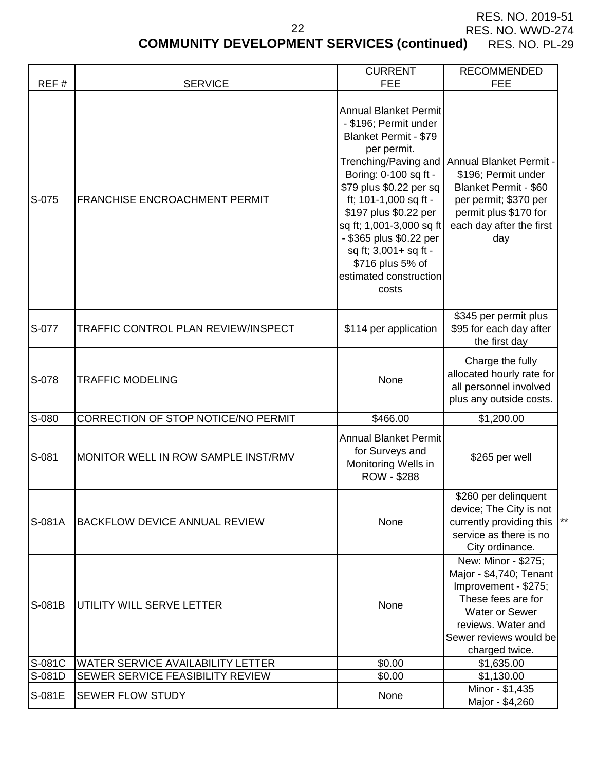# **COMMUNITY DEVELOPMENT SERVICES (continued)** RES. NO. PL-29

|               |                                                        | <b>CURRENT</b>                                                                                                                                                                                                                                                                                                                                                  | <b>RECOMMENDED</b>                                                                                                                                                                              |
|---------------|--------------------------------------------------------|-----------------------------------------------------------------------------------------------------------------------------------------------------------------------------------------------------------------------------------------------------------------------------------------------------------------------------------------------------------------|-------------------------------------------------------------------------------------------------------------------------------------------------------------------------------------------------|
| REF#<br>S-075 | <b>SERVICE</b><br><b>FRANCHISE ENCROACHMENT PERMIT</b> | <b>FEE</b><br><b>Annual Blanket Permit</b><br>- \$196; Permit under<br><b>Blanket Permit - \$79</b><br>per permit.<br>Boring: 0-100 sq ft -<br>\$79 plus \$0.22 per sq<br>ft; 101-1,000 sq ft -<br>\$197 plus \$0.22 per<br>sq ft; 1,001-3,000 sq ft<br>- \$365 plus \$0.22 per<br>sq ft; 3,001+ sq ft -<br>\$716 plus 5% of<br>estimated construction<br>costs | <b>FEE</b><br>Trenching/Paving and Annual Blanket Permit -<br>\$196; Permit under<br>Blanket Permit - \$60<br>per permit; \$370 per<br>permit plus \$170 for<br>each day after the first<br>day |
| S-077         | TRAFFIC CONTROL PLAN REVIEW/INSPECT                    | \$114 per application                                                                                                                                                                                                                                                                                                                                           | \$345 per permit plus<br>\$95 for each day after<br>the first day                                                                                                                               |
| S-078         | <b>TRAFFIC MODELING</b>                                | None                                                                                                                                                                                                                                                                                                                                                            | Charge the fully<br>allocated hourly rate for<br>all personnel involved<br>plus any outside costs.                                                                                              |
| S-080         | CORRECTION OF STOP NOTICE/NO PERMIT                    | \$466.00                                                                                                                                                                                                                                                                                                                                                        | \$1,200.00                                                                                                                                                                                      |
| S-081         | MONITOR WELL IN ROW SAMPLE INST/RMV                    | <b>Annual Blanket Permit</b><br>for Surveys and<br>Monitoring Wells in<br>ROW - \$288                                                                                                                                                                                                                                                                           | \$265 per well                                                                                                                                                                                  |
| S-081A        | <b>BACKFLOW DEVICE ANNUAL REVIEW</b>                   | None                                                                                                                                                                                                                                                                                                                                                            | \$260 per delinquent<br>device; The City is not<br>currently providing this<br>service as there is no<br>City ordinance.                                                                        |
| S-081B        | UTILITY WILL SERVE LETTER                              | None                                                                                                                                                                                                                                                                                                                                                            | New: Minor - \$275;<br>Major - \$4,740; Tenant<br>Improvement - \$275;<br>These fees are for<br><b>Water or Sewer</b><br>reviews. Water and<br>Sewer reviews would be<br>charged twice.         |
| S-081C        | WATER SERVICE AVAILABILITY LETTER                      | \$0.00                                                                                                                                                                                                                                                                                                                                                          | \$1,635.00                                                                                                                                                                                      |
| S-081D        | SEWER SERVICE FEASIBILITY REVIEW                       | \$0.00                                                                                                                                                                                                                                                                                                                                                          | \$1,130.00                                                                                                                                                                                      |
| S-081E        | <b>SEWER FLOW STUDY</b>                                | None                                                                                                                                                                                                                                                                                                                                                            | Minor - \$1,435<br>Major - \$4,260                                                                                                                                                              |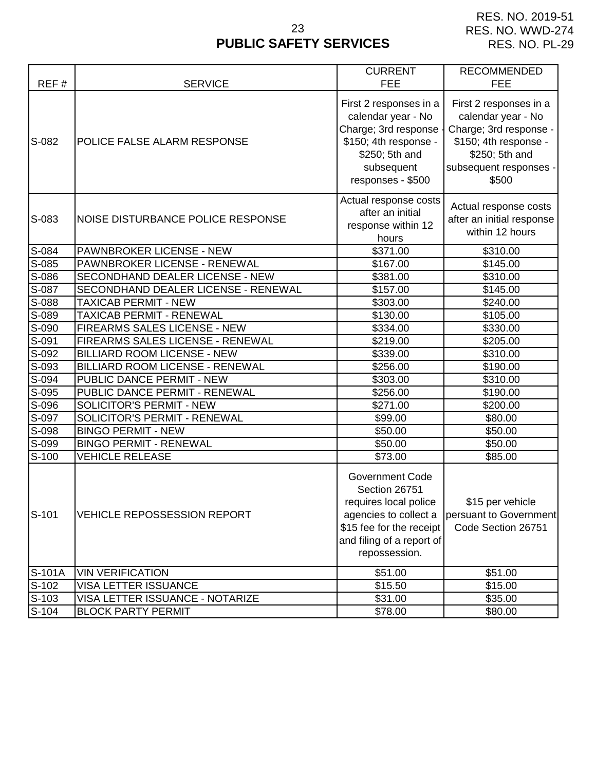# **PUBLIC SAFETY SERVICES** 23

|         |                                     | <b>CURRENT</b>                                                                                                                                                      | <b>RECOMMENDED</b>                                                                                                                                   |
|---------|-------------------------------------|---------------------------------------------------------------------------------------------------------------------------------------------------------------------|------------------------------------------------------------------------------------------------------------------------------------------------------|
| REF#    | <b>SERVICE</b>                      | <b>FEE</b>                                                                                                                                                          | <b>FEE</b>                                                                                                                                           |
| S-082   | POLICE FALSE ALARM RESPONSE         | First 2 responses in a<br>calendar year - No<br>Charge; 3rd response<br>\$150; 4th response -<br>\$250; 5th and<br>subsequent<br>responses - \$500                  | First 2 responses in a<br>calendar year - No<br>Charge; 3rd response -<br>\$150; 4th response -<br>\$250; 5th and<br>subsequent responses -<br>\$500 |
| S-083   | NOISE DISTURBANCE POLICE RESPONSE   | Actual response costs<br>after an initial<br>response within 12<br>hours                                                                                            | Actual response costs<br>after an initial response<br>within 12 hours                                                                                |
| S-084   | PAWNBROKER LICENSE - NEW            | \$371.00                                                                                                                                                            | \$310.00                                                                                                                                             |
| S-085   | PAWNBROKER LICENSE - RENEWAL        | \$167.00                                                                                                                                                            | \$145.00                                                                                                                                             |
| S-086   | SECONDHAND DEALER LICENSE - NEW     | \$381.00                                                                                                                                                            | \$310.00                                                                                                                                             |
| S-087   | SECONDHAND DEALER LICENSE - RENEWAL | \$157.00                                                                                                                                                            | \$145.00                                                                                                                                             |
| $S-088$ | <b>TAXICAB PERMIT - NEW</b>         | \$303.00                                                                                                                                                            | \$240.00                                                                                                                                             |
| S-089   | <b>TAXICAB PERMIT - RENEWAL</b>     | \$130.00                                                                                                                                                            | \$105.00                                                                                                                                             |
| S-090   | FIREARMS SALES LICENSE - NEW        | \$334.00                                                                                                                                                            | \$330.00                                                                                                                                             |
| S-091   | FIREARMS SALES LICENSE - RENEWAL    | \$219.00                                                                                                                                                            | \$205.00                                                                                                                                             |
| S-092   | <b>BILLIARD ROOM LICENSE - NEW</b>  | \$339.00                                                                                                                                                            | \$310.00                                                                                                                                             |
| S-093   | BILLIARD ROOM LICENSE - RENEWAL     | \$256.00                                                                                                                                                            | \$190.00                                                                                                                                             |
| S-094   | PUBLIC DANCE PERMIT - NEW           | \$303.00                                                                                                                                                            | \$310.00                                                                                                                                             |
| S-095   | PUBLIC DANCE PERMIT - RENEWAL       | \$256.00                                                                                                                                                            | \$190.00                                                                                                                                             |
| S-096   | SOLICITOR'S PERMIT - NEW            | \$271.00                                                                                                                                                            | \$200.00                                                                                                                                             |
| S-097   | SOLICITOR'S PERMIT - RENEWAL        | \$99.00                                                                                                                                                             | \$80.00                                                                                                                                              |
| S-098   | <b>BINGO PERMIT - NEW</b>           | \$50.00                                                                                                                                                             | \$50.00                                                                                                                                              |
| S-099   | <b>BINGO PERMIT - RENEWAL</b>       | \$50.00                                                                                                                                                             | \$50.00                                                                                                                                              |
| S-100   | <b>VEHICLE RELEASE</b>              | \$73.00                                                                                                                                                             | \$85.00                                                                                                                                              |
| $S-101$ | <b>VEHICLE REPOSSESSION REPORT</b>  | <b>Government Code</b><br>Section 26751<br>requires local police<br>agencies to collect a<br>\$15 fee for the receipt<br>and filing of a report of<br>repossession. | \$15 per vehicle<br>persuant to Government<br>Code Section 26751                                                                                     |
| S-101A  | <b>VIN VERIFICATION</b>             | \$51.00                                                                                                                                                             | \$51.00                                                                                                                                              |
| $S-102$ | <b>VISA LETTER ISSUANCE</b>         | \$15.50                                                                                                                                                             | \$15.00                                                                                                                                              |
| $S-103$ | VISA LETTER ISSUANCE - NOTARIZE     | \$31.00                                                                                                                                                             | \$35.00                                                                                                                                              |
| $S-104$ | <b>BLOCK PARTY PERMIT</b>           | \$78.00                                                                                                                                                             | \$80.00                                                                                                                                              |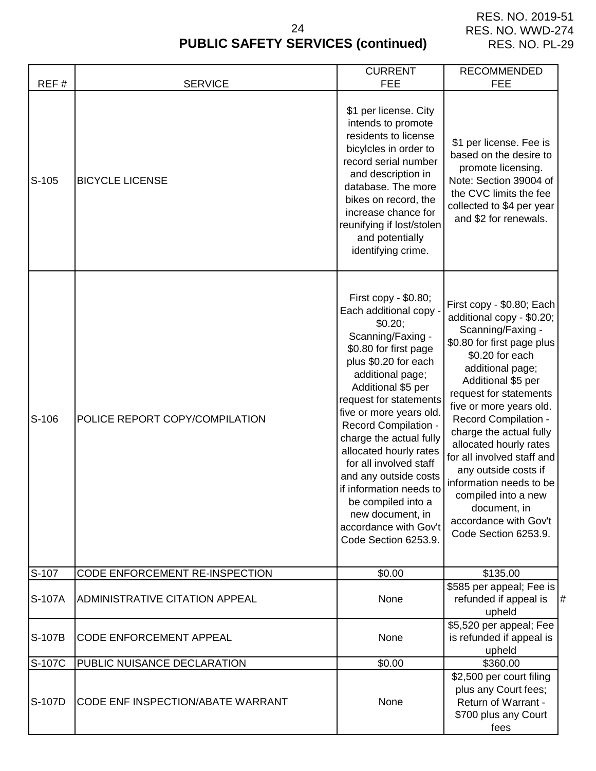| REF#    | <b>SERVICE</b>                        | <b>CURRENT</b><br><b>FEE</b>                                                                                                                                                                                                                                                                                                                                                                                                                                                         | <b>RECOMMENDED</b><br><b>FEE</b>                                                                                                                                                                                                                                                                                                                                                                                                                                                         |
|---------|---------------------------------------|--------------------------------------------------------------------------------------------------------------------------------------------------------------------------------------------------------------------------------------------------------------------------------------------------------------------------------------------------------------------------------------------------------------------------------------------------------------------------------------|------------------------------------------------------------------------------------------------------------------------------------------------------------------------------------------------------------------------------------------------------------------------------------------------------------------------------------------------------------------------------------------------------------------------------------------------------------------------------------------|
| $S-105$ | <b>BICYCLE LICENSE</b>                | \$1 per license. City<br>intends to promote<br>residents to license<br>bicylcles in order to<br>record serial number<br>and description in<br>database. The more<br>bikes on record, the<br>increase chance for<br>reunifying if lost/stolen<br>and potentially<br>identifying crime.                                                                                                                                                                                                | \$1 per license. Fee is<br>based on the desire to<br>promote licensing.<br>Note: Section 39004 of<br>the CVC limits the fee<br>collected to \$4 per year<br>and \$2 for renewals.                                                                                                                                                                                                                                                                                                        |
| $S-106$ | POLICE REPORT COPY/COMPILATION        | First copy - \$0.80;<br>Each additional copy -<br>\$0.20;<br>Scanning/Faxing -<br>\$0.80 for first page<br>plus \$0.20 for each<br>additional page;<br>Additional \$5 per<br>request for statements<br>five or more years old.<br>Record Compilation -<br>charge the actual fully<br>allocated hourly rates<br>for all involved staff<br>and any outside costs<br>if information needs to<br>be compiled into a<br>new document, in<br>accordance with Gov't<br>Code Section 6253.9. | First copy - \$0.80; Each<br>additional copy - \$0.20;<br>Scanning/Faxing -<br>\$0.80 for first page plus<br>\$0.20 for each<br>additional page;<br>Additional \$5 per<br>request for statements<br>five or more years old.<br><b>Record Compilation -</b><br>charge the actual fully<br>allocated hourly rates<br>for all involved staff and<br>any outside costs if<br>information needs to be<br>compiled into a new<br>document, in<br>accordance with Gov't<br>Code Section 6253.9. |
| S-107   | CODE ENFORCEMENT RE-INSPECTION        | \$0.00                                                                                                                                                                                                                                                                                                                                                                                                                                                                               | \$135.00                                                                                                                                                                                                                                                                                                                                                                                                                                                                                 |
| S-107A  | <b>ADMINISTRATIVE CITATION APPEAL</b> | None                                                                                                                                                                                                                                                                                                                                                                                                                                                                                 | \$585 per appeal; Fee is<br>refunded if appeal is<br>#<br>upheld                                                                                                                                                                                                                                                                                                                                                                                                                         |
| S-107B  | <b>CODE ENFORCEMENT APPEAL</b>        | None                                                                                                                                                                                                                                                                                                                                                                                                                                                                                 | \$5,520 per appeal; Fee<br>is refunded if appeal is<br>upheld                                                                                                                                                                                                                                                                                                                                                                                                                            |
| S-107C  | PUBLIC NUISANCE DECLARATION           | \$0.00                                                                                                                                                                                                                                                                                                                                                                                                                                                                               | \$360.00                                                                                                                                                                                                                                                                                                                                                                                                                                                                                 |
| S-107D  | CODE ENF INSPECTION/ABATE WARRANT     | None                                                                                                                                                                                                                                                                                                                                                                                                                                                                                 | \$2,500 per court filing<br>plus any Court fees;<br>Return of Warrant -<br>\$700 plus any Court<br>fees                                                                                                                                                                                                                                                                                                                                                                                  |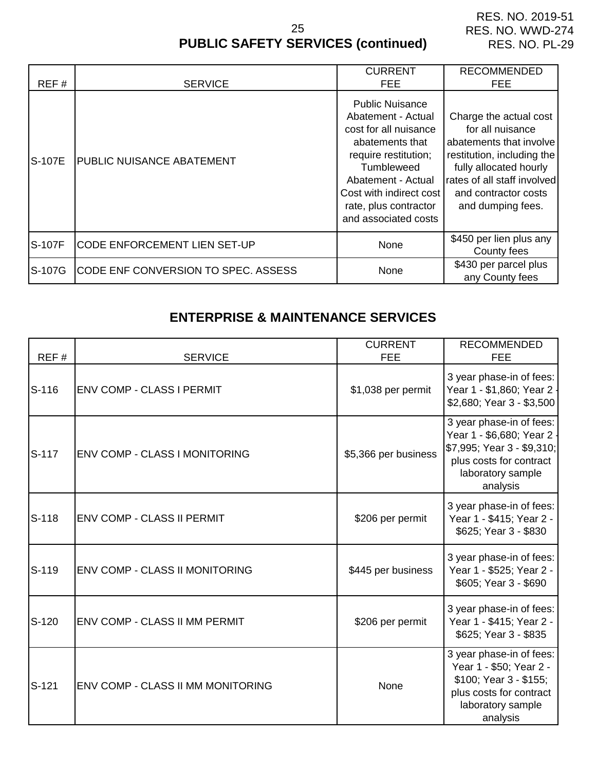# **PUBLIC SAFETY SERVICES (continued)** 25

| REF#          | <b>SERVICE</b>                      | <b>CURRENT</b><br>FEE.                                                                                                                                                                                                           | <b>RECOMMENDED</b><br>FEE.                                                                                                                                                                                |
|---------------|-------------------------------------|----------------------------------------------------------------------------------------------------------------------------------------------------------------------------------------------------------------------------------|-----------------------------------------------------------------------------------------------------------------------------------------------------------------------------------------------------------|
| <b>S-107E</b> | PUBLIC NUISANCE ABATEMENT           | <b>Public Nuisance</b><br>Abatement - Actual<br>cost for all nuisance<br>abatements that<br>require restitution;<br>Tumbleweed<br>Abatement - Actual<br>Cost with indirect cost<br>rate, plus contractor<br>and associated costs | Charge the actual cost<br>for all nuisance<br>abatements that involve<br>restitution, including the<br>fully allocated hourly<br>rates of all staff involved<br>and contractor costs<br>and dumping fees. |
| S-107F        | <b>CODE ENFORCEMENT LIEN SET-UP</b> | None                                                                                                                                                                                                                             | \$450 per lien plus any<br>County fees                                                                                                                                                                    |
| S-107G        | CODE ENF CONVERSION TO SPEC. ASSESS | None                                                                                                                                                                                                                             | \$430 per parcel plus<br>any County fees                                                                                                                                                                  |

# **ENTERPRISE & MAINTENANCE SERVICES**

| REF#    | <b>SERVICE</b>                    | <b>CURRENT</b><br><b>FEE</b> | <b>RECOMMENDED</b><br><b>FEE</b>                                                                                                               |
|---------|-----------------------------------|------------------------------|------------------------------------------------------------------------------------------------------------------------------------------------|
| $S-116$ | ENV COMP - CLASS I PERMIT         | \$1,038 per permit           | 3 year phase-in of fees:<br>Year 1 - \$1,860; Year 2 ·<br>\$2,680; Year 3 - \$3,500                                                            |
| S-117   | ENV COMP - CLASS I MONITORING     | \$5,366 per business         | 3 year phase-in of fees:<br>Year 1 - \$6,680; Year 2<br>\$7,995; Year 3 - \$9,310;<br>plus costs for contract<br>laboratory sample<br>analysis |
| S-118   | ENV COMP - CLASS II PERMIT        | \$206 per permit             | 3 year phase-in of fees:<br>Year 1 - \$415; Year 2 -<br>\$625; Year 3 - \$830                                                                  |
| S-119   | ENV COMP - CLASS II MONITORING    | \$445 per business           | 3 year phase-in of fees:<br>Year 1 - \$525; Year 2 -<br>\$605; Year 3 - \$690                                                                  |
| S-120   | ENV COMP - CLASS II MM PERMIT     | \$206 per permit             | 3 year phase-in of fees:<br>Year 1 - \$415; Year 2 -<br>\$625; Year 3 - \$835                                                                  |
| $S-121$ | ENV COMP - CLASS II MM MONITORING | None                         | 3 year phase-in of fees:<br>Year 1 - \$50; Year 2 -<br>\$100; Year 3 - \$155;<br>plus costs for contract<br>laboratory sample<br>analysis      |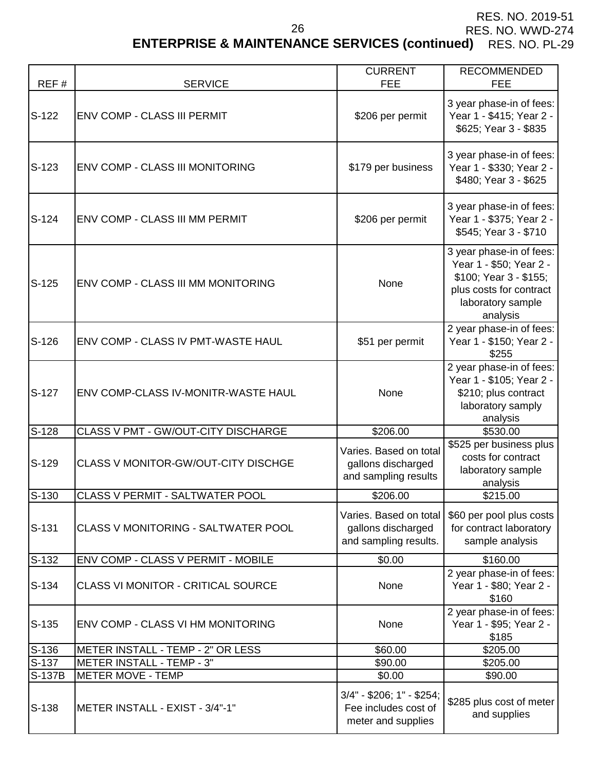RES. NO. 2019-51

RES. NO. WWD-274

# **ENTERPRISE & MAINTENANCE SERVICES (continued)** RES. NO. PL-29

|         |                                            | <b>CURRENT</b>                                                          | <b>RECOMMENDED</b>                                                                                                                        |
|---------|--------------------------------------------|-------------------------------------------------------------------------|-------------------------------------------------------------------------------------------------------------------------------------------|
| REF#    | <b>SERVICE</b>                             | <b>FEE</b>                                                              | <b>FEE</b>                                                                                                                                |
| $S-122$ | ENV COMP - CLASS III PERMIT                | \$206 per permit                                                        | 3 year phase-in of fees:<br>Year 1 - \$415; Year 2 -<br>\$625; Year 3 - \$835                                                             |
| $S-123$ | ENV COMP - CLASS III MONITORING            | \$179 per business                                                      | 3 year phase-in of fees:<br>Year 1 - \$330; Year 2 -<br>\$480; Year 3 - \$625                                                             |
| $S-124$ | <b>ENV COMP - CLASS III MM PERMIT</b>      | \$206 per permit                                                        | 3 year phase-in of fees:<br>Year 1 - \$375; Year 2 -<br>\$545; Year 3 - \$710                                                             |
| $S-125$ | ENV COMP - CLASS III MM MONITORING         | None                                                                    | 3 year phase-in of fees:<br>Year 1 - \$50; Year 2 -<br>\$100; Year 3 - \$155;<br>plus costs for contract<br>laboratory sample<br>analysis |
| $S-126$ | ENV COMP - CLASS IV PMT-WASTE HAUL         | \$51 per permit                                                         | 2 year phase-in of fees:<br>Year 1 - \$150; Year 2 -<br>\$255                                                                             |
| $S-127$ | ENV COMP-CLASS IV-MONITR-WASTE HAUL        | None                                                                    | 2 year phase-in of fees:<br>Year 1 - \$105; Year 2 -<br>\$210; plus contract<br>laboratory samply<br>analysis                             |
| $S-128$ | CLASS V PMT - GW/OUT-CITY DISCHARGE        | \$206.00                                                                | \$530.00                                                                                                                                  |
| S-129   | <b>CLASS V MONITOR-GW/OUT-CITY DISCHGE</b> | Varies. Based on total<br>gallons discharged<br>and sampling results    | \$525 per business plus<br>costs for contract<br>laboratory sample<br>analysis                                                            |
| $S-130$ | <b>CLASS V PERMIT - SALTWATER POOL</b>     | \$206.00                                                                | \$215.00                                                                                                                                  |
| $S-131$ | CLASS V MONITORING - SALTWATER POOL        | Varies. Based on total<br>gallons discharged<br>and sampling results.   | \$60 per pool plus costs<br>for contract laboratory<br>sample analysis                                                                    |
| $S-132$ | ENV COMP - CLASS V PERMIT - MOBILE         | \$0.00                                                                  | \$160.00                                                                                                                                  |
| $S-134$ | <b>CLASS VI MONITOR - CRITICAL SOURCE</b>  | None                                                                    | 2 year phase-in of fees:<br>Year 1 - \$80; Year 2 -<br>\$160                                                                              |
| $S-135$ | ENV COMP - CLASS VI HM MONITORING          | None                                                                    | 2 year phase-in of fees:<br>Year 1 - \$95; Year 2 -<br>\$185                                                                              |
| S-136   | METER INSTALL - TEMP - 2" OR LESS          | \$60.00                                                                 | \$205.00                                                                                                                                  |
| $S-137$ | <b>METER INSTALL - TEMP - 3"</b>           | \$90.00                                                                 | \$205.00                                                                                                                                  |
| S-137B  | <b>METER MOVE - TEMP</b>                   | \$0.00                                                                  | \$90.00                                                                                                                                   |
| $S-138$ | METER INSTALL - EXIST - 3/4"-1"            | 3/4" - \$206; 1" - \$254;<br>Fee includes cost of<br>meter and supplies | \$285 plus cost of meter<br>and supplies                                                                                                  |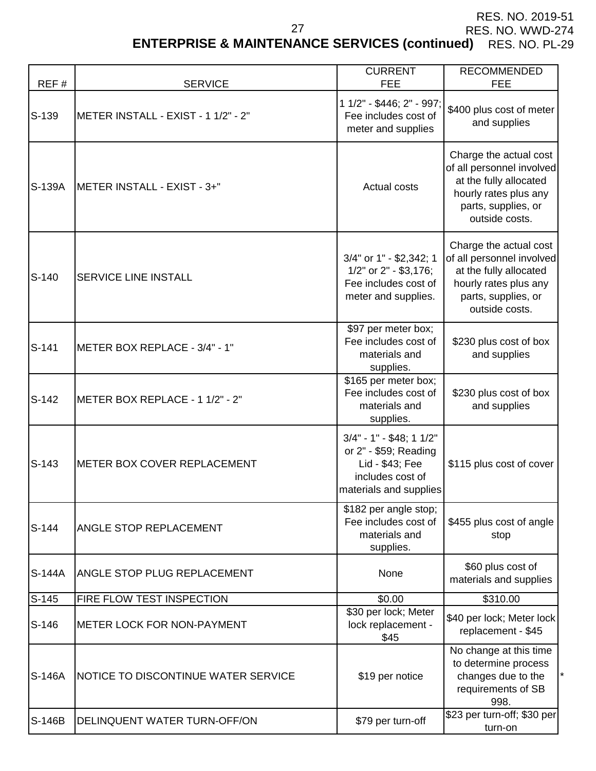# **ENTERPRISE & MAINTENANCE SERVICES (continued)** RES. NO. PL-29

| REF#    | <b>SERVICE</b>                      | <b>CURRENT</b><br><b>FEE</b>                                                                                       | <b>RECOMMENDED</b><br><b>FEE</b>                                                                                                                |
|---------|-------------------------------------|--------------------------------------------------------------------------------------------------------------------|-------------------------------------------------------------------------------------------------------------------------------------------------|
| S-139   | METER INSTALL - EXIST - 1 1/2" - 2" | 1 1/2" - \$446; 2" - 997;<br>Fee includes cost of<br>meter and supplies                                            | \$400 plus cost of meter<br>and supplies                                                                                                        |
| S-139A  | <b>IMETER INSTALL - EXIST - 3+"</b> | Actual costs                                                                                                       | Charge the actual cost<br>of all personnel involved<br>at the fully allocated<br>hourly rates plus any<br>parts, supplies, or<br>outside costs. |
| $S-140$ | SERVICE LINE INSTALL                | 3/4" or 1" - \$2,342; 1<br>1/2" or 2" - \$3,176;<br>Fee includes cost of<br>meter and supplies.                    | Charge the actual cost<br>of all personnel involved<br>at the fully allocated<br>hourly rates plus any<br>parts, supplies, or<br>outside costs. |
| S-141   | METER BOX REPLACE - 3/4" - 1"       | \$97 per meter box;<br>Fee includes cost of<br>materials and<br>supplies.                                          | \$230 plus cost of box<br>and supplies                                                                                                          |
| $S-142$ | METER BOX REPLACE - 1 1/2" - 2"     | \$165 per meter box;<br>Fee includes cost of<br>materials and<br>supplies.                                         | \$230 plus cost of box<br>and supplies                                                                                                          |
| $S-143$ | METER BOX COVER REPLACEMENT         | $3/4" - 1" - $48; 11/2"$<br>or 2" - \$59; Reading<br>Lid - \$43; Fee<br>includes cost of<br>materials and supplies | \$115 plus cost of cover                                                                                                                        |
| $S-144$ | ANGLE STOP REPLACEMENT              | \$182 per angle stop;<br>Fee includes cost of<br>materials and<br>supplies.                                        | \$455 plus cost of angle<br>stop                                                                                                                |
| S-144A  | ANGLE STOP PLUG REPLACEMENT         | None                                                                                                               | \$60 plus cost of<br>materials and supplies                                                                                                     |
| $S-145$ | FIRE FLOW TEST INSPECTION           | \$0.00                                                                                                             | \$310.00                                                                                                                                        |
| $S-146$ | <b>METER LOCK FOR NON-PAYMENT</b>   | \$30 per lock; Meter<br>lock replacement -<br>\$45                                                                 | \$40 per lock; Meter lock<br>replacement - \$45                                                                                                 |
| S-146A  | NOTICE TO DISCONTINUE WATER SERVICE | \$19 per notice                                                                                                    | No change at this time<br>to determine process<br>changes due to the<br>requirements of SB<br>998.                                              |
| S-146B  | DELINQUENT WATER TURN-OFF/ON        | \$79 per turn-off                                                                                                  | \$23 per turn-off; \$30 per<br>turn-on                                                                                                          |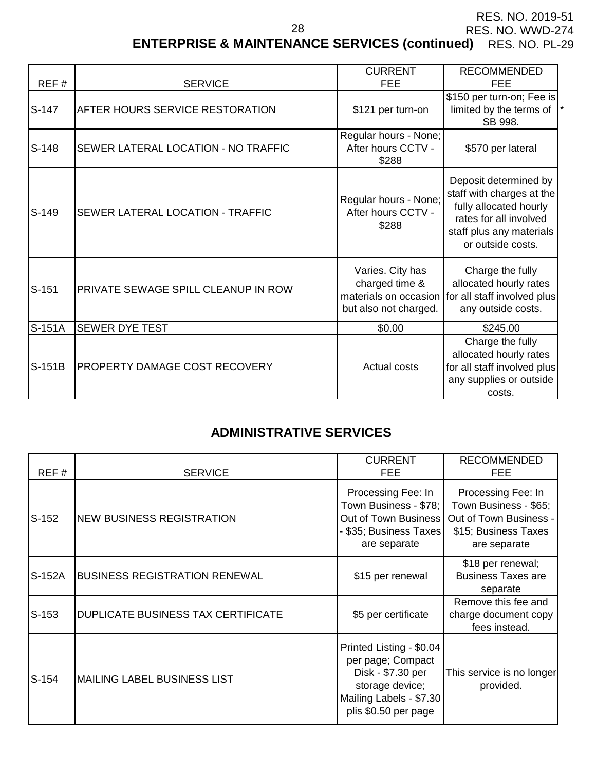RES. NO. 2019-51

RES. NO. WWD-274

**ENTERPRISE & MAINTENANCE SERVICES (continued)** RES. NO. PL-29

| REF#     | <b>SERVICE</b>                             | <b>CURRENT</b><br><b>FEE</b>                                                                                                                                                            | <b>RECOMMENDED</b><br>FEE                                                                                                                               |
|----------|--------------------------------------------|-----------------------------------------------------------------------------------------------------------------------------------------------------------------------------------------|---------------------------------------------------------------------------------------------------------------------------------------------------------|
| S-147    | <b>AFTER HOURS SERVICE RESTORATION</b>     | \$121 per turn-on                                                                                                                                                                       | \$150 per turn-on; Fee is<br>limited by the terms of<br>SB 998.                                                                                         |
| $S-148$  | SEWER LATERAL LOCATION - NO TRAFFIC        | Regular hours - None;<br>After hours CCTV -<br>\$288                                                                                                                                    | \$570 per lateral                                                                                                                                       |
| $S-149$  | SEWER LATERAL LOCATION - TRAFFIC           | Regular hours - None;<br>After hours CCTV -<br>\$288                                                                                                                                    | Deposit determined by<br>staff with charges at the<br>fully allocated hourly<br>rates for all involved<br>staff plus any materials<br>or outside costs. |
| $S-151$  | <b>PRIVATE SEWAGE SPILL CLEANUP IN ROW</b> | Varies. City has<br>Charge the fully<br>allocated hourly rates<br>charged time &<br>materials on occasion<br>for all staff involved plus<br>but also not charged.<br>any outside costs. |                                                                                                                                                         |
| S-151A   | <b>SEWER DYE TEST</b>                      | \$0.00<br>\$245.00                                                                                                                                                                      |                                                                                                                                                         |
| $S-151B$ | PROPERTY DAMAGE COST RECOVERY              | Actual costs                                                                                                                                                                            | Charge the fully<br>allocated hourly rates<br>for all staff involved plus<br>any supplies or outside<br>costs.                                          |

28

# **ADMINISTRATIVE SERVICES**

| REF#    | <b>SERVICE</b>                            | <b>CURRENT</b><br><b>FEE</b>                                                                                                             | <b>RECOMMENDED</b><br><b>FEE</b>                                                                              |
|---------|-------------------------------------------|------------------------------------------------------------------------------------------------------------------------------------------|---------------------------------------------------------------------------------------------------------------|
| $S-152$ | <b>NEW BUSINESS REGISTRATION</b>          | Processing Fee: In<br>Town Business - \$78;<br>Out of Town Business<br>- \$35; Business Taxes  <br>are separate                          | Processing Fee: In<br>Town Business - \$65;<br>Out of Town Business -<br>\$15; Business Taxes<br>are separate |
| S-152A  | <b>BUSINESS REGISTRATION RENEWAL</b>      | \$15 per renewal                                                                                                                         | \$18 per renewal;<br><b>Business Taxes are</b><br>separate                                                    |
| $S-153$ | <b>DUPLICATE BUSINESS TAX CERTIFICATE</b> | \$5 per certificate                                                                                                                      | Remove this fee and<br>charge document copy<br>fees instead.                                                  |
| $S-154$ | MAILING LABEL BUSINESS LIST               | Printed Listing - \$0.04<br>per page; Compact<br>Disk - \$7.30 per<br>storage device;<br>Mailing Labels - \$7.30<br>plis \$0.50 per page | This service is no longer<br>provided.                                                                        |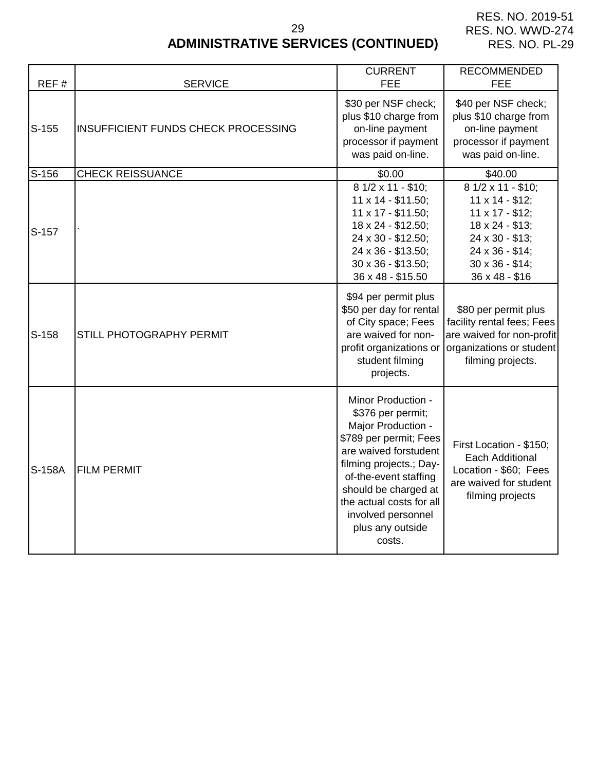RES. NO. 2019-51 RES. NO. WWD-274 RES. NO. PL-29

# **ADMINISTRATIVE SERVICES (CONTINUED)**

| REF#    | <b>SERVICE</b>                             | <b>CURRENT</b><br><b>FEE</b>                                                                                                                                                                                                                                                 | <b>RECOMMENDED</b><br><b>FEE</b>                                                                                                                                                  |
|---------|--------------------------------------------|------------------------------------------------------------------------------------------------------------------------------------------------------------------------------------------------------------------------------------------------------------------------------|-----------------------------------------------------------------------------------------------------------------------------------------------------------------------------------|
| $S-155$ | <b>INSUFFICIENT FUNDS CHECK PROCESSING</b> | \$30 per NSF check;<br>plus \$10 charge from<br>on-line payment<br>processor if payment<br>was paid on-line.                                                                                                                                                                 | \$40 per NSF check;<br>plus \$10 charge from<br>on-line payment<br>processor if payment<br>was paid on-line.                                                                      |
| S-156   | <b>CHECK REISSUANCE</b>                    | \$0.00                                                                                                                                                                                                                                                                       | \$40.00                                                                                                                                                                           |
| S-157   |                                            | $\overline{8}$ 1/2 x 11 - \$10;<br>11 x 14 - \$11.50;<br>11 x 17 - \$11.50;<br>18 x 24 - \$12.50;<br>24 x 30 - \$12.50;<br>24 x 36 - \$13.50;<br>30 x 36 - \$13.50;<br>36 x 48 - \$15.50                                                                                     | $\overline{8}$ 1/2 x 11 - \$10;<br>$11 \times 14 - $12$ ;<br>$11 \times 17 - $12$ ;<br>18 x 24 - \$13;<br>24 x 30 - \$13;<br>24 x 36 - \$14;<br>30 x 36 - \$14;<br>36 x 48 - \$16 |
| S-158   | STILL PHOTOGRAPHY PERMIT                   | \$94 per permit plus<br>\$50 per day for rental<br>of City space; Fees<br>are waived for non-<br>profit organizations or<br>student filming<br>projects.                                                                                                                     | \$80 per permit plus<br>facility rental fees; Fees<br>are waived for non-profit<br>organizations or student<br>filming projects.                                                  |
| S-158A  | <b>FILM PERMIT</b>                         | Minor Production -<br>\$376 per permit;<br>Major Production -<br>\$789 per permit; Fees<br>are waived forstudent<br>filming projects.; Day-<br>of-the-event staffing<br>should be charged at<br>the actual costs for all<br>involved personnel<br>plus any outside<br>costs. | First Location - \$150;<br><b>Each Additional</b><br>Location - \$60; Fees<br>are waived for student<br>filming projects                                                          |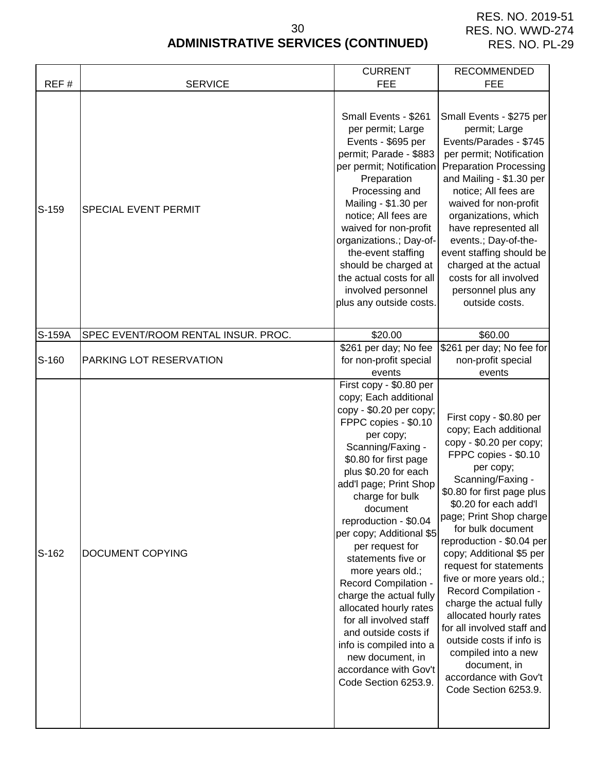RES. NO. 2019-51 RES. NO. WWD-274 RES. NO. PL-29

# **ADMINISTRATIVE SERVICES (CONTINUED)** 30

|         |                                     | <b>CURRENT</b>                                                                                                                                                                                                                                                                                                                                                                                                                                                                                                                                                                                   | <b>RECOMMENDED</b>                                                                                                                                                                                                                                                                                                                                                                                                                                                                                                                                                                                |
|---------|-------------------------------------|--------------------------------------------------------------------------------------------------------------------------------------------------------------------------------------------------------------------------------------------------------------------------------------------------------------------------------------------------------------------------------------------------------------------------------------------------------------------------------------------------------------------------------------------------------------------------------------------------|---------------------------------------------------------------------------------------------------------------------------------------------------------------------------------------------------------------------------------------------------------------------------------------------------------------------------------------------------------------------------------------------------------------------------------------------------------------------------------------------------------------------------------------------------------------------------------------------------|
| REF#    | <b>SERVICE</b>                      | <b>FEE</b>                                                                                                                                                                                                                                                                                                                                                                                                                                                                                                                                                                                       | <b>FEE</b>                                                                                                                                                                                                                                                                                                                                                                                                                                                                                                                                                                                        |
| $S-159$ | SPECIAL EVENT PERMIT                | Small Events - \$261<br>per permit; Large<br>Events - \$695 per<br>permit; Parade - \$883<br>per permit; Notification<br>Preparation<br>Processing and<br>Mailing - \$1.30 per<br>notice; All fees are<br>waived for non-profit<br>organizations.; Day-of-<br>the-event staffing<br>should be charged at<br>the actual costs for all<br>involved personnel<br>plus any outside costs.                                                                                                                                                                                                            | Small Events - \$275 per<br>permit; Large<br>Events/Parades - \$745<br>per permit; Notification<br><b>Preparation Processing</b><br>and Mailing - \$1.30 per<br>notice; All fees are<br>waived for non-profit<br>organizations, which<br>have represented all<br>events.; Day-of-the-<br>event staffing should be<br>charged at the actual<br>costs for all involved<br>personnel plus any<br>outside costs.                                                                                                                                                                                      |
| S-159A  | SPEC EVENT/ROOM RENTAL INSUR. PROC. | \$20.00                                                                                                                                                                                                                                                                                                                                                                                                                                                                                                                                                                                          | \$60.00                                                                                                                                                                                                                                                                                                                                                                                                                                                                                                                                                                                           |
| S-160   | PARKING LOT RESERVATION             | \$261 per day; No fee<br>for non-profit special<br>events                                                                                                                                                                                                                                                                                                                                                                                                                                                                                                                                        | \$261 per day; No fee for<br>non-profit special<br>events                                                                                                                                                                                                                                                                                                                                                                                                                                                                                                                                         |
| S-162   | DOCUMENT COPYING                    | First copy - \$0.80 per<br>copy; Each additional<br>copy - \$0.20 per copy;<br>FPPC copies - \$0.10<br>per copy;<br>Scanning/Faxing -<br>\$0.80 for first page<br>plus \$0.20 for each<br>add'l page; Print Shop<br>charge for bulk<br>document<br>reproduction - \$0.04<br>per copy; Additional \$5<br>per request for<br>statements five or<br>more years old.;<br>Record Compilation -<br>charge the actual fully<br>allocated hourly rates<br>for all involved staff<br>and outside costs if<br>info is compiled into a<br>new document, in<br>accordance with Gov't<br>Code Section 6253.9. | First copy - \$0.80 per<br>copy; Each additional<br>copy - \$0.20 per copy;<br>FPPC copies - \$0.10<br>per copy;<br>Scanning/Faxing -<br>\$0.80 for first page plus<br>\$0.20 for each add'l<br>page; Print Shop charge<br>for bulk document<br>reproduction - \$0.04 per<br>copy; Additional \$5 per<br>request for statements<br>five or more years old.;<br><b>Record Compilation -</b><br>charge the actual fully<br>allocated hourly rates<br>for all involved staff and<br>outside costs if info is<br>compiled into a new<br>document, in<br>accordance with Gov't<br>Code Section 6253.9. |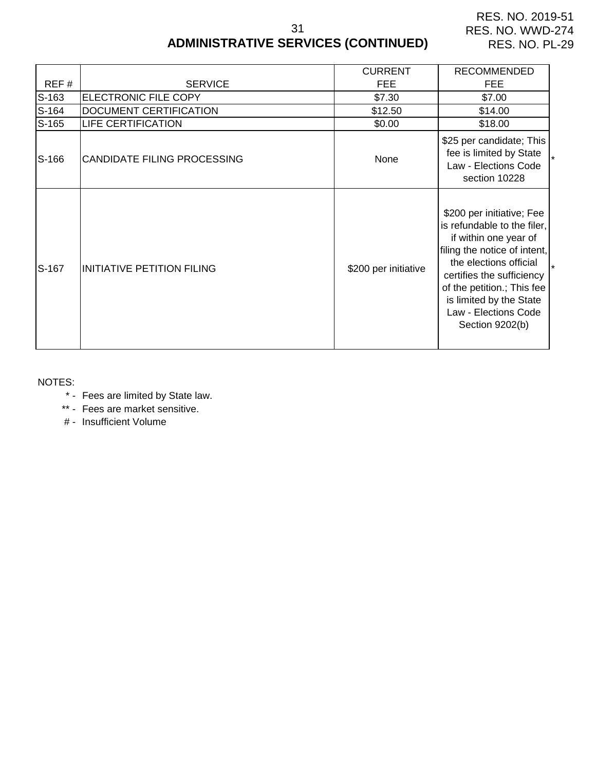31

# **ADMINISTRATIVE SERVICES (CONTINUED)**

| REF#    | <b>SERVICE</b>              | <b>CURRENT</b><br><b>FEE</b> | <b>RECOMMENDED</b><br><b>FEE</b>                                                                                                                                                                                                                                             |
|---------|-----------------------------|------------------------------|------------------------------------------------------------------------------------------------------------------------------------------------------------------------------------------------------------------------------------------------------------------------------|
| $S-163$ | ELECTRONIC FILE COPY        | \$7.30                       | \$7.00                                                                                                                                                                                                                                                                       |
| S-164   | DOCUMENT CERTIFICATION      | \$12.50                      | \$14.00                                                                                                                                                                                                                                                                      |
| S-165   | <b>LIFE CERTIFICATION</b>   | \$0.00                       | \$18.00                                                                                                                                                                                                                                                                      |
| S-166   | CANDIDATE FILING PROCESSING | None                         | \$25 per candidate; This<br>fee is limited by State<br>Law - Elections Code<br>section 10228                                                                                                                                                                                 |
| S-167   | INITIATIVE PETITION FILING  | \$200 per initiative         | \$200 per initiative; Fee<br>is refundable to the filer,<br>if within one year of<br>filing the notice of intent,<br>the elections official<br>certifies the sufficiency<br>of the petition.; This fee<br>is limited by the State<br>Law - Elections Code<br>Section 9202(b) |

#### NOTES:

\* - Fees are limited by State law.

\*\* - Fees are market sensitive.

# - Insufficient Volume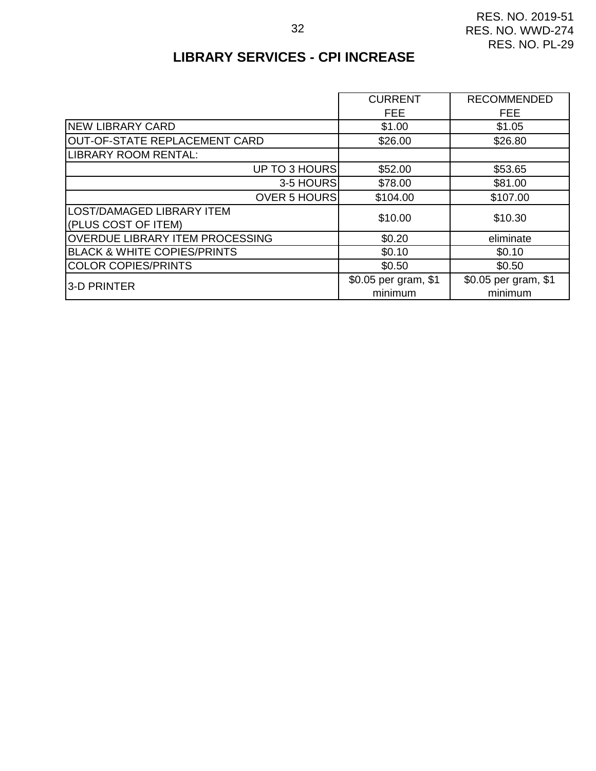# **LIBRARY SERVICES - CPI INCREASE**

|                                        | <b>CURRENT</b>       | <b>RECOMMENDED</b>   |
|----------------------------------------|----------------------|----------------------|
|                                        |                      |                      |
|                                        | <b>FEE</b>           | <b>FEE</b>           |
| <b>NEW LIBRARY CARD</b>                | \$1.00               | \$1.05               |
| OUT-OF-STATE REPLACEMENT CARD          | \$26.00              | \$26.80              |
| LIBRARY ROOM RENTAL:                   |                      |                      |
| UP TO 3 HOURS                          | \$52.00              | \$53.65              |
| 3-5 HOURS                              | \$78.00              | \$81.00              |
| <b>OVER 5 HOURS</b>                    | \$104.00             | \$107.00             |
| <b>LOST/DAMAGED LIBRARY ITEM</b>       | \$10.00              | \$10.30              |
| (PLUS COST OF ITEM)                    |                      |                      |
| <b>OVERDUE LIBRARY ITEM PROCESSING</b> | \$0.20               | eliminate            |
| <b>BLACK &amp; WHITE COPIES/PRINTS</b> | \$0.10               | \$0.10               |
| <b>COLOR COPIES/PRINTS</b>             | \$0.50               | \$0.50               |
| 3-D PRINTER                            | \$0.05 per gram, \$1 | \$0.05 per gram, \$1 |
|                                        | minimum              | minimum              |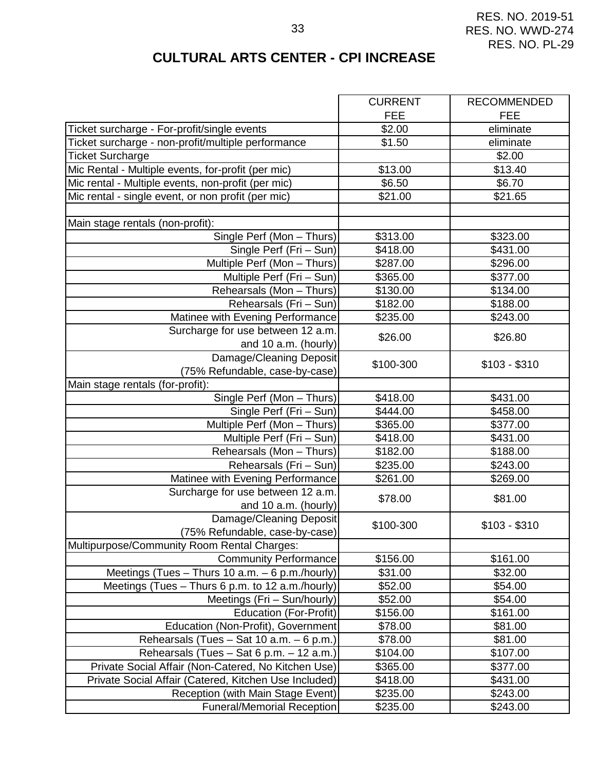# **CULTURAL ARTS CENTER - CPI INCREASE**

|                                                       | <b>CURRENT</b> | <b>RECOMMENDED</b> |
|-------------------------------------------------------|----------------|--------------------|
|                                                       | <b>FEE</b>     | <b>FEE</b>         |
| Ticket surcharge - For-profit/single events           | \$2.00         | eliminate          |
| Ticket surcharge - non-profit/multiple performance    | \$1.50         | eliminate          |
| <b>Ticket Surcharge</b>                               |                | \$2.00             |
| Mic Rental - Multiple events, for-profit (per mic)    | \$13.00        | \$13.40            |
| Mic rental - Multiple events, non-profit (per mic)    | \$6.50         | \$6.70             |
| Mic rental - single event, or non profit (per mic)    | \$21.00        | \$21.65            |
|                                                       |                |                    |
| Main stage rentals (non-profit):                      |                |                    |
| Single Perf (Mon - Thurs)                             | \$313.00       | \$323.00           |
| Single Perf (Fri - Sun)                               | \$418.00       | \$431.00           |
| Multiple Perf (Mon - Thurs)                           | \$287.00       | \$296.00           |
| Multiple Perf (Fri - Sun)                             | \$365.00       | \$377.00           |
| Rehearsals (Mon - Thurs)                              | \$130.00       | \$134.00           |
| Rehearsals (Fri - Sun)                                | \$182.00       | \$188.00           |
| Matinee with Evening Performance                      | \$235.00       | \$243.00           |
| Surcharge for use between 12 a.m.                     |                |                    |
| and 10 a.m. (hourly)                                  | \$26.00        | \$26.80            |
| Damage/Cleaning Deposit                               |                |                    |
| (75% Refundable, case-by-case)                        | \$100-300      | $$103 - $310$      |
| Main stage rentals (for-profit):                      |                |                    |
| Single Perf (Mon - Thurs)                             | \$418.00       | \$431.00           |
| Single Perf (Fri - Sun)                               | \$444.00       | \$458.00           |
| Multiple Perf (Mon - Thurs)                           | \$365.00       | \$377.00           |
| Multiple Perf (Fri – Sun)                             | \$418.00       | \$431.00           |
| Rehearsals (Mon - Thurs)                              | \$182.00       | \$188.00           |
| Rehearsals (Fri - Sun)                                | \$235.00       | \$243.00           |
| Matinee with Evening Performance                      | \$261.00       | \$269.00           |
| Surcharge for use between 12 a.m.                     | \$78.00        | \$81.00            |
| and 10 a.m. (hourly)                                  |                |                    |
| Damage/Cleaning Deposit                               | \$100-300      |                    |
| (75% Refundable, case-by-case)                        |                | $$103 - $310$      |
| Multipurpose/Community Room Rental Charges:           |                |                    |
| <b>Community Performance</b>                          | \$156.00       | \$161.00           |
| Meetings (Tues $-$ Thurs 10 a.m. $-$ 6 p.m./hourly)   | \$31.00        | \$32.00            |
| Meetings (Tues - Thurs 6 p.m. to 12 a.m./hourly)      | \$52.00        | \$54.00            |
| Meetings (Fri - Sun/hourly)                           | \$52.00        | \$54.00            |
| <b>Education (For-Profit)</b>                         | \$156.00       | \$161.00           |
| Education (Non-Profit), Government                    | \$78.00        | \$81.00            |
| Rehearsals (Tues - Sat 10 a.m. - 6 p.m.)              | \$78.00        | \$81.00            |
| Rehearsals (Tues - Sat 6 p.m. - 12 a.m.)              | \$104.00       | \$107.00           |
| Private Social Affair (Non-Catered, No Kitchen Use)   | \$365.00       | \$377.00           |
| Private Social Affair (Catered, Kitchen Use Included) | \$418.00       | \$431.00           |
| Reception (with Main Stage Event)                     | \$235.00       | \$243.00           |
| <b>Funeral/Memorial Reception</b>                     | \$235.00       | \$243.00           |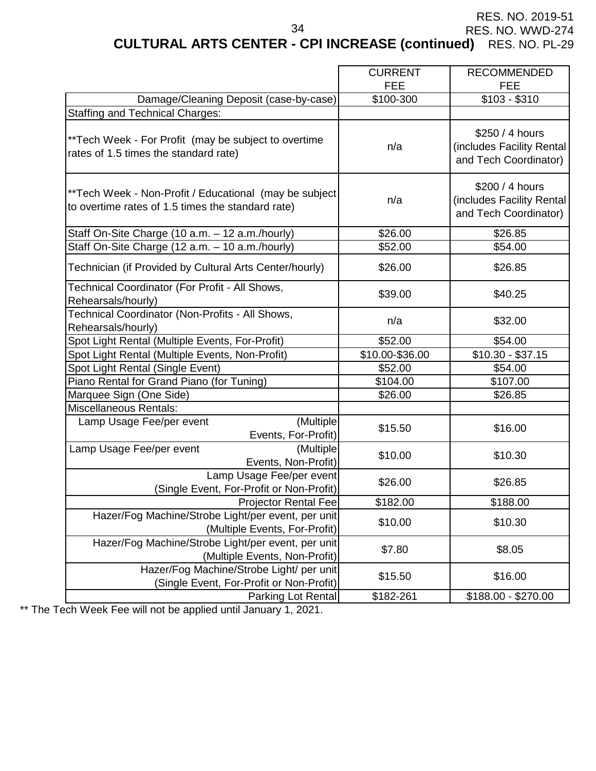**CULTURAL ARTS CENTER - CPI INCREASE (continued)** RES. NO. PL-29

34

|                                                                                                              | <b>CURRENT</b><br><b>FEE</b> | <b>RECOMMENDED</b><br><b>FEE</b>                                      |
|--------------------------------------------------------------------------------------------------------------|------------------------------|-----------------------------------------------------------------------|
| Damage/Cleaning Deposit (case-by-case)                                                                       | \$100-300                    | $$103 - $310$                                                         |
| <b>Staffing and Technical Charges:</b>                                                                       |                              |                                                                       |
| ** Tech Week - For Profit (may be subject to overtime<br>rates of 1.5 times the standard rate)               | n/a                          | \$250 / 4 hours<br>(includes Facility Rental<br>and Tech Coordinator) |
| ** Tech Week - Non-Profit / Educational (may be subject<br>to overtime rates of 1.5 times the standard rate) | n/a                          | \$200 / 4 hours<br>(includes Facility Rental<br>and Tech Coordinator) |
| Staff On-Site Charge (10 a.m. - 12 a.m./hourly)                                                              | \$26.00                      | \$26.85                                                               |
| Staff On-Site Charge (12 a.m. - 10 a.m./hourly)                                                              | \$52.00                      | \$54.00                                                               |
| Technician (if Provided by Cultural Arts Center/hourly)                                                      | \$26.00                      | \$26.85                                                               |
| Technical Coordinator (For Profit - All Shows,<br>Rehearsals/hourly)                                         | \$39.00                      | \$40.25                                                               |
| Technical Coordinator (Non-Profits - All Shows,<br>Rehearsals/hourly)                                        | n/a                          | \$32.00                                                               |
| Spot Light Rental (Multiple Events, For-Profit)                                                              | \$52.00                      | \$54.00                                                               |
| Spot Light Rental (Multiple Events, Non-Profit)                                                              | \$10.00-\$36.00              | $$10.30 - $37.15$                                                     |
| Spot Light Rental (Single Event)                                                                             | \$52.00                      | \$54.00                                                               |
| Piano Rental for Grand Piano (for Tuning)                                                                    | \$104.00                     | \$107.00                                                              |
| Marquee Sign (One Side)                                                                                      | \$26.00                      | \$26.85                                                               |
| Miscellaneous Rentals:                                                                                       |                              |                                                                       |
| (Multiple)<br>Lamp Usage Fee/per event<br>Events, For-Profit)                                                | \$15.50                      | \$16.00                                                               |
| (Multiple<br>Lamp Usage Fee/per event<br>Events, Non-Profit)                                                 | \$10.00                      | \$10.30                                                               |
| Lamp Usage Fee/per event<br>(Single Event, For-Profit or Non-Profit)                                         | \$26.00                      | \$26.85                                                               |
| <b>Projector Rental Fee</b>                                                                                  | \$182.00                     | \$188.00                                                              |
| Hazer/Fog Machine/Strobe Light/per event, per unit<br>(Multiple Events, For-Profit)                          | \$10.00                      | \$10.30                                                               |
| Hazer/Fog Machine/Strobe Light/per event, per unit<br>(Multiple Events, Non-Profit)                          | \$7.80                       | \$8.05                                                                |
| Hazer/Fog Machine/Strobe Light/ per unit<br>(Single Event, For-Profit or Non-Profit)                         | \$15.50                      | \$16.00                                                               |
| Parking Lot Rental                                                                                           | \$182-261                    | \$188.00 - \$270.00                                                   |

\*\* The Tech Week Fee will not be applied until January 1, 2021.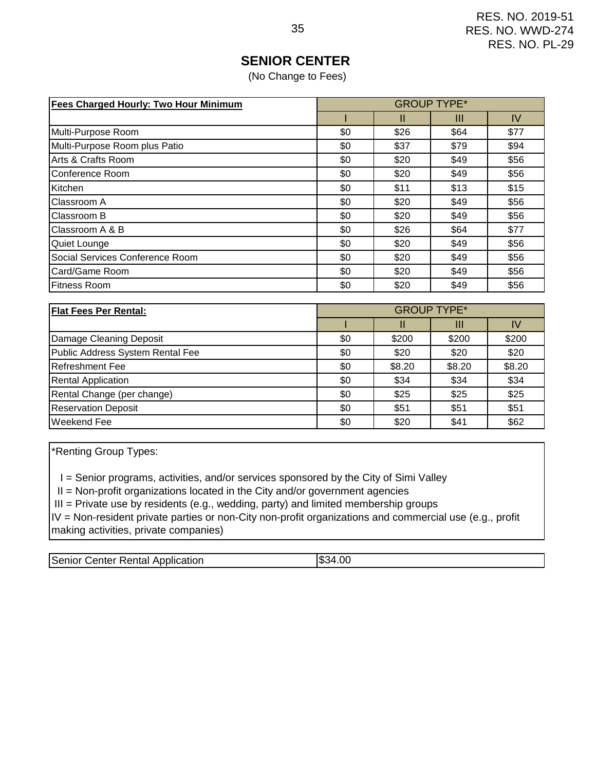# **SENIOR CENTER**

(No Change to Fees)

| <b>Fees Charged Hourly: Two Hour Minimum</b> |     |      | <b>GROUP TYPE*</b> |      |
|----------------------------------------------|-----|------|--------------------|------|
|                                              |     | Ш    | Ш                  | IV   |
| Multi-Purpose Room                           | \$0 | \$26 | \$64               | \$77 |
| Multi-Purpose Room plus Patio                | \$0 | \$37 | \$79               | \$94 |
| Arts & Crafts Room                           | \$0 | \$20 | \$49               | \$56 |
| Conference Room                              | \$0 | \$20 | \$49               | \$56 |
| Kitchen                                      | \$0 | \$11 | \$13               | \$15 |
| Classroom A                                  | \$0 | \$20 | \$49               | \$56 |
| Classroom B                                  | \$0 | \$20 | \$49               | \$56 |
| Classroom A & B                              | \$0 | \$26 | \$64               | \$77 |
| Quiet Lounge                                 | \$0 | \$20 | \$49               | \$56 |
| Social Services Conference Room              | \$0 | \$20 | \$49               | \$56 |
| Card/Game Room                               | \$0 | \$20 | \$49               | \$56 |
| <b>Fitness Room</b>                          | \$0 | \$20 | \$49               | \$56 |

| <b>Flat Fees Per Rental:</b>     |     |        | <b>GROUP TYPE*</b> |        |
|----------------------------------|-----|--------|--------------------|--------|
|                                  |     | ш      | Ш                  | IV     |
| Damage Cleaning Deposit          | \$0 | \$200  | \$200              | \$200  |
| Public Address System Rental Fee | \$0 | \$20   | \$20               | \$20   |
| <b>Refreshment Fee</b>           | \$0 | \$8.20 | \$8.20             | \$8.20 |
| <b>Rental Application</b>        | \$0 | \$34   | \$34               | \$34   |
| Rental Change (per change)       | \$0 | \$25   | \$25               | \$25   |
| <b>Reservation Deposit</b>       | \$0 | \$51   | \$51               | \$51   |
| Weekend Fee                      | \$0 | \$20   | \$41               | \$62   |

\*Renting Group Types:

I = Senior programs, activities, and/or services sponsored by the City of Simi Valley

II = Non-profit organizations located in the City and/or government agencies

III = Private use by residents (e.g., wedding, party) and limited membership groups

IV = Non-resident private parties or non-City non-profit organizations and commercial use (e.g., profit making activities, private companies)

| $+00$<br>Senior<br>IS34<br>Application<br>⊺Rental<br>:enter |
|-------------------------------------------------------------|
|-------------------------------------------------------------|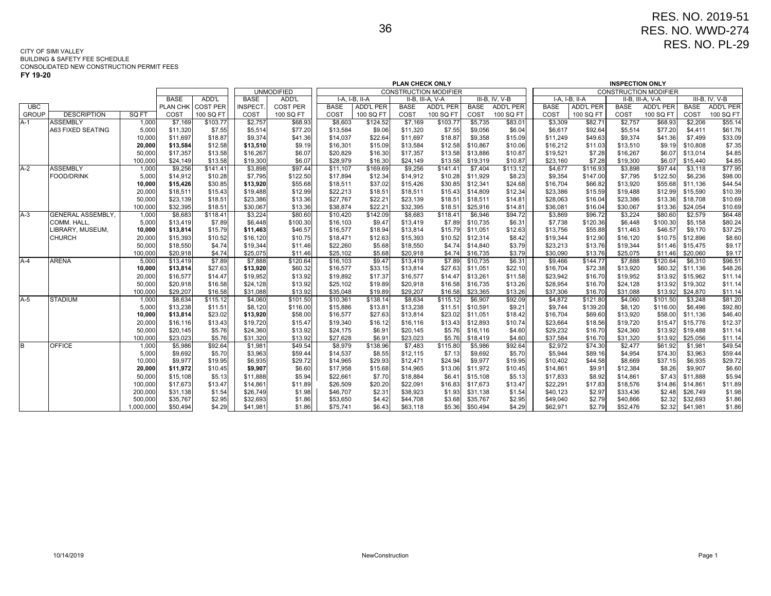| v | 19-20 |
|---|-------|
|---|-------|

|              |                         |                   |                      |                    |                      |                    |                      |                    | PLAN CHECK ONLY      |                              |                      |                   |                      |                     | <b>INSPECTION ONLY</b> |                              |                      |                    |
|--------------|-------------------------|-------------------|----------------------|--------------------|----------------------|--------------------|----------------------|--------------------|----------------------|------------------------------|----------------------|-------------------|----------------------|---------------------|------------------------|------------------------------|----------------------|--------------------|
|              |                         |                   |                      |                    |                      | <b>UNMODIFIED</b>  |                      |                    |                      | <b>CONSTRUCTION MODIFIER</b> |                      |                   |                      |                     |                        | <b>CONSTRUCTION MODIFIER</b> |                      |                    |
|              |                         |                   | <b>BASE</b>          | ADD'L              | <b>BASE</b>          | ADD'L              |                      | I-A, I-B, II-A     |                      | II-B, III-A, V-A             |                      | III-B, IV, V-B    |                      | I-A. I-B. II-A      |                        | II-B, III-A, V-A             |                      | III-B, IV, V-B     |
| <b>UBC</b>   |                         |                   | PLAN CHK             | <b>COST PER</b>    | <b>INSPECT</b>       | <b>COST PER</b>    | <b>BASE</b>          | <b>ADD'L PER</b>   | <b>BASE</b>          | <b>ADD'L PER</b>             | <b>BASE</b>          | ADD'L PER         | <b>BASE</b>          | <b>ADD'L PER</b>    | <b>BASE</b>            | <b>ADD'L PER</b>             | <b>BASE</b>          | <b>ADD'L PER</b>   |
| <b>GROUP</b> | <b>DESCRIPTION</b>      | SQ FT             | COST                 | 100 SQ FT          | COST                 | 100 SQ FT          | COST                 | 100 SQ FT          | COST                 | 100 SQ FT                    | COST                 | 100 SQ FT         | COST                 | 100 SQ FT           | COST                   | 100 SQ FT                    | COST                 | 100 SQ FT          |
| $A-1$        | <b>ASSEMBLY</b>         | 1,000             | \$7,169              | \$103.77           | $\overline{$}2,757$  | \$68.93            | \$8,603              | \$124.52           | \$7,169              | \$103.77                     | \$5,735              | \$83.01           | \$3,309              | \$82.71             | \$2,757                | \$68.93                      | \$2,206              | \$55.14            |
|              | A63 FIXED SEATING       | 5,000             | \$11,320             | \$7.55             | \$5,514              | \$77.20            | \$13,584             | \$9.06             | \$11,320             | \$7.55                       | \$9,056              | \$6.04            | \$6,617              | \$92.64             | \$5,514                | \$77.20                      | \$4,411              | \$61.76            |
|              |                         | 10,000            | \$11,697             | \$18.87            | \$9,374              | \$41.36            | \$14,037             | \$22.64            | \$11,697             | \$18.87                      | \$9,358              | \$15.09           | \$11,249             | \$49.63             | \$9,374                | \$41.36                      | \$7,499              | \$33.09            |
|              |                         | 20,000            | \$13,584             | \$12.58            | \$13,510             | \$9.19             | \$16,301             | \$15.09            | \$13,584             | \$12.58                      | \$10,867             | \$10.06           | \$16,212             | \$11.03             | \$13,510               | \$9.19                       | \$10,808             | \$7.35             |
|              |                         | 50,000            | \$17,357             | \$13.58            | \$16,267             | \$6.07             | \$20,829             | \$16.30            | \$17,357             | \$13.58                      | \$13,886             | \$10.87           | \$19,521             | \$7.28              | \$16,267               | \$6.07                       | \$13,014             | \$4.85             |
|              |                         | 100,000           | \$24,149             | \$13.58            | \$19,300             | \$6.07             | \$28,979             | \$16.30            | \$24,149             | \$13.58                      | \$19,319             | \$10.87           | \$23,160             | \$7.28              | \$19,300               | \$6.07                       | \$15,440             | \$4.85             |
| $A-2$        | <b>ASSEMBLY</b>         | 1,000             | \$9,256              | \$141.41           | \$3,898              | \$97.44            | \$11,107             | \$169.69           | \$9,256              | \$141.41                     | \$7,404              | \$113.12          | \$4,677              | \$116.93            | \$3,898                | \$97.44                      | \$3,118              | \$77.95            |
|              | <b>FOOD/DRINK</b>       | 5,000             | \$14,912             | \$10.28            | \$7,795              | \$122.50           | \$17,894             | \$12.34            | \$14,912             | \$10.28                      | \$11,929             | \$8.23            | \$9,354              | \$147.00            | \$7,795                | \$122.50                     | \$6,236              | \$98.00            |
|              |                         | 10,000            | \$15,426             | \$30.85            | \$13,920             | \$55.68            | \$18,511             | \$37.02            | \$15,426             | \$30.85                      | \$12,341             | \$24.68           | \$16,704             | \$66.82             | \$13,920               | \$55.68                      | \$11,136             | \$44.54            |
|              |                         | 20,000            | \$18,511             | \$15.43            | \$19,488             | \$12.99            | \$22,213             | \$18.51            | \$18,511             | \$15.43                      | \$14,809             | \$12.34           | \$23,386             | \$15.59             | \$19,488               | \$12.99                      | \$15,590             | \$10.39            |
|              |                         | 50,000            | \$23,139             | \$18.51            | \$23,386             | \$13.36            | \$27,767             | \$22.21            | \$23,139             | \$18.51                      | \$18,511             | \$14.81           | \$28,063             | \$16.04             | \$23,386               | \$13.36                      | \$18,708             | \$10.69            |
|              |                         | 100,000           | \$32,395             | \$18.51            | \$30,067             | \$13.36            | \$38,874             | \$22.21            | \$32,395             | \$18.51                      | \$25,916             | \$14.81           | \$36,081             | \$16.04             | \$30,067               | \$13.36                      | \$24,054             | \$10.69            |
| $A-3$        | <b>GENERAL ASSEMBLY</b> | 1,000             | \$8,683              | \$118.41           | \$3,224              | \$80.60            | \$10,420             | \$142.09           | \$8.683              | \$118.41                     | \$6.946              | \$94.72           | \$3,869              | \$96.72             | \$3,224                | \$80.60                      | \$2,579              | \$64.48            |
|              | <b>COMM. HALL</b>       | 5,000             | \$13,419             | \$7.89             | \$6,448              | \$100.30           | \$16,103             | \$9.47             | \$13,419             | \$7.89                       | \$10,735             | \$6.31            | \$7,738              | \$120.36            | \$6,448                | \$100.30                     | \$5,158              | \$80.24            |
|              | LIBRARY, MUSEUM,        | 10,000            | \$13,814             | \$15.79            | \$11,463             | \$46.57            | \$16,577             | \$18.94            | \$13,814             | \$15.79                      | \$11,051             | \$12.63           | \$13,756             | \$55.88             | \$11,463               | \$46.57                      | \$9,170              | \$37.25            |
|              | <b>CHURCH</b>           | 20,000            | \$15,393             | \$10.52            | \$16,120             | \$10.75            | \$18,471             | \$12.63            | \$15,393             | \$10.52                      | \$12,314             | \$8.42            | \$19,344             | \$12.90             | \$16,120               | \$10.75                      | \$12,896             | \$8.60             |
|              |                         | 50,000            | \$18,550             | \$4.74             | \$19,344             | \$11.46            | \$22,260             | \$5.68             | \$18,550             | \$4.74                       | \$14,840             | \$3.79            | \$23,213             | \$13.76             | \$19,344               | \$11.46                      | \$15,475             | \$9.17             |
|              |                         | 100,000           | \$20,918             | \$4.74             | \$25,075             | \$11.46            | \$25,102             | \$5.68             | \$20,918             | \$4.74                       | \$16,735             | \$3.79            | \$30,090             | \$13.76             | \$25,075               | \$11.46                      | \$20,060             | \$9.17             |
| A-4          | <b>ARENA</b>            | 5,000             | \$13.419             | \$7.89             | \$7,888              | \$120.64           | \$16,103             | \$9.47             | \$13,419             | \$7.89                       | \$10,735             | \$6.31            | \$9.466              | \$144.77            | \$7,888                | \$120.64                     | \$6,310              | \$96.51            |
|              |                         | 10,000            | \$13,814             | \$27.63            | \$13,920             | \$60.32            | \$16,577             | \$33.15            | \$13,814             | \$27.63                      | \$11,051             | \$22.10           | \$16,704             | \$72.38             | \$13,920               | \$60.32                      | \$11,136             | \$48.26            |
|              |                         | 20,000            | \$16,577             | \$14.47            | \$19,952             | \$13.92            | \$19,892             | \$17.37            | \$16,577             | \$14.47                      | \$13,261             | \$11.58           | \$23,942             | \$16.70             | \$19,952               | \$13.92                      | \$15,962             | \$11.14            |
|              |                         | 50,000            | \$20,918             | \$16.58            | \$24,128             | \$13.92            | \$25,102             | \$19.89            | \$20,918             | \$16.58                      | \$16,735             | \$13.26           | \$28,954             | \$16.70             | \$24,128               | \$13.92                      | \$19,302             | \$11.14            |
|              |                         | 100,000           | \$29,207             | \$16.58            | \$31,088             | \$13.92            | \$35,048             | \$19.89            | \$29,207             | \$16.58                      | \$23,365             | \$13.26           | \$37,306             | \$16.70             | \$31,088               | \$13.92                      | \$24,870             | \$11.14            |
| A-5          | <b>STADIUM</b>          | 1,000             | \$8,634              | \$115.12           | \$4,060              | \$101.50           | \$10,361             | \$138.14           | \$8,634              | \$115.12                     | \$6,907              | \$92.09           | \$4,872              | \$121.80            | \$4,060                | \$101.50                     | \$3,248              | \$81.20            |
|              |                         | 5,000<br>10,000   | \$13,238<br>\$13,814 | \$11.51<br>\$23.02 | \$8,120<br>\$13,920  | \$116.00           | \$15,886             | \$13.81<br>\$27.63 | \$13,238<br>\$13,814 | \$11.51<br>\$23.02           | \$10,591<br>\$11,051 | \$9.21<br>\$18.42 | \$9,744<br>\$16,704  | \$139.20<br>\$69.60 | \$8,120<br>\$13,920    | \$116.00<br>\$58.00          | \$6,496<br>\$11,136  | \$92.80<br>\$46.40 |
|              |                         |                   |                      |                    |                      | \$58.00            | \$16,577             |                    |                      |                              |                      |                   |                      |                     |                        |                              |                      |                    |
|              |                         | 20,000            | \$16,116             | \$13.43            | \$19,720             | \$15.47            | \$19,340             | \$16.12            | \$16,116             | \$13.43                      | \$12,893             | \$10.74           | \$23,664             | \$18.56             | \$19,720               | \$15.47                      | \$15,776             | \$12.37            |
|              |                         | 50,000<br>100,000 | \$20,145<br>\$23,023 | \$5.76<br>\$5.76   | \$24,360<br>\$31,320 | \$13.92<br>\$13.92 | \$24,175<br>\$27,628 | \$6.91<br>\$6.91   | \$20,145<br>\$23,023 | \$5.76<br>\$5.76             | \$16,116<br>\$18,419 | \$4.60<br>\$4.60  | \$29,232<br>\$37,584 | \$16.70<br>\$16.70  | \$24,360<br>\$31,320   | \$13.92<br>\$13.92           | \$19,488<br>\$25,056 | \$11.14<br>\$11.14 |
| B.           | <b>OFFICE</b>           | 1,000             | \$5,986              | \$92.64            | \$1,981              | \$49.54            | \$8,979              | \$138.96           | \$7,483              | \$115.80                     | \$5,986              | \$92.64           | \$2,972              | \$74.30             | \$2,477                | \$61.92                      | \$1,981              | \$49.54            |
|              |                         | 5,000             | \$9,692              | \$5.70             | \$3,963              | \$59.44            | \$14,537             | \$8.55             | \$12,115             | \$7.13                       | \$9,692              | \$5.70            | \$5,944              | \$89.16             | \$4,954                | \$74.30                      | \$3,963              | \$59.44            |
|              |                         | 10,000            | \$9,977              | \$19.95            | \$6,935              | \$29.72            | \$14,965             | \$29.93            | \$12,471             | \$24.94                      | \$9,977              | \$19.95           | \$10,402             | \$44.58             | \$8,669                | \$37.15                      | \$6,935              | \$29.72            |
|              |                         |                   | \$11,972             | \$10.45            | \$9,907              |                    | \$17,958             | \$15.68            | \$14,965             | \$13.06                      | \$11,972             |                   | \$14,861             |                     |                        | \$8.26                       | \$9,907              | \$6.60             |
|              |                         | 20,000            |                      | \$5.13             |                      | \$6.60             |                      |                    |                      | \$6.41                       | \$15,108             | \$10.45           | \$17,833             | \$9.91              | \$12,384<br>\$14,861   |                              | \$11,888             | \$5.94             |
|              |                         | 50,000<br>100,000 | \$15,108<br>\$17,673 | \$13.47            | \$11,888             | \$5.94             | \$22,661             | \$7.70             | \$18,884             | \$16.83                      | \$17,673             | \$5.13            |                      | \$8.92<br>\$17.83   |                        | \$7.43                       | \$14,861             | \$11.89            |
|              |                         | 200,000           | \$31,138             | \$1.54             | \$14,861<br>\$26,749 | \$11.89<br>\$1.98  | \$26,509<br>\$46,707 | \$20.20<br>\$2.31  | \$22,091<br>\$38,923 | \$1.93                       | \$31,138             | \$13.47<br>\$1.54 | \$22,291<br>\$40,123 | \$2.97              | \$18,576<br>\$33,436   | \$14.86<br>\$2.48            | \$26,749             | \$1.98             |
|              |                         | 500,000           |                      | \$2.95             |                      | \$1.86             | \$53,650             |                    | \$44,708             | \$3.68                       | \$35,767             | \$2.95            |                      | \$2.79              | \$40,866               | \$2.32                       | \$32,693             | \$1.86             |
|              |                         | ,000,000          | \$35,767             | \$4.29             | \$32,693<br>\$41,981 | \$1.86             | \$75,741             | \$4.42<br>\$6.43   | \$63,118             | \$5.36                       |                      | \$4.29            | \$49,040<br>\$62,971 | \$2.79              | \$52,476               | \$2.32                       |                      |                    |
|              |                         |                   | \$50,494             |                    |                      |                    |                      |                    |                      |                              | \$50,494             |                   |                      |                     |                        |                              | \$41,981             | \$1.86             |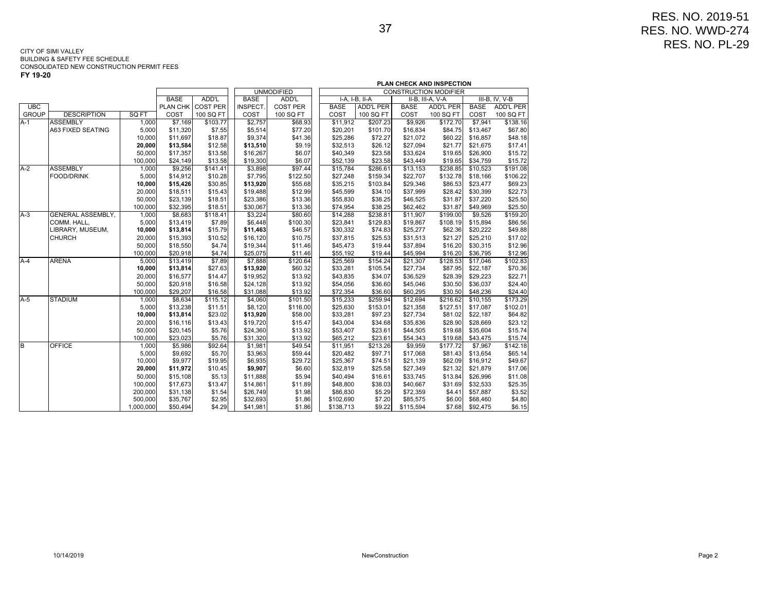|              |                          |           |             |                   | PLAN CHECK AND INSPECTION |                   |             |                  |             |                              |             |                  |  |
|--------------|--------------------------|-----------|-------------|-------------------|---------------------------|-------------------|-------------|------------------|-------------|------------------------------|-------------|------------------|--|
|              |                          |           |             |                   |                           | <b>UNMODIFIED</b> |             |                  |             | <b>CONSTRUCTION MODIFIER</b> |             |                  |  |
|              |                          |           | <b>BASE</b> | ADD'L             | <b>BASE</b>               | ADD'L             |             | $I-A, I-B, II-A$ |             | II-B, III-A, V-A             |             | $III-B, IV, V-B$ |  |
| UBC          |                          |           |             | PLAN CHK COST PER | INSPECT.                  | <b>COST PER</b>   | <b>BASE</b> | <b>ADD'L PER</b> | <b>BASE</b> | <b>ADD'L PER</b>             | <b>BASE</b> | <b>ADD'L PER</b> |  |
| <b>GROUP</b> | <b>DESCRIPTION</b>       | SQ FT     | COST        | 100 SQ FT         | COST                      | 100 SQ FT         | COST        | 100 SQ FT        | COST        | 100 SQ FT                    | COST        | 100 SQ FT        |  |
| A-1          | <b>ASSEMBLY</b>          | 1,000     | \$7,169     | \$103.77          | \$2,757                   | \$68.93           | \$11,912    | \$207.23         | \$9,926     | \$172.70                     | \$7,941     | \$138.16         |  |
|              | <b>A63 FIXED SEATING</b> | 5,000     | \$11,320    | \$7.55            | \$5,514                   | \$77.20           | \$20,201    | \$101.70         | \$16,834    | \$84.75                      | \$13,467    | \$67.80          |  |
|              |                          | 10,000    | \$11,697    | \$18.87           | \$9,374                   | \$41.36           | \$25,286    | \$72.27          | \$21,072    | \$60.22                      | \$16,857    | \$48.18          |  |
|              |                          | 20,000    | \$13,584    | \$12.58           | \$13,510                  | \$9.19            | \$32,513    | \$26.12          | \$27,094    | \$21.77                      | \$21,675    | \$17.41          |  |
|              |                          | 50,000    | \$17,357    | \$13.58           | \$16,267                  | \$6.07            | \$40,349    | \$23.58          | \$33,624    | \$19.65                      | \$26,900    | \$15.72          |  |
|              |                          | 100,000   | \$24,149    | \$13.58           | \$19,300                  | \$6.07            | \$52,139    | \$23.58          | \$43,449    | \$19.65                      | \$34,759    | \$15.72          |  |
| $A-2$        | <b>ASSEMBLY</b>          | 1,000     | \$9,256     | \$141.41          | \$3,898                   | \$97.44           | \$15,784    | \$286.61         | \$13,153    | \$238.85                     | \$10,523    | \$191.08         |  |
|              | <b>FOOD/DRINK</b>        | 5,000     | \$14,912    | \$10.28           | \$7,795                   | \$122.50          | \$27,248    | \$159.34         | \$22,707    | \$132.78                     | \$18,166    | \$106.22         |  |
|              |                          | 10,000    | \$15,426    | \$30.85           | \$13,920                  | \$55.68           | \$35,215    | \$103.84         | \$29,346    | \$86.53                      | \$23,477    | \$69.23          |  |
|              |                          | 20,000    | \$18,511    | \$15.43           | \$19,488                  | \$12.99           | \$45,599    | \$34.10          | \$37,999    | \$28.42                      | \$30,399    | \$22.73          |  |
|              |                          | 50,000    | \$23,139    | \$18.51           | \$23,386                  | \$13.36           | \$55,830    | \$38.25          | \$46,525    | \$31.87                      | \$37,220    | \$25.50          |  |
|              |                          | 100.000   | \$32.395    | \$18.51           | \$30,067                  | \$13.36           | \$74.954    | \$38.25          | \$62.462    | \$31.87                      | \$49.969    | \$25.50          |  |
| $A-3$        | <b>GENERAL ASSEMBLY,</b> | 1.000     | \$8,683     | \$118.41          | \$3,224                   | \$80.60           | \$14,288    | \$238.81         | \$11,907    | \$199.00                     | \$9,526     | \$159.20         |  |
|              | COMM. HALL.              | 5,000     | \$13,419    | \$7.89            | \$6,448                   | \$100.30          | \$23,841    | \$129.83         | \$19,867    | \$108.19                     | \$15,894    | \$86.56          |  |
|              | LIBRARY, MUSEUM,         | 10,000    | \$13,814    | \$15.79           | \$11,463                  | \$46.57           | \$30,332    | \$74.83          | \$25,277    | \$62.36                      | \$20,222    | \$49.88          |  |
|              | <b>CHURCH</b>            | 20,000    | \$15,393    | \$10.52           | \$16,120                  | \$10.75           | \$37,815    | \$25.53          | \$31,513    | \$21.27                      | \$25,210    | \$17.02          |  |
|              |                          | 50,000    | \$18,550    | \$4.74            | \$19,344                  | \$11.46           | \$45,473    | \$19.44          | \$37,894    | \$16.20                      | \$30,315    | \$12.96          |  |
|              |                          | 100,000   | \$20,918    | \$4.74            | \$25,075                  | \$11.46           | \$55,192    | \$19.44          | \$45,994    | \$16.20                      | \$36,795    | \$12.96          |  |
| $A-4$        | <b>ARENA</b>             | 5,000     | \$13,419    | \$7.89            | \$7,888                   | \$120.64          | \$25,569    | \$154.24         | \$21,307    | \$128.53                     | \$17,046    | \$102.83         |  |
|              |                          | 10,000    | \$13,814    | \$27.63           | \$13,920                  | \$60.32           | \$33,281    | \$105.54         | \$27,734    | \$87.95                      | \$22,187    | \$70.36          |  |
|              |                          | 20,000    | \$16,577    | \$14.47           | \$19,952                  | \$13.92           | \$43,835    | \$34.07          | \$36,529    | \$28.39                      | \$29,223    | \$22.71          |  |
|              |                          | 50,000    | \$20,918    | \$16.58           | \$24,128                  | \$13.92           | \$54,056    | \$36.60          | \$45,046    | \$30.50                      | \$36,037    | \$24.40          |  |
|              |                          | 100,000   | \$29,207    | \$16.58           | \$31,088                  | \$13.92           | \$72,354    | \$36.60          | \$60,295    | \$30.50                      | \$48,236    | \$24.40          |  |
| $A-5$        | <b>STADIUM</b>           | 1,000     | \$8,634     | \$115.12          | \$4,060                   | \$101.50          | \$15,233    | \$259.94         | \$12,694    | \$216.62                     | \$10,155    | \$173.29         |  |
|              |                          | 5,000     | \$13,238    | \$11.51           | \$8,120                   | \$116.00          | \$25,630    | \$153.01         | \$21,358    | \$127.51                     | \$17.087    | \$102.01         |  |
|              |                          | 10,000    | \$13,814    | \$23.02           | \$13,920                  | \$58.00           | \$33,281    | \$97.23          | \$27,734    | \$81.02                      | \$22,187    | \$64.82          |  |
|              |                          | 20,000    | \$16,116    | \$13.43           | \$19,720                  | \$15.47           | \$43.004    | \$34.68          | \$35.836    | \$28.90                      | \$28,669    | \$23.12          |  |
|              |                          | 50,000    | \$20,145    | \$5.76            | \$24,360                  | \$13.92           | \$53,407    | \$23.61          | \$44,505    | \$19.68                      | \$35,604    | \$15.74          |  |
|              |                          | 100,000   | \$23,023    | \$5.76            | \$31,320                  | \$13.92           | \$65,212    | \$23.61          | \$54,343    | \$19.68                      | \$43,475    | \$15.74          |  |
| В            | <b>OFFICE</b>            | 1.000     | \$5,986     | \$92.64           | \$1,981                   | \$49.54           | \$11.951    | \$213.26         | \$9,959     | \$177.72                     | \$7,967     | \$142.18         |  |
|              |                          | 5,000     | \$9,692     | \$5.70            | \$3,963                   | \$59.44           | \$20,482    | \$97.71          | \$17,068    | \$81.43                      | \$13,654    | \$65.14          |  |
|              |                          | 10,000    | \$9,977     | \$19.95           | \$6,935                   | \$29.72           | \$25,367    | \$74.51          | \$21,139    | \$62.09                      | \$16,912    | \$49.67          |  |
|              |                          | 20,000    | \$11,972    | \$10.45           | \$9,907                   | \$6.60            | \$32,819    | \$25.58          | \$27,349    | \$21.32                      | \$21,879    | \$17.06          |  |
|              |                          | 50,000    | \$15,108    | \$5.13            | \$11,888                  | \$5.94            | \$40,494    | \$16.61          | \$33,745    | \$13.84                      | \$26,996    | \$11.08          |  |
|              |                          | 100,000   | \$17,673    | \$13.47           | \$14,861                  | \$11.89           | \$48,800    | \$38.03          | \$40,667    | \$31.69                      | \$32,533    | \$25.35          |  |
|              |                          | 200,000   | \$31,138    | \$1.54            | \$26,749                  | \$1.98            | \$86,830    | \$5.29           | \$72,359    | \$4.41                       | \$57,887    | \$3.52           |  |
|              |                          | 500,000   | \$35.767    | \$2.95            | \$32,693                  | \$1.86            | \$102,690   | \$7.20           | \$85,575    | \$6.00                       | \$68,460    | \$4.80           |  |
|              |                          | 1,000,000 | \$50,494    | \$4.29            | \$41,981                  | \$1.86            | \$138,713   | \$9.22           | \$115,594   | \$7.68                       | \$92,475    | \$6.15           |  |
|              |                          |           |             |                   |                           |                   |             |                  |             |                              |             |                  |  |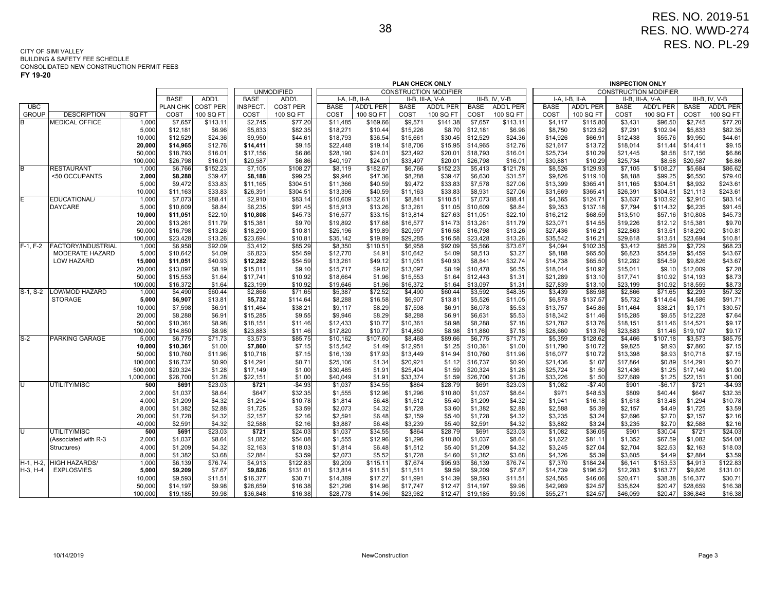|              |                        |                    |                      |                    | PLAN CHECK ONLY      |                   |                      |                    |                      |                              |                      |                    |                      |                    | <b>INSPECTION ONLY</b> |                              |                      |                   |
|--------------|------------------------|--------------------|----------------------|--------------------|----------------------|-------------------|----------------------|--------------------|----------------------|------------------------------|----------------------|--------------------|----------------------|--------------------|------------------------|------------------------------|----------------------|-------------------|
|              |                        |                    |                      |                    |                      | <b>UNMODIFIED</b> |                      |                    |                      | <b>CONSTRUCTION MODIFIER</b> |                      |                    |                      |                    |                        | <b>CONSTRUCTION MODIFIER</b> |                      |                   |
|              |                        |                    | <b>BASE</b>          | ADD'L              | <b>BASE</b>          | ADD'L             |                      | I-A. I-B. II-A     |                      | II-B, III-A, V-A             |                      | III-B, IV, V-B     |                      | I-A. I-B. II-A     |                        | II-B, III-A, V-A             |                      | III-B, IV, V-B    |
| <b>UBC</b>   |                        |                    | PLAN CHK             | <b>COST PER</b>    | <b>INSPECT</b>       | <b>COST PER</b>   | <b>BASE</b>          | <b>ADD'L PER</b>   | <b>BASE</b>          | <b>ADD'L PER</b>             | <b>BASE</b>          | <b>ADD'L PER</b>   | <b>BASE</b>          | <b>ADD'L PER</b>   | <b>BASE</b>            | <b>ADD'L PER</b>             | <b>BASE</b>          | ADD'L PER         |
| <b>GROUP</b> | <b>DESCRIPTION</b>     | SQ FT              | COST                 | 100 SQ FT          | COST                 | 100 SQ FT         | COST                 | 100 SQ FT          | COST                 | 100 SQ FT                    | COST                 | 100 SQ FT          | COST                 | 100 SQ FT          | COST                   | 100 SQ FT                    | COST                 | 100 SQ FT         |
| B            | <b>MEDICAL OFFICE</b>  | 1,000              | $\overline{$}7,657$  | \$113.11           | \$2,745              | \$77.20           | \$11,485             | \$169.66           | \$9,571              | \$141.38                     | \$7,657              | \$113.11           | \$4,117              | \$115.80           | \$3,431                | \$96.50                      | \$2,745              | \$77.20           |
|              |                        | 5,000              | \$12,181             | \$6.96             | \$5,833              | \$82.35           | \$18,271             | \$10.44            | \$15,226             | \$8.70                       | \$12,181             | \$6.96             | \$8,750              | \$123.52           | \$7,291                | \$102.94                     | \$5,833              | \$82.35           |
|              |                        | 10,000<br>20,000   | \$12.529<br>\$14,965 | \$24.36<br>\$12.76 | \$9,950<br>\$14,411  | \$44.61<br>\$9.15 | \$18,793<br>\$22,448 | \$36.54<br>\$19.14 | \$15.661<br>\$18,706 | \$30.45<br>\$15.95           | \$12,529<br>\$14,965 | \$24.36<br>\$12.76 | \$14.926<br>\$21,617 | \$66.91<br>\$13.72 | \$12,438<br>\$18,014   | \$55.76<br>\$11.44           | \$9,950<br>\$14,411  | \$44.61<br>\$9.15 |
|              |                        | 50,000             | \$18,793             | \$16.01            | \$17,156             | \$6.86            | \$28,190             | \$24.01            | \$23,492             | \$20.01                      | \$18,793             | \$16.01            | \$25,734             | \$10.29            | \$21,445               | \$8.58                       | \$17,156             | \$6.86            |
|              |                        | 100,000            | \$26,798             | \$16.01            | \$20,587             | \$6.86            | \$40,197             | \$24.01            | \$33,497             | \$20.01                      | \$26,798             | \$16.01            | \$30,881             | \$10.29            | \$25,734               | \$8.58                       | \$20,587             | \$6.86            |
| B            | <b>RESTAURANT</b>      | 1,000              | \$6,766              | \$152.23           | \$7,105              | \$108.27          | \$8,119              | \$182.67           | \$6,766              | \$152.23                     | \$5,413              | \$121.78           | \$8,526              | \$129.93           | \$7,105                | \$108.27                     | \$5,684              | \$86.62           |
|              | <50 OCCUPANTS          | 2,000              | \$8,288              | \$39.47            | \$8,188              | \$99.25           | \$9,946              | \$47.36            | \$8,288              | \$39.47                      | \$6,630              | \$31.57            | \$9,826              | \$119.10           | \$8,188                | \$99.25                      | \$6,550              | \$79.40           |
|              |                        | 5,000              | \$9.472              | \$33.83            | \$11,165             | \$304.51          | \$11,366             | \$40.59            | \$9,472              | \$33.83                      | \$7,578              | \$27.06            | \$13,399             | \$365.41           | \$11,165               | \$304.51                     | \$8,932              | \$243.61          |
|              |                        | 10,000             | \$11,163             | \$33.83            | \$26,391             | \$304.5'          | \$13,396             | \$40.59            | \$11,163             | \$33.83                      | \$8,931              | \$27.06            | \$31,669             | \$365.41           | \$26,391               | \$304.51                     | \$21,113             | \$243.61          |
| Ē            | EDUCATIONAL/           | 1,000              | \$7,073              | \$88.41            | \$2,910              | \$83.14           | \$10,609             | \$132.61           | \$8,841              | \$110.51                     | \$7,073              | \$88.41            | \$4,365              | \$124.71           | \$3,637                | \$103.92                     | \$2,910              | \$83.14           |
|              | <b>DAYCARE</b>         | 5,000              | \$10,609             | \$8.84             | \$6,235              | \$91.45           | \$15,913             | \$13.26            | \$13,261             | \$11.05                      | \$10,609             | \$8.84             | \$9,353              | \$137.18           | \$7,794                | \$114.32                     | \$6,235              | \$91.45           |
|              |                        | 10,000             | \$11,051             | \$22.10            | \$10,808             | \$45.73           | \$16,577             | \$33.15            | \$13,814             | \$27.63                      | \$11,051             | \$22.10            | \$16,212             | \$68.59            | \$13,510               | \$57.16                      | \$10,808             | \$45.73           |
|              |                        | 20,000             | \$13,261             | \$11.79            | \$15,381             | \$9.70            | \$19,892             | \$17.68            | \$16,577             | \$14.73                      | \$13,261             | \$11.79            | \$23,071             | \$14.55            | \$19,226               | \$12.12                      | \$15,381             | \$9.70            |
|              |                        | 50,000             | \$16,798             | \$13.26            | \$18,290             | \$10.81           | \$25,196             | \$19.89            | \$20,997             | \$16.58                      | \$16,798             | \$13.26            | \$27,436             | \$16.21            | \$22,863               | \$13.51                      | \$18,290             | \$10.81           |
|              |                        | 100,000            | \$23,428             | \$13.26            | \$23,694             | \$10.81           | \$35,142             | \$19.89            | \$29,285             | \$16.58                      | \$23,428             | \$13.26            | \$35,542             | \$16.21            | \$29,618               | \$13.51                      | \$23,694             | \$10.81           |
| $F-1, F-2$   | FACTORY/INDUSTRIAL     | 1,000              | \$6,958              | \$92.09            | \$3,412              | \$85.29           | \$8,350              | \$110.51           | \$6,958              | \$92.09                      | \$5,566              | \$73.67            | \$4,094              | \$102.35           | \$3,412                | \$85.29                      | \$2,729              | \$68.23           |
|              | <b>MODERATE HAZARD</b> | 5,000              | \$10,642             | \$4.09             | \$6,823              | \$54.59           | \$12,770             | \$4.91             | \$10,642             | \$4.09                       | \$8,513              | \$3.27             | \$8,188              | \$65.50            | \$6,823                | \$54.59                      | \$5,459              | \$43.67           |
|              | <b>LOW HAZARD</b>      | 15,000             | \$11,051             | \$40.93            | \$12,282             | \$54.59           | \$13,261             | \$49.12            | \$11,051             | \$40.93                      | \$8,841              | \$32.74            | \$14,738             | \$65.50            | \$12,282               | \$54.59                      | \$9,826              | \$43.67           |
|              |                        | 20,000             | \$13,097             | \$8.19             | \$15,011             | \$9.10            | \$15,717             | \$9.82             | \$13,097             | \$8.19                       | \$10,478             | \$6.55             | \$18,014             | \$10.92            | \$15,011               | \$9.10                       | \$12,009             | \$7.28            |
|              |                        | 50,000             | \$15,553             | \$1.64             | \$17,741             | \$10.92           | \$18,664             | \$1.96             | \$15,553             | \$1.64                       | \$12,443             | \$1.31             | \$21,289             | \$13.10            | \$17,741               | \$10.92                      | \$14,193             | \$8.73            |
|              |                        | 100,000            | \$16,372             | \$1.64             | \$23,199             | \$10.92           | \$19,646             | \$1.96             | \$16,372             | \$1.64                       | \$13,097             | \$1.31             | \$27,839             | \$13.10            | \$23,199               | \$10.92                      | \$18,559             | \$8.73            |
| $S-1, S-2$   | <b>LOW/MOD HAZARD</b>  | 1,000              | \$4,490              | \$60.44            | \$2,866              | \$71.65           | \$5,387              | \$72.52            | \$4,490              | \$60.44                      | \$3,592              | \$48.35            | \$3,439              | \$85.98            | \$2,866                | \$71.65                      | \$2,293              | \$57.32           |
|              | <b>STORAGE</b>         | 5,000              | \$6,907              | \$13.81            | \$5,732              | \$114.64          | \$8,288              | \$16.58            | \$6,907              | \$13.81                      | \$5,526              | \$11.05            | \$6,878              | \$137.57           | \$5,732                | \$114.64                     | \$4,586              | \$91.71           |
|              |                        | 10,000             | \$7,598              | \$6.91             | \$11,464             | \$38.21           | \$9,117              | \$8.29             | \$7,598              | \$6.91                       | \$6,078              | \$5.53             | \$13,757             | \$45.86            | \$11,464               | \$38.21                      | \$9,171              | \$30.57           |
|              |                        | 20,000             | \$8,288              | \$6.91             | \$15,285             | \$9.55            | \$9,946              | \$8.29             | \$8,288              | \$6.91                       | \$6,631              | \$5.53             | \$18,342             | \$11.46            | \$15,285               | \$9.55                       | \$12,228             | \$7.64            |
|              |                        | 50,000             | \$10,361             | \$8.98             | \$18,151             | \$11.46           | \$12,433             | \$10.77            | \$10,361             | \$8.98                       | \$8,288              | \$7.18             | \$21,782             | \$13.76            | \$18,151               | \$11.46                      | \$14,521             | \$9.17            |
|              |                        | 100,000            | \$14,850             | \$8.98             | \$23,883             | \$11.46           | \$17,820             | \$10.77            | \$14,850             | \$8.98                       | \$11,880             | \$7.18             | \$28,660             | \$13.76            | \$23,883               | \$11.46                      | \$19,107             | \$9.17            |
| $S-2$        | <b>PARKING GARAGE</b>  | 5,000              | \$6.775              | \$71.73            | \$3,573              | \$85.75           | \$10,162             | \$107.60           | \$8,468              | \$89.66                      | \$6.775              | \$71.73            | \$5,359              | \$128.62           | \$4,466                | \$107.18                     | \$3,573              | \$85.75           |
|              |                        | 10,000<br>50,000   | \$10,361<br>\$10,760 | \$1.00<br>\$11.96  | \$7,860              | \$7.15            | \$15,542<br>\$16,139 | \$1.49<br>\$17.93  | \$12,951<br>\$13,449 | \$1.25                       | \$10,361<br>\$10,760 | \$1.00             | \$11,790<br>\$16,077 | \$10.72            | \$9,825<br>\$13,398    | \$8.93<br>\$8.93             | \$7,860<br>\$10,718  | \$7.15<br>\$7.15  |
|              |                        |                    |                      |                    | \$10,718             | \$7.15            |                      |                    |                      | \$14.94                      |                      | \$11.96            |                      | \$10.72            | \$17,864               |                              |                      |                   |
|              |                        | 100,000<br>500,000 | \$16,737<br>\$20,324 | \$0.90<br>\$1.28   | \$14,291<br>\$17,149 | \$0.71<br>\$1.00  | \$25,106             | \$1.34<br>\$1.91   | \$20,921<br>\$25,404 | \$1.12<br>\$1.59             | \$16,737<br>\$20,324 | \$0.90<br>\$1.28   | \$21,436<br>\$25,724 | \$1.07<br>\$1.50   | \$21,436               | \$0.89<br>\$1.25             | \$14,291<br>\$17,149 | \$0.71<br>\$1.00  |
|              |                        | 1,000,000          | \$26,700             | \$1.28             | \$22,151             | \$1.00            | \$30,485<br>\$40,049 | \$1.91             | \$33,374             | \$1.59                       | \$26,700             | \$1.28             | \$33,226             | \$1.50             | \$27,689               | \$1.25                       | \$22,151             | \$1.00            |
| ᠸ            | UTILITY/MISC           | 500                | \$691                | \$23.03            | \$721                | $-$4.93$          | \$1,037              | \$34.55            | \$864                | \$28.79                      | \$691                | \$23.03            | \$1,082              | $-$7.40$           | \$901                  | $-$6.17$                     | \$721                | $-$4.93$          |
|              |                        | 2,000              | \$1,037              | \$8.64             | \$647                | \$32.35           | \$1,555              | \$12.96            | \$1,296              | \$10.80                      | \$1,037              | \$8.64             | \$971                | \$48.53            | \$809                  | \$40.44                      | \$647                | \$32.35           |
|              |                        | 4,000              | \$1,209              | \$4.32             | \$1,294              | \$10.78           | \$1,814              | \$6.48             | \$1,512              | \$5.40                       | \$1,209              | \$4.32             | \$1,941              | \$16.18            | \$1,618                | \$13.48                      | \$1,294              | \$10.78           |
|              |                        | 8,000              | \$1,382              | \$2.88             | \$1,725              | \$3.59            | \$2,073              | \$4.32             | \$1,728              | \$3.60                       | \$1,382              | \$2.88             | \$2,588              | \$5.39             | \$2,157                | \$4.49                       | \$1,725              | \$3.59            |
|              |                        | 20,000             | \$1.728              | \$4.32             | \$2,157              | \$2.16            | \$2,591              | \$6.48             | \$2.159              | \$5.40                       | \$1,728              | \$4.32             | \$3,235              | \$3.24             | \$2,696                | \$2.70                       | \$2,157              | \$2.16            |
|              |                        | 40,000             | \$2,591              | \$4.32             | \$2,588              | \$2.16            | \$3,887              | \$6.48             | \$3,239              | \$5.40                       | \$2,591              | \$4.32             | \$3,882              | \$3.24             | \$3,235                | \$2.70                       | \$2,588              | \$2.16            |
| Ū            | UTILITY/MISC           | 500                | \$691                | \$23.03            | \$721                | \$24.03           | \$1,037              | \$34.55            | \$864                | \$28.79                      | \$691                | \$23.03            | \$1,082              | \$36.05            | \$901                  | \$30.04                      | \$721                | \$24.03           |
|              | (Associated with R-3   | 2,000              | \$1,037              | \$8.64             | \$1,082              | \$54.08           | \$1,555              | \$12.96            | \$1,296              | \$10.80                      | \$1,037              | \$8.64             | \$1,622              | \$81.11            | \$1,352                | \$67.59                      | \$1,082              | \$54.08           |
|              | Structures)            | 4,000              | \$1,209              | \$4.32             | \$2,163              | \$18.03           | \$1,814              | \$6.48             | \$1,512              | \$5.40                       | \$1,209              | \$4.32             | \$3,245              | \$27.04            | \$2,704                | \$22.53                      | \$2,163              | \$18.03           |
|              |                        | 8.000              | \$1,382              | \$3.68             | \$2,884              | \$3.59            | \$2,073              | \$5.52             | \$1,728              | \$4.60                       | \$1,382              | \$3.68             | \$4,326              | \$5.39             | \$3,605                | \$4.49                       | \$2,884              | \$3.59            |
| H-1. H-2.    | <b>HIGH HAZARDS/</b>   | 1,000              | \$6,139              | \$76.74            | \$4,913              | \$122.83          | \$9,209              | \$115.11           | \$7.674              | \$95.93                      | \$6.139              | \$76.74            | \$7,370              | \$184.24           | \$6,141                | \$153.53                     | \$4,913              | \$122.83          |
| $H-3, H-4$   | <b>EXPLOSVIES</b>      | 5,000              | \$9,209              | \$7.67             | \$9,826              | \$131.01          | \$13,814             | \$11.51            | \$11,511             | \$9.59                       | \$9,209              | \$7.67             | \$14,739             | \$196.52           | \$12,283               | \$163.77                     | \$9,826              | \$131.01          |
|              |                        | 10,000             | \$9,593              | \$11.51            | \$16,377             | \$30.71           | \$14,389             | \$17.27            | \$11,991             | \$14.39                      | \$9,593              | \$11.51            | \$24,565             | \$46.06            | \$20,471               | \$38.38                      | \$16,377             | \$30.71           |
|              |                        | 50,000             | \$14,197             | \$9.98             | \$28,659             | \$16.38           | \$21,296             | \$14.96            | \$17,747             | \$12.47                      | \$14,197             | \$9.98             | \$42,989             | \$24.57            | \$35,824               | \$20.47                      | \$28,659             | \$16.38           |
|              |                        | 100,000            | \$19,185             | \$9.98             | \$36,848             | \$16.38           | \$28,778             | \$14.96            | \$23,982             | \$12.47                      | \$19,185             | \$9.98             | \$55,271             | \$24.57            | \$46,059               | \$20.47                      | \$36,848             | \$16.38           |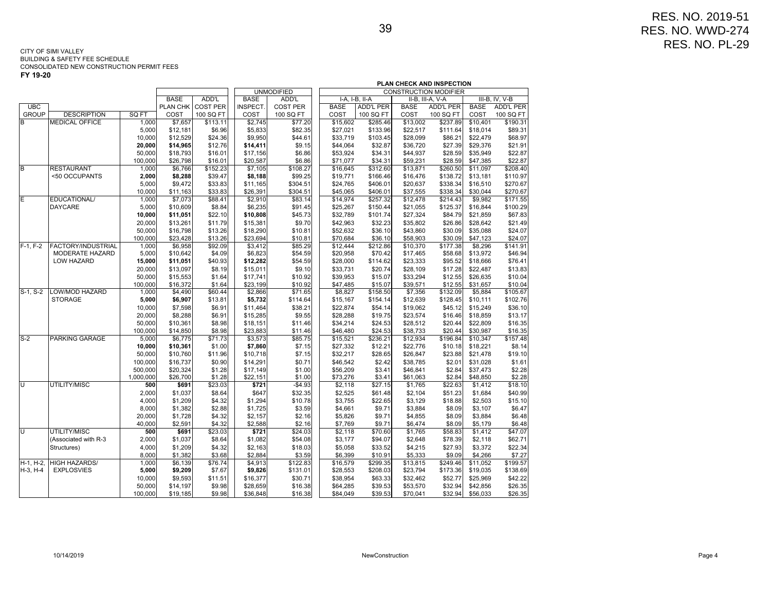| CONSTRUCTION MODIFIER<br><b>UNMODIFIED</b><br><b>BASE</b><br>ADD'L<br><b>BASE</b><br>ADD'L<br>I-A. I-B. II-A<br>II-B, III-A, V-A<br>III-B, IV, V-B<br>$\overline{\text{UBC}}$<br><b>ADD'L PER</b><br><b>ADD'L PER</b><br><b>BASE</b><br><b>ADD'L PER</b><br>PLAN CHK<br><b>COST PER</b><br>INSPECT.<br><b>COST PER</b><br><b>BASE</b><br><b>BASE</b><br><b>GROUP</b><br><b>DESCRIPTION</b><br>SQ FT<br>COST<br>100 SQ FT<br>COST<br>100 SQ FT<br>COST<br>100 SQ FT<br>COST<br>100 SQ FT<br>COST<br>100 SQ FT<br>\$190.31<br><b>MEDICAL OFFICE</b><br>1,000<br>\$7,657<br>\$113.11<br>\$2,745<br>\$77.20<br>\$15,602<br>\$285.46<br>\$13,002<br>\$237.89<br>\$10,401<br>B<br>5,000<br>\$12,181<br>\$6.96<br>\$5,833<br>\$82.35<br>\$27,021<br>\$133.96<br>\$22,517<br>\$111.64<br>\$18,014<br>\$89.31<br>10,000<br>\$24.36<br>\$9,950<br>\$44.61<br>\$86.21<br>\$68.97<br>\$12,529<br>\$33,719<br>\$103.45<br>\$28,099<br>\$22,479<br>20,000<br>\$14,965<br>\$12.76<br>\$14,411<br>\$9.15<br>\$44,064<br>\$32.87<br>\$36,720<br>\$27.39<br>\$29,376<br>\$21.91<br>\$22.87<br>50,000<br>\$18,793<br>\$16.01<br>\$17,156<br>\$6.86<br>\$53,924<br>\$34.31<br>\$44,937<br>\$28.59<br>\$35,949<br>\$6.86<br>\$34.31<br>100,000<br>\$26,798<br>\$16.01<br>\$20,587<br>\$59,231<br>\$28.59<br>\$47,385<br>\$22.87<br>\$71,077<br>B<br><b>RESTAURANT</b><br>\$152.23<br>$\overline{$}7,105$<br>\$108.27<br>\$312.60<br>\$260.50<br>\$208.40<br>1,000<br>\$6,766<br>\$16,645<br>\$13,871<br>\$11,097<br><50 OCCUPANTS<br>\$39.47<br>\$8,188<br>\$99.25<br>\$138.72<br>\$13,181<br>\$110.97<br>2,000<br>\$8,288<br>\$19,771<br>\$166.46<br>\$16,476<br>\$33.83<br>\$304.51<br>\$338.34<br>\$270.67<br>5,000<br>\$9,472<br>\$11,165<br>\$24,765<br>\$406.01<br>\$20,637<br>\$16,510<br>\$33.83<br>10,000<br>\$11,163<br>\$26,391<br>\$304.51<br>\$45,065<br>\$406.01<br>\$37,555<br>\$338.34<br>\$30,044<br>\$270.67<br>EDUCATIONAL/<br>1,000<br>\$7,073<br>\$88.41<br>\$2,910<br>\$83.14<br>\$14,974<br>\$257.32<br>\$12,478<br>\$214.43<br>\$9,982<br>\$171.55<br><b>DAYCARE</b><br>5,000<br>\$8.84<br>\$6,235<br>\$91.45<br>\$25,267<br>\$21,055<br>\$125.37<br>\$16,844<br>\$100.29<br>\$10,609<br>\$150.44<br>\$10,808<br>10,000<br>\$11,051<br>\$22.10<br>\$45.73<br>\$32,789<br>\$101.74<br>\$27,324<br>\$84.79<br>\$21,859<br>\$67.83<br>20,000<br>\$11.79<br>\$15,381<br>\$9.70<br>\$42,963<br>\$32.23<br>\$35,802<br>\$26.86<br>\$13,261<br>\$28,642<br>\$21.49<br>\$24.07<br>50,000<br>\$16,798<br>\$13.26<br>\$18,290<br>\$10.81<br>\$52,632<br>\$36.10<br>\$43,860<br>\$30.09<br>\$35,088<br>\$13.26<br>\$23,694<br>100,000<br>\$23,428<br>\$10.81<br>\$70,684<br>\$36.10<br>\$58,903<br>\$30.09<br>\$47,123<br>\$24.07<br><b>FACTORY/INDUSTRIAL</b><br>\$85.29<br>\$141.91<br>1,000<br>\$6,958<br>\$92.09<br>\$3,412<br>\$12,444<br>\$212.86<br>\$10,370<br>\$177.38<br>\$8,296<br>MODERATE HAZARD<br>5,000<br>\$6,823<br>\$54.59<br>\$20,958<br>\$46.94<br>\$10,642<br>\$4.09<br>\$70.42<br>\$17,465<br>\$58.68<br>\$13,972<br>\$76.41<br>15,000<br>\$11,051<br>\$40.93<br>\$12,282<br>\$54.59<br>\$28,000<br>\$114.62<br>\$23,333<br>\$95.52<br>\$18,666<br>LOW HAZARD<br>20,000<br>\$8.19<br>\$15,011<br>\$9.10<br>\$33,731<br>\$20.74<br>\$28,109<br>\$17.28<br>\$22,487<br>\$13.83<br>\$13,097<br>\$10.92<br>\$12.55<br>\$10.04<br>50,000<br>\$15,553<br>\$1.64<br>\$17,741<br>\$39,953<br>\$15.07<br>\$33,294<br>\$26,635<br>100,000<br>\$16,372<br>\$1.64<br>\$23,199<br>\$10.92<br>\$47,485<br>\$15.07<br>\$39,571<br>\$12.55<br>\$31,657<br>\$10.04<br>$S-1, S-2$<br><b>LOW/MOD HAZARD</b><br>1,000<br>\$71.65<br>\$132.09<br>\$105.67<br>\$4,490<br>\$60.44<br>\$2,866<br>\$8,827<br>\$158.50<br>\$7,356<br>\$5,884<br><b>STORAGE</b><br>5,000<br>\$6,907<br>\$13.81<br>\$5,732<br>\$114.64<br>\$15,167<br>\$154.14<br>\$12,639<br>\$128.45<br>\$10,111<br>\$102.76<br>10,000<br>\$7,598<br>\$6.91<br>\$11,464<br>\$38.21<br>\$22,874<br>\$54.14<br>\$19,062<br>\$45.12<br>\$15,249<br>\$36.10<br>\$9.55<br>20,000<br>\$8,288<br>\$6.91<br>\$15,285<br>\$28,288<br>\$19.75<br>\$23.574<br>\$16.46<br>\$18,859<br>\$13.17<br>\$24.53<br>\$20.44<br>\$22,809<br>\$16.35<br>50,000<br>\$10,361<br>\$8.98<br>\$18,151<br>\$11.46<br>\$34,214<br>\$28,512<br>\$23,883<br>\$11.46<br>\$20.44<br>\$30,987<br>100,000<br>\$14,850<br>\$8.98<br>\$46,480<br>\$24.53<br>\$38,733<br>\$16.35<br>$S-2$<br>\$157.48<br>PARKING GARAGE<br>5,000<br>$\overline{$}6,775$<br>\$71.73<br>\$3,573<br>\$85.75<br>\$15,521<br>\$236.21<br>\$12,934<br>\$196.84<br>\$10,347<br>10,000<br>\$10,361<br>\$1.00<br>\$7,860<br>\$7.15<br>\$27,332<br>\$12.21<br>\$22,776<br>\$10.18<br>\$18,221<br>\$8.14<br>\$7.15<br>\$32,217<br>\$28.65<br>\$26,847<br>\$23.88<br>\$21,478<br>\$19.10<br>50,000<br>\$10,760<br>\$11.96<br>\$10,718<br>100,000<br>\$16,737<br>\$0.90<br>\$14,291<br>\$0.71<br>\$46,542<br>\$2.42<br>\$38,785<br>\$2.01<br>\$31,028<br>\$1.61<br>500,000<br>\$20,324<br>\$17,149<br>\$1.00<br>\$56,209<br>\$3.41<br>\$46,841<br>\$2.84<br>\$37,473<br>\$2.28<br>\$1.28<br>\$1.00<br>\$3.41<br>1,000,000<br>\$26,700<br>\$1.28<br>\$22,151<br>\$73,276<br>\$61,063<br>\$2.84<br>\$48,850<br>\$2.28<br>π<br>UTILITY/MISC<br>500<br>\$691<br>\$23.03<br>\$721<br>$-$4.93$<br>\$2,118<br>\$27.15<br>\$22.63<br>\$18.10<br>\$1,765<br>\$1,412<br>2,000<br>\$1,037<br>\$8.64<br>\$647<br>\$32.35<br>\$2,525<br>\$2,104<br>\$51.23<br>\$1,684<br>\$40.99<br>\$61.48<br>4,000<br>\$10.78<br>\$1,209<br>\$4.32<br>\$1,294<br>\$3,755<br>\$22.65<br>\$3,129<br>\$18.88<br>\$2,503<br>\$15.10<br>8,000<br>\$1,382<br>\$2.88<br>\$1,725<br>\$3.59<br>\$9.71<br>\$3,884<br>\$6.47<br>\$4,661<br>\$8.09<br>\$3,107<br>\$2.16<br>20,000<br>\$4.32<br>\$2,157<br>\$5,826<br>\$9.71<br>\$8.09<br>\$3,884<br>\$6.48<br>\$1,728<br>\$4,855<br>40,000<br>\$4.32<br>\$2,588<br>\$2.16<br>\$9.71<br>\$2,591<br>\$7,769<br>\$6,474<br>\$8.09<br>\$5,179<br>\$6.48<br>᠊ण<br>UTILITY/MISC<br>500<br>\$23.03<br>\$24.03<br>\$47.07<br>\$691<br>\$721<br>\$2,118<br>\$70.60<br>\$1,765<br>\$58.83<br>\$1,412<br>2,000<br>\$8.64<br>\$1,082<br>\$54.08<br>\$94.07<br>\$62.71<br>(Associated with R-3<br>\$1,037<br>\$3,177<br>\$2,648<br>\$78.39<br>\$2,118<br>\$22.34<br>4,000<br>\$1,209<br>\$4.32<br>\$2,163<br>\$18.03<br>\$5,058<br>\$33.52<br>\$4,215<br>\$27.93<br>\$3,372<br>Structures)<br>\$2,884<br>8,000<br>\$1,382<br>\$3.68<br>\$3.59<br>\$6,399<br>\$10.91<br>\$5,333<br>\$9.09<br>\$4,266<br>\$7.27<br>\$199.57<br><b>HIGH HAZARDS/</b><br>\$4,913<br>\$122.83<br>\$299.35<br>H-1, H-2,<br>1,000<br>\$6,139<br>\$76.74<br>\$16,579<br>\$13,815<br>\$249.46<br>\$11,052<br>5,000<br>\$7.67<br>\$9,826<br>\$131.01<br>\$208.03<br>\$23,794<br>\$173.36<br>\$19,035<br>\$138.69<br>$H-3, H-4$<br><b>EXPLOSVIES</b><br>\$9,209<br>\$28,553<br>\$30.71<br>\$52.77<br>\$42.22<br>10,000<br>\$9,593<br>\$11.51<br>\$16,377<br>\$38,954<br>\$63.33<br>\$32,462<br>\$25,969<br>50,000<br>\$14,197<br>\$9.98<br>\$28,659<br>\$16.38<br>\$64,285<br>\$39.53<br>\$53,570<br>\$32.94<br>\$42,856<br>\$26.35 |            |         |          |        |          |         |  |          |         |          | PLAN CHECK AND INSPECTION |          |         |
|---------------------------------------------------------------------------------------------------------------------------------------------------------------------------------------------------------------------------------------------------------------------------------------------------------------------------------------------------------------------------------------------------------------------------------------------------------------------------------------------------------------------------------------------------------------------------------------------------------------------------------------------------------------------------------------------------------------------------------------------------------------------------------------------------------------------------------------------------------------------------------------------------------------------------------------------------------------------------------------------------------------------------------------------------------------------------------------------------------------------------------------------------------------------------------------------------------------------------------------------------------------------------------------------------------------------------------------------------------------------------------------------------------------------------------------------------------------------------------------------------------------------------------------------------------------------------------------------------------------------------------------------------------------------------------------------------------------------------------------------------------------------------------------------------------------------------------------------------------------------------------------------------------------------------------------------------------------------------------------------------------------------------------------------------------------------------------------------------------------------------------------------------------------------------------------------------------------------------------------------------------------------------------------------------------------------------------------------------------------------------------------------------------------------------------------------------------------------------------------------------------------------------------------------------------------------------------------------------------------------------------------------------------------------------------------------------------------------------------------------------------------------------------------------------------------------------------------------------------------------------------------------------------------------------------------------------------------------------------------------------------------------------------------------------------------------------------------------------------------------------------------------------------------------------------------------------------------------------------------------------------------------------------------------------------------------------------------------------------------------------------------------------------------------------------------------------------------------------------------------------------------------------------------------------------------------------------------------------------------------------------------------------------------------------------------------------------------------------------------------------------------------------------------------------------------------------------------------------------------------------------------------------------------------------------------------------------------------------------------------------------------------------------------------------------------------------------------------------------------------------------------------------------------------------------------------------------------------------------------------------------------------------------------------------------------------------------------------------------------------------------------------------------------------------------------------------------------------------------------------------------------------------------------------------------------------------------------------------------------------------------------------------------------------------------------------------------------------------------------------------------------------------------------------------------------------------------------------------------------------------------------------------------------------------------------------------------------------------------------------------------------------------------------------------------------------------------------------------------------------------------------------------------------------------------------------------------------------------------------------------------------------------------------------------------------------------------------------------------------------------------------------------------------------------------------------------------------------------------------------------------------------------------------------------------------------------------------------------------------------------------------------------------------------------------------------------------------------------------------------------------------------------------------------------------------------------------------------------------------------------------------------------------------------------------------------------------------------------------------------------------------------------------------------------------------------------------------------------------------------------------------------------------------------------------------------------------------------------------------------------------------------------------------------------------------------------------------------------------------------------------------------------------------------------------------------------------------------------------------------------------------------------------------------------------------------------------------------------------------------------------------------------------------------------------------------------------------------------------------------------------------------------------------------------------------------------------------------------------------------------------------------------------------------------------------------------------------------------------------------------------------------------------------------------------------------------------------|------------|---------|----------|--------|----------|---------|--|----------|---------|----------|---------------------------|----------|---------|
|                                                                                                                                                                                                                                                                                                                                                                                                                                                                                                                                                                                                                                                                                                                                                                                                                                                                                                                                                                                                                                                                                                                                                                                                                                                                                                                                                                                                                                                                                                                                                                                                                                                                                                                                                                                                                                                                                                                                                                                                                                                                                                                                                                                                                                                                                                                                                                                                                                                                                                                                                                                                                                                                                                                                                                                                                                                                                                                                                                                                                                                                                                                                                                                                                                                                                                                                                                                                                                                                                                                                                                                                                                                                                                                                                                                                                                                                                                                                                                                                                                                                                                                                                                                                                                                                                                                                                                                                                                                                                                                                                                                                                                                                                                                                                                                                                                                                                                                                                                                                                                                                                                                                                                                                                                                                                                                                                                                                                                                                                                                                                                                                                                                                                                                                                                                                                                                                                                                                                                                                                                                                                                                                                                                                                                                                                                                                                                                                                                                                                                                                                                                                                                                                                                                                                                                                                                                                                                                                                                                                                                                                                       |            |         |          |        |          |         |  |          |         |          |                           |          |         |
|                                                                                                                                                                                                                                                                                                                                                                                                                                                                                                                                                                                                                                                                                                                                                                                                                                                                                                                                                                                                                                                                                                                                                                                                                                                                                                                                                                                                                                                                                                                                                                                                                                                                                                                                                                                                                                                                                                                                                                                                                                                                                                                                                                                                                                                                                                                                                                                                                                                                                                                                                                                                                                                                                                                                                                                                                                                                                                                                                                                                                                                                                                                                                                                                                                                                                                                                                                                                                                                                                                                                                                                                                                                                                                                                                                                                                                                                                                                                                                                                                                                                                                                                                                                                                                                                                                                                                                                                                                                                                                                                                                                                                                                                                                                                                                                                                                                                                                                                                                                                                                                                                                                                                                                                                                                                                                                                                                                                                                                                                                                                                                                                                                                                                                                                                                                                                                                                                                                                                                                                                                                                                                                                                                                                                                                                                                                                                                                                                                                                                                                                                                                                                                                                                                                                                                                                                                                                                                                                                                                                                                                                                       |            |         |          |        |          |         |  |          |         |          |                           |          |         |
|                                                                                                                                                                                                                                                                                                                                                                                                                                                                                                                                                                                                                                                                                                                                                                                                                                                                                                                                                                                                                                                                                                                                                                                                                                                                                                                                                                                                                                                                                                                                                                                                                                                                                                                                                                                                                                                                                                                                                                                                                                                                                                                                                                                                                                                                                                                                                                                                                                                                                                                                                                                                                                                                                                                                                                                                                                                                                                                                                                                                                                                                                                                                                                                                                                                                                                                                                                                                                                                                                                                                                                                                                                                                                                                                                                                                                                                                                                                                                                                                                                                                                                                                                                                                                                                                                                                                                                                                                                                                                                                                                                                                                                                                                                                                                                                                                                                                                                                                                                                                                                                                                                                                                                                                                                                                                                                                                                                                                                                                                                                                                                                                                                                                                                                                                                                                                                                                                                                                                                                                                                                                                                                                                                                                                                                                                                                                                                                                                                                                                                                                                                                                                                                                                                                                                                                                                                                                                                                                                                                                                                                                                       |            |         |          |        |          |         |  |          |         |          |                           |          |         |
|                                                                                                                                                                                                                                                                                                                                                                                                                                                                                                                                                                                                                                                                                                                                                                                                                                                                                                                                                                                                                                                                                                                                                                                                                                                                                                                                                                                                                                                                                                                                                                                                                                                                                                                                                                                                                                                                                                                                                                                                                                                                                                                                                                                                                                                                                                                                                                                                                                                                                                                                                                                                                                                                                                                                                                                                                                                                                                                                                                                                                                                                                                                                                                                                                                                                                                                                                                                                                                                                                                                                                                                                                                                                                                                                                                                                                                                                                                                                                                                                                                                                                                                                                                                                                                                                                                                                                                                                                                                                                                                                                                                                                                                                                                                                                                                                                                                                                                                                                                                                                                                                                                                                                                                                                                                                                                                                                                                                                                                                                                                                                                                                                                                                                                                                                                                                                                                                                                                                                                                                                                                                                                                                                                                                                                                                                                                                                                                                                                                                                                                                                                                                                                                                                                                                                                                                                                                                                                                                                                                                                                                                                       |            |         |          |        |          |         |  |          |         |          |                           |          |         |
|                                                                                                                                                                                                                                                                                                                                                                                                                                                                                                                                                                                                                                                                                                                                                                                                                                                                                                                                                                                                                                                                                                                                                                                                                                                                                                                                                                                                                                                                                                                                                                                                                                                                                                                                                                                                                                                                                                                                                                                                                                                                                                                                                                                                                                                                                                                                                                                                                                                                                                                                                                                                                                                                                                                                                                                                                                                                                                                                                                                                                                                                                                                                                                                                                                                                                                                                                                                                                                                                                                                                                                                                                                                                                                                                                                                                                                                                                                                                                                                                                                                                                                                                                                                                                                                                                                                                                                                                                                                                                                                                                                                                                                                                                                                                                                                                                                                                                                                                                                                                                                                                                                                                                                                                                                                                                                                                                                                                                                                                                                                                                                                                                                                                                                                                                                                                                                                                                                                                                                                                                                                                                                                                                                                                                                                                                                                                                                                                                                                                                                                                                                                                                                                                                                                                                                                                                                                                                                                                                                                                                                                                                       |            |         |          |        |          |         |  |          |         |          |                           |          |         |
|                                                                                                                                                                                                                                                                                                                                                                                                                                                                                                                                                                                                                                                                                                                                                                                                                                                                                                                                                                                                                                                                                                                                                                                                                                                                                                                                                                                                                                                                                                                                                                                                                                                                                                                                                                                                                                                                                                                                                                                                                                                                                                                                                                                                                                                                                                                                                                                                                                                                                                                                                                                                                                                                                                                                                                                                                                                                                                                                                                                                                                                                                                                                                                                                                                                                                                                                                                                                                                                                                                                                                                                                                                                                                                                                                                                                                                                                                                                                                                                                                                                                                                                                                                                                                                                                                                                                                                                                                                                                                                                                                                                                                                                                                                                                                                                                                                                                                                                                                                                                                                                                                                                                                                                                                                                                                                                                                                                                                                                                                                                                                                                                                                                                                                                                                                                                                                                                                                                                                                                                                                                                                                                                                                                                                                                                                                                                                                                                                                                                                                                                                                                                                                                                                                                                                                                                                                                                                                                                                                                                                                                                                       |            |         |          |        |          |         |  |          |         |          |                           |          |         |
|                                                                                                                                                                                                                                                                                                                                                                                                                                                                                                                                                                                                                                                                                                                                                                                                                                                                                                                                                                                                                                                                                                                                                                                                                                                                                                                                                                                                                                                                                                                                                                                                                                                                                                                                                                                                                                                                                                                                                                                                                                                                                                                                                                                                                                                                                                                                                                                                                                                                                                                                                                                                                                                                                                                                                                                                                                                                                                                                                                                                                                                                                                                                                                                                                                                                                                                                                                                                                                                                                                                                                                                                                                                                                                                                                                                                                                                                                                                                                                                                                                                                                                                                                                                                                                                                                                                                                                                                                                                                                                                                                                                                                                                                                                                                                                                                                                                                                                                                                                                                                                                                                                                                                                                                                                                                                                                                                                                                                                                                                                                                                                                                                                                                                                                                                                                                                                                                                                                                                                                                                                                                                                                                                                                                                                                                                                                                                                                                                                                                                                                                                                                                                                                                                                                                                                                                                                                                                                                                                                                                                                                                                       |            |         |          |        |          |         |  |          |         |          |                           |          |         |
|                                                                                                                                                                                                                                                                                                                                                                                                                                                                                                                                                                                                                                                                                                                                                                                                                                                                                                                                                                                                                                                                                                                                                                                                                                                                                                                                                                                                                                                                                                                                                                                                                                                                                                                                                                                                                                                                                                                                                                                                                                                                                                                                                                                                                                                                                                                                                                                                                                                                                                                                                                                                                                                                                                                                                                                                                                                                                                                                                                                                                                                                                                                                                                                                                                                                                                                                                                                                                                                                                                                                                                                                                                                                                                                                                                                                                                                                                                                                                                                                                                                                                                                                                                                                                                                                                                                                                                                                                                                                                                                                                                                                                                                                                                                                                                                                                                                                                                                                                                                                                                                                                                                                                                                                                                                                                                                                                                                                                                                                                                                                                                                                                                                                                                                                                                                                                                                                                                                                                                                                                                                                                                                                                                                                                                                                                                                                                                                                                                                                                                                                                                                                                                                                                                                                                                                                                                                                                                                                                                                                                                                                                       |            |         |          |        |          |         |  |          |         |          |                           |          |         |
|                                                                                                                                                                                                                                                                                                                                                                                                                                                                                                                                                                                                                                                                                                                                                                                                                                                                                                                                                                                                                                                                                                                                                                                                                                                                                                                                                                                                                                                                                                                                                                                                                                                                                                                                                                                                                                                                                                                                                                                                                                                                                                                                                                                                                                                                                                                                                                                                                                                                                                                                                                                                                                                                                                                                                                                                                                                                                                                                                                                                                                                                                                                                                                                                                                                                                                                                                                                                                                                                                                                                                                                                                                                                                                                                                                                                                                                                                                                                                                                                                                                                                                                                                                                                                                                                                                                                                                                                                                                                                                                                                                                                                                                                                                                                                                                                                                                                                                                                                                                                                                                                                                                                                                                                                                                                                                                                                                                                                                                                                                                                                                                                                                                                                                                                                                                                                                                                                                                                                                                                                                                                                                                                                                                                                                                                                                                                                                                                                                                                                                                                                                                                                                                                                                                                                                                                                                                                                                                                                                                                                                                                                       |            |         |          |        |          |         |  |          |         |          |                           |          |         |
|                                                                                                                                                                                                                                                                                                                                                                                                                                                                                                                                                                                                                                                                                                                                                                                                                                                                                                                                                                                                                                                                                                                                                                                                                                                                                                                                                                                                                                                                                                                                                                                                                                                                                                                                                                                                                                                                                                                                                                                                                                                                                                                                                                                                                                                                                                                                                                                                                                                                                                                                                                                                                                                                                                                                                                                                                                                                                                                                                                                                                                                                                                                                                                                                                                                                                                                                                                                                                                                                                                                                                                                                                                                                                                                                                                                                                                                                                                                                                                                                                                                                                                                                                                                                                                                                                                                                                                                                                                                                                                                                                                                                                                                                                                                                                                                                                                                                                                                                                                                                                                                                                                                                                                                                                                                                                                                                                                                                                                                                                                                                                                                                                                                                                                                                                                                                                                                                                                                                                                                                                                                                                                                                                                                                                                                                                                                                                                                                                                                                                                                                                                                                                                                                                                                                                                                                                                                                                                                                                                                                                                                                                       |            |         |          |        |          |         |  |          |         |          |                           |          |         |
|                                                                                                                                                                                                                                                                                                                                                                                                                                                                                                                                                                                                                                                                                                                                                                                                                                                                                                                                                                                                                                                                                                                                                                                                                                                                                                                                                                                                                                                                                                                                                                                                                                                                                                                                                                                                                                                                                                                                                                                                                                                                                                                                                                                                                                                                                                                                                                                                                                                                                                                                                                                                                                                                                                                                                                                                                                                                                                                                                                                                                                                                                                                                                                                                                                                                                                                                                                                                                                                                                                                                                                                                                                                                                                                                                                                                                                                                                                                                                                                                                                                                                                                                                                                                                                                                                                                                                                                                                                                                                                                                                                                                                                                                                                                                                                                                                                                                                                                                                                                                                                                                                                                                                                                                                                                                                                                                                                                                                                                                                                                                                                                                                                                                                                                                                                                                                                                                                                                                                                                                                                                                                                                                                                                                                                                                                                                                                                                                                                                                                                                                                                                                                                                                                                                                                                                                                                                                                                                                                                                                                                                                                       |            |         |          |        |          |         |  |          |         |          |                           |          |         |
|                                                                                                                                                                                                                                                                                                                                                                                                                                                                                                                                                                                                                                                                                                                                                                                                                                                                                                                                                                                                                                                                                                                                                                                                                                                                                                                                                                                                                                                                                                                                                                                                                                                                                                                                                                                                                                                                                                                                                                                                                                                                                                                                                                                                                                                                                                                                                                                                                                                                                                                                                                                                                                                                                                                                                                                                                                                                                                                                                                                                                                                                                                                                                                                                                                                                                                                                                                                                                                                                                                                                                                                                                                                                                                                                                                                                                                                                                                                                                                                                                                                                                                                                                                                                                                                                                                                                                                                                                                                                                                                                                                                                                                                                                                                                                                                                                                                                                                                                                                                                                                                                                                                                                                                                                                                                                                                                                                                                                                                                                                                                                                                                                                                                                                                                                                                                                                                                                                                                                                                                                                                                                                                                                                                                                                                                                                                                                                                                                                                                                                                                                                                                                                                                                                                                                                                                                                                                                                                                                                                                                                                                                       |            |         |          |        |          |         |  |          |         |          |                           |          |         |
|                                                                                                                                                                                                                                                                                                                                                                                                                                                                                                                                                                                                                                                                                                                                                                                                                                                                                                                                                                                                                                                                                                                                                                                                                                                                                                                                                                                                                                                                                                                                                                                                                                                                                                                                                                                                                                                                                                                                                                                                                                                                                                                                                                                                                                                                                                                                                                                                                                                                                                                                                                                                                                                                                                                                                                                                                                                                                                                                                                                                                                                                                                                                                                                                                                                                                                                                                                                                                                                                                                                                                                                                                                                                                                                                                                                                                                                                                                                                                                                                                                                                                                                                                                                                                                                                                                                                                                                                                                                                                                                                                                                                                                                                                                                                                                                                                                                                                                                                                                                                                                                                                                                                                                                                                                                                                                                                                                                                                                                                                                                                                                                                                                                                                                                                                                                                                                                                                                                                                                                                                                                                                                                                                                                                                                                                                                                                                                                                                                                                                                                                                                                                                                                                                                                                                                                                                                                                                                                                                                                                                                                                                       |            |         |          |        |          |         |  |          |         |          |                           |          |         |
|                                                                                                                                                                                                                                                                                                                                                                                                                                                                                                                                                                                                                                                                                                                                                                                                                                                                                                                                                                                                                                                                                                                                                                                                                                                                                                                                                                                                                                                                                                                                                                                                                                                                                                                                                                                                                                                                                                                                                                                                                                                                                                                                                                                                                                                                                                                                                                                                                                                                                                                                                                                                                                                                                                                                                                                                                                                                                                                                                                                                                                                                                                                                                                                                                                                                                                                                                                                                                                                                                                                                                                                                                                                                                                                                                                                                                                                                                                                                                                                                                                                                                                                                                                                                                                                                                                                                                                                                                                                                                                                                                                                                                                                                                                                                                                                                                                                                                                                                                                                                                                                                                                                                                                                                                                                                                                                                                                                                                                                                                                                                                                                                                                                                                                                                                                                                                                                                                                                                                                                                                                                                                                                                                                                                                                                                                                                                                                                                                                                                                                                                                                                                                                                                                                                                                                                                                                                                                                                                                                                                                                                                                       | E          |         |          |        |          |         |  |          |         |          |                           |          |         |
|                                                                                                                                                                                                                                                                                                                                                                                                                                                                                                                                                                                                                                                                                                                                                                                                                                                                                                                                                                                                                                                                                                                                                                                                                                                                                                                                                                                                                                                                                                                                                                                                                                                                                                                                                                                                                                                                                                                                                                                                                                                                                                                                                                                                                                                                                                                                                                                                                                                                                                                                                                                                                                                                                                                                                                                                                                                                                                                                                                                                                                                                                                                                                                                                                                                                                                                                                                                                                                                                                                                                                                                                                                                                                                                                                                                                                                                                                                                                                                                                                                                                                                                                                                                                                                                                                                                                                                                                                                                                                                                                                                                                                                                                                                                                                                                                                                                                                                                                                                                                                                                                                                                                                                                                                                                                                                                                                                                                                                                                                                                                                                                                                                                                                                                                                                                                                                                                                                                                                                                                                                                                                                                                                                                                                                                                                                                                                                                                                                                                                                                                                                                                                                                                                                                                                                                                                                                                                                                                                                                                                                                                                       |            |         |          |        |          |         |  |          |         |          |                           |          |         |
|                                                                                                                                                                                                                                                                                                                                                                                                                                                                                                                                                                                                                                                                                                                                                                                                                                                                                                                                                                                                                                                                                                                                                                                                                                                                                                                                                                                                                                                                                                                                                                                                                                                                                                                                                                                                                                                                                                                                                                                                                                                                                                                                                                                                                                                                                                                                                                                                                                                                                                                                                                                                                                                                                                                                                                                                                                                                                                                                                                                                                                                                                                                                                                                                                                                                                                                                                                                                                                                                                                                                                                                                                                                                                                                                                                                                                                                                                                                                                                                                                                                                                                                                                                                                                                                                                                                                                                                                                                                                                                                                                                                                                                                                                                                                                                                                                                                                                                                                                                                                                                                                                                                                                                                                                                                                                                                                                                                                                                                                                                                                                                                                                                                                                                                                                                                                                                                                                                                                                                                                                                                                                                                                                                                                                                                                                                                                                                                                                                                                                                                                                                                                                                                                                                                                                                                                                                                                                                                                                                                                                                                                                       |            |         |          |        |          |         |  |          |         |          |                           |          |         |
|                                                                                                                                                                                                                                                                                                                                                                                                                                                                                                                                                                                                                                                                                                                                                                                                                                                                                                                                                                                                                                                                                                                                                                                                                                                                                                                                                                                                                                                                                                                                                                                                                                                                                                                                                                                                                                                                                                                                                                                                                                                                                                                                                                                                                                                                                                                                                                                                                                                                                                                                                                                                                                                                                                                                                                                                                                                                                                                                                                                                                                                                                                                                                                                                                                                                                                                                                                                                                                                                                                                                                                                                                                                                                                                                                                                                                                                                                                                                                                                                                                                                                                                                                                                                                                                                                                                                                                                                                                                                                                                                                                                                                                                                                                                                                                                                                                                                                                                                                                                                                                                                                                                                                                                                                                                                                                                                                                                                                                                                                                                                                                                                                                                                                                                                                                                                                                                                                                                                                                                                                                                                                                                                                                                                                                                                                                                                                                                                                                                                                                                                                                                                                                                                                                                                                                                                                                                                                                                                                                                                                                                                                       |            |         |          |        |          |         |  |          |         |          |                           |          |         |
|                                                                                                                                                                                                                                                                                                                                                                                                                                                                                                                                                                                                                                                                                                                                                                                                                                                                                                                                                                                                                                                                                                                                                                                                                                                                                                                                                                                                                                                                                                                                                                                                                                                                                                                                                                                                                                                                                                                                                                                                                                                                                                                                                                                                                                                                                                                                                                                                                                                                                                                                                                                                                                                                                                                                                                                                                                                                                                                                                                                                                                                                                                                                                                                                                                                                                                                                                                                                                                                                                                                                                                                                                                                                                                                                                                                                                                                                                                                                                                                                                                                                                                                                                                                                                                                                                                                                                                                                                                                                                                                                                                                                                                                                                                                                                                                                                                                                                                                                                                                                                                                                                                                                                                                                                                                                                                                                                                                                                                                                                                                                                                                                                                                                                                                                                                                                                                                                                                                                                                                                                                                                                                                                                                                                                                                                                                                                                                                                                                                                                                                                                                                                                                                                                                                                                                                                                                                                                                                                                                                                                                                                                       |            |         |          |        |          |         |  |          |         |          |                           |          |         |
|                                                                                                                                                                                                                                                                                                                                                                                                                                                                                                                                                                                                                                                                                                                                                                                                                                                                                                                                                                                                                                                                                                                                                                                                                                                                                                                                                                                                                                                                                                                                                                                                                                                                                                                                                                                                                                                                                                                                                                                                                                                                                                                                                                                                                                                                                                                                                                                                                                                                                                                                                                                                                                                                                                                                                                                                                                                                                                                                                                                                                                                                                                                                                                                                                                                                                                                                                                                                                                                                                                                                                                                                                                                                                                                                                                                                                                                                                                                                                                                                                                                                                                                                                                                                                                                                                                                                                                                                                                                                                                                                                                                                                                                                                                                                                                                                                                                                                                                                                                                                                                                                                                                                                                                                                                                                                                                                                                                                                                                                                                                                                                                                                                                                                                                                                                                                                                                                                                                                                                                                                                                                                                                                                                                                                                                                                                                                                                                                                                                                                                                                                                                                                                                                                                                                                                                                                                                                                                                                                                                                                                                                                       |            |         |          |        |          |         |  |          |         |          |                           |          |         |
|                                                                                                                                                                                                                                                                                                                                                                                                                                                                                                                                                                                                                                                                                                                                                                                                                                                                                                                                                                                                                                                                                                                                                                                                                                                                                                                                                                                                                                                                                                                                                                                                                                                                                                                                                                                                                                                                                                                                                                                                                                                                                                                                                                                                                                                                                                                                                                                                                                                                                                                                                                                                                                                                                                                                                                                                                                                                                                                                                                                                                                                                                                                                                                                                                                                                                                                                                                                                                                                                                                                                                                                                                                                                                                                                                                                                                                                                                                                                                                                                                                                                                                                                                                                                                                                                                                                                                                                                                                                                                                                                                                                                                                                                                                                                                                                                                                                                                                                                                                                                                                                                                                                                                                                                                                                                                                                                                                                                                                                                                                                                                                                                                                                                                                                                                                                                                                                                                                                                                                                                                                                                                                                                                                                                                                                                                                                                                                                                                                                                                                                                                                                                                                                                                                                                                                                                                                                                                                                                                                                                                                                                                       | $F-1, F-2$ |         |          |        |          |         |  |          |         |          |                           |          |         |
|                                                                                                                                                                                                                                                                                                                                                                                                                                                                                                                                                                                                                                                                                                                                                                                                                                                                                                                                                                                                                                                                                                                                                                                                                                                                                                                                                                                                                                                                                                                                                                                                                                                                                                                                                                                                                                                                                                                                                                                                                                                                                                                                                                                                                                                                                                                                                                                                                                                                                                                                                                                                                                                                                                                                                                                                                                                                                                                                                                                                                                                                                                                                                                                                                                                                                                                                                                                                                                                                                                                                                                                                                                                                                                                                                                                                                                                                                                                                                                                                                                                                                                                                                                                                                                                                                                                                                                                                                                                                                                                                                                                                                                                                                                                                                                                                                                                                                                                                                                                                                                                                                                                                                                                                                                                                                                                                                                                                                                                                                                                                                                                                                                                                                                                                                                                                                                                                                                                                                                                                                                                                                                                                                                                                                                                                                                                                                                                                                                                                                                                                                                                                                                                                                                                                                                                                                                                                                                                                                                                                                                                                                       |            |         |          |        |          |         |  |          |         |          |                           |          |         |
|                                                                                                                                                                                                                                                                                                                                                                                                                                                                                                                                                                                                                                                                                                                                                                                                                                                                                                                                                                                                                                                                                                                                                                                                                                                                                                                                                                                                                                                                                                                                                                                                                                                                                                                                                                                                                                                                                                                                                                                                                                                                                                                                                                                                                                                                                                                                                                                                                                                                                                                                                                                                                                                                                                                                                                                                                                                                                                                                                                                                                                                                                                                                                                                                                                                                                                                                                                                                                                                                                                                                                                                                                                                                                                                                                                                                                                                                                                                                                                                                                                                                                                                                                                                                                                                                                                                                                                                                                                                                                                                                                                                                                                                                                                                                                                                                                                                                                                                                                                                                                                                                                                                                                                                                                                                                                                                                                                                                                                                                                                                                                                                                                                                                                                                                                                                                                                                                                                                                                                                                                                                                                                                                                                                                                                                                                                                                                                                                                                                                                                                                                                                                                                                                                                                                                                                                                                                                                                                                                                                                                                                                                       |            |         |          |        |          |         |  |          |         |          |                           |          |         |
|                                                                                                                                                                                                                                                                                                                                                                                                                                                                                                                                                                                                                                                                                                                                                                                                                                                                                                                                                                                                                                                                                                                                                                                                                                                                                                                                                                                                                                                                                                                                                                                                                                                                                                                                                                                                                                                                                                                                                                                                                                                                                                                                                                                                                                                                                                                                                                                                                                                                                                                                                                                                                                                                                                                                                                                                                                                                                                                                                                                                                                                                                                                                                                                                                                                                                                                                                                                                                                                                                                                                                                                                                                                                                                                                                                                                                                                                                                                                                                                                                                                                                                                                                                                                                                                                                                                                                                                                                                                                                                                                                                                                                                                                                                                                                                                                                                                                                                                                                                                                                                                                                                                                                                                                                                                                                                                                                                                                                                                                                                                                                                                                                                                                                                                                                                                                                                                                                                                                                                                                                                                                                                                                                                                                                                                                                                                                                                                                                                                                                                                                                                                                                                                                                                                                                                                                                                                                                                                                                                                                                                                                                       |            |         |          |        |          |         |  |          |         |          |                           |          |         |
|                                                                                                                                                                                                                                                                                                                                                                                                                                                                                                                                                                                                                                                                                                                                                                                                                                                                                                                                                                                                                                                                                                                                                                                                                                                                                                                                                                                                                                                                                                                                                                                                                                                                                                                                                                                                                                                                                                                                                                                                                                                                                                                                                                                                                                                                                                                                                                                                                                                                                                                                                                                                                                                                                                                                                                                                                                                                                                                                                                                                                                                                                                                                                                                                                                                                                                                                                                                                                                                                                                                                                                                                                                                                                                                                                                                                                                                                                                                                                                                                                                                                                                                                                                                                                                                                                                                                                                                                                                                                                                                                                                                                                                                                                                                                                                                                                                                                                                                                                                                                                                                                                                                                                                                                                                                                                                                                                                                                                                                                                                                                                                                                                                                                                                                                                                                                                                                                                                                                                                                                                                                                                                                                                                                                                                                                                                                                                                                                                                                                                                                                                                                                                                                                                                                                                                                                                                                                                                                                                                                                                                                                                       |            |         |          |        |          |         |  |          |         |          |                           |          |         |
|                                                                                                                                                                                                                                                                                                                                                                                                                                                                                                                                                                                                                                                                                                                                                                                                                                                                                                                                                                                                                                                                                                                                                                                                                                                                                                                                                                                                                                                                                                                                                                                                                                                                                                                                                                                                                                                                                                                                                                                                                                                                                                                                                                                                                                                                                                                                                                                                                                                                                                                                                                                                                                                                                                                                                                                                                                                                                                                                                                                                                                                                                                                                                                                                                                                                                                                                                                                                                                                                                                                                                                                                                                                                                                                                                                                                                                                                                                                                                                                                                                                                                                                                                                                                                                                                                                                                                                                                                                                                                                                                                                                                                                                                                                                                                                                                                                                                                                                                                                                                                                                                                                                                                                                                                                                                                                                                                                                                                                                                                                                                                                                                                                                                                                                                                                                                                                                                                                                                                                                                                                                                                                                                                                                                                                                                                                                                                                                                                                                                                                                                                                                                                                                                                                                                                                                                                                                                                                                                                                                                                                                                                       |            |         |          |        |          |         |  |          |         |          |                           |          |         |
|                                                                                                                                                                                                                                                                                                                                                                                                                                                                                                                                                                                                                                                                                                                                                                                                                                                                                                                                                                                                                                                                                                                                                                                                                                                                                                                                                                                                                                                                                                                                                                                                                                                                                                                                                                                                                                                                                                                                                                                                                                                                                                                                                                                                                                                                                                                                                                                                                                                                                                                                                                                                                                                                                                                                                                                                                                                                                                                                                                                                                                                                                                                                                                                                                                                                                                                                                                                                                                                                                                                                                                                                                                                                                                                                                                                                                                                                                                                                                                                                                                                                                                                                                                                                                                                                                                                                                                                                                                                                                                                                                                                                                                                                                                                                                                                                                                                                                                                                                                                                                                                                                                                                                                                                                                                                                                                                                                                                                                                                                                                                                                                                                                                                                                                                                                                                                                                                                                                                                                                                                                                                                                                                                                                                                                                                                                                                                                                                                                                                                                                                                                                                                                                                                                                                                                                                                                                                                                                                                                                                                                                                                       |            |         |          |        |          |         |  |          |         |          |                           |          |         |
|                                                                                                                                                                                                                                                                                                                                                                                                                                                                                                                                                                                                                                                                                                                                                                                                                                                                                                                                                                                                                                                                                                                                                                                                                                                                                                                                                                                                                                                                                                                                                                                                                                                                                                                                                                                                                                                                                                                                                                                                                                                                                                                                                                                                                                                                                                                                                                                                                                                                                                                                                                                                                                                                                                                                                                                                                                                                                                                                                                                                                                                                                                                                                                                                                                                                                                                                                                                                                                                                                                                                                                                                                                                                                                                                                                                                                                                                                                                                                                                                                                                                                                                                                                                                                                                                                                                                                                                                                                                                                                                                                                                                                                                                                                                                                                                                                                                                                                                                                                                                                                                                                                                                                                                                                                                                                                                                                                                                                                                                                                                                                                                                                                                                                                                                                                                                                                                                                                                                                                                                                                                                                                                                                                                                                                                                                                                                                                                                                                                                                                                                                                                                                                                                                                                                                                                                                                                                                                                                                                                                                                                                                       |            |         |          |        |          |         |  |          |         |          |                           |          |         |
|                                                                                                                                                                                                                                                                                                                                                                                                                                                                                                                                                                                                                                                                                                                                                                                                                                                                                                                                                                                                                                                                                                                                                                                                                                                                                                                                                                                                                                                                                                                                                                                                                                                                                                                                                                                                                                                                                                                                                                                                                                                                                                                                                                                                                                                                                                                                                                                                                                                                                                                                                                                                                                                                                                                                                                                                                                                                                                                                                                                                                                                                                                                                                                                                                                                                                                                                                                                                                                                                                                                                                                                                                                                                                                                                                                                                                                                                                                                                                                                                                                                                                                                                                                                                                                                                                                                                                                                                                                                                                                                                                                                                                                                                                                                                                                                                                                                                                                                                                                                                                                                                                                                                                                                                                                                                                                                                                                                                                                                                                                                                                                                                                                                                                                                                                                                                                                                                                                                                                                                                                                                                                                                                                                                                                                                                                                                                                                                                                                                                                                                                                                                                                                                                                                                                                                                                                                                                                                                                                                                                                                                                                       |            |         |          |        |          |         |  |          |         |          |                           |          |         |
|                                                                                                                                                                                                                                                                                                                                                                                                                                                                                                                                                                                                                                                                                                                                                                                                                                                                                                                                                                                                                                                                                                                                                                                                                                                                                                                                                                                                                                                                                                                                                                                                                                                                                                                                                                                                                                                                                                                                                                                                                                                                                                                                                                                                                                                                                                                                                                                                                                                                                                                                                                                                                                                                                                                                                                                                                                                                                                                                                                                                                                                                                                                                                                                                                                                                                                                                                                                                                                                                                                                                                                                                                                                                                                                                                                                                                                                                                                                                                                                                                                                                                                                                                                                                                                                                                                                                                                                                                                                                                                                                                                                                                                                                                                                                                                                                                                                                                                                                                                                                                                                                                                                                                                                                                                                                                                                                                                                                                                                                                                                                                                                                                                                                                                                                                                                                                                                                                                                                                                                                                                                                                                                                                                                                                                                                                                                                                                                                                                                                                                                                                                                                                                                                                                                                                                                                                                                                                                                                                                                                                                                                                       |            |         |          |        |          |         |  |          |         |          |                           |          |         |
|                                                                                                                                                                                                                                                                                                                                                                                                                                                                                                                                                                                                                                                                                                                                                                                                                                                                                                                                                                                                                                                                                                                                                                                                                                                                                                                                                                                                                                                                                                                                                                                                                                                                                                                                                                                                                                                                                                                                                                                                                                                                                                                                                                                                                                                                                                                                                                                                                                                                                                                                                                                                                                                                                                                                                                                                                                                                                                                                                                                                                                                                                                                                                                                                                                                                                                                                                                                                                                                                                                                                                                                                                                                                                                                                                                                                                                                                                                                                                                                                                                                                                                                                                                                                                                                                                                                                                                                                                                                                                                                                                                                                                                                                                                                                                                                                                                                                                                                                                                                                                                                                                                                                                                                                                                                                                                                                                                                                                                                                                                                                                                                                                                                                                                                                                                                                                                                                                                                                                                                                                                                                                                                                                                                                                                                                                                                                                                                                                                                                                                                                                                                                                                                                                                                                                                                                                                                                                                                                                                                                                                                                                       |            |         |          |        |          |         |  |          |         |          |                           |          |         |
|                                                                                                                                                                                                                                                                                                                                                                                                                                                                                                                                                                                                                                                                                                                                                                                                                                                                                                                                                                                                                                                                                                                                                                                                                                                                                                                                                                                                                                                                                                                                                                                                                                                                                                                                                                                                                                                                                                                                                                                                                                                                                                                                                                                                                                                                                                                                                                                                                                                                                                                                                                                                                                                                                                                                                                                                                                                                                                                                                                                                                                                                                                                                                                                                                                                                                                                                                                                                                                                                                                                                                                                                                                                                                                                                                                                                                                                                                                                                                                                                                                                                                                                                                                                                                                                                                                                                                                                                                                                                                                                                                                                                                                                                                                                                                                                                                                                                                                                                                                                                                                                                                                                                                                                                                                                                                                                                                                                                                                                                                                                                                                                                                                                                                                                                                                                                                                                                                                                                                                                                                                                                                                                                                                                                                                                                                                                                                                                                                                                                                                                                                                                                                                                                                                                                                                                                                                                                                                                                                                                                                                                                                       |            |         |          |        |          |         |  |          |         |          |                           |          |         |
|                                                                                                                                                                                                                                                                                                                                                                                                                                                                                                                                                                                                                                                                                                                                                                                                                                                                                                                                                                                                                                                                                                                                                                                                                                                                                                                                                                                                                                                                                                                                                                                                                                                                                                                                                                                                                                                                                                                                                                                                                                                                                                                                                                                                                                                                                                                                                                                                                                                                                                                                                                                                                                                                                                                                                                                                                                                                                                                                                                                                                                                                                                                                                                                                                                                                                                                                                                                                                                                                                                                                                                                                                                                                                                                                                                                                                                                                                                                                                                                                                                                                                                                                                                                                                                                                                                                                                                                                                                                                                                                                                                                                                                                                                                                                                                                                                                                                                                                                                                                                                                                                                                                                                                                                                                                                                                                                                                                                                                                                                                                                                                                                                                                                                                                                                                                                                                                                                                                                                                                                                                                                                                                                                                                                                                                                                                                                                                                                                                                                                                                                                                                                                                                                                                                                                                                                                                                                                                                                                                                                                                                                                       |            |         |          |        |          |         |  |          |         |          |                           |          |         |
|                                                                                                                                                                                                                                                                                                                                                                                                                                                                                                                                                                                                                                                                                                                                                                                                                                                                                                                                                                                                                                                                                                                                                                                                                                                                                                                                                                                                                                                                                                                                                                                                                                                                                                                                                                                                                                                                                                                                                                                                                                                                                                                                                                                                                                                                                                                                                                                                                                                                                                                                                                                                                                                                                                                                                                                                                                                                                                                                                                                                                                                                                                                                                                                                                                                                                                                                                                                                                                                                                                                                                                                                                                                                                                                                                                                                                                                                                                                                                                                                                                                                                                                                                                                                                                                                                                                                                                                                                                                                                                                                                                                                                                                                                                                                                                                                                                                                                                                                                                                                                                                                                                                                                                                                                                                                                                                                                                                                                                                                                                                                                                                                                                                                                                                                                                                                                                                                                                                                                                                                                                                                                                                                                                                                                                                                                                                                                                                                                                                                                                                                                                                                                                                                                                                                                                                                                                                                                                                                                                                                                                                                                       |            |         |          |        |          |         |  |          |         |          |                           |          |         |
|                                                                                                                                                                                                                                                                                                                                                                                                                                                                                                                                                                                                                                                                                                                                                                                                                                                                                                                                                                                                                                                                                                                                                                                                                                                                                                                                                                                                                                                                                                                                                                                                                                                                                                                                                                                                                                                                                                                                                                                                                                                                                                                                                                                                                                                                                                                                                                                                                                                                                                                                                                                                                                                                                                                                                                                                                                                                                                                                                                                                                                                                                                                                                                                                                                                                                                                                                                                                                                                                                                                                                                                                                                                                                                                                                                                                                                                                                                                                                                                                                                                                                                                                                                                                                                                                                                                                                                                                                                                                                                                                                                                                                                                                                                                                                                                                                                                                                                                                                                                                                                                                                                                                                                                                                                                                                                                                                                                                                                                                                                                                                                                                                                                                                                                                                                                                                                                                                                                                                                                                                                                                                                                                                                                                                                                                                                                                                                                                                                                                                                                                                                                                                                                                                                                                                                                                                                                                                                                                                                                                                                                                                       |            |         |          |        |          |         |  |          |         |          |                           |          |         |
|                                                                                                                                                                                                                                                                                                                                                                                                                                                                                                                                                                                                                                                                                                                                                                                                                                                                                                                                                                                                                                                                                                                                                                                                                                                                                                                                                                                                                                                                                                                                                                                                                                                                                                                                                                                                                                                                                                                                                                                                                                                                                                                                                                                                                                                                                                                                                                                                                                                                                                                                                                                                                                                                                                                                                                                                                                                                                                                                                                                                                                                                                                                                                                                                                                                                                                                                                                                                                                                                                                                                                                                                                                                                                                                                                                                                                                                                                                                                                                                                                                                                                                                                                                                                                                                                                                                                                                                                                                                                                                                                                                                                                                                                                                                                                                                                                                                                                                                                                                                                                                                                                                                                                                                                                                                                                                                                                                                                                                                                                                                                                                                                                                                                                                                                                                                                                                                                                                                                                                                                                                                                                                                                                                                                                                                                                                                                                                                                                                                                                                                                                                                                                                                                                                                                                                                                                                                                                                                                                                                                                                                                                       |            |         |          |        |          |         |  |          |         |          |                           |          |         |
|                                                                                                                                                                                                                                                                                                                                                                                                                                                                                                                                                                                                                                                                                                                                                                                                                                                                                                                                                                                                                                                                                                                                                                                                                                                                                                                                                                                                                                                                                                                                                                                                                                                                                                                                                                                                                                                                                                                                                                                                                                                                                                                                                                                                                                                                                                                                                                                                                                                                                                                                                                                                                                                                                                                                                                                                                                                                                                                                                                                                                                                                                                                                                                                                                                                                                                                                                                                                                                                                                                                                                                                                                                                                                                                                                                                                                                                                                                                                                                                                                                                                                                                                                                                                                                                                                                                                                                                                                                                                                                                                                                                                                                                                                                                                                                                                                                                                                                                                                                                                                                                                                                                                                                                                                                                                                                                                                                                                                                                                                                                                                                                                                                                                                                                                                                                                                                                                                                                                                                                                                                                                                                                                                                                                                                                                                                                                                                                                                                                                                                                                                                                                                                                                                                                                                                                                                                                                                                                                                                                                                                                                                       |            |         |          |        |          |         |  |          |         |          |                           |          |         |
|                                                                                                                                                                                                                                                                                                                                                                                                                                                                                                                                                                                                                                                                                                                                                                                                                                                                                                                                                                                                                                                                                                                                                                                                                                                                                                                                                                                                                                                                                                                                                                                                                                                                                                                                                                                                                                                                                                                                                                                                                                                                                                                                                                                                                                                                                                                                                                                                                                                                                                                                                                                                                                                                                                                                                                                                                                                                                                                                                                                                                                                                                                                                                                                                                                                                                                                                                                                                                                                                                                                                                                                                                                                                                                                                                                                                                                                                                                                                                                                                                                                                                                                                                                                                                                                                                                                                                                                                                                                                                                                                                                                                                                                                                                                                                                                                                                                                                                                                                                                                                                                                                                                                                                                                                                                                                                                                                                                                                                                                                                                                                                                                                                                                                                                                                                                                                                                                                                                                                                                                                                                                                                                                                                                                                                                                                                                                                                                                                                                                                                                                                                                                                                                                                                                                                                                                                                                                                                                                                                                                                                                                                       |            |         |          |        |          |         |  |          |         |          |                           |          |         |
|                                                                                                                                                                                                                                                                                                                                                                                                                                                                                                                                                                                                                                                                                                                                                                                                                                                                                                                                                                                                                                                                                                                                                                                                                                                                                                                                                                                                                                                                                                                                                                                                                                                                                                                                                                                                                                                                                                                                                                                                                                                                                                                                                                                                                                                                                                                                                                                                                                                                                                                                                                                                                                                                                                                                                                                                                                                                                                                                                                                                                                                                                                                                                                                                                                                                                                                                                                                                                                                                                                                                                                                                                                                                                                                                                                                                                                                                                                                                                                                                                                                                                                                                                                                                                                                                                                                                                                                                                                                                                                                                                                                                                                                                                                                                                                                                                                                                                                                                                                                                                                                                                                                                                                                                                                                                                                                                                                                                                                                                                                                                                                                                                                                                                                                                                                                                                                                                                                                                                                                                                                                                                                                                                                                                                                                                                                                                                                                                                                                                                                                                                                                                                                                                                                                                                                                                                                                                                                                                                                                                                                                                                       |            |         |          |        |          |         |  |          |         |          |                           |          |         |
|                                                                                                                                                                                                                                                                                                                                                                                                                                                                                                                                                                                                                                                                                                                                                                                                                                                                                                                                                                                                                                                                                                                                                                                                                                                                                                                                                                                                                                                                                                                                                                                                                                                                                                                                                                                                                                                                                                                                                                                                                                                                                                                                                                                                                                                                                                                                                                                                                                                                                                                                                                                                                                                                                                                                                                                                                                                                                                                                                                                                                                                                                                                                                                                                                                                                                                                                                                                                                                                                                                                                                                                                                                                                                                                                                                                                                                                                                                                                                                                                                                                                                                                                                                                                                                                                                                                                                                                                                                                                                                                                                                                                                                                                                                                                                                                                                                                                                                                                                                                                                                                                                                                                                                                                                                                                                                                                                                                                                                                                                                                                                                                                                                                                                                                                                                                                                                                                                                                                                                                                                                                                                                                                                                                                                                                                                                                                                                                                                                                                                                                                                                                                                                                                                                                                                                                                                                                                                                                                                                                                                                                                                       |            |         |          |        |          |         |  |          |         |          |                           |          |         |
|                                                                                                                                                                                                                                                                                                                                                                                                                                                                                                                                                                                                                                                                                                                                                                                                                                                                                                                                                                                                                                                                                                                                                                                                                                                                                                                                                                                                                                                                                                                                                                                                                                                                                                                                                                                                                                                                                                                                                                                                                                                                                                                                                                                                                                                                                                                                                                                                                                                                                                                                                                                                                                                                                                                                                                                                                                                                                                                                                                                                                                                                                                                                                                                                                                                                                                                                                                                                                                                                                                                                                                                                                                                                                                                                                                                                                                                                                                                                                                                                                                                                                                                                                                                                                                                                                                                                                                                                                                                                                                                                                                                                                                                                                                                                                                                                                                                                                                                                                                                                                                                                                                                                                                                                                                                                                                                                                                                                                                                                                                                                                                                                                                                                                                                                                                                                                                                                                                                                                                                                                                                                                                                                                                                                                                                                                                                                                                                                                                                                                                                                                                                                                                                                                                                                                                                                                                                                                                                                                                                                                                                                                       |            |         |          |        |          |         |  |          |         |          |                           |          |         |
|                                                                                                                                                                                                                                                                                                                                                                                                                                                                                                                                                                                                                                                                                                                                                                                                                                                                                                                                                                                                                                                                                                                                                                                                                                                                                                                                                                                                                                                                                                                                                                                                                                                                                                                                                                                                                                                                                                                                                                                                                                                                                                                                                                                                                                                                                                                                                                                                                                                                                                                                                                                                                                                                                                                                                                                                                                                                                                                                                                                                                                                                                                                                                                                                                                                                                                                                                                                                                                                                                                                                                                                                                                                                                                                                                                                                                                                                                                                                                                                                                                                                                                                                                                                                                                                                                                                                                                                                                                                                                                                                                                                                                                                                                                                                                                                                                                                                                                                                                                                                                                                                                                                                                                                                                                                                                                                                                                                                                                                                                                                                                                                                                                                                                                                                                                                                                                                                                                                                                                                                                                                                                                                                                                                                                                                                                                                                                                                                                                                                                                                                                                                                                                                                                                                                                                                                                                                                                                                                                                                                                                                                                       |            |         |          |        |          |         |  |          |         |          |                           |          |         |
|                                                                                                                                                                                                                                                                                                                                                                                                                                                                                                                                                                                                                                                                                                                                                                                                                                                                                                                                                                                                                                                                                                                                                                                                                                                                                                                                                                                                                                                                                                                                                                                                                                                                                                                                                                                                                                                                                                                                                                                                                                                                                                                                                                                                                                                                                                                                                                                                                                                                                                                                                                                                                                                                                                                                                                                                                                                                                                                                                                                                                                                                                                                                                                                                                                                                                                                                                                                                                                                                                                                                                                                                                                                                                                                                                                                                                                                                                                                                                                                                                                                                                                                                                                                                                                                                                                                                                                                                                                                                                                                                                                                                                                                                                                                                                                                                                                                                                                                                                                                                                                                                                                                                                                                                                                                                                                                                                                                                                                                                                                                                                                                                                                                                                                                                                                                                                                                                                                                                                                                                                                                                                                                                                                                                                                                                                                                                                                                                                                                                                                                                                                                                                                                                                                                                                                                                                                                                                                                                                                                                                                                                                       |            |         |          |        |          |         |  |          |         |          |                           |          |         |
|                                                                                                                                                                                                                                                                                                                                                                                                                                                                                                                                                                                                                                                                                                                                                                                                                                                                                                                                                                                                                                                                                                                                                                                                                                                                                                                                                                                                                                                                                                                                                                                                                                                                                                                                                                                                                                                                                                                                                                                                                                                                                                                                                                                                                                                                                                                                                                                                                                                                                                                                                                                                                                                                                                                                                                                                                                                                                                                                                                                                                                                                                                                                                                                                                                                                                                                                                                                                                                                                                                                                                                                                                                                                                                                                                                                                                                                                                                                                                                                                                                                                                                                                                                                                                                                                                                                                                                                                                                                                                                                                                                                                                                                                                                                                                                                                                                                                                                                                                                                                                                                                                                                                                                                                                                                                                                                                                                                                                                                                                                                                                                                                                                                                                                                                                                                                                                                                                                                                                                                                                                                                                                                                                                                                                                                                                                                                                                                                                                                                                                                                                                                                                                                                                                                                                                                                                                                                                                                                                                                                                                                                                       |            |         |          |        |          |         |  |          |         |          |                           |          |         |
|                                                                                                                                                                                                                                                                                                                                                                                                                                                                                                                                                                                                                                                                                                                                                                                                                                                                                                                                                                                                                                                                                                                                                                                                                                                                                                                                                                                                                                                                                                                                                                                                                                                                                                                                                                                                                                                                                                                                                                                                                                                                                                                                                                                                                                                                                                                                                                                                                                                                                                                                                                                                                                                                                                                                                                                                                                                                                                                                                                                                                                                                                                                                                                                                                                                                                                                                                                                                                                                                                                                                                                                                                                                                                                                                                                                                                                                                                                                                                                                                                                                                                                                                                                                                                                                                                                                                                                                                                                                                                                                                                                                                                                                                                                                                                                                                                                                                                                                                                                                                                                                                                                                                                                                                                                                                                                                                                                                                                                                                                                                                                                                                                                                                                                                                                                                                                                                                                                                                                                                                                                                                                                                                                                                                                                                                                                                                                                                                                                                                                                                                                                                                                                                                                                                                                                                                                                                                                                                                                                                                                                                                                       |            |         |          |        |          |         |  |          |         |          |                           |          |         |
|                                                                                                                                                                                                                                                                                                                                                                                                                                                                                                                                                                                                                                                                                                                                                                                                                                                                                                                                                                                                                                                                                                                                                                                                                                                                                                                                                                                                                                                                                                                                                                                                                                                                                                                                                                                                                                                                                                                                                                                                                                                                                                                                                                                                                                                                                                                                                                                                                                                                                                                                                                                                                                                                                                                                                                                                                                                                                                                                                                                                                                                                                                                                                                                                                                                                                                                                                                                                                                                                                                                                                                                                                                                                                                                                                                                                                                                                                                                                                                                                                                                                                                                                                                                                                                                                                                                                                                                                                                                                                                                                                                                                                                                                                                                                                                                                                                                                                                                                                                                                                                                                                                                                                                                                                                                                                                                                                                                                                                                                                                                                                                                                                                                                                                                                                                                                                                                                                                                                                                                                                                                                                                                                                                                                                                                                                                                                                                                                                                                                                                                                                                                                                                                                                                                                                                                                                                                                                                                                                                                                                                                                                       |            |         |          |        |          |         |  |          |         |          |                           |          |         |
|                                                                                                                                                                                                                                                                                                                                                                                                                                                                                                                                                                                                                                                                                                                                                                                                                                                                                                                                                                                                                                                                                                                                                                                                                                                                                                                                                                                                                                                                                                                                                                                                                                                                                                                                                                                                                                                                                                                                                                                                                                                                                                                                                                                                                                                                                                                                                                                                                                                                                                                                                                                                                                                                                                                                                                                                                                                                                                                                                                                                                                                                                                                                                                                                                                                                                                                                                                                                                                                                                                                                                                                                                                                                                                                                                                                                                                                                                                                                                                                                                                                                                                                                                                                                                                                                                                                                                                                                                                                                                                                                                                                                                                                                                                                                                                                                                                                                                                                                                                                                                                                                                                                                                                                                                                                                                                                                                                                                                                                                                                                                                                                                                                                                                                                                                                                                                                                                                                                                                                                                                                                                                                                                                                                                                                                                                                                                                                                                                                                                                                                                                                                                                                                                                                                                                                                                                                                                                                                                                                                                                                                                                       |            |         |          |        |          |         |  |          |         |          |                           |          |         |
|                                                                                                                                                                                                                                                                                                                                                                                                                                                                                                                                                                                                                                                                                                                                                                                                                                                                                                                                                                                                                                                                                                                                                                                                                                                                                                                                                                                                                                                                                                                                                                                                                                                                                                                                                                                                                                                                                                                                                                                                                                                                                                                                                                                                                                                                                                                                                                                                                                                                                                                                                                                                                                                                                                                                                                                                                                                                                                                                                                                                                                                                                                                                                                                                                                                                                                                                                                                                                                                                                                                                                                                                                                                                                                                                                                                                                                                                                                                                                                                                                                                                                                                                                                                                                                                                                                                                                                                                                                                                                                                                                                                                                                                                                                                                                                                                                                                                                                                                                                                                                                                                                                                                                                                                                                                                                                                                                                                                                                                                                                                                                                                                                                                                                                                                                                                                                                                                                                                                                                                                                                                                                                                                                                                                                                                                                                                                                                                                                                                                                                                                                                                                                                                                                                                                                                                                                                                                                                                                                                                                                                                                                       |            |         |          |        |          |         |  |          |         |          |                           |          |         |
|                                                                                                                                                                                                                                                                                                                                                                                                                                                                                                                                                                                                                                                                                                                                                                                                                                                                                                                                                                                                                                                                                                                                                                                                                                                                                                                                                                                                                                                                                                                                                                                                                                                                                                                                                                                                                                                                                                                                                                                                                                                                                                                                                                                                                                                                                                                                                                                                                                                                                                                                                                                                                                                                                                                                                                                                                                                                                                                                                                                                                                                                                                                                                                                                                                                                                                                                                                                                                                                                                                                                                                                                                                                                                                                                                                                                                                                                                                                                                                                                                                                                                                                                                                                                                                                                                                                                                                                                                                                                                                                                                                                                                                                                                                                                                                                                                                                                                                                                                                                                                                                                                                                                                                                                                                                                                                                                                                                                                                                                                                                                                                                                                                                                                                                                                                                                                                                                                                                                                                                                                                                                                                                                                                                                                                                                                                                                                                                                                                                                                                                                                                                                                                                                                                                                                                                                                                                                                                                                                                                                                                                                                       |            |         |          |        |          |         |  |          |         |          |                           |          |         |
|                                                                                                                                                                                                                                                                                                                                                                                                                                                                                                                                                                                                                                                                                                                                                                                                                                                                                                                                                                                                                                                                                                                                                                                                                                                                                                                                                                                                                                                                                                                                                                                                                                                                                                                                                                                                                                                                                                                                                                                                                                                                                                                                                                                                                                                                                                                                                                                                                                                                                                                                                                                                                                                                                                                                                                                                                                                                                                                                                                                                                                                                                                                                                                                                                                                                                                                                                                                                                                                                                                                                                                                                                                                                                                                                                                                                                                                                                                                                                                                                                                                                                                                                                                                                                                                                                                                                                                                                                                                                                                                                                                                                                                                                                                                                                                                                                                                                                                                                                                                                                                                                                                                                                                                                                                                                                                                                                                                                                                                                                                                                                                                                                                                                                                                                                                                                                                                                                                                                                                                                                                                                                                                                                                                                                                                                                                                                                                                                                                                                                                                                                                                                                                                                                                                                                                                                                                                                                                                                                                                                                                                                                       |            |         |          |        |          |         |  |          |         |          |                           |          |         |
|                                                                                                                                                                                                                                                                                                                                                                                                                                                                                                                                                                                                                                                                                                                                                                                                                                                                                                                                                                                                                                                                                                                                                                                                                                                                                                                                                                                                                                                                                                                                                                                                                                                                                                                                                                                                                                                                                                                                                                                                                                                                                                                                                                                                                                                                                                                                                                                                                                                                                                                                                                                                                                                                                                                                                                                                                                                                                                                                                                                                                                                                                                                                                                                                                                                                                                                                                                                                                                                                                                                                                                                                                                                                                                                                                                                                                                                                                                                                                                                                                                                                                                                                                                                                                                                                                                                                                                                                                                                                                                                                                                                                                                                                                                                                                                                                                                                                                                                                                                                                                                                                                                                                                                                                                                                                                                                                                                                                                                                                                                                                                                                                                                                                                                                                                                                                                                                                                                                                                                                                                                                                                                                                                                                                                                                                                                                                                                                                                                                                                                                                                                                                                                                                                                                                                                                                                                                                                                                                                                                                                                                                                       |            |         |          |        |          |         |  |          |         |          |                           |          |         |
|                                                                                                                                                                                                                                                                                                                                                                                                                                                                                                                                                                                                                                                                                                                                                                                                                                                                                                                                                                                                                                                                                                                                                                                                                                                                                                                                                                                                                                                                                                                                                                                                                                                                                                                                                                                                                                                                                                                                                                                                                                                                                                                                                                                                                                                                                                                                                                                                                                                                                                                                                                                                                                                                                                                                                                                                                                                                                                                                                                                                                                                                                                                                                                                                                                                                                                                                                                                                                                                                                                                                                                                                                                                                                                                                                                                                                                                                                                                                                                                                                                                                                                                                                                                                                                                                                                                                                                                                                                                                                                                                                                                                                                                                                                                                                                                                                                                                                                                                                                                                                                                                                                                                                                                                                                                                                                                                                                                                                                                                                                                                                                                                                                                                                                                                                                                                                                                                                                                                                                                                                                                                                                                                                                                                                                                                                                                                                                                                                                                                                                                                                                                                                                                                                                                                                                                                                                                                                                                                                                                                                                                                                       |            | 100,000 | \$19,185 | \$9.98 | \$36,848 | \$16.38 |  | \$84,049 | \$39.53 | \$70,041 | \$32.94                   | \$56,033 | \$26.35 |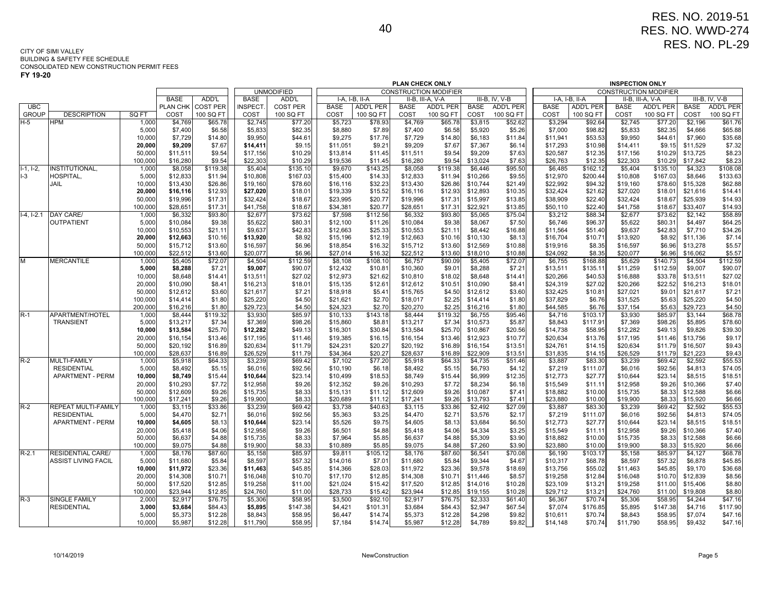**FY 19-20**

|                       |                         |                    |                      |                   |                      |                    |                                                                                      |                    | <b>PLAN CHECK ONLY</b> |                   |                      |                   |                      |                     | <b>INSPECTION ONLY</b> |                              |                      |                    |
|-----------------------|-------------------------|--------------------|----------------------|-------------------|----------------------|--------------------|--------------------------------------------------------------------------------------|--------------------|------------------------|-------------------|----------------------|-------------------|----------------------|---------------------|------------------------|------------------------------|----------------------|--------------------|
|                       |                         |                    |                      |                   |                      | <b>UNMODIFIED</b>  | <b>CONSTRUCTION MODIFIER</b><br>I-A, I-B, II-A<br>II-B, III-A, V-A<br>III-B, IV, V-B |                    |                        |                   |                      |                   |                      |                     |                        | <b>CONSTRUCTION MODIFIER</b> |                      |                    |
|                       |                         |                    | <b>BASE</b>          | ADD'L             | <b>BASE</b>          | ADD'L              |                                                                                      |                    |                        |                   |                      |                   |                      | I-A, I-B, II-A      |                        | II-B, III-A, V-A             |                      | III-B, IV, V-B     |
| UBC                   |                         |                    | PLAN CHK             | <b>COST PER</b>   | <b>INSPECT</b>       | <b>COST PER</b>    | <b>BASE</b>                                                                          | <b>ADD'L PER</b>   | <b>BASE</b>            | <b>ADD'L PER</b>  | <b>BASE</b>          | ADD'L PER         | <b>BASE</b>          | <b>ADD'L PER</b>    | <b>BASE</b>            | <b>ADD'L PER</b>             | <b>BASE</b>          | <b>ADD'L PER</b>   |
| <b>GROUP</b><br>$H-5$ | <b>DESCRIPTION</b>      | SQ FT              | COST                 | 100 SQ FT         | COST                 | 100 SQ FT          | COST                                                                                 | 100 SQ FT          | COST                   | 100 SQ FT         | COST                 | 100 SQ FT         | COST                 | 100 SQ FT           | COST                   | 100 SQ FT                    | COST                 | 100 SQ FT          |
|                       | HPM                     | 1,000<br>5,000     | \$4,769<br>\$7,400   | \$65.78<br>\$6.58 | \$2,745              | \$77.20<br>\$82.35 | \$5,723                                                                              | \$78.93            | \$4,769<br>\$7,400     | \$65.78<br>\$6.58 | \$3,815<br>\$5,920   | \$52.62           | \$3,294<br>\$7,000   | \$92.64<br>\$98.82  | \$2,745                | \$77.20<br>\$82.35           | \$2,196<br>\$4,666   | \$61.76            |
|                       |                         | 10,000             | \$7,729              | \$14.80           | \$5,833<br>\$9,950   | \$44.61            | \$8,880<br>\$9,275                                                                   | \$7.89<br>\$17.76  | \$7,729                | \$14.80           | \$6,183              | \$5.26<br>\$11.84 | \$11,941             | \$53.53             | \$5,833<br>\$9,950     | \$44.61                      | \$7,960              | \$65.88<br>\$35.68 |
|                       |                         | 20,000             | \$9,209              | \$7.67            | \$14,411             | \$9.15             | \$11,051                                                                             | \$9.21             | \$9,209                | \$7.67            | \$7,367              | \$6.14            | \$17,293             | \$10.98             | \$14,411               | \$9.15                       | \$11,529             | \$7.32             |
|                       |                         | 50,000             | \$11,511             | \$9.54            | \$17,156             | \$10.29            | \$13,814                                                                             | \$11.45            | \$11,511               | \$9.54            | \$9,209              | \$7.63            | \$20,587             | \$12.35             | \$17,156               | \$10.29                      | \$13,725             | \$8.23             |
|                       |                         | 100,000            | \$16,280             | \$9.54            | \$22,303             | \$10.29            | \$19,536                                                                             | \$11.45            | \$16,280               | \$9.54            | \$13,024             | \$7.63            | \$26,763             | \$12.35             | \$22,303               | \$10.29                      | \$17,842             | \$8.23             |
| $1-1, 1-2,$           | NSTITUTIONAL            | 1,000              | \$8,058              | \$119.38          | \$5,404              | \$135.10           | \$9,670                                                                              | \$143.25           | \$8,058                | \$119.38          | \$6,446              | \$95.50           | \$6,485              | \$162.12            | \$5,404                | \$135.10                     | \$4,323              | \$108.08           |
| $I-3$                 | HOSPITAL.               | 5,000              | \$12,833             | \$11.94           | \$10,808             | \$167.03           | \$15,400                                                                             | \$14.33            | \$12,833               | \$11.94           | \$10,266             | \$9.55            | \$12,970             | \$200.44            | \$10,808               | \$167.03                     | \$8,646              | \$133.63           |
|                       | <b>JAIL</b>             | 10,000             | \$13,430             | \$26.86           | \$19,160             | \$78.60            | \$16,116                                                                             | \$32.23            | \$13,430               | \$26.86           | \$10,744             | \$21.49           | \$22,992             | \$94.32             | \$19,160               | \$78.60                      | \$15,328             | \$62.88            |
|                       |                         | 20,000             | \$16,116             | \$12.93           | \$27,020             | \$18.01            | \$19,339                                                                             | \$15.52            | \$16,116               | \$12.93           | \$12,893             | \$10.35           | \$32,424             | \$21.62             | \$27,020               | \$18.01                      | \$21,616             | \$14.41            |
|                       |                         | 50,000             | \$19,996             | \$17.31           | \$32,424             | \$18.67            | \$23,995                                                                             | \$20.77            | \$19,996               | \$17.31           | \$15,997             | \$13.85           | \$38,909             | \$22.40             | \$32,424               | \$18.67                      | \$25,939             | \$14.93            |
|                       |                         | 100.000            | \$28,651             | \$17.31           | \$41,758             | \$18.67            | \$34,381                                                                             | \$20.77            | \$28,651               | \$17.31           | \$22,921             | \$13.85           | \$50,110             | \$22.40             | \$41,758               | \$18.67                      | \$33,407             | \$14.93            |
| $1-4$ , $1-2.1$       | DAY CARE/               | 1,000              | \$6,332              | \$93.80           | \$2,677              | \$73.62            | \$7,598                                                                              | \$112.56           | \$6,332                | \$93.80           | \$5,065              | \$75.04           | \$3,212              | \$88.34             | \$2,677                | \$73.62                      | \$2,142              | \$58.89            |
|                       | OUTPATIENT              | 5,000              | \$10.084             | \$9.38            | \$5,622              | \$80.31            | \$12,100                                                                             | \$11.26            | \$10,084               | \$9.38            | \$8,067              | \$7.50            | \$6,746              | \$96.37             | \$5,622                | \$80.31                      | \$4,497              | \$64.25            |
|                       |                         | 10,000             | \$10,553             | \$21.11           | \$9,637              | \$42.83            | \$12,663                                                                             | \$25.33            | \$10,553               | \$21.11           | \$8,442              | \$16.88           | \$11,564             | \$51.40             | \$9,637                | \$42.83                      | \$7,710              | \$34.26            |
|                       |                         | 20,000             | \$12,663             | \$10.16           | \$13,920             | \$8.92             | \$15,196                                                                             | \$12.19            | \$12,663               | \$10.16           | \$10,130             | \$8.13            | \$16,704             | \$10.71             | \$13,920               | \$8.92                       | \$11,136             | \$7.14             |
|                       |                         | 50,000             | \$15,712             | \$13.60           | \$16,597             | \$6.96             | \$18,854                                                                             | \$16.32            | \$15,712               | \$13.60           | \$12,569             | \$10.88           | \$19,916             | \$8.35              | \$16,597               | \$6.96                       | \$13,278             | \$5.57             |
|                       |                         | 100,000            | \$22,512             | \$13.60           | \$20,077             | \$6.96             | \$27,014                                                                             | \$16.32            | \$22,512               | \$13.60           | \$18,010             | \$10.88           | \$24,092             | \$8.35              | \$20,077               | \$6.96                       | \$16,062             | \$5.57             |
| M                     | <b>MERCANTILE</b>       | 1,000              | \$5,405              | \$72.07           | \$4,504              | \$112.59           | \$8,108                                                                              | \$108.10           | \$6,757                | \$90.09           | \$5,405              | \$72.07           | \$6,755              | \$168.88            | \$5,629                | \$140.73                     | \$4,504              | \$112.59           |
|                       |                         | 5,000              | \$8,288              | \$7.21            | \$9,007              | \$90.07            | \$12,432                                                                             | \$10.81            | \$10,360               | \$9.01            | \$8,288              | \$7.21            | \$13,511             | \$135.11            | \$11,259               | \$112.59                     | \$9,007              | \$90.07            |
|                       |                         | 10,000             | \$8,648              | \$14.41           | \$13,511             | \$27.02            | \$12,973                                                                             | \$21.62            | \$10,810               | \$18.02           | \$8,648              | \$14.41           | \$20,266             | \$40.53             | \$16,888               | \$33.78                      | \$13,511             | \$27.02            |
|                       |                         | 20,000             | \$10,090             | \$8.41            | \$16,213             | \$18.01            | \$15,135                                                                             | \$12.61            | \$12,612               | \$10.51           | \$10,090             | \$8.41            | \$24,319             | \$27.02             | \$20,266               | \$22.52                      | \$16,213             | \$18.01            |
|                       |                         | 50,000             | \$12,612             | \$3.60            | \$21,617             | \$7.21             | \$18,918                                                                             | \$5.41             | \$15,765               | \$4.50            | \$12,612             | \$3.60            | \$32,425             | \$10.81             | \$27,021               | \$9.01                       | \$21,617             | \$7.21             |
|                       |                         | 100,000<br>200,000 | \$14,414<br>\$16,216 | \$1.80<br>\$1.80  | \$25,220<br>\$29,723 | \$4.50<br>\$4.50   | \$21,621<br>\$24,323                                                                 | \$2.70<br>\$2.70   | \$18,017<br>\$20,270   | \$2.25<br>\$2.25  | \$14,414<br>\$16,216 | \$1.80<br>\$1.80  | \$37,829<br>\$44,585 | \$6.76<br>\$6.76    | \$31,525<br>\$37,154   | \$5.63<br>\$5.63             | \$25,220<br>\$29,723 | \$4.50<br>\$4.50   |
| $R-1$                 | APARTMENT/HOTEL         | 1,000              | \$8.444              | \$119.32          | \$3,930              | \$85.97            | \$10,133                                                                             | \$143.18           | \$8,444                | \$119.32          | \$6,755              | \$95.46           | \$4,716              | \$103.17            | \$3,930                | \$85.97                      | \$3,144              | \$68.78            |
|                       | <b>TRANSIENT</b>        | 5,000              | \$13,217             | \$7.34            | \$7,369              | \$98.26            | \$15,860                                                                             | \$8.81             | \$13,217               | \$7.34            | \$10,573             | \$5.87            | \$8,843              | \$117.91            | \$7,369                | \$98.26                      | \$5,895              | \$78.60            |
|                       |                         | 10,000             | \$13,584             | \$25.70           | \$12,282             | \$49.13            | \$16,301                                                                             | \$30.84            | \$13,584               | \$25.70           | \$10,867             | \$20.56           | \$14,738             | \$58.95             | \$12,282               | \$49.13                      | \$9,826              | \$39.30            |
|                       |                         | 20,000             | \$16,154             | \$13.46           | \$17,195             | \$11.46            | \$19,385                                                                             | \$16.15            | \$16,154               | \$13.46           | \$12,923             | \$10.77           | \$20,634             | \$13.76             | \$17,195               | \$11.46                      | \$13,756             | \$9.17             |
|                       |                         | 50,000             | \$20,192             | \$16.89           | \$20,634             | \$11.79            | \$24,231                                                                             | \$20.27            | \$20,192               | \$16.89           | \$16,154             | \$13.51           | \$24,761             | \$14.15             | \$20,634               | \$11.79                      | \$16,507             | \$9.43             |
|                       |                         | 100,000            | \$28,637             | \$16.89           | \$26,529             | \$11.79            | \$34,364                                                                             | \$20.27            | \$28,637               | \$16.89           | \$22,909             | \$13.51           | \$31,835             | \$14.15             | \$26,529               | \$11.79                      | \$21,223             | \$9.43             |
| R-2                   | <b>MULTI-FAMILY</b>     | 1,000              | \$5,918              | \$64.33           | \$3,239              | \$69.42            | \$7,102                                                                              | \$77.20            | \$5,918                | \$64.33           | \$4,735              | \$51.46           | \$3,887              | \$83.30             | \$3,239                | \$69.42                      | \$2,592              | \$55.53            |
|                       | <b>RESIDENTIAL</b>      | 5,000              | \$8,492              | \$5.15            | \$6,016              | \$92.56            | \$10,190                                                                             | \$6.18             | \$8,492                | \$5.15            | \$6,793              | \$4.12            | \$7,219              | \$111.07            | \$6,016                | \$92.56                      | \$4,813              | \$74.05            |
|                       | <b>APARTMENT - PERM</b> | 10,000             | \$8.749              | \$15.44           | \$10,644             | \$23.14            | \$10,499                                                                             | \$18.53            | \$8,749                | \$15.44           | \$6,999              | \$12.35           | \$12,773             | \$27.77             | \$10,644               | \$23.14                      | \$8,515              | \$18.51            |
|                       |                         | 20,000             | \$10,293             | \$7.72            | \$12,958             | \$9.26             | \$12,352                                                                             | \$9.26             | \$10,293               | \$7.72            | \$8,234              | \$6.18            | \$15,549             | \$11.11             | \$12,958               | \$9.26                       | \$10,366             | \$7.40             |
|                       |                         | 50,000             | \$12,609             | \$9.26            | \$15,735             | \$8.33             | \$15,131                                                                             | \$11.12            | \$12,609               | \$9.26            | \$10,087             | \$7.41            | \$18,882             | \$10.00             | \$15,735               | \$8.33                       | \$12,588             | \$6.66             |
|                       |                         | 100,000            | \$17,241             | \$9.26            | \$19,900             | \$8.33             | \$20,689                                                                             | \$11.12            | \$17,241               | \$9.26            | \$13,793             | \$7.41            | \$23,880             | \$10.00             | \$19,900               | \$8.33                       | \$15,920             | \$6.66             |
| $R-2$                 | REPEAT MULTI-FAMILY     | 1,000              | \$3,115              | \$33.86           | \$3,239              | \$69.42            | \$3,738                                                                              | \$40.63            | \$3,115                | \$33.86           | \$2,492              | \$27.09           | \$3,887              | \$83.30             | \$3,239                | \$69.42                      | \$2,592              | \$55.53            |
|                       | <b>RESIDENTIAL</b>      | 5,000              | \$4,470              | \$2.71            | \$6,016              | \$92.56            | \$5,363                                                                              | \$3.25             | \$4,470                | \$2.71            | \$3,576              | \$2.17            | \$7,219              | \$111.07            | \$6,016                | \$92.56                      | \$4,813              | \$74.05            |
|                       | <b>APARTMENT - PERM</b> | 10,000             | \$4,605              | \$8.13            | \$10,644             | \$23.14            | \$5,526                                                                              | \$9.75             | \$4,605                | \$8.13            | \$3,684              | \$6.50            | \$12,773             | \$27.77             | \$10,644               | \$23.14                      | \$8,515              | \$18.51            |
|                       |                         | 20,000             | \$5,418              | \$4.06            | \$12,958             | \$9.26             | \$6,501                                                                              | \$4.88             | \$5,418                | \$4.06            | \$4,334              | \$3.25            | \$15,549             | \$11.11             | \$12,958               | \$9.26                       | \$10,366             | \$7.40             |
|                       |                         | 50,000             | \$6,637              | \$4.88            | \$15,735             | \$8.33             | \$7,964                                                                              | \$5.85             | \$6,637                | \$4.88            | \$5,309              | \$3.90            | \$18,882             | \$10.00             | \$15,735               | \$8.33                       | \$12,588             | \$6.66             |
| $R-2.1$               | RESIDENTIAL CARE/       | 100,000<br>1,000   | \$9.075<br>\$8,176   | \$4.88            | \$19,900             | \$8.33             | \$10,889<br>\$9,811                                                                  | \$5.85             | \$9,075<br>\$8,176     | \$4.88<br>\$87.60 | \$7,260              | \$3.90            | \$23,880<br>\$6,190  | \$10.00             | \$19,900<br>\$5,158    | \$8.33<br>\$85.97            | \$15,920             | \$6.66             |
|                       | ASSIST LIVING FACIL     | 5,000              | \$11,680             | \$87.60<br>\$5.84 | \$5,158<br>\$8,597   | \$85.97<br>\$57.32 | \$14,016                                                                             | \$105.12<br>\$7.01 | \$11,680               | \$5.84            | \$6,541<br>\$9,344   | \$70.08<br>\$4.67 | \$10,317             | \$103.17<br>\$68.78 | \$8,597                | \$57.32                      | \$4,127<br>\$6,878   | \$68.78<br>\$45.85 |
|                       |                         | 10,000             | \$11,972             | \$23.36           | \$11,463             | \$45.85            | \$14,366                                                                             | \$28.03            | \$11,972               | \$23.36           | \$9,578              | \$18.69           | \$13,756             | \$55.02             | \$11,463               | \$45.85                      | \$9,170              | \$36.68            |
|                       |                         | 20,000             | \$14,308             | \$10.71           | \$16,048             | \$10.70            | \$17,170                                                                             | \$12.85            | \$14,308               | \$10.71           | \$11,446             | \$8.57            | \$19,258             | \$12.84             | \$16,048               | \$10.70                      | \$12,839             | \$8.56             |
|                       |                         | 50,000             | \$17,520             | \$12.85           | \$19,258             | \$11.00            | \$21,024                                                                             | \$15.42            | \$17,520               | \$12.85           | \$14,016             | \$10.28           | \$23,109             | \$13.21             | \$19,258               | \$11.00                      | \$15,406             | \$8.80             |
|                       |                         | 100.000            | \$23.944             | \$12.85           | \$24,760             | \$11.00            | \$28,733                                                                             | \$15.42            | \$23.944               | \$12.85           | \$19,155             | \$10.28           | \$29,712             | \$13.21             | \$24,760               | \$11.00                      | \$19,808             | \$8.80             |
| $R-3$                 | <b>SINGLE FAMILY</b>    | 2,000              | \$2,917              | \$76.75           | \$5,306              | \$58.95            | \$3,500                                                                              | \$92.10            | \$2,917                | \$76.75           | \$2,333              | \$61.40           | \$6,367              | \$70.74             | \$5,306                | \$58.95                      | \$4,244              | \$47.16            |
|                       | <b>RESIDENTIAL</b>      | 3,000              | \$3,684              | \$84.43           | \$5,895              | \$147.38           | \$4,421                                                                              | \$101.31           | \$3,684                | \$84.43           | \$2,947              | \$67.54           | \$7,074              | \$176.85            | \$5,895                | \$147.38                     | \$4,716              | \$117.90           |
|                       |                         | 5,000              | \$5,373              | \$12.28           | \$8,843              | \$58.95            | \$6,447                                                                              | \$14.74            | \$5,373                | \$12.28           | \$4,298              | \$9.82            | \$10,611             | \$70.74             | \$8,843                | \$58.95                      | \$7,074              | \$47.16            |
|                       |                         | 10,000             | \$5,987              | \$12.28           | \$11,790             | \$58.95            | \$7,184                                                                              | \$14.74            | \$5,987                | \$12.28           | \$4,789              | \$9.82            | \$14,148             | \$70.74             | \$11,790               | \$58.95                      | \$9,432              | \$47.16            |
|                       |                         |                    |                      |                   |                      |                    |                                                                                      |                    |                        |                   |                      |                   |                      |                     |                        |                              |                      |                    |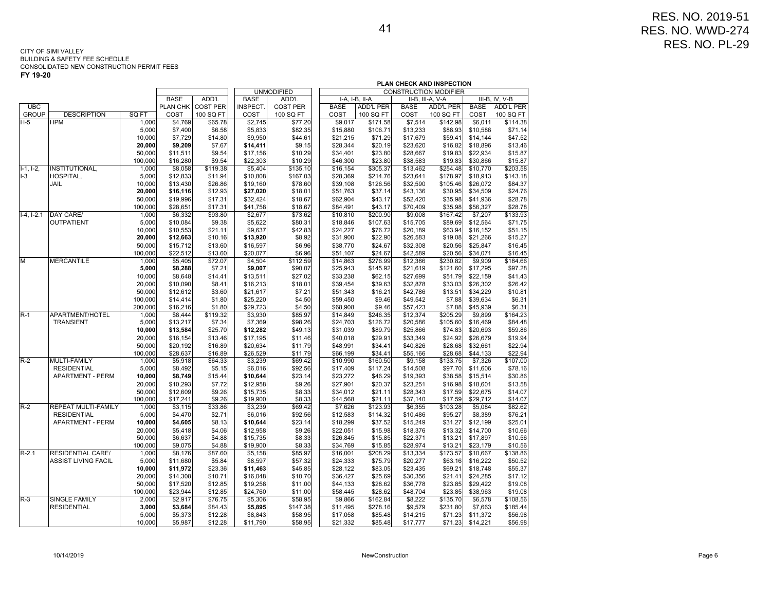|              |                            |         |             |                 |             |                   | PLAN CHECK AND INSPECTION |                |                  |             |                              |             |                  |
|--------------|----------------------------|---------|-------------|-----------------|-------------|-------------------|---------------------------|----------------|------------------|-------------|------------------------------|-------------|------------------|
|              |                            |         |             |                 |             | <b>UNMODIFIED</b> |                           |                |                  |             | <b>CONSTRUCTION MODIFIER</b> |             |                  |
|              |                            |         | <b>BASE</b> | ADD'L           | <b>BASE</b> | ADD'L             |                           | I-A, I-B, II-A |                  |             | II-B, III-A, V-A             |             | III-B, IV, V-B   |
| UBC          |                            |         | PLAN CHK    | <b>COST PER</b> | INSPECT.    | <b>COST PER</b>   |                           | <b>BASE</b>    | <b>ADD'L PER</b> | <b>BASE</b> | <b>ADD'L PER</b>             | <b>BASE</b> | <b>ADD'L PER</b> |
| <b>GROUP</b> | <b>DESCRIPTION</b>         | SQ FT   | COST        | 100 SQ FT       | COST        | 100 SQ FT         |                           | COST           | 100 SQ FT        | COST        | 100 SQ FT                    | COST        | 100 SQ FT        |
| $H-5$        | <b>HPM</b>                 | 1,000   | \$4,769     | \$65.78         | \$2,745     | \$77.20           |                           | \$9,017        | \$171.58         | \$7,514     | \$142.98                     | \$6,011     | \$114.38         |
|              |                            | 5,000   | \$7,400     | \$6.58          | \$5,833     | \$82.35           |                           | \$15,880       | \$106.71         | \$13,233    | \$88.93                      | \$10,586    | \$71.14          |
|              |                            | 10,000  | \$7,729     | \$14.80         | \$9,950     | \$44.61           |                           | \$21,215       | \$71.29          | \$17,679    | \$59.41                      | \$14,144    | \$47.52          |
|              |                            | 20,000  | \$9,209     | \$7.67          | \$14,411    | \$9.15            |                           | \$28,344       | \$20.19          | \$23,620    | \$16.82                      | \$18,896    | \$13.46          |
|              |                            | 50,000  | \$11,511    | \$9.54          | \$17,156    | \$10.29           |                           | \$34,401       | \$23.80          | \$28,667    | \$19.83                      | \$22,934    | \$15.87          |
|              |                            | 100,000 | \$16,280    | \$9.54          | \$22,303    | \$10.29           |                           | \$46,300       | \$23.80          | \$38,583    | \$19.83                      | \$30,866    | \$15.87          |
| $I-1, I-2,$  | INSTITUTIONAL,             | 1,000   | \$8,058     | \$119.38        | \$5,404     | \$135.10          |                           | \$16,154       | \$305.37         | \$13,462    | \$254.48                     | \$10,770    | \$203.58         |
| $I-3$        | HOSPITAL,                  | 5,000   | \$12,833    | \$11.94         | \$10,808    | \$167.03          |                           | \$28,369       | \$214.76         | \$23,641    | \$178.97                     | \$18,913    | \$143.18         |
|              | JAIL                       | 10,000  | \$13,430    | \$26.86         | \$19,160    | \$78.60           |                           | \$39,108       | \$126.56         | \$32,590    | \$105.46                     | \$26,072    | \$84.37          |
|              |                            | 20,000  | \$16,116    | \$12.93         | \$27,020    | \$18.01           |                           | \$51,763       | \$37.14          | \$43,136    | \$30.95                      | \$34,509    | \$24.76          |
|              |                            | 50,000  | \$19,996    | \$17.31         | \$32,424    | \$18.67           |                           | \$62,904       | \$43.17          | \$52,420    | \$35.98                      | \$41,936    | \$28.78          |
|              |                            | 100,000 | \$28,651    | \$17.31         | \$41,758    | \$18.67           |                           | \$84,491       | \$43.17          | \$70,409    | \$35.98                      | \$56,327    | \$28.78          |
| $I-4, I-2.1$ | DAY CARE/                  | 1,000   | \$6,332     | \$93.80         | \$2,677     | \$73.62           |                           | \$10,810       | \$200.90         | \$9,008     | \$167.42                     | \$7,207     | \$133.93         |
|              | <b>OUTPATIENT</b>          | 5,000   | \$10,084    | \$9.38          | \$5,622     | \$80.31           |                           | \$18,846       | \$107.63         | \$15,705    | \$89.69                      | \$12,564    | \$71.75          |
|              |                            | 10,000  | \$10,553    | \$21.11         | \$9,637     | \$42.83           |                           | \$24,227       | \$76.72          | \$20,189    | \$63.94                      | \$16,152    | \$51.15          |
|              |                            | 20,000  | \$12,663    | \$10.16         | \$13,920    | \$8.92            |                           | \$31,900       | \$22.90          | \$26,583    | \$19.08                      | \$21,266    | \$15.27          |
|              |                            | 50,000  | \$15,712    | \$13.60         | \$16,597    | \$6.96            |                           | \$38,770       | \$24.67          | \$32,308    | \$20.56                      | \$25,847    | \$16.45          |
|              |                            | 100,000 | \$22,512    | \$13.60         | \$20,077    | \$6.96            |                           | \$51,107       | \$24.67          | \$42,589    | \$20.56                      | \$34,071    | \$16.45          |
| M            | <b>MERCANTILE</b>          | 1,000   | \$5,405     | \$72.07         | \$4,504     | \$112.59          |                           | \$14,863       | \$276.99         | \$12,386    | \$230.82                     | \$9,909     | \$184.66         |
|              |                            | 5,000   | \$8,288     | \$7.21          | \$9,007     | \$90.07           |                           | \$25,943       | \$145.92         | \$21,619    | \$121.60                     | \$17,295    | \$97.28          |
|              |                            | 10,000  | \$8,648     | \$14.41         | \$13,511    | \$27.02           |                           | \$33,238       | \$62.15          | \$27,699    | \$51.79                      | \$22,159    | \$41.43          |
|              |                            | 20,000  | \$10,090    | \$8.41          | \$16,213    | \$18.01           |                           | \$39,454       | \$39.63          | \$32,878    | \$33.03                      | \$26,302    | \$26.42          |
|              |                            | 50,000  | \$12,612    | \$3.60          | \$21,617    | \$7.21            |                           | \$51,343       | \$16.21          | \$42,786    | \$13.51                      | \$34,229    | \$10.81          |
|              |                            | 100,000 | \$14,414    | \$1.80          | \$25,220    | \$4.50            |                           | \$59,450       | \$9.46           | \$49,542    | \$7.88                       | \$39,634    | \$6.31           |
|              |                            | 200,000 | \$16,216    | \$1.80          | \$29,723    | \$4.50            |                           | \$68,908       | \$9.46           | \$57,423    | \$7.88                       | \$45,939    | \$6.31           |
| $R-1$        | APARTMENT/HOTEL            | 1,000   | \$8,444     | \$119.32        | \$3,930     | \$85.97           |                           | \$14,849       | \$246.35         | \$12,374    | \$205.29                     | \$9,899     | \$164.23         |
|              | <b>TRANSIENT</b>           | 5,000   | \$13,217    | \$7.34          | \$7,369     | \$98.26           |                           | \$24,703       | \$126.72         | \$20,586    | \$105.60                     | \$16,469    | \$84.48          |
|              |                            | 10,000  | \$13,584    | \$25.70         | \$12,282    | \$49.13           |                           | \$31,039       | \$89.79          | \$25,866    | \$74.83                      | \$20,693    | \$59.86          |
|              |                            | 20,000  | \$16,154    | \$13.46         | \$17,195    | \$11.46           |                           | \$40,018       | \$29.91          | \$33,349    | \$24.92                      | \$26,679    | \$19.94          |
|              |                            | 50,000  | \$20,192    | \$16.89         | \$20,634    | \$11.79           |                           | \$48,991       | \$34.41          | \$40,826    | \$28.68                      | \$32,661    | \$22.94          |
|              |                            | 100,000 | \$28,637    | \$16.89         | \$26,529    | \$11.79           |                           | \$66,199       | \$34.41          | \$55,166    | \$28.68                      | \$44,133    | \$22.94          |
| $R-2$        | MULTI-FAMILY               | 1,000   | \$5,918     | \$64.33         | \$3,239     | \$69.42           |                           | \$10,990       | \$160.50         | \$9,158     | \$133.75                     | \$7,326     | \$107.00         |
|              | <b>RESIDENTIAL</b>         | 5,000   | \$8,492     | \$5.15          | \$6,016     | \$92.56           |                           | \$17,409       | \$117.24         | \$14,508    | \$97.70                      | \$11,606    | \$78.16          |
|              | <b>APARTMENT - PERM</b>    | 10,000  | \$8,749     | \$15.44         | \$10,644    | \$23.14           |                           | \$23,272       | \$46.29          | \$19,393    | \$38.58                      | \$15,514    | \$30.86          |
|              |                            | 20,000  | \$10,293    | \$7.72          | \$12,958    | \$9.26            |                           | \$27,901       | \$20.37          | \$23,251    | \$16.98                      | \$18,601    | \$13.58          |
|              |                            | 50,000  | \$12,609    | \$9.26          | \$15,735    | \$8.33            |                           | \$34,012       | \$21.11          | \$28,343    | \$17.59                      | \$22,675    | \$14.07          |
|              |                            | 100,000 | \$17,241    | \$9.26          | \$19,900    | \$8.33            |                           | \$44,568       | \$21.11          | \$37,140    | \$17.59                      | \$29,712    | \$14.07          |
| $R-2$        | REPEAT MULTI-FAMILY        | 1,000   | \$3,115     | \$33.86         | \$3,239     | \$69.42           |                           | \$7,626        | \$123.93         | \$6,355     | \$103.28                     | \$5,084     | \$82.62          |
|              | <b>RESIDENTIAL</b>         | 5,000   | \$4,470     | \$2.71          | \$6,016     | \$92.56           |                           | \$12,583       | \$114.32         | \$10,486    | \$95.27                      | \$8,389     | \$76.21          |
|              | <b>APARTMENT - PERM</b>    | 10,000  | \$4,605     | \$8.13          | \$10,644    | \$23.14           |                           | \$18,299       | \$37.52          | \$15,249    | \$31.27                      | \$12,199    | \$25.01          |
|              |                            | 20,000  | \$5,418     | \$4.06          | \$12,958    | \$9.26            |                           | \$22,051       | \$15.98          | \$18,376    | \$13.32                      | \$14,700    | \$10.66          |
|              |                            | 50,000  | \$6,637     | \$4.88          | \$15,735    | \$8.33            |                           | \$26,845       | \$15.85          | \$22,371    | \$13.21                      | \$17,897    | \$10.56          |
|              |                            | 100,000 | \$9,075     | \$4.88          | \$19,900    | \$8.33            |                           | \$34,769       | \$15.85          | \$28,974    | \$13.21                      | \$23,179    | \$10.56          |
| $R-2.1$      | <b>RESIDENTIAL CARE/</b>   | 1,000   | \$8,176     | \$87.60         | \$5,158     | \$85.97           |                           | \$16,001       | \$208.29         | \$13,334    | \$173.57                     | \$10,667    | \$138.86         |
|              | <b>ASSIST LIVING FACIL</b> | 5,000   | \$11,680    | \$5.84          | \$8,597     | \$57.32           |                           | \$24,333       | \$75.79          | \$20,277    | \$63.16                      | \$16,222    | \$50.52          |
|              |                            | 10,000  | \$11,972    | \$23.36         | \$11,463    | \$45.85           |                           | \$28,122       | \$83.05          | \$23,435    | \$69.21                      | \$18,748    | \$55.37          |
|              |                            | 20,000  | \$14,308    | \$10.71         | \$16,048    | \$10.70           |                           | \$36,427       | \$25.69          | \$30,356    | \$21.41                      | \$24,285    | \$17.12          |
|              |                            | 50,000  | \$17,520    | \$12.85         | \$19,258    | \$11.00           |                           | \$44,133       | \$28.62          | \$36,778    | \$23.85                      | \$29,422    | \$19.08          |
|              |                            | 100,000 | \$23,944    | \$12.85         | \$24,760    | \$11.00           |                           | \$58,445       | \$28.62          | \$48,704    | \$23.85                      | \$38,963    | \$19.08          |
| $R-3$        | <b>SINGLE FAMILY</b>       | 2,000   | \$2,917     | \$76.75         | \$5,306     | \$58.95           |                           | \$9,866        | \$162.84         | \$8,222     | \$135.70                     | \$6,578     | \$108.56         |
|              | <b>RESIDENTIAL</b>         | 3,000   | \$3,684     | \$84.43         | \$5,895     | \$147.38          |                           | \$11,495       | \$278.16         | \$9,579     | \$231.80                     | \$7,663     | \$185.44         |
|              |                            | 5,000   | \$5,373     | \$12.28         | \$8,843     | \$58.95           |                           | \$17,058       | \$85.48          | \$14,215    | \$71.23                      | \$11,372    | \$56.98          |
|              |                            | 10,000  | \$5,987     | \$12.28         | \$11,790    | \$58.95           |                           | \$21,332       | \$85.48          | \$17,777    | \$71.23                      | \$14,221    | \$56.98          |
|              |                            |         |             |                 |             |                   |                           |                |                  |             |                              |             |                  |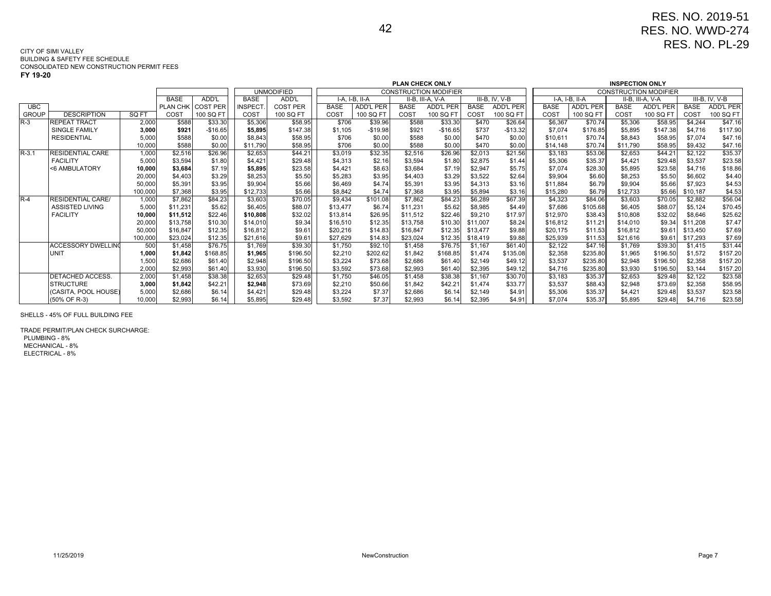#### 42

#### CITY OF SIMI VALLEY BUILDING & SAFETY FEE SCHEDULECONSOLIDATED NEW CONSTRUCTION PERMIT FEES

**FY 19-20**

| - - - - - -  |                           |         |             |                   |                                                                             |                 |             |                  |             |                  |             |                  |             |                  |                        |                              |             |                |
|--------------|---------------------------|---------|-------------|-------------------|-----------------------------------------------------------------------------|-----------------|-------------|------------------|-------------|------------------|-------------|------------------|-------------|------------------|------------------------|------------------------------|-------------|----------------|
|              |                           |         |             |                   | <b>PLAN CHECK ONLY</b><br><b>UNMODIFIED</b><br><b>CONSTRUCTION MODIFIER</b> |                 |             |                  |             |                  |             |                  |             |                  | <b>INSPECTION ONLY</b> |                              |             |                |
|              |                           |         |             |                   |                                                                             |                 |             |                  |             |                  |             |                  |             |                  |                        | <b>CONSTRUCTION MODIFIER</b> |             |                |
|              |                           |         | <b>BASE</b> | ADD'L             | <b>BASE</b>                                                                 | ADD'L           |             | I-A. I-B. II-A   |             | II-B, III-A, V-A |             | III-B, IV, V-B   |             | I-A, I-B, II-A   |                        | II-B, III-A, V-A             |             | III-B, IV, V-B |
| <b>UBC</b>   |                           |         |             | PLAN CHK COST PER | <b>INSPECT</b>                                                              | <b>COST PER</b> | <b>BASE</b> | <b>ADD'L PER</b> | <b>BASE</b> | <b>ADD'L PER</b> | <b>BASE</b> | <b>ADD'L PER</b> | <b>BASE</b> | <b>ADD'L PER</b> | <b>BASE</b>            | <b>ADD'L PER</b>             | <b>BASE</b> | ADD'L PER      |
| <b>GROUP</b> | <b>DESCRIPTION</b>        | SQ FT   | COST        | 100 SQ FT         | COST                                                                        | 100 SQ FT       | COST        | 100 SQ FT        | COST        | 100 SQ FT        | COST        | 100 SQ FT        | COST        | 100 SQ FT        | COST                   | 100 SQ FT                    | COST        | 100 SQ FT      |
| $R-3$        | <b>REPEAT TRACT</b>       | 2,000   | \$588       | \$33.30           | \$5,306                                                                     | \$58.95         | \$706       | \$39.96          | \$588       | \$33.30          | \$470       | \$26.64          | \$6,367     | \$70.74          | \$5,306                | \$58.95                      | \$4,244     | \$47.16        |
|              | SINGLE FAMILY             | 3,000   | \$921       | $-$16.65$         | \$5,895                                                                     | \$147.38        | \$1,105     | $-$19.98$        | \$921       | $-$16.65$        | \$737       | $-$13.32$        | \$7,074     | \$176.85         | \$5,895                | \$147.38                     | \$4,716     | \$117.90       |
|              | <b>RESIDENTIAL</b>        | 5,000   | \$588       | \$0.00            | \$8,843                                                                     | \$58.95         | \$706       | \$0.00           | \$588       | \$0.00           | \$470       | \$0.00           | \$10.611    | \$70.74          | \$8,843                | \$58.95                      | \$7.074     | \$47.16        |
|              |                           | 10,000  | \$588       | \$0.00            | \$11.790                                                                    | \$58.95         | \$706       | \$0.00           | \$588       | \$0.00           | \$470       | \$0.00           | \$14,148    | \$70.74          | \$11,790               | \$58.95                      | \$9,432     | \$47.16        |
| $R - 3.1$    | <b>RESIDENTIAL CARE</b>   | 1,000   | \$2,516     | \$26.96           | \$2,653                                                                     | \$44.21         | \$3,019     | \$32.35          | \$2,516     | \$26.96          | \$2,013     | \$21.56          | \$3,183     | \$53.06          | \$2,653                | \$44.21                      | \$2,122     | \$35.37        |
|              | <b>FACILITY</b>           | 5,000   | \$3,594     | \$1.80            | \$4,421                                                                     | \$29.48         | \$4,313     | \$2.16           | \$3,594     | \$1.80           | \$2,875     | \$1.44           | \$5,306     | \$35.37          | \$4,421                | \$29.48                      | \$3,537     | \$23.58        |
|              | <6 AMBULATORY             | 10,000  | \$3,684     | \$7.19            | \$5.895                                                                     | \$23.58         | \$4,421     | \$8.63           | \$3.684     | \$7.19           | \$2,947     | \$5.75           | \$7.074     | \$28.30          | \$5,895                | \$23.58                      | \$4,716     | \$18.86        |
|              |                           | 20,000  | \$4,403     | \$3.29            | \$8,253                                                                     | \$5.50          | \$5.283     | \$3.95           | \$4.403     | \$3.29           | \$3,522     | \$2.64           | \$9.904     | \$6.60           | \$8,253                | \$5.50                       | \$6,602     | \$4.40         |
|              |                           | 50,000  | \$5.391     | \$3.95            | \$9.904                                                                     | \$5.66          | \$6,469     | \$4.74           | \$5,391     | \$3.95           | \$4,313     | \$3.16           | \$11,884    | \$6.79           | \$9,904                | \$5.66                       | \$7.923     | \$4.53         |
|              |                           | 100,000 | \$7,368     | \$3.95            | \$12,733                                                                    | \$5.66          | \$8,842     | \$4.74           | \$7,368     | \$3.95           | \$5,894     | \$3.16           | \$15,280    | \$6.79           | \$12,733               | \$5.66                       | \$10,187    | \$4.53         |
| $R-4$        | <b>RESIDENTIAL CARE/</b>  | 1,000   | \$7,862     | \$84.23           | \$3,603                                                                     | \$70.05         | \$9,434     | \$101.08         | \$7,862     | \$84.23          | \$6,289     | \$67.39          | \$4,323     | \$84.06          | \$3,603                | \$70.05                      | \$2,882     | \$56.04        |
|              | <b>ASSISTED LIVING</b>    | 5,000   | \$11,231    | \$5.62            | \$6,405                                                                     | \$88.07         | \$13,477    | \$6.74           | \$11,231    | \$5.62           | \$8,985     | \$4.49           | \$7,686     | \$105.68         | \$6,405                | \$88.07                      | \$5,124     | \$70.45        |
|              | <b>FACILITY</b>           | 10,000  | \$11,512    | \$22.46           | \$10,808                                                                    | \$32.02         | \$13,814    | \$26.95          | \$11,512    | \$22.46          | \$9,210     | \$17.97          | \$12,970    | \$38.43          | \$10,808               | \$32.02                      | \$8,646     | \$25.62        |
|              |                           | 20,000  | \$13,758    | \$10.30           | \$14,010                                                                    | \$9.34          | \$16,510    | \$12.35          | \$13,758    | \$10.30          | \$11,007    | \$8.24           | \$16,812    | \$11.21          | \$14,010               | \$9.34                       | \$11,208    | \$7.47         |
|              |                           | 50,000  | \$16,847    | \$12.35           | \$16,812                                                                    | \$9.61          | \$20,216    | \$14.83          | \$16,847    | \$12.35          | \$13,477    | \$9.88           | \$20,175    | \$11.53          | \$16,812               | \$9.61                       | \$13,450    | \$7.69         |
|              |                           | 100,000 | \$23,024    | \$12.35           | \$21,616                                                                    | \$9.61          | \$27.629    | \$14.83          | \$23.024    | \$12.35          | \$18,419    | \$9.88           | \$25,939    | \$11.53          | \$21,616               | \$9.61                       | \$17,293    | \$7.69         |
|              | <b>ACCESSORY DWELLING</b> | 500     | \$1,458     | \$76.75           | \$1,769                                                                     | \$39.30         | \$1,750     | \$92.10          | \$1,458     | \$76.75          | \$1,167     | \$61.40          | \$2,122     | \$47.16          | \$1,769                | \$39.30                      | \$1,415     | \$31.44        |
|              | <b>UNIT</b>               | 1,000   | \$1.842     | \$168.85          | \$1,965                                                                     | \$196.50        | \$2,210     | \$202.62         | \$1,842     | \$168.85         | \$1,474     | \$135.08         | \$2,358     | \$235.80         | \$1,965                | \$196.50                     | \$1,572     | \$157.20       |
|              |                           | 1,500   | \$2,686     | \$61.40           | \$2,948                                                                     | \$196.50        | \$3,224     | \$73.68          | \$2,686     | \$61.40          | \$2,149     | \$49.12          | \$3,537     | \$235.80         | \$2,948                | \$196.50                     | \$2,358     | \$157.20       |
|              |                           | 2,000   | \$2,993     | \$61.40           | \$3,930                                                                     | \$196.50        | \$3,592     | \$73.68          | \$2,993     | \$61.40          | \$2,395     | \$49.12          | \$4,716     | \$235.80         | \$3,930                | \$196.50                     | \$3,144     | \$157.20       |
|              | DETACHED ACCESS.          | 2,000   | \$1,458     | \$38.38           | \$2,653                                                                     | \$29.48         | \$1,750     | \$46.05          | \$1,458     | \$38.38          | \$1,167     | \$30.70          | \$3,183     | \$35.37          | \$2,653                | \$29.48                      | \$2,122     | \$23.58        |
|              | <b>STRUCTURE</b>          | 3,000   | \$1,842     | \$42.21           | \$2,948                                                                     | \$73.69         | \$2,210     | \$50.66          | \$1,842     | \$42.21          | \$1,474     | \$33.77          | \$3,537     | \$88.43          | \$2,948                | \$73.69                      | \$2,358     | \$58.95        |
|              | (CASITA, POOL HOUSE)      | 5,000   | \$2,686     | \$6.14            | \$4,421                                                                     | \$29.48         | \$3,224     | \$7.37           | \$2,686     | \$6.14           | \$2,149     | \$4.91           | \$5,306     | \$35.37          | \$4,421                | \$29.48                      | \$3,537     | \$23.58        |
|              | (50% OF R-3)              | 10.000  | \$2,993     | \$6.14            | \$5.895                                                                     | \$29.48         | \$3,592     | \$7.37           | \$2.993     | \$6.14           | \$2,395     | \$4.91           | \$7,074     | \$35.37          | \$5,895                | \$29.48                      | \$4,716     | \$23.58        |

SHELLS - 45% OF FULL BUILDING FEE

TRADE PERMIT/PLAN CHECK SURCHARGE: PLUMBING - 8% MECHANICAL - 8%ELECTRICAL - 8%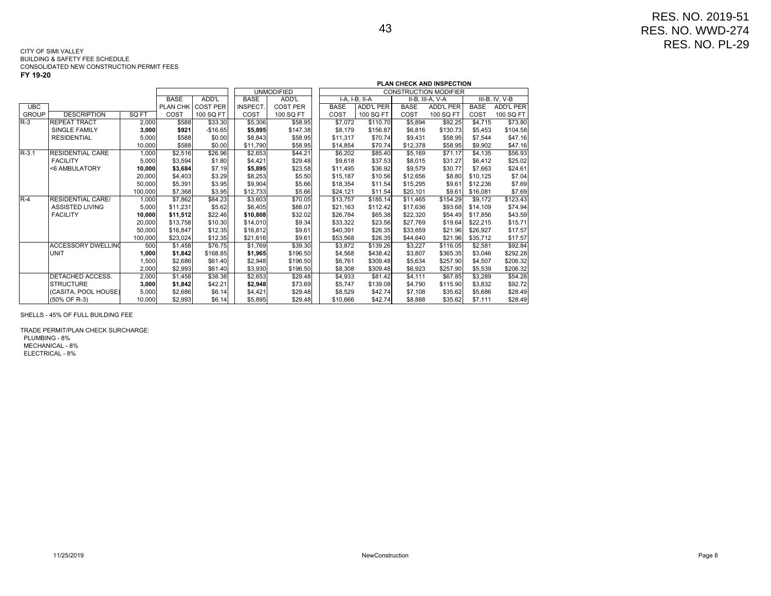|              |                           |         |             |                 |                |                   | <b>PLAN CHECK AND INSPECTION</b><br><b>CONSTRUCTION MODIFIER</b> |             |                |             |                  |             |                |  |
|--------------|---------------------------|---------|-------------|-----------------|----------------|-------------------|------------------------------------------------------------------|-------------|----------------|-------------|------------------|-------------|----------------|--|
|              |                           |         |             |                 |                | <b>UNMODIFIED</b> |                                                                  |             |                |             |                  |             |                |  |
|              |                           |         | <b>BASE</b> | ADD'L           | <b>BASE</b>    | ADD'L             |                                                                  |             | I-A. I-B. II-A |             | II-B. III-A. V-A |             | III-B. IV. V-B |  |
| <b>UBC</b>   |                           |         | PLAN CHK    | <b>COST PER</b> | <b>INSPECT</b> | <b>COST PER</b>   |                                                                  | <b>BASE</b> | ADD'L PER      | <b>BASE</b> | ADD'L PER        | <b>BASE</b> | ADD'L PER      |  |
| <b>GROUP</b> | <b>DESCRIPTION</b>        | SQ FT   | COST        | 100 SQ FT       | COST           | 100 SQ FT         |                                                                  | COST        | 100 SQ FT      | COST        | 100 SQ FT        | COST        | 100 SQ FT      |  |
| $R-3$        | <b>REPEAT TRACT</b>       | 2.000   | \$588       | \$33.30         | \$5,306        | \$58.95           |                                                                  | \$7,072     | \$110.70       | \$5,894     | \$92.25          | \$4,715     | \$73.80        |  |
|              | <b>SINGLE FAMILY</b>      | 3,000   | \$921       | $-$16.65$       | \$5,895        | \$147.38          |                                                                  | \$8,179     | \$156.87       | \$6,816     | \$130.73         | \$5,453     | \$104.58       |  |
|              | <b>RESIDENTIAL</b>        | 5,000   | \$588       | \$0.00          | \$8,843        | \$58.95           |                                                                  | \$11,317    | \$70.74        | \$9,431     | \$58.95          | \$7.544     | \$47.16        |  |
|              |                           | 10,000  | \$588       | \$0.00          | \$11,790       | \$58.95           |                                                                  | \$14,854    | \$70.74        | \$12,378    | \$58.95          | \$9,902     | \$47.16        |  |
| $R-3.1$      | <b>RESIDENTIAL CARE</b>   | 1,000   | \$2,516     | \$26.96         | \$2,653        | \$44.21           |                                                                  | \$6,202     | \$85.40        | \$5,169     | \$71.17          | \$4,135     | \$56.93        |  |
|              | <b>FACILITY</b>           | 5,000   | \$3,594     | \$1.80          | \$4,421        | \$29.48           |                                                                  | \$9,618     | \$37.53        | \$8,015     | \$31.27          | \$6,412     | \$25.02        |  |
|              | <6 AMBULATORY             | 10,000  | \$3,684     | \$7.19          | \$5,895        | \$23.58           |                                                                  | \$11,495    | \$36.92        | \$9,579     | \$30.77          | \$7,663     | \$24.61        |  |
|              |                           | 20,000  | \$4,403     | \$3.29          | \$8,253        | \$5.50            |                                                                  | \$15,187    | \$10.56        | \$12,656    | \$8.80           | \$10,125    | \$7.04         |  |
|              |                           | 50.000  | \$5,391     | \$3.95          | \$9,904        | \$5.66            |                                                                  | \$18,354    | \$11.54        | \$15,295    | \$9.61           | \$12,236    | \$7.69         |  |
|              |                           | 100,000 | \$7,368     | \$3.95          | \$12,733       | \$5.66            |                                                                  | \$24,121    | \$11.54        | \$20,101    | \$9.61           | \$16,081    | \$7.69         |  |
| $R-4$        | <b>RESIDENTIAL CARE/</b>  | 1,000   | \$7,862     | \$84.23         | \$3,603        | \$70.05           |                                                                  | \$13,757    | \$185.14       | \$11,465    | \$154.29         | \$9.172     | \$123.43       |  |
|              | <b>ASSISTED LIVING</b>    | 5,000   | \$11.231    | \$5.62          | \$6,405        | \$88.07           |                                                                  | \$21.163    | \$112.42       | \$17,636    | \$93.68          | \$14,109    | \$74.94        |  |
|              | <b>FACILITY</b>           | 10,000  | \$11,512    | \$22.46         | \$10,808       | \$32.02           |                                                                  | \$26,784    | \$65.38        | \$22,320    | \$54.49          | \$17,856    | \$43.59        |  |
|              |                           | 20,000  | \$13,758    | \$10.30         | \$14,010       | \$9.34            |                                                                  | \$33,322    | \$23.56        | \$27,769    | \$19.64          | \$22,215    | \$15.71        |  |
|              |                           | 50,000  | \$16.847    | \$12.35         | \$16,812       | \$9.61            |                                                                  | \$40,391    | \$26.35        | \$33,659    | \$21.96          | \$26,927    | \$17.57        |  |
|              |                           | 100,000 | \$23,024    | \$12.35         | \$21,616       | \$9.61            |                                                                  | \$53,568    | \$26.35        | \$44,640    | \$21.96          | \$35,712    | \$17.57        |  |
|              | <b>ACCESSORY DWELLING</b> | 500     | \$1,458     | \$76.75         | \$1,769        | \$39.30           |                                                                  | \$3.872     | \$139.26       | \$3,227     | \$116.05         | \$2,581     | \$92.84        |  |
|              | <b>UNIT</b>               | 1,000   | \$1,842     | \$168.85        | \$1,965        | \$196.50          |                                                                  | \$4,568     | \$438.42       | \$3,807     | \$365.35         | \$3,046     | \$292.28       |  |
|              |                           | 1,500   | \$2,686     | \$61.40         | \$2,948        | \$196.50          |                                                                  | \$6,761     | \$309.48       | \$5,634     | \$257.90         | \$4.507     | \$206.32       |  |
|              |                           | 2,000   | \$2,993     | \$61.40         | \$3,930        | \$196.50          |                                                                  | \$8,308     | \$309.48       | \$6,923     | \$257.90         | \$5,539     | \$206.32       |  |
|              | DETACHED ACCESS.          | 2,000   | \$1,458     | \$38.38         | \$2,653        | \$29.48           |                                                                  | \$4,933     | \$81.42        | \$4,111     | \$67.85          | \$3,289     | \$54.28        |  |
|              | <b>STRUCTURE</b>          | 3,000   | \$1,842     | \$42.21         | \$2,948        | \$73.69           |                                                                  | \$5,747     | \$139.08       | \$4,790     | \$115.90         | \$3,832     | \$92.72        |  |
|              | I(CASITA, POOL HOUSE)     | 5.000   | \$2,686     | \$6.14          | \$4,421        | \$29.48           |                                                                  | \$8.529     | \$42.74        | \$7.108     | \$35.62          | \$5.686     | \$28.49        |  |
|              | (50% OF R-3)              | 10.000  | \$2,993     | \$6.14          | \$5,895        | \$29.48           |                                                                  | \$10,666    | \$42.74        | \$8,888     | \$35.62          | \$7,111     | \$28.49        |  |

SHELLS - 45% OF FULL BUILDING FEE

TRADE PERMIT/PLAN CHECK SURCHARGE: PLUMBING - 8% MECHANICAL - 8%ELECTRICAL - 8%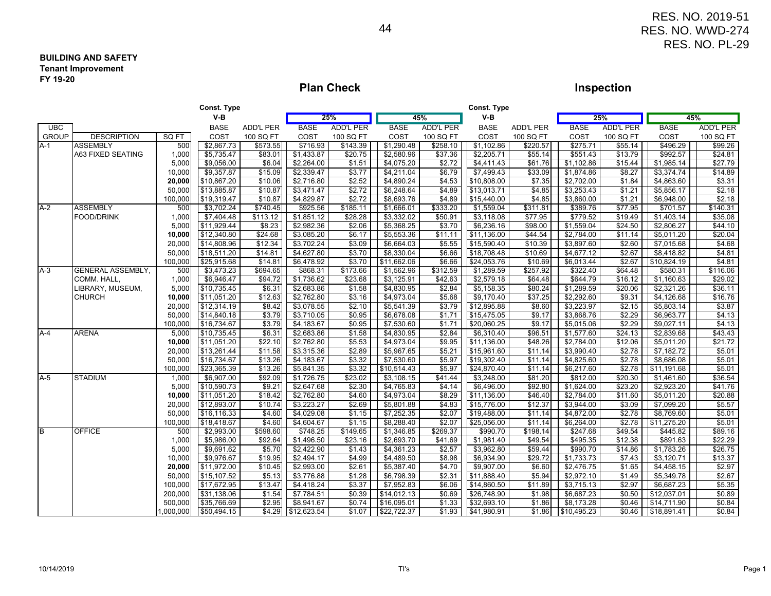#### **BUILDING AND SAFETYTenant ImprovementFY 19-20**

## **Plan Check**

## **Inspection**

|              |                          |          | Const. Type |                  |             |                  |             |                  | <b>Const. Type</b> |                  |             |                  |                        |                  |
|--------------|--------------------------|----------|-------------|------------------|-------------|------------------|-------------|------------------|--------------------|------------------|-------------|------------------|------------------------|------------------|
|              |                          |          | $V-B$       |                  |             | 25%              |             | 45%              | $V-B$              |                  |             | 25%              |                        | 45%              |
| <b>UBC</b>   |                          |          | <b>BASE</b> | <b>ADD'L PER</b> | <b>BASE</b> | <b>ADD'L PER</b> | <b>BASE</b> | <b>ADD'L PER</b> | <b>BASE</b>        | <b>ADD'L PER</b> | <b>BASE</b> | <b>ADD'L PER</b> | <b>BASE</b>            | <b>ADD'L PER</b> |
| <b>GROUP</b> | <b>DESCRIPTION</b>       | SQ FT    | COST        | 100 SQ FT        | COST        | 100 SQ FT        | COST        | 100 SQ FT        | COST               | 100 SQ FT        | COST        | 100 SQ FT        | COST                   | 100 SQ FT        |
| $A-1$        | <b>ASSEMBLY</b>          | 500      | \$2,867.73  | \$573.55         | \$716.93    | \$143.39         | \$1,290.48  | \$258.10         | \$1,102.86         | \$220.57         | \$275.71    | \$55.14          | \$496.29               | \$99.26          |
|              | <b>A63 FIXED SEATING</b> | 1,000    | \$5,735.47  | \$83.01          | \$1,433.87  | \$20.75          | \$2,580.96  | \$37.36          | \$2,205.71         | \$55.14          | \$551.43    | \$13.79          | \$992.57               | \$24.81          |
|              |                          | 5,000    | \$9,056.00  | \$6.04           | \$2,264.00  | \$1.51           | \$4,075.20  | \$2.72           | \$4,411.43         | \$61.76          | \$1,102.86  | \$15.44          | \$1,985.14             | \$27.79          |
|              |                          | 10,000   | \$9,357.87  | \$15.09          | \$2,339.47  | \$3.77           | \$4,211.04  | \$6.79           | \$7,499.43         | \$33.09          | \$1,874.86  | \$8.27           | \$3,374.74             | \$14.89          |
|              |                          | 20,000   | \$10,867.20 | \$10.06          | \$2,716.80  | \$2.52           | \$4,890.24  | \$4.53           | \$10,808.00        | \$7.35           | \$2,702.00  | \$1.84           | \$4,863.60             | \$3.31           |
|              |                          | 50,000   | \$13,885.87 | \$10.87          | \$3,471.47  | \$2.72           | \$6,248.64  | \$4.89           | \$13,013.71        | \$4.85           | \$3,253.43  | \$1.21           | \$5,856.17             | \$2.18           |
|              |                          | 100,000  | \$19,319.47 | \$10.87          | \$4,829.87  | \$2.72           | \$8,693.76  | \$4.89           | \$15,440.00        | \$4.85           | \$3,860.00  | \$1.21           | \$6,948.00             | \$2.18           |
| $A-2$        | <b>ASSEMBLY</b>          | 500      | \$3,702.24  | \$740.45         | \$925.56    | \$185.11         | \$1,666.01  | \$333.20         | \$1,559.04         | \$311.81         | \$389.76    | \$77.95          | \$701.57               | \$140.31         |
|              | <b>FOOD/DRINK</b>        | 1,000    | \$7,404.48  | \$113.12         | \$1,851.12  | \$28.28          | \$3,332.02  | \$50.91          | \$3,118.08         | \$77.95          | \$779.52    | \$19.49          | \$1,403.14             | \$35.08          |
|              |                          | 5,000    | \$11,929.44 | \$8.23           | \$2,982.36  | \$2.06           | \$5,368.25  | \$3.70           | \$6,236.16         | \$98.00          | \$1,559.04  | \$24.50          | \$2,806.27             | \$44.10          |
|              |                          | 10,000   | \$12,340.80 | \$24.68          | \$3,085.20  | \$6.17           | \$5,553.36  | \$11.11          | \$11,136.00        | \$44.54          | \$2,784.00  | \$11.14          | \$5,011.20             | \$20.04          |
|              |                          | 20,000   | \$14,808.96 | \$12.34          | \$3,702.24  | \$3.09           | \$6,664.03  | \$5.55           | \$15,590.40        | \$10.39          | \$3,897.60  | \$2.60           | \$7,015.68             | \$4.68           |
|              |                          | 50,000   | \$18,511.20 | \$14.81          | \$4,627.80  | \$3.70           | \$8,330.04  | \$6.66           | \$18,708.48        | \$10.69          | \$4,677.12  | \$2.67           | \$8,418.82             | \$4.81           |
|              |                          | 100,000  | \$25,915.68 | \$14.81          | \$6,478.92  | \$3.70           | \$11,662.06 | \$6.66           | \$24,053.76        | \$10.69          | \$6,013.44  | \$2.67           | \$10,824.19            | \$4.81           |
| $A-3$        | <b>GENERAL ASSEMBLY,</b> | 500      | \$3,473.23  | \$694.65         | \$868.31    | \$173.66         | \$1,562.96  | \$312.59         | \$1,289.59         | \$257.92         | \$322.40    | \$64.48          | \$580.31               | \$116.06         |
|              | COMM. HALL,              | 1,000    | \$6,946.47  | \$94.72          | \$1,736.62  | \$23.68          | \$3,125.91  | \$42.63          | \$2,579.18         | \$64.48          | \$644.79    | \$16.12          | \$1,160.63             | \$29.02          |
|              | LIBRARY, MUSEUM,         | 5,000    | \$10,735.45 | \$6.31           | \$2,683.86  | \$1.58           | \$4,830.95  | \$2.84           | \$5,158.35         | \$80.24          | \$1,289.59  | \$20.06          | \$2,321.26             | \$36.11          |
|              | <b>CHURCH</b>            | 10,000   | \$11,051.20 | \$12.63          | \$2,762.80  | \$3.16           | \$4,973.04  | \$5.68           | \$9,170.40         | \$37.25          | \$2,292.60  | \$9.31           | \$4,126.68             | \$16.76          |
|              |                          | 20,000   | \$12,314.19 | \$8.42           | \$3,078.55  | \$2.10           | \$5,541.39  | \$3.79           | \$12,895.88        | \$8.60           | \$3,223.97  | \$2.15           | \$5,803.14             | \$3.87           |
|              |                          | 50,000   | \$14,840.18 | \$3.79           | \$3,710.05  | \$0.95           | \$6,678.08  | \$1.71           | \$15,475.05        | \$9.17           | \$3,868.76  | \$2.29           | \$6,963.77             | \$4.13           |
|              |                          | 100,000  | \$16,734.67 | \$3.79           | \$4,183.67  | \$0.95           | \$7,530.60  | \$1.71           | \$20,060.25        | \$9.17           | \$5,015.06  | \$2.29           | \$9,027.11             | \$4.13           |
| $A-4$        | <b>ARENA</b>             | 5,000    | \$10,735.45 | \$6.31           | \$2,683.86  | \$1.58           | \$4,830.95  | \$2.84           | \$6,310.40         | \$96.51          | \$1,577.60  | \$24.13          | \$2,839.68             | \$43.43          |
|              |                          | 10,000   | \$11,051.20 | \$22.10          | \$2,762.80  | \$5.53           | \$4,973.04  | \$9.95           | \$11,136.00        | \$48.26          | \$2,784.00  | \$12.06          | \$5,011.20             | \$21.72          |
|              |                          | 20,000   | \$13,261.44 | \$11.58          | \$3,315.36  | \$2.89           | \$5,967.65  | \$5.21           | \$15,961.60        | \$11.14          | \$3,990.40  | \$2.78           | $\overline{$7,182.72}$ | \$5.01           |
|              |                          | 50,000   | \$16,734.67 | \$13.26          | \$4,183.67  | \$3.32           | \$7,530.60  | \$5.97           | \$19,302.40        | \$11.14          | \$4,825.60  | \$2.78           | \$8,686.08             | \$5.01           |
|              |                          | 100,000  | \$23,365.39 | \$13.26          | \$5,841.35  | \$3.32           | \$10,514.43 | \$5.97           | \$24,870.40        | \$11.14          | \$6,217.60  | \$2.78           | \$11,191.68            | \$5.01           |
| $A-5$        | <b>STADIUM</b>           | 1,000    | \$6,907.00  | \$92.09          | \$1,726.75  | \$23.02          | \$3,108.15  | \$41.44          | \$3,248.00         | \$81.20          | \$812.00    | \$20.30          | \$1,461.60             | \$36.54          |
|              |                          | 5,000    | \$10,590.73 | \$9.21           | \$2,647.68  | \$2.30           | \$4,765.83  | \$4.14           | \$6,496.00         | \$92.80          | \$1,624.00  | \$23.20          | \$2,923.20             | \$41.76          |
|              |                          | 10,000   | \$11,051.20 | \$18.42          | \$2,762.80  | \$4.60           | \$4,973.04  | \$8.29           | \$11,136.00        | \$46.40          | \$2,784.00  | \$11.60          | \$5,011.20             | \$20.88          |
|              |                          | 20,000   | \$12,893.07 | \$10.74          | \$3,223.27  | \$2.69           | \$5,801.88  | \$4.83           | \$15,776.00        | \$12.37          | \$3,944.00  | \$3.09           | \$7,099.20             | \$5.57           |
|              |                          | 50,000   | \$16,116.33 | \$4.60           | \$4,029.08  | \$1.15           | \$7,252.35  | \$2.07           | \$19,488.00        | \$11.14          | \$4,872.00  | \$2.78           | \$8,769.60             | \$5.01           |
|              |                          | 100,000  | \$18,418.67 | \$4.60           | \$4,604.67  | \$1.15           | \$8,288.40  | \$2.07           | \$25,056.00        | \$11.14          | \$6,264.00  | \$2.78           | \$11,275.20            | \$5.01           |
| B            | <b>OFFICE</b>            | 500      | \$2,993.00  | \$598.60         | \$748.25    | \$149.65         | \$1,346.85  | \$269.37         | \$990.70           | \$198.14         | \$247.68    | \$49.54          | \$445.82               | \$89.16          |
|              |                          | 1,000    | \$5,986.00  | \$92.64          | \$1,496.50  | \$23.16          | \$2,693.70  | \$41.69          | \$1,981.40         | \$49.54          | \$495.35    | \$12.38          | \$891.63               | \$22.29          |
|              |                          | 5,000    | \$9,691.62  | \$5.70           | \$2,422.90  | $\sqrt{$1.43}$   | \$4,361.23  | \$2.57           | \$3,962.80         | \$59.44          | \$990.70    | \$14.86          | \$1,783.26             | \$26.75          |
|              |                          | 10,000   | \$9,976.67  | \$19.95          | \$2,494.17  | \$4.99           | \$4,489.50  | \$8.98           | \$6,934.90         | \$29.72          | \$1,733.73  | \$7.43           | \$3,120.71             | \$13.37          |
|              |                          | 20,000   | \$11,972.00 | \$10.45          | \$2,993.00  | \$2.61           | \$5,387.40  | \$4.70           | \$9,907.00         | \$6.60           | \$2,476.75  | \$1.65           | \$4,458.15             | \$2.97           |
|              |                          | 50,000   | \$15,107.52 | \$5.13           | \$3,776.88  | \$1.28           | \$6,798.39  | \$2.31           | \$11,888.40        | \$5.94           | \$2,972.10  | \$1.49           | \$5,349.78             | \$2.67           |
|              |                          | 100,000  | \$17,672.95 | \$13.47          | \$4,418.24  | \$3.37           | \$7,952.83  | \$6.06           | \$14,860.50        | \$11.89          | \$3,715.13  | \$2.97           | \$6,687.23             | \$5.35           |
|              |                          | 200,000  | \$31,138.06 | \$1.54           | \$7,784.51  | \$0.39           | \$14,012.13 | \$0.69           | \$26,748.90        | \$1.98           | \$6,687.23  | \$0.50           | \$12,037.01            | \$0.89           |
|              |                          | 500,000  | \$35,766.69 | \$2.95           | \$8,941.67  | \$0.74           | \$16,095.01 | \$1.33           | \$32,693.10        | \$1.86           | \$8,173.28  | \$0.46           | \$14,711.90            | \$0.84           |
|              |                          | ,000,000 | \$50,494.15 | \$4.29           | \$12,623.54 | \$1.07           | \$22,722.37 | \$1.93           | \$41,980.91        | \$1.86           | \$10,495.23 | \$0.46           | \$18,891.41            | \$0.84           |
|              |                          |          |             |                  |             |                  |             |                  |                    |                  |             |                  |                        |                  |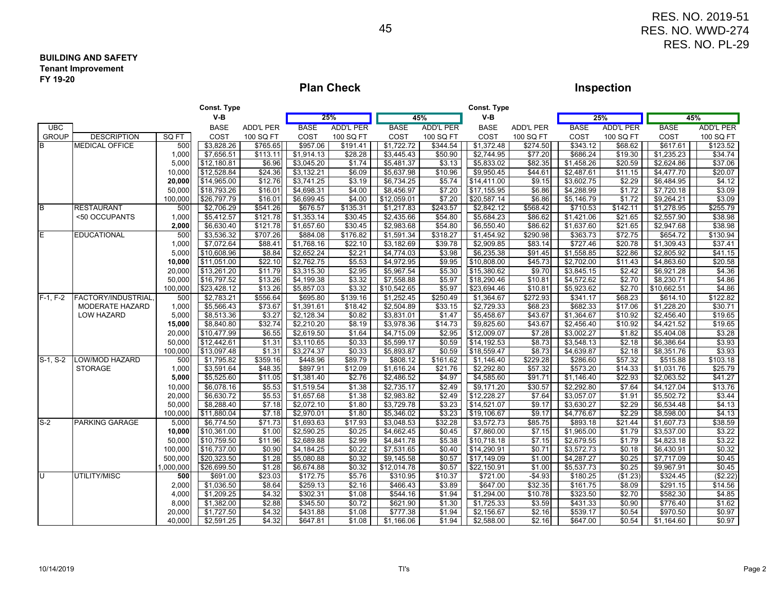#### **BUILDING AND SAFETYTenant ImprovementFY 19-20**

## **Plan Check**

## **Inspection**

| $V-B$<br>$V-B$<br>25%<br>45%<br>25%<br>45%<br><b>BASE</b><br><b>BASE</b><br><b>ADD'L PER</b><br><b>BASE</b><br><b>ADD'L PER</b><br><b>UBC</b><br><b>ADD'L PER</b><br><b>BASE</b><br><b>ADD'L PER</b><br><b>ADD'L PER</b><br><b>BASE</b><br><b>ADD'L PER</b><br><b>BASE</b><br><b>GROUP</b><br><b>DESCRIPTION</b><br>SQ FT<br>COST<br>COST<br>100 SQ FT<br>COST<br>100 SQ FT<br>COST<br>100 SQ FT<br>100 SQ FT<br>COST<br>100 SQ FT<br>COST<br>100 SQ FT<br>B<br>\$344.54<br><b>MEDICAL OFFICE</b><br>\$3,828.26<br>\$765.65<br>\$957.06<br>\$191.41<br>\$1,722.72<br>\$1,372.48<br>\$274.50<br>\$343.12<br>\$68.62<br>\$617.61<br>\$123.52<br>500<br>\$7,656.51<br>\$28.28<br>\$77.20<br>\$1,235.23<br>1,000<br>\$113.11<br>\$1,914.13<br>\$3,445.43<br>\$50.90<br>\$2,744.95<br>\$686.24<br>\$19.30<br>\$34.74<br>\$20.59<br>\$37.06<br>\$12,180.81<br>\$6.96<br>\$3,045.20<br>\$1.74<br>\$5,481.37<br>\$3.13<br>\$5,833.02<br>\$82.35<br>\$1,458.26<br>\$2,624.86<br>5,000<br>\$12,528.84<br>\$24.36<br>\$3,132.21<br>\$6.09<br>\$10.96<br>\$9,950.45<br>\$44.61<br>\$2,487.61<br>\$11.15<br>\$20.07<br>10,000<br>\$5,637.98<br>\$4,477.70<br>20,000<br>\$14,965.00<br>\$12.76<br>\$3,741.25<br>\$3.19<br>\$6,734.25<br>\$5.74<br>\$14,411.00<br>\$9.15<br>\$3,602.75<br>\$2.29<br>\$6,484.95<br>\$4.12<br>\$3.09<br>\$18,793.26<br>\$16.01<br>\$4,698.31<br>\$4.00<br>\$8,456.97<br>\$7.20<br>\$17,155.95<br>\$6.86<br>\$4,288.99<br>\$1.72<br>\$7,720.18<br>50,000<br>\$20,587.14<br>100,000<br>\$26,797.79<br>\$16.01<br>\$6,699.45<br>\$4.00<br>\$12,059.01<br>\$7.20<br>\$6.86<br>\$5,146.79<br>\$1.72<br>\$9,264.21<br>\$3.09<br>B<br>\$255.79<br><b>RESTAURANT</b><br>\$2,706.29<br>\$676.57<br>\$243.57<br>\$2,842.12<br>\$568.42<br>\$1,278.95<br>500<br>\$541.26<br>\$135.31<br>\$1,217.83<br>\$710.53<br>\$142.11<br>\$38.98<br>1,000<br>\$5,412.57<br>\$121.78<br>\$1,353.14<br>\$30.45<br>\$2,435.66<br>\$54.80<br>\$5,684.23<br>\$86.62<br>\$1,421.06<br>\$21.65<br>\$2,557.90<br><50 OCCUPANTS<br>\$1,657.60<br>\$38.98<br>2,000<br>\$6,630.40<br>\$121.78<br>\$30.45<br>\$2,983.68<br>\$54.80<br>\$6,550.40<br>\$86.62<br>\$1,637.60<br>\$21.65<br>\$2,947.68<br>Έ<br>500<br>\$884.08<br>\$176.82<br>\$318.27<br>\$290.98<br><b>EDUCATIONAL</b><br>\$3,536.32<br>\$707.26<br>\$1,591.34<br>\$1,454.92<br>\$363.73<br>\$72.75<br>\$654.72<br>\$130.94<br>1,000<br>\$7,072.64<br>\$88.41<br>\$1,768.16<br>\$22.10<br>\$3,182.69<br>\$39.78<br>\$2,909.85<br>\$83.14<br>\$727.46<br>\$20.78<br>\$1,309.43<br>\$37.41<br>\$2,652.24<br>\$6,235.38<br>\$91.45<br>\$1,558.85<br>\$22.86<br>\$2,805.92<br>\$41.15<br>5,000<br>\$10,608.96<br>\$8.84<br>\$2.21<br>\$4,774.03<br>\$3.98<br>\$22.10<br>\$2,762.75<br>\$5.53<br>\$4,972.95<br>\$9.95<br>\$10,808.00<br>\$45.73<br>\$2,702.00<br>\$11.43<br>\$20.58<br>10,000<br>\$11,051.00<br>\$4,863.60<br>\$4.36<br>\$13,261.20<br>\$11.79<br>\$3,315.30<br>\$2.95<br>\$5,967.54<br>\$5.30<br>\$15,380.62<br>\$9.70<br>\$3,845.15<br>\$2.42<br>\$6,921.28<br>20,000<br>\$16,797.52<br>\$4,199.38<br>\$3.32<br>\$7,558.88<br>\$5.97<br>\$18,290.46<br>\$10.81<br>\$4,572.62<br>\$2.70<br>\$8,230.71<br>\$4.86<br>50,000<br>\$13.26<br>\$23,428.12<br>\$5,857.03<br>\$10,542.65<br>\$23,694.46<br>\$10.81<br>\$2.70<br>\$10,662.51<br>\$4.86<br>100,000<br>\$13.26<br>\$3.32<br>\$5.97<br>\$5,923.62<br>$F-1, F-2$<br>\$272.93<br>FACTORY/INDUSTRIAL<br>500<br>\$2,783.21<br>\$556.64<br>\$695.80<br>\$139.16<br>\$1,252.45<br>\$250.49<br>\$1,364.67<br>\$68.23<br>\$122.82<br>\$341.17<br>\$614.10<br>\$1,391.61<br>\$68.23<br><b>MODERATE HAZARD</b><br>1,000<br>\$5,566.43<br>\$73.67<br>\$18.42<br>\$2,504.89<br>\$33.15<br>\$2,729.33<br>\$682.33<br>\$17.06<br>\$1,228.20<br>\$30.71<br>5,000<br>\$8,513.36<br>\$3.27<br>\$2,128.34<br>\$3,831.01<br>\$5,458.67<br>\$43.67<br>\$1,364.67<br>\$2,456.40<br>\$19.65<br>LOW HAZARD<br>\$0.82<br>\$1.47<br>\$10.92<br>\$32.74<br>\$2,210.20<br>\$8.19<br>\$14.73<br>\$9,825.60<br>\$43.67<br>\$2,456.40<br>\$10.92<br>\$19.65<br>15,000<br>\$8,840.80<br>\$3,978.36<br>\$4,421.52<br>\$2.95<br>\$10.477.99<br>\$6.55<br>\$2,619.50<br>\$4,715.09<br>\$12,009.07<br>\$3,002.27<br>\$1.82<br>\$5,404.08<br>\$3.28<br>20,000<br>\$1.64<br>\$7.28<br>\$12,442.61<br>\$3,110.65<br>\$0.33<br>\$5,599.17<br>\$0.59<br>\$8.73<br>\$2.18<br>\$3.93<br>50,000<br>\$1.31<br>\$14,192.53<br>\$3,548.13<br>\$6,386.64<br>100,000<br>\$13,097.48<br>\$3,274.37<br>\$0.33<br>\$5,893.87<br>\$0.59<br>\$18,559.47<br>\$8.73<br>\$4,639.87<br>\$2.18<br>\$3.93<br>\$1.31<br>\$8,351.76<br>$S-1, S-2$<br><b>LOW/MOD HAZARD</b><br>\$448.96<br>\$89.79<br>\$808.12<br>\$161.62<br>\$229.28<br>\$286.60<br>\$57.32<br>\$103.18<br>500<br>\$1,795.82<br>\$359.16<br>\$1,146.40<br>\$515.88<br>\$3,591.64<br>\$897.91<br>\$1,616.24<br>\$2,292.80<br>\$57.32<br>\$14.33<br>\$1,031.76<br>\$25.79<br><b>STORAGE</b><br>1,000<br>\$48.35<br>\$12.09<br>\$21.76<br>\$573.20<br>5,000<br>\$5,525.60<br>\$11.05<br>\$1,381.40<br>\$2.76<br>\$2,486.52<br>\$4.97<br>\$4,585.60<br>\$91.71<br>\$1,146.40<br>\$22.93<br>\$2,063.52<br>\$41.27<br>10,000<br>\$6,078.16<br>\$5.53<br>\$1,519.54<br>\$1.38<br>\$2,735.17<br>\$2.49<br>\$9,171.20<br>\$30.57<br>\$2,292.80<br>\$7.64<br>\$4,127.04<br>\$13.76<br>\$5.53<br>\$1,657.68<br>\$1.38<br>\$2,983.82<br>\$12,228.27<br>\$7.64<br>\$1.91<br>\$5,502.72<br>\$3.44<br>20,000<br>\$6,630.72<br>\$2.49<br>\$3,057.07<br>\$4.13<br>50,000<br>\$8,288.40<br>\$7.18<br>\$2,072.10<br>\$1.80<br>\$3,729.78<br>\$3.23<br>\$14,521.07<br>\$9.17<br>\$3,630.27<br>\$2.29<br>\$6,534.48<br>\$11,880.04<br>\$2,970.01<br>\$4.13<br>100,000<br>\$7.18<br>\$1.80<br>\$5,346.02<br>\$3.23<br>\$19,106.67<br>\$9.17<br>\$4,776.67<br>\$2.29<br>\$8,598.00<br>$S-2$<br><b>PARKING GARAGE</b><br>5,000<br>\$1,693.63<br>\$17.93<br>\$32.28<br>\$85.75<br>\$893.18<br>\$21.44<br>\$38.59<br>\$6,774.50<br>\$71.73<br>\$3,048.53<br>\$3,572.73<br>\$1,607.73<br>10,000<br>\$10,361.00<br>\$2,590.25<br>\$0.25<br>\$4,662.45<br>\$0.45<br>\$7,860.00<br>\$7.15<br>\$1,965.00<br>\$1.79<br>\$3,537.00<br>\$3.22<br>\$1.00<br>\$3.22<br>50,000<br>\$10,759.50<br>\$11.96<br>\$2,689.88<br>\$2.99<br>\$4,841.78<br>\$5.38<br>\$10,718.18<br>\$7.15<br>\$2,679.55<br>\$1.79<br>\$4,823.18<br>\$14,290.91<br>\$0.18<br>100,000<br>\$16,737.00<br>\$0.90<br>\$4,184.25<br>\$0.22<br>\$7,531.65<br>\$0.40<br>\$0.71<br>\$3,572.73<br>\$6,430.91<br>\$0.32<br>\$0.45<br>\$20,323.50<br>\$1.28<br>\$5,080.88<br>\$9,145.58<br>\$17,149.09<br>\$4,287.27<br>\$0.25<br>\$7,717.09<br>\$0.32<br>\$0.57<br>\$1.00<br>500,000<br>\$0.45<br>\$12,014.78<br>\$0.57<br>\$22,150.91<br>\$0.25<br>\$9,967.91<br>,000,000<br>\$26,699.50<br>\$1.28<br>\$6,674.88<br>\$0.32<br>\$1.00<br>\$5,537.73<br>π<br>(\$2.22)<br>UTILITY/MISC<br>\$691.00<br>\$23.03<br>\$172.75<br>\$5.76<br>\$310.95<br>\$10.37<br>\$721.00<br>$-$4.93$<br>\$180.25<br>(\$1.23)<br>\$324.45<br>500<br>\$1,036.50<br>\$259.13<br>\$2.16<br>\$466.43<br>\$647.00<br>\$32.35<br>\$291.15<br>\$14.56<br>2,000<br>\$8.64<br>\$3.89<br>\$161.75<br>\$8.09 |  |       | Const. Type |        |          |        |          |        | Const. Type |         |          |        |          |        |
|---------------------------------------------------------------------------------------------------------------------------------------------------------------------------------------------------------------------------------------------------------------------------------------------------------------------------------------------------------------------------------------------------------------------------------------------------------------------------------------------------------------------------------------------------------------------------------------------------------------------------------------------------------------------------------------------------------------------------------------------------------------------------------------------------------------------------------------------------------------------------------------------------------------------------------------------------------------------------------------------------------------------------------------------------------------------------------------------------------------------------------------------------------------------------------------------------------------------------------------------------------------------------------------------------------------------------------------------------------------------------------------------------------------------------------------------------------------------------------------------------------------------------------------------------------------------------------------------------------------------------------------------------------------------------------------------------------------------------------------------------------------------------------------------------------------------------------------------------------------------------------------------------------------------------------------------------------------------------------------------------------------------------------------------------------------------------------------------------------------------------------------------------------------------------------------------------------------------------------------------------------------------------------------------------------------------------------------------------------------------------------------------------------------------------------------------------------------------------------------------------------------------------------------------------------------------------------------------------------------------------------------------------------------------------------------------------------------------------------------------------------------------------------------------------------------------------------------------------------------------------------------------------------------------------------------------------------------------------------------------------------------------------------------------------------------------------------------------------------------------------------------------------------------------------------------------------------------------------------------------------------------------------------------------------------------------------------------------------------------------------------------------------------------------------------------------------------------------------------------------------------------------------------------------------------------------------------------------------------------------------------------------------------------------------------------------------------------------------------------------------------------------------------------------------------------------------------------------------------------------------------------------------------------------------------------------------------------------------------------------------------------------------------------------------------------------------------------------------------------------------------------------------------------------------------------------------------------------------------------------------------------------------------------------------------------------------------------------------------------------------------------------------------------------------------------------------------------------------------------------------------------------------------------------------------------------------------------------------------------------------------------------------------------------------------------------------------------------------------------------------------------------------------------------------------------------------------------------------------------------------------------------------------------------------------------------------------------------------------------------------------------------------------------------------------------------------------------------------------------------------------------------------------------------------------------------------------------------------------------------------------------------------------------------------------------------------------------------------------------------------------------------------------------------------------------------------------------------------------------------------------------------------------------------------------------------------------------------------------------------------------------------------------------------------------------------------------------------------------------------------------------------------------------------------------------------------------------------------------------------------------------------------------------------------------------------------------------------------------------------------------------------------------------------------------------------------------------------------------------------------------------------------------------------------------------------------------------------------------------------------------------------------------------------------------------------------------------------------------------------------------------------------------------------------------------------------------------------------------------------------------------------------------------------------------------------------------------------------------------------------------------------------------------------------------------------------------------------------------------------------------------------------------------------------------------------------------------------------------------------------------------------------------------------------------------------------------------------------------------------------------------------------------------------------------------------------------------------------------------------|--|-------|-------------|--------|----------|--------|----------|--------|-------------|---------|----------|--------|----------|--------|
|                                                                                                                                                                                                                                                                                                                                                                                                                                                                                                                                                                                                                                                                                                                                                                                                                                                                                                                                                                                                                                                                                                                                                                                                                                                                                                                                                                                                                                                                                                                                                                                                                                                                                                                                                                                                                                                                                                                                                                                                                                                                                                                                                                                                                                                                                                                                                                                                                                                                                                                                                                                                                                                                                                                                                                                                                                                                                                                                                                                                                                                                                                                                                                                                                                                                                                                                                                                                                                                                                                                                                                                                                                                                                                                                                                                                                                                                                                                                                                                                                                                                                                                                                                                                                                                                                                                                                                                                                                                                                                                                                                                                                                                                                                                                                                                                                                                                                                                                                                                                                                                                                                                                                                                                                                                                                                                                                                                                                                                                                                                                                                                                                                                                                                                                                                                                                                                                                                                                                                                                                                                                                                                                                                                                                                                                                                                                                                                                                                                                                                                                                                                                                                                                                                                                                                                                                                                                                                                                                                                                                                                                                                                     |  |       |             |        |          |        |          |        |             |         |          |        |          |        |
|                                                                                                                                                                                                                                                                                                                                                                                                                                                                                                                                                                                                                                                                                                                                                                                                                                                                                                                                                                                                                                                                                                                                                                                                                                                                                                                                                                                                                                                                                                                                                                                                                                                                                                                                                                                                                                                                                                                                                                                                                                                                                                                                                                                                                                                                                                                                                                                                                                                                                                                                                                                                                                                                                                                                                                                                                                                                                                                                                                                                                                                                                                                                                                                                                                                                                                                                                                                                                                                                                                                                                                                                                                                                                                                                                                                                                                                                                                                                                                                                                                                                                                                                                                                                                                                                                                                                                                                                                                                                                                                                                                                                                                                                                                                                                                                                                                                                                                                                                                                                                                                                                                                                                                                                                                                                                                                                                                                                                                                                                                                                                                                                                                                                                                                                                                                                                                                                                                                                                                                                                                                                                                                                                                                                                                                                                                                                                                                                                                                                                                                                                                                                                                                                                                                                                                                                                                                                                                                                                                                                                                                                                                                     |  |       |             |        |          |        |          |        |             |         |          |        |          |        |
|                                                                                                                                                                                                                                                                                                                                                                                                                                                                                                                                                                                                                                                                                                                                                                                                                                                                                                                                                                                                                                                                                                                                                                                                                                                                                                                                                                                                                                                                                                                                                                                                                                                                                                                                                                                                                                                                                                                                                                                                                                                                                                                                                                                                                                                                                                                                                                                                                                                                                                                                                                                                                                                                                                                                                                                                                                                                                                                                                                                                                                                                                                                                                                                                                                                                                                                                                                                                                                                                                                                                                                                                                                                                                                                                                                                                                                                                                                                                                                                                                                                                                                                                                                                                                                                                                                                                                                                                                                                                                                                                                                                                                                                                                                                                                                                                                                                                                                                                                                                                                                                                                                                                                                                                                                                                                                                                                                                                                                                                                                                                                                                                                                                                                                                                                                                                                                                                                                                                                                                                                                                                                                                                                                                                                                                                                                                                                                                                                                                                                                                                                                                                                                                                                                                                                                                                                                                                                                                                                                                                                                                                                                                     |  |       |             |        |          |        |          |        |             |         |          |        |          |        |
|                                                                                                                                                                                                                                                                                                                                                                                                                                                                                                                                                                                                                                                                                                                                                                                                                                                                                                                                                                                                                                                                                                                                                                                                                                                                                                                                                                                                                                                                                                                                                                                                                                                                                                                                                                                                                                                                                                                                                                                                                                                                                                                                                                                                                                                                                                                                                                                                                                                                                                                                                                                                                                                                                                                                                                                                                                                                                                                                                                                                                                                                                                                                                                                                                                                                                                                                                                                                                                                                                                                                                                                                                                                                                                                                                                                                                                                                                                                                                                                                                                                                                                                                                                                                                                                                                                                                                                                                                                                                                                                                                                                                                                                                                                                                                                                                                                                                                                                                                                                                                                                                                                                                                                                                                                                                                                                                                                                                                                                                                                                                                                                                                                                                                                                                                                                                                                                                                                                                                                                                                                                                                                                                                                                                                                                                                                                                                                                                                                                                                                                                                                                                                                                                                                                                                                                                                                                                                                                                                                                                                                                                                                                     |  |       |             |        |          |        |          |        |             |         |          |        |          |        |
|                                                                                                                                                                                                                                                                                                                                                                                                                                                                                                                                                                                                                                                                                                                                                                                                                                                                                                                                                                                                                                                                                                                                                                                                                                                                                                                                                                                                                                                                                                                                                                                                                                                                                                                                                                                                                                                                                                                                                                                                                                                                                                                                                                                                                                                                                                                                                                                                                                                                                                                                                                                                                                                                                                                                                                                                                                                                                                                                                                                                                                                                                                                                                                                                                                                                                                                                                                                                                                                                                                                                                                                                                                                                                                                                                                                                                                                                                                                                                                                                                                                                                                                                                                                                                                                                                                                                                                                                                                                                                                                                                                                                                                                                                                                                                                                                                                                                                                                                                                                                                                                                                                                                                                                                                                                                                                                                                                                                                                                                                                                                                                                                                                                                                                                                                                                                                                                                                                                                                                                                                                                                                                                                                                                                                                                                                                                                                                                                                                                                                                                                                                                                                                                                                                                                                                                                                                                                                                                                                                                                                                                                                                                     |  |       |             |        |          |        |          |        |             |         |          |        |          |        |
|                                                                                                                                                                                                                                                                                                                                                                                                                                                                                                                                                                                                                                                                                                                                                                                                                                                                                                                                                                                                                                                                                                                                                                                                                                                                                                                                                                                                                                                                                                                                                                                                                                                                                                                                                                                                                                                                                                                                                                                                                                                                                                                                                                                                                                                                                                                                                                                                                                                                                                                                                                                                                                                                                                                                                                                                                                                                                                                                                                                                                                                                                                                                                                                                                                                                                                                                                                                                                                                                                                                                                                                                                                                                                                                                                                                                                                                                                                                                                                                                                                                                                                                                                                                                                                                                                                                                                                                                                                                                                                                                                                                                                                                                                                                                                                                                                                                                                                                                                                                                                                                                                                                                                                                                                                                                                                                                                                                                                                                                                                                                                                                                                                                                                                                                                                                                                                                                                                                                                                                                                                                                                                                                                                                                                                                                                                                                                                                                                                                                                                                                                                                                                                                                                                                                                                                                                                                                                                                                                                                                                                                                                                                     |  |       |             |        |          |        |          |        |             |         |          |        |          |        |
|                                                                                                                                                                                                                                                                                                                                                                                                                                                                                                                                                                                                                                                                                                                                                                                                                                                                                                                                                                                                                                                                                                                                                                                                                                                                                                                                                                                                                                                                                                                                                                                                                                                                                                                                                                                                                                                                                                                                                                                                                                                                                                                                                                                                                                                                                                                                                                                                                                                                                                                                                                                                                                                                                                                                                                                                                                                                                                                                                                                                                                                                                                                                                                                                                                                                                                                                                                                                                                                                                                                                                                                                                                                                                                                                                                                                                                                                                                                                                                                                                                                                                                                                                                                                                                                                                                                                                                                                                                                                                                                                                                                                                                                                                                                                                                                                                                                                                                                                                                                                                                                                                                                                                                                                                                                                                                                                                                                                                                                                                                                                                                                                                                                                                                                                                                                                                                                                                                                                                                                                                                                                                                                                                                                                                                                                                                                                                                                                                                                                                                                                                                                                                                                                                                                                                                                                                                                                                                                                                                                                                                                                                                                     |  |       |             |        |          |        |          |        |             |         |          |        |          |        |
|                                                                                                                                                                                                                                                                                                                                                                                                                                                                                                                                                                                                                                                                                                                                                                                                                                                                                                                                                                                                                                                                                                                                                                                                                                                                                                                                                                                                                                                                                                                                                                                                                                                                                                                                                                                                                                                                                                                                                                                                                                                                                                                                                                                                                                                                                                                                                                                                                                                                                                                                                                                                                                                                                                                                                                                                                                                                                                                                                                                                                                                                                                                                                                                                                                                                                                                                                                                                                                                                                                                                                                                                                                                                                                                                                                                                                                                                                                                                                                                                                                                                                                                                                                                                                                                                                                                                                                                                                                                                                                                                                                                                                                                                                                                                                                                                                                                                                                                                                                                                                                                                                                                                                                                                                                                                                                                                                                                                                                                                                                                                                                                                                                                                                                                                                                                                                                                                                                                                                                                                                                                                                                                                                                                                                                                                                                                                                                                                                                                                                                                                                                                                                                                                                                                                                                                                                                                                                                                                                                                                                                                                                                                     |  |       |             |        |          |        |          |        |             |         |          |        |          |        |
|                                                                                                                                                                                                                                                                                                                                                                                                                                                                                                                                                                                                                                                                                                                                                                                                                                                                                                                                                                                                                                                                                                                                                                                                                                                                                                                                                                                                                                                                                                                                                                                                                                                                                                                                                                                                                                                                                                                                                                                                                                                                                                                                                                                                                                                                                                                                                                                                                                                                                                                                                                                                                                                                                                                                                                                                                                                                                                                                                                                                                                                                                                                                                                                                                                                                                                                                                                                                                                                                                                                                                                                                                                                                                                                                                                                                                                                                                                                                                                                                                                                                                                                                                                                                                                                                                                                                                                                                                                                                                                                                                                                                                                                                                                                                                                                                                                                                                                                                                                                                                                                                                                                                                                                                                                                                                                                                                                                                                                                                                                                                                                                                                                                                                                                                                                                                                                                                                                                                                                                                                                                                                                                                                                                                                                                                                                                                                                                                                                                                                                                                                                                                                                                                                                                                                                                                                                                                                                                                                                                                                                                                                                                     |  |       |             |        |          |        |          |        |             |         |          |        |          |        |
|                                                                                                                                                                                                                                                                                                                                                                                                                                                                                                                                                                                                                                                                                                                                                                                                                                                                                                                                                                                                                                                                                                                                                                                                                                                                                                                                                                                                                                                                                                                                                                                                                                                                                                                                                                                                                                                                                                                                                                                                                                                                                                                                                                                                                                                                                                                                                                                                                                                                                                                                                                                                                                                                                                                                                                                                                                                                                                                                                                                                                                                                                                                                                                                                                                                                                                                                                                                                                                                                                                                                                                                                                                                                                                                                                                                                                                                                                                                                                                                                                                                                                                                                                                                                                                                                                                                                                                                                                                                                                                                                                                                                                                                                                                                                                                                                                                                                                                                                                                                                                                                                                                                                                                                                                                                                                                                                                                                                                                                                                                                                                                                                                                                                                                                                                                                                                                                                                                                                                                                                                                                                                                                                                                                                                                                                                                                                                                                                                                                                                                                                                                                                                                                                                                                                                                                                                                                                                                                                                                                                                                                                                                                     |  |       |             |        |          |        |          |        |             |         |          |        |          |        |
|                                                                                                                                                                                                                                                                                                                                                                                                                                                                                                                                                                                                                                                                                                                                                                                                                                                                                                                                                                                                                                                                                                                                                                                                                                                                                                                                                                                                                                                                                                                                                                                                                                                                                                                                                                                                                                                                                                                                                                                                                                                                                                                                                                                                                                                                                                                                                                                                                                                                                                                                                                                                                                                                                                                                                                                                                                                                                                                                                                                                                                                                                                                                                                                                                                                                                                                                                                                                                                                                                                                                                                                                                                                                                                                                                                                                                                                                                                                                                                                                                                                                                                                                                                                                                                                                                                                                                                                                                                                                                                                                                                                                                                                                                                                                                                                                                                                                                                                                                                                                                                                                                                                                                                                                                                                                                                                                                                                                                                                                                                                                                                                                                                                                                                                                                                                                                                                                                                                                                                                                                                                                                                                                                                                                                                                                                                                                                                                                                                                                                                                                                                                                                                                                                                                                                                                                                                                                                                                                                                                                                                                                                                                     |  |       |             |        |          |        |          |        |             |         |          |        |          |        |
|                                                                                                                                                                                                                                                                                                                                                                                                                                                                                                                                                                                                                                                                                                                                                                                                                                                                                                                                                                                                                                                                                                                                                                                                                                                                                                                                                                                                                                                                                                                                                                                                                                                                                                                                                                                                                                                                                                                                                                                                                                                                                                                                                                                                                                                                                                                                                                                                                                                                                                                                                                                                                                                                                                                                                                                                                                                                                                                                                                                                                                                                                                                                                                                                                                                                                                                                                                                                                                                                                                                                                                                                                                                                                                                                                                                                                                                                                                                                                                                                                                                                                                                                                                                                                                                                                                                                                                                                                                                                                                                                                                                                                                                                                                                                                                                                                                                                                                                                                                                                                                                                                                                                                                                                                                                                                                                                                                                                                                                                                                                                                                                                                                                                                                                                                                                                                                                                                                                                                                                                                                                                                                                                                                                                                                                                                                                                                                                                                                                                                                                                                                                                                                                                                                                                                                                                                                                                                                                                                                                                                                                                                                                     |  |       |             |        |          |        |          |        |             |         |          |        |          |        |
|                                                                                                                                                                                                                                                                                                                                                                                                                                                                                                                                                                                                                                                                                                                                                                                                                                                                                                                                                                                                                                                                                                                                                                                                                                                                                                                                                                                                                                                                                                                                                                                                                                                                                                                                                                                                                                                                                                                                                                                                                                                                                                                                                                                                                                                                                                                                                                                                                                                                                                                                                                                                                                                                                                                                                                                                                                                                                                                                                                                                                                                                                                                                                                                                                                                                                                                                                                                                                                                                                                                                                                                                                                                                                                                                                                                                                                                                                                                                                                                                                                                                                                                                                                                                                                                                                                                                                                                                                                                                                                                                                                                                                                                                                                                                                                                                                                                                                                                                                                                                                                                                                                                                                                                                                                                                                                                                                                                                                                                                                                                                                                                                                                                                                                                                                                                                                                                                                                                                                                                                                                                                                                                                                                                                                                                                                                                                                                                                                                                                                                                                                                                                                                                                                                                                                                                                                                                                                                                                                                                                                                                                                                                     |  |       |             |        |          |        |          |        |             |         |          |        |          |        |
|                                                                                                                                                                                                                                                                                                                                                                                                                                                                                                                                                                                                                                                                                                                                                                                                                                                                                                                                                                                                                                                                                                                                                                                                                                                                                                                                                                                                                                                                                                                                                                                                                                                                                                                                                                                                                                                                                                                                                                                                                                                                                                                                                                                                                                                                                                                                                                                                                                                                                                                                                                                                                                                                                                                                                                                                                                                                                                                                                                                                                                                                                                                                                                                                                                                                                                                                                                                                                                                                                                                                                                                                                                                                                                                                                                                                                                                                                                                                                                                                                                                                                                                                                                                                                                                                                                                                                                                                                                                                                                                                                                                                                                                                                                                                                                                                                                                                                                                                                                                                                                                                                                                                                                                                                                                                                                                                                                                                                                                                                                                                                                                                                                                                                                                                                                                                                                                                                                                                                                                                                                                                                                                                                                                                                                                                                                                                                                                                                                                                                                                                                                                                                                                                                                                                                                                                                                                                                                                                                                                                                                                                                                                     |  |       |             |        |          |        |          |        |             |         |          |        |          |        |
|                                                                                                                                                                                                                                                                                                                                                                                                                                                                                                                                                                                                                                                                                                                                                                                                                                                                                                                                                                                                                                                                                                                                                                                                                                                                                                                                                                                                                                                                                                                                                                                                                                                                                                                                                                                                                                                                                                                                                                                                                                                                                                                                                                                                                                                                                                                                                                                                                                                                                                                                                                                                                                                                                                                                                                                                                                                                                                                                                                                                                                                                                                                                                                                                                                                                                                                                                                                                                                                                                                                                                                                                                                                                                                                                                                                                                                                                                                                                                                                                                                                                                                                                                                                                                                                                                                                                                                                                                                                                                                                                                                                                                                                                                                                                                                                                                                                                                                                                                                                                                                                                                                                                                                                                                                                                                                                                                                                                                                                                                                                                                                                                                                                                                                                                                                                                                                                                                                                                                                                                                                                                                                                                                                                                                                                                                                                                                                                                                                                                                                                                                                                                                                                                                                                                                                                                                                                                                                                                                                                                                                                                                                                     |  |       |             |        |          |        |          |        |             |         |          |        |          |        |
|                                                                                                                                                                                                                                                                                                                                                                                                                                                                                                                                                                                                                                                                                                                                                                                                                                                                                                                                                                                                                                                                                                                                                                                                                                                                                                                                                                                                                                                                                                                                                                                                                                                                                                                                                                                                                                                                                                                                                                                                                                                                                                                                                                                                                                                                                                                                                                                                                                                                                                                                                                                                                                                                                                                                                                                                                                                                                                                                                                                                                                                                                                                                                                                                                                                                                                                                                                                                                                                                                                                                                                                                                                                                                                                                                                                                                                                                                                                                                                                                                                                                                                                                                                                                                                                                                                                                                                                                                                                                                                                                                                                                                                                                                                                                                                                                                                                                                                                                                                                                                                                                                                                                                                                                                                                                                                                                                                                                                                                                                                                                                                                                                                                                                                                                                                                                                                                                                                                                                                                                                                                                                                                                                                                                                                                                                                                                                                                                                                                                                                                                                                                                                                                                                                                                                                                                                                                                                                                                                                                                                                                                                                                     |  |       |             |        |          |        |          |        |             |         |          |        |          |        |
|                                                                                                                                                                                                                                                                                                                                                                                                                                                                                                                                                                                                                                                                                                                                                                                                                                                                                                                                                                                                                                                                                                                                                                                                                                                                                                                                                                                                                                                                                                                                                                                                                                                                                                                                                                                                                                                                                                                                                                                                                                                                                                                                                                                                                                                                                                                                                                                                                                                                                                                                                                                                                                                                                                                                                                                                                                                                                                                                                                                                                                                                                                                                                                                                                                                                                                                                                                                                                                                                                                                                                                                                                                                                                                                                                                                                                                                                                                                                                                                                                                                                                                                                                                                                                                                                                                                                                                                                                                                                                                                                                                                                                                                                                                                                                                                                                                                                                                                                                                                                                                                                                                                                                                                                                                                                                                                                                                                                                                                                                                                                                                                                                                                                                                                                                                                                                                                                                                                                                                                                                                                                                                                                                                                                                                                                                                                                                                                                                                                                                                                                                                                                                                                                                                                                                                                                                                                                                                                                                                                                                                                                                                                     |  |       |             |        |          |        |          |        |             |         |          |        |          |        |
|                                                                                                                                                                                                                                                                                                                                                                                                                                                                                                                                                                                                                                                                                                                                                                                                                                                                                                                                                                                                                                                                                                                                                                                                                                                                                                                                                                                                                                                                                                                                                                                                                                                                                                                                                                                                                                                                                                                                                                                                                                                                                                                                                                                                                                                                                                                                                                                                                                                                                                                                                                                                                                                                                                                                                                                                                                                                                                                                                                                                                                                                                                                                                                                                                                                                                                                                                                                                                                                                                                                                                                                                                                                                                                                                                                                                                                                                                                                                                                                                                                                                                                                                                                                                                                                                                                                                                                                                                                                                                                                                                                                                                                                                                                                                                                                                                                                                                                                                                                                                                                                                                                                                                                                                                                                                                                                                                                                                                                                                                                                                                                                                                                                                                                                                                                                                                                                                                                                                                                                                                                                                                                                                                                                                                                                                                                                                                                                                                                                                                                                                                                                                                                                                                                                                                                                                                                                                                                                                                                                                                                                                                                                     |  |       |             |        |          |        |          |        |             |         |          |        |          |        |
|                                                                                                                                                                                                                                                                                                                                                                                                                                                                                                                                                                                                                                                                                                                                                                                                                                                                                                                                                                                                                                                                                                                                                                                                                                                                                                                                                                                                                                                                                                                                                                                                                                                                                                                                                                                                                                                                                                                                                                                                                                                                                                                                                                                                                                                                                                                                                                                                                                                                                                                                                                                                                                                                                                                                                                                                                                                                                                                                                                                                                                                                                                                                                                                                                                                                                                                                                                                                                                                                                                                                                                                                                                                                                                                                                                                                                                                                                                                                                                                                                                                                                                                                                                                                                                                                                                                                                                                                                                                                                                                                                                                                                                                                                                                                                                                                                                                                                                                                                                                                                                                                                                                                                                                                                                                                                                                                                                                                                                                                                                                                                                                                                                                                                                                                                                                                                                                                                                                                                                                                                                                                                                                                                                                                                                                                                                                                                                                                                                                                                                                                                                                                                                                                                                                                                                                                                                                                                                                                                                                                                                                                                                                     |  |       |             |        |          |        |          |        |             |         |          |        |          |        |
|                                                                                                                                                                                                                                                                                                                                                                                                                                                                                                                                                                                                                                                                                                                                                                                                                                                                                                                                                                                                                                                                                                                                                                                                                                                                                                                                                                                                                                                                                                                                                                                                                                                                                                                                                                                                                                                                                                                                                                                                                                                                                                                                                                                                                                                                                                                                                                                                                                                                                                                                                                                                                                                                                                                                                                                                                                                                                                                                                                                                                                                                                                                                                                                                                                                                                                                                                                                                                                                                                                                                                                                                                                                                                                                                                                                                                                                                                                                                                                                                                                                                                                                                                                                                                                                                                                                                                                                                                                                                                                                                                                                                                                                                                                                                                                                                                                                                                                                                                                                                                                                                                                                                                                                                                                                                                                                                                                                                                                                                                                                                                                                                                                                                                                                                                                                                                                                                                                                                                                                                                                                                                                                                                                                                                                                                                                                                                                                                                                                                                                                                                                                                                                                                                                                                                                                                                                                                                                                                                                                                                                                                                                                     |  |       |             |        |          |        |          |        |             |         |          |        |          |        |
|                                                                                                                                                                                                                                                                                                                                                                                                                                                                                                                                                                                                                                                                                                                                                                                                                                                                                                                                                                                                                                                                                                                                                                                                                                                                                                                                                                                                                                                                                                                                                                                                                                                                                                                                                                                                                                                                                                                                                                                                                                                                                                                                                                                                                                                                                                                                                                                                                                                                                                                                                                                                                                                                                                                                                                                                                                                                                                                                                                                                                                                                                                                                                                                                                                                                                                                                                                                                                                                                                                                                                                                                                                                                                                                                                                                                                                                                                                                                                                                                                                                                                                                                                                                                                                                                                                                                                                                                                                                                                                                                                                                                                                                                                                                                                                                                                                                                                                                                                                                                                                                                                                                                                                                                                                                                                                                                                                                                                                                                                                                                                                                                                                                                                                                                                                                                                                                                                                                                                                                                                                                                                                                                                                                                                                                                                                                                                                                                                                                                                                                                                                                                                                                                                                                                                                                                                                                                                                                                                                                                                                                                                                                     |  |       |             |        |          |        |          |        |             |         |          |        |          |        |
|                                                                                                                                                                                                                                                                                                                                                                                                                                                                                                                                                                                                                                                                                                                                                                                                                                                                                                                                                                                                                                                                                                                                                                                                                                                                                                                                                                                                                                                                                                                                                                                                                                                                                                                                                                                                                                                                                                                                                                                                                                                                                                                                                                                                                                                                                                                                                                                                                                                                                                                                                                                                                                                                                                                                                                                                                                                                                                                                                                                                                                                                                                                                                                                                                                                                                                                                                                                                                                                                                                                                                                                                                                                                                                                                                                                                                                                                                                                                                                                                                                                                                                                                                                                                                                                                                                                                                                                                                                                                                                                                                                                                                                                                                                                                                                                                                                                                                                                                                                                                                                                                                                                                                                                                                                                                                                                                                                                                                                                                                                                                                                                                                                                                                                                                                                                                                                                                                                                                                                                                                                                                                                                                                                                                                                                                                                                                                                                                                                                                                                                                                                                                                                                                                                                                                                                                                                                                                                                                                                                                                                                                                                                     |  |       |             |        |          |        |          |        |             |         |          |        |          |        |
|                                                                                                                                                                                                                                                                                                                                                                                                                                                                                                                                                                                                                                                                                                                                                                                                                                                                                                                                                                                                                                                                                                                                                                                                                                                                                                                                                                                                                                                                                                                                                                                                                                                                                                                                                                                                                                                                                                                                                                                                                                                                                                                                                                                                                                                                                                                                                                                                                                                                                                                                                                                                                                                                                                                                                                                                                                                                                                                                                                                                                                                                                                                                                                                                                                                                                                                                                                                                                                                                                                                                                                                                                                                                                                                                                                                                                                                                                                                                                                                                                                                                                                                                                                                                                                                                                                                                                                                                                                                                                                                                                                                                                                                                                                                                                                                                                                                                                                                                                                                                                                                                                                                                                                                                                                                                                                                                                                                                                                                                                                                                                                                                                                                                                                                                                                                                                                                                                                                                                                                                                                                                                                                                                                                                                                                                                                                                                                                                                                                                                                                                                                                                                                                                                                                                                                                                                                                                                                                                                                                                                                                                                                                     |  |       |             |        |          |        |          |        |             |         |          |        |          |        |
|                                                                                                                                                                                                                                                                                                                                                                                                                                                                                                                                                                                                                                                                                                                                                                                                                                                                                                                                                                                                                                                                                                                                                                                                                                                                                                                                                                                                                                                                                                                                                                                                                                                                                                                                                                                                                                                                                                                                                                                                                                                                                                                                                                                                                                                                                                                                                                                                                                                                                                                                                                                                                                                                                                                                                                                                                                                                                                                                                                                                                                                                                                                                                                                                                                                                                                                                                                                                                                                                                                                                                                                                                                                                                                                                                                                                                                                                                                                                                                                                                                                                                                                                                                                                                                                                                                                                                                                                                                                                                                                                                                                                                                                                                                                                                                                                                                                                                                                                                                                                                                                                                                                                                                                                                                                                                                                                                                                                                                                                                                                                                                                                                                                                                                                                                                                                                                                                                                                                                                                                                                                                                                                                                                                                                                                                                                                                                                                                                                                                                                                                                                                                                                                                                                                                                                                                                                                                                                                                                                                                                                                                                                                     |  |       |             |        |          |        |          |        |             |         |          |        |          |        |
|                                                                                                                                                                                                                                                                                                                                                                                                                                                                                                                                                                                                                                                                                                                                                                                                                                                                                                                                                                                                                                                                                                                                                                                                                                                                                                                                                                                                                                                                                                                                                                                                                                                                                                                                                                                                                                                                                                                                                                                                                                                                                                                                                                                                                                                                                                                                                                                                                                                                                                                                                                                                                                                                                                                                                                                                                                                                                                                                                                                                                                                                                                                                                                                                                                                                                                                                                                                                                                                                                                                                                                                                                                                                                                                                                                                                                                                                                                                                                                                                                                                                                                                                                                                                                                                                                                                                                                                                                                                                                                                                                                                                                                                                                                                                                                                                                                                                                                                                                                                                                                                                                                                                                                                                                                                                                                                                                                                                                                                                                                                                                                                                                                                                                                                                                                                                                                                                                                                                                                                                                                                                                                                                                                                                                                                                                                                                                                                                                                                                                                                                                                                                                                                                                                                                                                                                                                                                                                                                                                                                                                                                                                                     |  |       |             |        |          |        |          |        |             |         |          |        |          |        |
|                                                                                                                                                                                                                                                                                                                                                                                                                                                                                                                                                                                                                                                                                                                                                                                                                                                                                                                                                                                                                                                                                                                                                                                                                                                                                                                                                                                                                                                                                                                                                                                                                                                                                                                                                                                                                                                                                                                                                                                                                                                                                                                                                                                                                                                                                                                                                                                                                                                                                                                                                                                                                                                                                                                                                                                                                                                                                                                                                                                                                                                                                                                                                                                                                                                                                                                                                                                                                                                                                                                                                                                                                                                                                                                                                                                                                                                                                                                                                                                                                                                                                                                                                                                                                                                                                                                                                                                                                                                                                                                                                                                                                                                                                                                                                                                                                                                                                                                                                                                                                                                                                                                                                                                                                                                                                                                                                                                                                                                                                                                                                                                                                                                                                                                                                                                                                                                                                                                                                                                                                                                                                                                                                                                                                                                                                                                                                                                                                                                                                                                                                                                                                                                                                                                                                                                                                                                                                                                                                                                                                                                                                                                     |  |       |             |        |          |        |          |        |             |         |          |        |          |        |
|                                                                                                                                                                                                                                                                                                                                                                                                                                                                                                                                                                                                                                                                                                                                                                                                                                                                                                                                                                                                                                                                                                                                                                                                                                                                                                                                                                                                                                                                                                                                                                                                                                                                                                                                                                                                                                                                                                                                                                                                                                                                                                                                                                                                                                                                                                                                                                                                                                                                                                                                                                                                                                                                                                                                                                                                                                                                                                                                                                                                                                                                                                                                                                                                                                                                                                                                                                                                                                                                                                                                                                                                                                                                                                                                                                                                                                                                                                                                                                                                                                                                                                                                                                                                                                                                                                                                                                                                                                                                                                                                                                                                                                                                                                                                                                                                                                                                                                                                                                                                                                                                                                                                                                                                                                                                                                                                                                                                                                                                                                                                                                                                                                                                                                                                                                                                                                                                                                                                                                                                                                                                                                                                                                                                                                                                                                                                                                                                                                                                                                                                                                                                                                                                                                                                                                                                                                                                                                                                                                                                                                                                                                                     |  |       |             |        |          |        |          |        |             |         |          |        |          |        |
|                                                                                                                                                                                                                                                                                                                                                                                                                                                                                                                                                                                                                                                                                                                                                                                                                                                                                                                                                                                                                                                                                                                                                                                                                                                                                                                                                                                                                                                                                                                                                                                                                                                                                                                                                                                                                                                                                                                                                                                                                                                                                                                                                                                                                                                                                                                                                                                                                                                                                                                                                                                                                                                                                                                                                                                                                                                                                                                                                                                                                                                                                                                                                                                                                                                                                                                                                                                                                                                                                                                                                                                                                                                                                                                                                                                                                                                                                                                                                                                                                                                                                                                                                                                                                                                                                                                                                                                                                                                                                                                                                                                                                                                                                                                                                                                                                                                                                                                                                                                                                                                                                                                                                                                                                                                                                                                                                                                                                                                                                                                                                                                                                                                                                                                                                                                                                                                                                                                                                                                                                                                                                                                                                                                                                                                                                                                                                                                                                                                                                                                                                                                                                                                                                                                                                                                                                                                                                                                                                                                                                                                                                                                     |  |       |             |        |          |        |          |        |             |         |          |        |          |        |
|                                                                                                                                                                                                                                                                                                                                                                                                                                                                                                                                                                                                                                                                                                                                                                                                                                                                                                                                                                                                                                                                                                                                                                                                                                                                                                                                                                                                                                                                                                                                                                                                                                                                                                                                                                                                                                                                                                                                                                                                                                                                                                                                                                                                                                                                                                                                                                                                                                                                                                                                                                                                                                                                                                                                                                                                                                                                                                                                                                                                                                                                                                                                                                                                                                                                                                                                                                                                                                                                                                                                                                                                                                                                                                                                                                                                                                                                                                                                                                                                                                                                                                                                                                                                                                                                                                                                                                                                                                                                                                                                                                                                                                                                                                                                                                                                                                                                                                                                                                                                                                                                                                                                                                                                                                                                                                                                                                                                                                                                                                                                                                                                                                                                                                                                                                                                                                                                                                                                                                                                                                                                                                                                                                                                                                                                                                                                                                                                                                                                                                                                                                                                                                                                                                                                                                                                                                                                                                                                                                                                                                                                                                                     |  |       |             |        |          |        |          |        |             |         |          |        |          |        |
|                                                                                                                                                                                                                                                                                                                                                                                                                                                                                                                                                                                                                                                                                                                                                                                                                                                                                                                                                                                                                                                                                                                                                                                                                                                                                                                                                                                                                                                                                                                                                                                                                                                                                                                                                                                                                                                                                                                                                                                                                                                                                                                                                                                                                                                                                                                                                                                                                                                                                                                                                                                                                                                                                                                                                                                                                                                                                                                                                                                                                                                                                                                                                                                                                                                                                                                                                                                                                                                                                                                                                                                                                                                                                                                                                                                                                                                                                                                                                                                                                                                                                                                                                                                                                                                                                                                                                                                                                                                                                                                                                                                                                                                                                                                                                                                                                                                                                                                                                                                                                                                                                                                                                                                                                                                                                                                                                                                                                                                                                                                                                                                                                                                                                                                                                                                                                                                                                                                                                                                                                                                                                                                                                                                                                                                                                                                                                                                                                                                                                                                                                                                                                                                                                                                                                                                                                                                                                                                                                                                                                                                                                                                     |  |       |             |        |          |        |          |        |             |         |          |        |          |        |
|                                                                                                                                                                                                                                                                                                                                                                                                                                                                                                                                                                                                                                                                                                                                                                                                                                                                                                                                                                                                                                                                                                                                                                                                                                                                                                                                                                                                                                                                                                                                                                                                                                                                                                                                                                                                                                                                                                                                                                                                                                                                                                                                                                                                                                                                                                                                                                                                                                                                                                                                                                                                                                                                                                                                                                                                                                                                                                                                                                                                                                                                                                                                                                                                                                                                                                                                                                                                                                                                                                                                                                                                                                                                                                                                                                                                                                                                                                                                                                                                                                                                                                                                                                                                                                                                                                                                                                                                                                                                                                                                                                                                                                                                                                                                                                                                                                                                                                                                                                                                                                                                                                                                                                                                                                                                                                                                                                                                                                                                                                                                                                                                                                                                                                                                                                                                                                                                                                                                                                                                                                                                                                                                                                                                                                                                                                                                                                                                                                                                                                                                                                                                                                                                                                                                                                                                                                                                                                                                                                                                                                                                                                                     |  |       |             |        |          |        |          |        |             |         |          |        |          |        |
|                                                                                                                                                                                                                                                                                                                                                                                                                                                                                                                                                                                                                                                                                                                                                                                                                                                                                                                                                                                                                                                                                                                                                                                                                                                                                                                                                                                                                                                                                                                                                                                                                                                                                                                                                                                                                                                                                                                                                                                                                                                                                                                                                                                                                                                                                                                                                                                                                                                                                                                                                                                                                                                                                                                                                                                                                                                                                                                                                                                                                                                                                                                                                                                                                                                                                                                                                                                                                                                                                                                                                                                                                                                                                                                                                                                                                                                                                                                                                                                                                                                                                                                                                                                                                                                                                                                                                                                                                                                                                                                                                                                                                                                                                                                                                                                                                                                                                                                                                                                                                                                                                                                                                                                                                                                                                                                                                                                                                                                                                                                                                                                                                                                                                                                                                                                                                                                                                                                                                                                                                                                                                                                                                                                                                                                                                                                                                                                                                                                                                                                                                                                                                                                                                                                                                                                                                                                                                                                                                                                                                                                                                                                     |  |       |             |        |          |        |          |        |             |         |          |        |          |        |
|                                                                                                                                                                                                                                                                                                                                                                                                                                                                                                                                                                                                                                                                                                                                                                                                                                                                                                                                                                                                                                                                                                                                                                                                                                                                                                                                                                                                                                                                                                                                                                                                                                                                                                                                                                                                                                                                                                                                                                                                                                                                                                                                                                                                                                                                                                                                                                                                                                                                                                                                                                                                                                                                                                                                                                                                                                                                                                                                                                                                                                                                                                                                                                                                                                                                                                                                                                                                                                                                                                                                                                                                                                                                                                                                                                                                                                                                                                                                                                                                                                                                                                                                                                                                                                                                                                                                                                                                                                                                                                                                                                                                                                                                                                                                                                                                                                                                                                                                                                                                                                                                                                                                                                                                                                                                                                                                                                                                                                                                                                                                                                                                                                                                                                                                                                                                                                                                                                                                                                                                                                                                                                                                                                                                                                                                                                                                                                                                                                                                                                                                                                                                                                                                                                                                                                                                                                                                                                                                                                                                                                                                                                                     |  |       |             |        |          |        |          |        |             |         |          |        |          |        |
|                                                                                                                                                                                                                                                                                                                                                                                                                                                                                                                                                                                                                                                                                                                                                                                                                                                                                                                                                                                                                                                                                                                                                                                                                                                                                                                                                                                                                                                                                                                                                                                                                                                                                                                                                                                                                                                                                                                                                                                                                                                                                                                                                                                                                                                                                                                                                                                                                                                                                                                                                                                                                                                                                                                                                                                                                                                                                                                                                                                                                                                                                                                                                                                                                                                                                                                                                                                                                                                                                                                                                                                                                                                                                                                                                                                                                                                                                                                                                                                                                                                                                                                                                                                                                                                                                                                                                                                                                                                                                                                                                                                                                                                                                                                                                                                                                                                                                                                                                                                                                                                                                                                                                                                                                                                                                                                                                                                                                                                                                                                                                                                                                                                                                                                                                                                                                                                                                                                                                                                                                                                                                                                                                                                                                                                                                                                                                                                                                                                                                                                                                                                                                                                                                                                                                                                                                                                                                                                                                                                                                                                                                                                     |  |       |             |        |          |        |          |        |             |         |          |        |          |        |
|                                                                                                                                                                                                                                                                                                                                                                                                                                                                                                                                                                                                                                                                                                                                                                                                                                                                                                                                                                                                                                                                                                                                                                                                                                                                                                                                                                                                                                                                                                                                                                                                                                                                                                                                                                                                                                                                                                                                                                                                                                                                                                                                                                                                                                                                                                                                                                                                                                                                                                                                                                                                                                                                                                                                                                                                                                                                                                                                                                                                                                                                                                                                                                                                                                                                                                                                                                                                                                                                                                                                                                                                                                                                                                                                                                                                                                                                                                                                                                                                                                                                                                                                                                                                                                                                                                                                                                                                                                                                                                                                                                                                                                                                                                                                                                                                                                                                                                                                                                                                                                                                                                                                                                                                                                                                                                                                                                                                                                                                                                                                                                                                                                                                                                                                                                                                                                                                                                                                                                                                                                                                                                                                                                                                                                                                                                                                                                                                                                                                                                                                                                                                                                                                                                                                                                                                                                                                                                                                                                                                                                                                                                                     |  |       |             |        |          |        |          |        |             |         |          |        |          |        |
|                                                                                                                                                                                                                                                                                                                                                                                                                                                                                                                                                                                                                                                                                                                                                                                                                                                                                                                                                                                                                                                                                                                                                                                                                                                                                                                                                                                                                                                                                                                                                                                                                                                                                                                                                                                                                                                                                                                                                                                                                                                                                                                                                                                                                                                                                                                                                                                                                                                                                                                                                                                                                                                                                                                                                                                                                                                                                                                                                                                                                                                                                                                                                                                                                                                                                                                                                                                                                                                                                                                                                                                                                                                                                                                                                                                                                                                                                                                                                                                                                                                                                                                                                                                                                                                                                                                                                                                                                                                                                                                                                                                                                                                                                                                                                                                                                                                                                                                                                                                                                                                                                                                                                                                                                                                                                                                                                                                                                                                                                                                                                                                                                                                                                                                                                                                                                                                                                                                                                                                                                                                                                                                                                                                                                                                                                                                                                                                                                                                                                                                                                                                                                                                                                                                                                                                                                                                                                                                                                                                                                                                                                                                     |  |       |             |        |          |        |          |        |             |         |          |        |          |        |
|                                                                                                                                                                                                                                                                                                                                                                                                                                                                                                                                                                                                                                                                                                                                                                                                                                                                                                                                                                                                                                                                                                                                                                                                                                                                                                                                                                                                                                                                                                                                                                                                                                                                                                                                                                                                                                                                                                                                                                                                                                                                                                                                                                                                                                                                                                                                                                                                                                                                                                                                                                                                                                                                                                                                                                                                                                                                                                                                                                                                                                                                                                                                                                                                                                                                                                                                                                                                                                                                                                                                                                                                                                                                                                                                                                                                                                                                                                                                                                                                                                                                                                                                                                                                                                                                                                                                                                                                                                                                                                                                                                                                                                                                                                                                                                                                                                                                                                                                                                                                                                                                                                                                                                                                                                                                                                                                                                                                                                                                                                                                                                                                                                                                                                                                                                                                                                                                                                                                                                                                                                                                                                                                                                                                                                                                                                                                                                                                                                                                                                                                                                                                                                                                                                                                                                                                                                                                                                                                                                                                                                                                                                                     |  |       |             |        |          |        |          |        |             |         |          |        |          |        |
|                                                                                                                                                                                                                                                                                                                                                                                                                                                                                                                                                                                                                                                                                                                                                                                                                                                                                                                                                                                                                                                                                                                                                                                                                                                                                                                                                                                                                                                                                                                                                                                                                                                                                                                                                                                                                                                                                                                                                                                                                                                                                                                                                                                                                                                                                                                                                                                                                                                                                                                                                                                                                                                                                                                                                                                                                                                                                                                                                                                                                                                                                                                                                                                                                                                                                                                                                                                                                                                                                                                                                                                                                                                                                                                                                                                                                                                                                                                                                                                                                                                                                                                                                                                                                                                                                                                                                                                                                                                                                                                                                                                                                                                                                                                                                                                                                                                                                                                                                                                                                                                                                                                                                                                                                                                                                                                                                                                                                                                                                                                                                                                                                                                                                                                                                                                                                                                                                                                                                                                                                                                                                                                                                                                                                                                                                                                                                                                                                                                                                                                                                                                                                                                                                                                                                                                                                                                                                                                                                                                                                                                                                                                     |  |       |             |        |          |        |          |        |             |         |          |        |          |        |
|                                                                                                                                                                                                                                                                                                                                                                                                                                                                                                                                                                                                                                                                                                                                                                                                                                                                                                                                                                                                                                                                                                                                                                                                                                                                                                                                                                                                                                                                                                                                                                                                                                                                                                                                                                                                                                                                                                                                                                                                                                                                                                                                                                                                                                                                                                                                                                                                                                                                                                                                                                                                                                                                                                                                                                                                                                                                                                                                                                                                                                                                                                                                                                                                                                                                                                                                                                                                                                                                                                                                                                                                                                                                                                                                                                                                                                                                                                                                                                                                                                                                                                                                                                                                                                                                                                                                                                                                                                                                                                                                                                                                                                                                                                                                                                                                                                                                                                                                                                                                                                                                                                                                                                                                                                                                                                                                                                                                                                                                                                                                                                                                                                                                                                                                                                                                                                                                                                                                                                                                                                                                                                                                                                                                                                                                                                                                                                                                                                                                                                                                                                                                                                                                                                                                                                                                                                                                                                                                                                                                                                                                                                                     |  |       |             |        |          |        |          |        |             |         |          |        |          |        |
|                                                                                                                                                                                                                                                                                                                                                                                                                                                                                                                                                                                                                                                                                                                                                                                                                                                                                                                                                                                                                                                                                                                                                                                                                                                                                                                                                                                                                                                                                                                                                                                                                                                                                                                                                                                                                                                                                                                                                                                                                                                                                                                                                                                                                                                                                                                                                                                                                                                                                                                                                                                                                                                                                                                                                                                                                                                                                                                                                                                                                                                                                                                                                                                                                                                                                                                                                                                                                                                                                                                                                                                                                                                                                                                                                                                                                                                                                                                                                                                                                                                                                                                                                                                                                                                                                                                                                                                                                                                                                                                                                                                                                                                                                                                                                                                                                                                                                                                                                                                                                                                                                                                                                                                                                                                                                                                                                                                                                                                                                                                                                                                                                                                                                                                                                                                                                                                                                                                                                                                                                                                                                                                                                                                                                                                                                                                                                                                                                                                                                                                                                                                                                                                                                                                                                                                                                                                                                                                                                                                                                                                                                                                     |  |       |             |        |          |        |          |        |             |         |          |        |          |        |
|                                                                                                                                                                                                                                                                                                                                                                                                                                                                                                                                                                                                                                                                                                                                                                                                                                                                                                                                                                                                                                                                                                                                                                                                                                                                                                                                                                                                                                                                                                                                                                                                                                                                                                                                                                                                                                                                                                                                                                                                                                                                                                                                                                                                                                                                                                                                                                                                                                                                                                                                                                                                                                                                                                                                                                                                                                                                                                                                                                                                                                                                                                                                                                                                                                                                                                                                                                                                                                                                                                                                                                                                                                                                                                                                                                                                                                                                                                                                                                                                                                                                                                                                                                                                                                                                                                                                                                                                                                                                                                                                                                                                                                                                                                                                                                                                                                                                                                                                                                                                                                                                                                                                                                                                                                                                                                                                                                                                                                                                                                                                                                                                                                                                                                                                                                                                                                                                                                                                                                                                                                                                                                                                                                                                                                                                                                                                                                                                                                                                                                                                                                                                                                                                                                                                                                                                                                                                                                                                                                                                                                                                                                                     |  |       |             |        |          |        |          |        |             |         |          |        |          |        |
|                                                                                                                                                                                                                                                                                                                                                                                                                                                                                                                                                                                                                                                                                                                                                                                                                                                                                                                                                                                                                                                                                                                                                                                                                                                                                                                                                                                                                                                                                                                                                                                                                                                                                                                                                                                                                                                                                                                                                                                                                                                                                                                                                                                                                                                                                                                                                                                                                                                                                                                                                                                                                                                                                                                                                                                                                                                                                                                                                                                                                                                                                                                                                                                                                                                                                                                                                                                                                                                                                                                                                                                                                                                                                                                                                                                                                                                                                                                                                                                                                                                                                                                                                                                                                                                                                                                                                                                                                                                                                                                                                                                                                                                                                                                                                                                                                                                                                                                                                                                                                                                                                                                                                                                                                                                                                                                                                                                                                                                                                                                                                                                                                                                                                                                                                                                                                                                                                                                                                                                                                                                                                                                                                                                                                                                                                                                                                                                                                                                                                                                                                                                                                                                                                                                                                                                                                                                                                                                                                                                                                                                                                                                     |  | 4,000 | \$1,209.25  | \$4.32 | \$302.31 | \$1.08 | \$544.16 | \$1.94 | \$1,294.00  | \$10.78 | \$323.50 | \$2.70 | \$582.30 | \$4.85 |
| \$2.88<br>\$345.50<br>\$621.90<br>\$1.62<br>8,000<br>\$1,382.00<br>\$0.72<br>\$1.30<br>\$1,725.33<br>\$3.59<br>\$431.33<br>\$0.90<br>\$776.40                                                                                                                                                                                                                                                                                                                                                                                                                                                                                                                                                                                                                                                                                                                                                                                                                                                                                                                                                                                                                                                                                                                                                                                                                                                                                                                                                                                                                                                                                                                                                                                                                                                                                                                                                                                                                                                                                                                                                                                                                                                                                                                                                                                                                                                                                                                                                                                                                                                                                                                                                                                                                                                                                                                                                                                                                                                                                                                                                                                                                                                                                                                                                                                                                                                                                                                                                                                                                                                                                                                                                                                                                                                                                                                                                                                                                                                                                                                                                                                                                                                                                                                                                                                                                                                                                                                                                                                                                                                                                                                                                                                                                                                                                                                                                                                                                                                                                                                                                                                                                                                                                                                                                                                                                                                                                                                                                                                                                                                                                                                                                                                                                                                                                                                                                                                                                                                                                                                                                                                                                                                                                                                                                                                                                                                                                                                                                                                                                                                                                                                                                                                                                                                                                                                                                                                                                                                                                                                                                                       |  |       |             |        |          |        |          |        |             |         |          |        |          |        |
| \$4.32<br>\$0.54<br>\$1,727.50<br>\$431.88<br>\$1.08<br>\$777.38<br>\$1.94<br>\$2,156.67<br>\$2.16<br>\$539.17<br>\$970.50<br>\$0.97<br>20,000                                                                                                                                                                                                                                                                                                                                                                                                                                                                                                                                                                                                                                                                                                                                                                                                                                                                                                                                                                                                                                                                                                                                                                                                                                                                                                                                                                                                                                                                                                                                                                                                                                                                                                                                                                                                                                                                                                                                                                                                                                                                                                                                                                                                                                                                                                                                                                                                                                                                                                                                                                                                                                                                                                                                                                                                                                                                                                                                                                                                                                                                                                                                                                                                                                                                                                                                                                                                                                                                                                                                                                                                                                                                                                                                                                                                                                                                                                                                                                                                                                                                                                                                                                                                                                                                                                                                                                                                                                                                                                                                                                                                                                                                                                                                                                                                                                                                                                                                                                                                                                                                                                                                                                                                                                                                                                                                                                                                                                                                                                                                                                                                                                                                                                                                                                                                                                                                                                                                                                                                                                                                                                                                                                                                                                                                                                                                                                                                                                                                                                                                                                                                                                                                                                                                                                                                                                                                                                                                                                      |  |       |             |        |          |        |          |        |             |         |          |        |          |        |
| \$4.32<br>\$0.97<br>\$2,591.25<br>\$647.81<br>\$2.16<br>\$0.54<br>40,000<br>\$1.08<br>\$1,166.06<br>\$1.94<br>\$2,588.00<br>\$647.00<br>\$1,164.60                                                                                                                                                                                                                                                                                                                                                                                                                                                                                                                                                                                                                                                                                                                                                                                                                                                                                                                                                                                                                                                                                                                                                                                                                                                                                                                                                                                                                                                                                                                                                                                                                                                                                                                                                                                                                                                                                                                                                                                                                                                                                                                                                                                                                                                                                                                                                                                                                                                                                                                                                                                                                                                                                                                                                                                                                                                                                                                                                                                                                                                                                                                                                                                                                                                                                                                                                                                                                                                                                                                                                                                                                                                                                                                                                                                                                                                                                                                                                                                                                                                                                                                                                                                                                                                                                                                                                                                                                                                                                                                                                                                                                                                                                                                                                                                                                                                                                                                                                                                                                                                                                                                                                                                                                                                                                                                                                                                                                                                                                                                                                                                                                                                                                                                                                                                                                                                                                                                                                                                                                                                                                                                                                                                                                                                                                                                                                                                                                                                                                                                                                                                                                                                                                                                                                                                                                                                                                                                                                                  |  |       |             |        |          |        |          |        |             |         |          |        |          |        |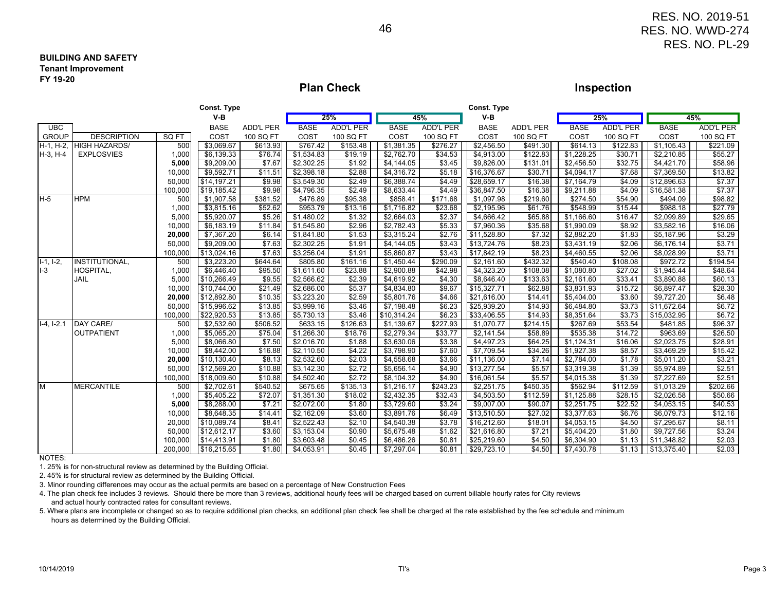#### **BUILDING AND SAFETYTenant ImprovementFY 19-20**

### **Plan Check**

### **Inspection**

RES. NO. 2019-51 RES. NO. WWD-274RES. NO. PL-29

|                            |                      | Const. Type |                        |                  |             |                    |                     | <b>Const. Type</b> |             |                  |             |                  |                      |                  |
|----------------------------|----------------------|-------------|------------------------|------------------|-------------|--------------------|---------------------|--------------------|-------------|------------------|-------------|------------------|----------------------|------------------|
|                            |                      |             | $V-B$                  |                  |             | 25%                |                     | 45%                | $V-B$       |                  | 25%         |                  |                      | 45%              |
| <b>UBC</b>                 |                      |             | <b>BASE</b>            | <b>ADD'L PER</b> | <b>BASE</b> | <b>ADD'L PER</b>   | <b>BASE</b>         | <b>ADD'L PER</b>   | <b>BASE</b> | <b>ADD'L PER</b> | <b>BASE</b> | <b>ADD'L PER</b> | <b>BASE</b>          | <b>ADD'L PER</b> |
| <b>GROUP</b>               | <b>DESCRIPTION</b>   | SQ FT       | COST                   | 100 SQ FT        | COST        | 100 SQ FT          | COST                | 100 SQ FT          | COST        | 100 SQ FT        | COST        | 100 SQ FT        | COST                 | 100 SQ FT        |
| H-1, H-2,                  | <b>HIGH HAZARDS/</b> | 500         | \$3,069.67             | \$613.93         | \$767.42    | \$153.48           | \$1,381.35          | \$276.27           | \$2,456.50  | \$491.30         | \$614.13    | \$122.83         | \$1,105.43           | \$221.09         |
| $H-3, H-4$                 | <b>EXPLOSVIES</b>    | 1,000       | \$6,139.33             | \$76.74          | \$1,534.83  | \$19.19            | \$2,762.70          | \$34.53            | \$4,913.00  | \$122.83         | \$1,228.25  | \$30.71          | \$2,210.85           | \$55.27          |
|                            |                      | 5,000       | \$9,209.00             | \$7.67           | \$2,302.25  | \$1.92             | \$4,144.05          | \$3.45             | \$9,826.00  | \$131.01         | \$2,456.50  | \$32.75          | \$4,421.70           | \$58.96          |
|                            |                      | 10,000      | \$9,592.71             | \$11.51          | \$2,398.18  | $\overline{$}2.88$ | \$4,316.72          | \$5.18             | \$16,376.67 | \$30.71          | \$4,094.17  | \$7.68           | \$7,369.50           | \$13.82          |
|                            |                      | 50,000      | \$14,197.21            | \$9.98           | \$3,549.30  | \$2.49             | \$6,388.74          | \$4.49             | \$28,659.17 | \$16.38          | \$7,164.79  | \$4.09           | \$12,896.63          | \$7.37           |
|                            |                      | 100,000     | \$19,185.42            | \$9.98           | \$4,796.35  | \$2.49             | \$8,633.44          | \$4.49             | \$36,847.50 | \$16.38          | \$9,211.88  | \$4.09           | \$16,581.38          | \$7.37           |
| $H-5$                      | <b>HPM</b>           | 500         | \$1,907.58             | \$381.52         | \$476.89    | \$95.38            | \$858.41            | \$171.68           | \$1,097.98  | \$219.60         | \$274.50    | \$54.90          | \$494.09             | \$98.82          |
|                            |                      | 1,000       | \$3,815.16             | \$52.62          | \$953.79    | \$13.16            | \$1,716.82          | \$23.68            | \$2,195.96  | \$61.76          | \$548.99    | \$15.44          | \$988.18             | \$27.79          |
|                            |                      | 5,000       | \$5,920.07             | \$5.26           | \$1,480.02  | \$1.32             | \$2,664.03          | \$2.37             | \$4,666.42  | \$65.88          | \$1,166.60  | \$16.47          | \$2,099.89           | \$29.65          |
|                            |                      | 10,000      | \$6,183.19             | \$11.84          | \$1,545.80  | \$2.96             | \$2,782.43          | \$5.33             | \$7,960.36  | \$35.68          | \$1,990.09  | \$8.92           | \$3,582.16           | \$16.06          |
|                            |                      | 20,000      | \$7,367.20             | \$6.14           | \$1,841.80  | \$1.53             | \$3,315.24          | \$2.76             | \$11,528.80 | \$7.32           | \$2,882.20  | \$1.83           | \$5,187.96           | \$3.29           |
|                            |                      | 50,000      | \$9,209.00             | \$7.63           | \$2,302.25  | \$1.91             | \$4,144.05          | \$3.43             | \$13,724.76 | \$8.23           | \$3,431.19  | \$2.06           | \$6,176.14           | \$3.71           |
|                            |                      | 100,000     | \$13,024.16            | \$7.63           | \$3,256.04  | \$1.91             | \$5,860.87          | \$3.43             | \$17,842.19 | \$8.23           | \$4,460.55  | \$2.06           | \$8,028.99           | \$3.71           |
| $\overline{1-1}$ , $1-2$ , | INSTITUTIONAL,       | 500         | \$3,223.20             | \$644.64         | \$805.80    | \$161.16           | \$1,450.44          | \$290.09           | \$2,161.60  | \$432.32]        | \$540.40    | \$108.08         | \$972.72             | \$194.54         |
| $I-3$                      | HOSPITAL,            | 1,000       | \$6,446.40             | \$95.50          | \$1,611.60  | \$23.88            | \$2,900.88          | \$42.98            | \$4,323.20  | \$108.08         | \$1,080.80  | \$27.02          | \$1,945.44           | \$48.64          |
|                            | JAIL                 | 5,000       | $\sqrt{$10,266.49}$    | \$9.55           | \$2,566.62  | \$2.39             | \$4,619.92          | \$4.30             | \$8,646.40  | \$133.63         | \$2,161.60  | \$33.41          | \$3,890.88           | \$60.13          |
|                            |                      | 10,000      | \$10,744.00            | \$21.49          | \$2,686.00  | \$5.37             | \$4,834.80          | \$9.67             | \$15,327.71 | \$62.88          | \$3,831.93  | \$15.72          | \$6,897.47           | \$28.30          |
|                            |                      | 20,000      | \$12,892.80            | \$10.35          | \$3,223.20  | \$2.59             | \$5,801.76          | \$4.66             | \$21,616.00 | \$14.41          | \$5,404.00  | \$3.60           | \$9,727.20           | \$6.48           |
|                            |                      | 50,000      | \$15,996.62            | \$13.85          | \$3,999.16  | \$3.46             | \$7,198.48          | \$6.23             | \$25,939.20 | \$14.93          | \$6,484.80  | \$3.73           | \$11,672.64          | \$6.72           |
|                            |                      | 100,000     | \$22,920.53            | \$13.85          | \$5,730.13  | \$3.46             | $\sqrt{$10,314.24}$ | \$6.23             | \$33,406.55 | \$14.93          | \$8,351.64  | \$3.73           | \$15,032.95          | \$6.72           |
| $I-4, I-2.1$               | DAY CARE/            | 500         | \$2,532.60             | \$506.52         | \$633.15    | \$126.63           | \$1,139.67          | \$227.93           | \$1,070.77  | \$214.15         | \$267.69    | \$53.54          | \$481.85             | \$96.37          |
|                            | <b>OUTPATIENT</b>    | 1,000       | \$5,065.20             | \$75.04          | \$1,266.30  | \$18.76            | \$2,279.34          | \$33.77            | \$2,141.54  | \$58.89          | \$535.38    | \$14.72          | \$963.69             | \$26.50          |
|                            |                      | 5,000       | \$8,066.80             | \$7.50           | \$2,016.70  | $\overline{$}1.88$ | \$3,630.06          | \$3.38             | \$4,497.23  | \$64.25          | \$1,124.31  | \$16.06          | \$2,023.75           | \$28.91          |
|                            |                      | 10,000      | \$8,442.00             | \$16.88          | \$2,110.50  | \$4.22             | \$3,798.90          | \$7.60             | \$7,709.54  | \$34.26          | \$1,927.38  | \$8.57           | \$3,469.29           | \$15.42          |
|                            |                      | 20,000      | \$10,130.40            | \$8.13           | \$2,532.60  | \$2.03             | \$4,558.68          | \$3.66             | \$11,136.00 | \$7.14           | \$2,784.00  | \$1.78           | \$5,011.20           | \$3.21           |
|                            |                      | 50,000      | \$12,569.20            | \$10.88          | \$3,142.30  | \$2.72             | \$5,656.14          | \$4.90             | \$13,277.54 | \$5.57           | \$3,319.38  | \$1.39           | \$5,974.89           | \$2.51           |
|                            |                      | 100,000     | \$18,009.60            | \$10.88          | \$4,502.40  | \$2.72             | \$8,104.32          | \$4.90             | \$16,061.54 | \$5.57           | \$4,015.38  | \$1.39           | \$7,227.69           | \$2.51           |
| M                          | <b>MERCANTILE</b>    | 500         | \$2,702.61             | \$540.52         | \$675.65    | \$135.13           | \$1,216.17          | \$243.23           | \$2,251.75  | \$450.35         | \$562.94    | \$112.59         | \$1,013.29           | \$202.66         |
|                            |                      | 1,000       | $\overline{$}5,405.22$ | \$72.07          | \$1,351.30  | \$18.02            | \$2,432.35          | \$32.43            | \$4,503.50  | \$112.59         | \$1,125.88  | \$28.15          | \$2,026.58           | \$50.66          |
|                            |                      | 5,000       | \$8,288.00             | \$7.21           | \$2,072.00  | \$1.80             | \$3,729.60          | \$3.24             | \$9,007.00  | \$90.07          | \$2,251.75  | \$22.52          | \$4,053.15           | \$40.53          |
|                            |                      | 10,000      | \$8,648.35             | \$14.41          | \$2,162.09  | \$3.60             | \$3,891.76          | \$6.49             | \$13,510.50 | \$27.02          | \$3,377.63  | \$6.76           | \$6,079.73           | \$12.16          |
|                            |                      | 20,000      | \$10,089.74            | \$8.41           | \$2,522.43  | \$2.10             | \$4,540.38          | \$3.78             | \$16,212.60 | \$18.01          | \$4,053.15  | \$4.50           | \$7,295.67           | \$8.11           |
|                            |                      | 50,000      | \$12,612.17            | \$3.60           | \$3,153.04  | $\sqrt{$0.90}$     | \$5,675.48          | \$1.62             | \$21,616.80 | \$7.21           | \$5,404.20  | \$1.80           | \$9,727.56           | \$3.24           |
|                            |                      | 100,000     | \$14,413.91            | \$1.80           | \$3,603.48  | \$0.45             | \$6,486.26          | \$0.81             | \$25,219.60 | \$4.50           | \$6,304.90  |                  | $$1.13$ $$11,348.82$ | \$2.03           |
| 10777                      |                      | 200,000     | \$16,215.65            | \$1.80           | \$4,053.91  | \$0.45             | \$7,297.04          | \$0.81             | \$29,723.10 | \$4.50           | \$7,430.78  |                  |                      | \$2.03           |

NOTES:

1. 25% is for non-structural review as determined by the Building Official.

2. 45% is for structural review as determined by the Building Official.

3. Minor rounding differences may occur as the actual permits are based on a percentage of New Construction Fees

4. The plan check fee includes 3 reviews. Should there be more than 3 reviews, additional hourly fees will be charged based on current billable hourly rates for City reviews and actual hourly contracted rates for consultant reviews.

5. Where plans are incomplete or changed so as to require additional plan checks, an additional plan check fee shall be charged at the rate established by the fee schedule and minimum hours as determined by the Building Official.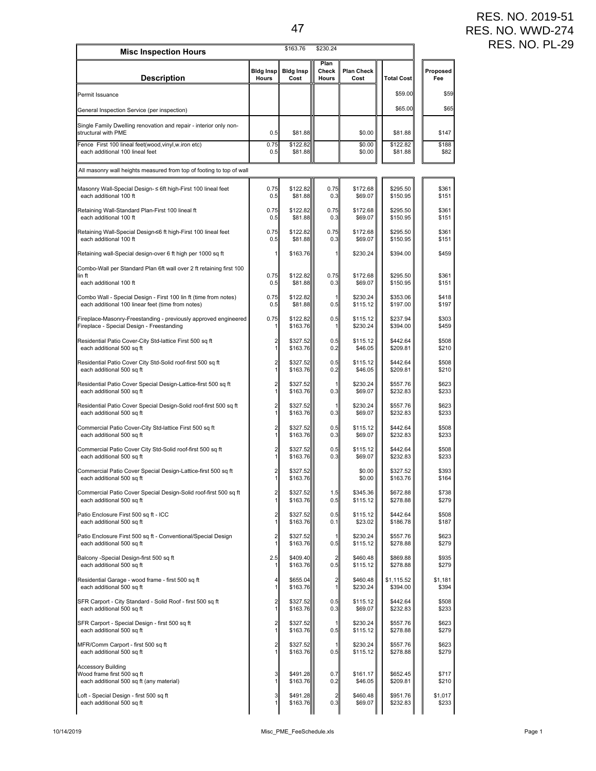## RES. NO. 2019-51 RES. NO. WWD-274 RES. NO. PL-29

| Description<br>Permit Issuance<br>General Inspection Service (per inspection)<br>Single Family Dwelling renovation and repair - interior only non-<br>structural with PME<br>Fence First 100 lineal feet(wood,vinyl,w.iron etc) | <b>Bidg Insp</b><br>Hours<br>0.5<br>0.75<br>0.5<br>0.75<br>0.5 | <b>Bidg Insp</b><br>Cost<br>\$81.88<br>\$122.82<br>\$81.88 | Plan<br>Check<br>Hours | <b>Plan Check</b><br>Cost<br>\$0.00<br>\$0.00<br>\$0.00 | <b>Total Cost</b><br>\$59.00<br>\$65.00<br>\$81.88<br>\$122.82 | Proposed<br>Fee<br>\$59<br>\$65<br>\$147 |
|---------------------------------------------------------------------------------------------------------------------------------------------------------------------------------------------------------------------------------|----------------------------------------------------------------|------------------------------------------------------------|------------------------|---------------------------------------------------------|----------------------------------------------------------------|------------------------------------------|
|                                                                                                                                                                                                                                 |                                                                |                                                            |                        |                                                         |                                                                |                                          |
|                                                                                                                                                                                                                                 |                                                                |                                                            |                        |                                                         |                                                                |                                          |
|                                                                                                                                                                                                                                 |                                                                |                                                            |                        |                                                         |                                                                |                                          |
|                                                                                                                                                                                                                                 |                                                                |                                                            |                        |                                                         |                                                                |                                          |
| each additional 100 lineal feet                                                                                                                                                                                                 |                                                                |                                                            |                        |                                                         | \$81.88                                                        | \$188<br>\$82                            |
| All masonry wall heights measured from top of footing to top of wall                                                                                                                                                            |                                                                |                                                            |                        |                                                         |                                                                |                                          |
| Masonry Wall-Special Design- ≤ 6ft high-First 100 lineal feet                                                                                                                                                                   |                                                                | \$122.82                                                   | 0.75                   | \$172.68                                                | \$295.50                                                       | \$361                                    |
| each additional 100 ft                                                                                                                                                                                                          |                                                                | \$81.88                                                    | 0.3                    | \$69.07                                                 | \$150.95                                                       | \$151                                    |
| Retaining Wall-Standard Plan-First 100 lineal ft                                                                                                                                                                                | 0.75                                                           | \$122.82                                                   | 0.75                   | \$172.68                                                | \$295.50                                                       | \$361                                    |
| each additional 100 ft                                                                                                                                                                                                          | 0.5                                                            | \$81.88                                                    | 0.3                    | \$69.07                                                 | \$150.95                                                       | \$151                                    |
| Retaining Wall-Special Design-≤6 ft high-First 100 lineal feet                                                                                                                                                                  | 0.75                                                           | \$122.82                                                   | 0.75                   | \$172.68                                                | \$295.50                                                       | \$361                                    |
| each additional 100 ft                                                                                                                                                                                                          | 0.5                                                            | \$81.88                                                    | 0.3                    | \$69.07                                                 | \$150.95                                                       | \$151                                    |
| Retaining wall-Special design-over 6 ft high per 1000 sq ft                                                                                                                                                                     | 1                                                              | \$163.76                                                   | 1                      | \$230.24                                                | \$394.00                                                       | \$459                                    |
| Combo-Wall per Standard Plan 6ft wall over 2 ft retaining first 100<br>lin ft<br>each additional 100 ft                                                                                                                         | 0.75<br>0.5                                                    | \$122.82<br>\$81.88                                        | 0.75<br>0.3            | \$172.68<br>\$69.07                                     | \$295.50<br>\$150.95                                           | \$361<br>\$151                           |
| Combo Wall - Special Design - First 100 lin ft (time from notes)                                                                                                                                                                | 0.75                                                           | \$122.82                                                   | 1                      | \$230.24                                                | \$353.06                                                       | \$418                                    |
| each additional 100 linear feet (time from notes)                                                                                                                                                                               | 0.5                                                            | \$81.88                                                    | 0.5                    | \$115.12                                                | \$197.00                                                       | \$197                                    |
| Fireplace-Masonry-Freestanding - previously approved engineered                                                                                                                                                                 | 0.75                                                           | \$122.82                                                   | 0.5                    | \$115.12                                                | \$237.94                                                       | \$303                                    |
| Fireplace - Special Design - Freestanding                                                                                                                                                                                       | 1                                                              | \$163.76                                                   | 1                      | \$230.24                                                | \$394.00                                                       | \$459                                    |
| Residential Patio Cover-City Std-lattice First 500 sq ft                                                                                                                                                                        | $\overline{c}$                                                 | \$327.52                                                   | 0.5                    | \$115.12                                                | \$442.64                                                       | \$508                                    |
| each additional 500 sq ft                                                                                                                                                                                                       | 1                                                              | \$163.76                                                   | 0.2                    | \$46.05                                                 | \$209.81                                                       | \$210                                    |
| Residential Patio Cover City Std-Solid roof-first 500 sq ft                                                                                                                                                                     | 2                                                              | \$327.52                                                   | 0.5                    | \$115.12                                                | \$442.64                                                       | \$508                                    |
| each additional 500 sq ft                                                                                                                                                                                                       | 1                                                              | \$163.76                                                   | 0.2                    | \$46.05                                                 | \$209.81                                                       | \$210                                    |
| Residential Patio Cover Special Design-Lattice-first 500 sq ft                                                                                                                                                                  | 2                                                              | \$327.52                                                   | $\mathbf{1}$           | \$230.24                                                | \$557.76                                                       | \$623                                    |
| each additional 500 sq ft                                                                                                                                                                                                       | 1                                                              | \$163.76                                                   | 0.3                    | \$69.07                                                 | \$232.83                                                       | \$233                                    |
| Residential Patio Cover Special Design-Solid roof-first 500 sq ft                                                                                                                                                               | 2                                                              | \$327.52                                                   | $\mathbf{1}$           | \$230.24                                                | \$557.76                                                       | \$623                                    |
| each additional 500 sq ft                                                                                                                                                                                                       | 1                                                              | \$163.76                                                   | 0.3                    | \$69.07                                                 | \$232.83                                                       | \$233                                    |
| Commercial Patio Cover-City Std-lattice First 500 sq ft                                                                                                                                                                         | 2                                                              | \$327.52                                                   | 0.5                    | \$115.12                                                | \$442.64                                                       | \$508                                    |
| each additional 500 sq ft                                                                                                                                                                                                       | 1                                                              | \$163.76                                                   | 0.3                    | \$69.07                                                 | \$232.83                                                       | \$233                                    |
| Commercial Patio Cover City Std-Solid roof-first 500 sq ft                                                                                                                                                                      | 2                                                              | \$327.52                                                   | 0.5                    | \$115.12                                                | \$442.64                                                       | \$508                                    |
| each additional 500 sq ft                                                                                                                                                                                                       | 1                                                              | \$163.76                                                   | 0.3                    | \$69.07                                                 | \$232.83                                                       | \$233                                    |
| Commercial Patio Cover Special Design-Lattice-first 500 sq ft                                                                                                                                                                   | $\overline{c}$                                                 | \$327.52                                                   |                        | \$0.00                                                  | \$327.52                                                       | \$393                                    |
| each additional 500 sq ft                                                                                                                                                                                                       | 1                                                              | \$163.76                                                   |                        | \$0.00                                                  | \$163.76                                                       | \$164                                    |
| Commercial Patio Cover Special Design-Solid roof-first 500 sq ft                                                                                                                                                                | $\overline{\mathbf{c}}$                                        | \$327.52                                                   | 1.5                    | \$345.36                                                | \$672.88                                                       | \$738                                    |
| each additional 500 sq ft                                                                                                                                                                                                       | 1                                                              | \$163.76                                                   | 0.5                    | \$115.12                                                | \$278.88                                                       | \$279                                    |
| Patio Enclosure First 500 sq ft - ICC                                                                                                                                                                                           | 2                                                              | \$327.52                                                   | 0.5                    | \$115.12                                                | \$442.64                                                       | \$508                                    |
| each additional 500 sq ft                                                                                                                                                                                                       | 1                                                              | \$163.76                                                   | 0.1                    | \$23.02                                                 | \$186.78                                                       | \$187                                    |
| Patio Enclosure First 500 sq ft - Conventional/Special Design                                                                                                                                                                   | 2                                                              | \$327.52                                                   | 1                      | \$230.24                                                | \$557.76                                                       | \$623                                    |
| each additional 500 sq ft                                                                                                                                                                                                       | 1                                                              | \$163.76                                                   | 0.5                    | \$115.12                                                | \$278.88                                                       | \$279                                    |
| Balcony -Special Design-first 500 sq ft                                                                                                                                                                                         | 2.5                                                            | \$409.40                                                   | $\overline{a}$         | \$460.48                                                | \$869.88                                                       | \$935                                    |
| each additional 500 sq ft                                                                                                                                                                                                       | 1                                                              | \$163.76                                                   | 0.5                    | \$115.12                                                | \$278.88                                                       | \$279                                    |
| Residential Garage - wood frame - first 500 sq ft                                                                                                                                                                               | 4                                                              | \$655.04                                                   | $\overline{a}$         | \$460.48                                                | \$1,115.52                                                     | \$1,181                                  |
| each additional 500 sq ft                                                                                                                                                                                                       | 1                                                              | \$163.76                                                   | 1                      | \$230.24                                                | \$394.00                                                       | \$394                                    |
| SFR Carport - City Standard - Solid Roof - first 500 sq ft                                                                                                                                                                      | 2                                                              | \$327.52                                                   | 0.5                    | \$115.12                                                | \$442.64                                                       | \$508                                    |
| each additional 500 sq ft                                                                                                                                                                                                       | 1                                                              | \$163.76                                                   | 0.3                    | \$69.07                                                 | \$232.83                                                       | \$233                                    |
| SFR Carport - Special Design - first 500 sq ft                                                                                                                                                                                  | 2                                                              | \$327.52                                                   | 1                      | \$230.24                                                | \$557.76                                                       | \$623                                    |
| each additional 500 sq ft                                                                                                                                                                                                       | 1                                                              | \$163.76                                                   | 0.5                    | \$115.12                                                | \$278.88                                                       | \$279                                    |
| MFR/Comm Carport - first 500 sq ft                                                                                                                                                                                              | 2                                                              | \$327.52                                                   | 11                     | \$230.24                                                | \$557.76                                                       | \$623                                    |
| each additional 500 sq ft                                                                                                                                                                                                       | 1                                                              | \$163.76                                                   | 0.5                    | \$115.12                                                | \$278.88                                                       | \$279                                    |
| <b>Accessory Building</b><br>Wood frame first 500 sq ft<br>each additional 500 sq ft (any material)                                                                                                                             | 3<br>1                                                         | \$491.28<br>\$163.76                                       | 0.7<br>0.2             | \$161.17<br>\$46.05                                     | \$652.45<br>\$209.81                                           | \$717<br>\$210                           |
| Loft - Special Design - first 500 sq ft                                                                                                                                                                                         | 3                                                              | \$491.28                                                   | $\overline{a}$         | \$460.48                                                | \$951.76                                                       | \$1,017                                  |
| each additional 500 sq ft                                                                                                                                                                                                       | 1                                                              | \$163.76                                                   | 0.3                    | \$69.07                                                 | \$232.83                                                       | \$233                                    |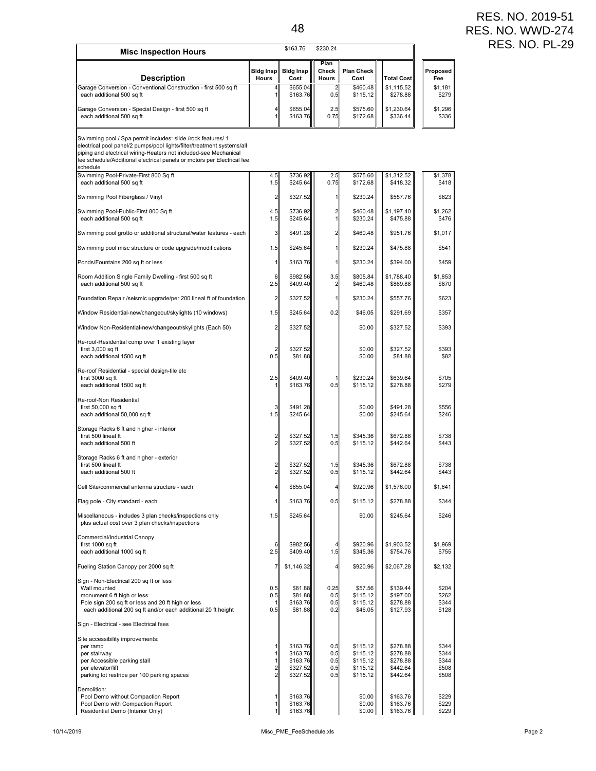| <b>Misc Inspection Hours</b>                                                                                                                                                                                                                                                                     |                                  | \$163.76                                  | \$230.24                      |                                            |                                              |                                  |
|--------------------------------------------------------------------------------------------------------------------------------------------------------------------------------------------------------------------------------------------------------------------------------------------------|----------------------------------|-------------------------------------------|-------------------------------|--------------------------------------------|----------------------------------------------|----------------------------------|
| Description                                                                                                                                                                                                                                                                                      | <b>Bidg Insp</b><br><b>Hours</b> | <b>Bidg Insp</b><br>Cost                  | Plan<br>Check<br><b>Hours</b> | <b>Plan Check</b><br>Cost                  | <b>Total Cost</b>                            | Proposed<br>Fee                  |
| Garage Conversion - Conventional Construction - first 500 sq ft<br>each additional 500 sq ft                                                                                                                                                                                                     | 4<br>$\mathbf{1}$                | \$655.04<br>\$163.76                      | 2<br>0.5                      | \$460.48<br>\$115.12                       | \$1,115.52<br>\$278.88                       | \$1,181<br>\$279                 |
| Garage Conversion - Special Design - first 500 sq ft<br>each additional 500 sq ft                                                                                                                                                                                                                | 4<br>1                           | \$655.04<br>\$163.76                      | 2.5<br>0.75                   | \$575.60<br>\$172.68                       | \$1,230.64<br>\$336.44                       | \$1,296<br>\$336                 |
| Swimming pool / Spa permit includes: slide /rock features/ 1<br>electrical pool panel/2 pumps/pool lights/filter/treatment systems/all<br>piping and electrical wiring-Heaters not included-see Mechanical<br>fee schedule/Additional electrical panels or motors per Electrical fee<br>schedule |                                  |                                           |                               |                                            |                                              |                                  |
| Swimming Pool-Private-First 800 Sq ft<br>each additional 500 sq ft                                                                                                                                                                                                                               | 4.5<br>1.5                       | \$736.92<br>\$245.64                      | 2.5<br>0.75                   | \$575.60<br>\$172.68                       | \$1,312.52<br>\$418.32                       | \$1,378<br>\$418                 |
| Swimming Pool Fiberglass / Vinyl                                                                                                                                                                                                                                                                 | $\mathbf{z}$                     | \$327.52                                  | 11                            | \$230.24                                   | \$557.76                                     | \$623                            |
| Swimming Pool-Public-First 800 Sq ft<br>each additional 500 sq ft                                                                                                                                                                                                                                | 4.5<br>1.5                       | \$736.92<br>\$245.64                      | $\overline{2}$<br>1           | \$460.48<br>\$230.24                       | \$1,197.40<br>\$475.88                       | \$1,262<br>\$476                 |
| Swimming pool grotto or additional structural/water features - each                                                                                                                                                                                                                              | 3                                | \$491.28                                  | $\overline{2}$                | \$460.48                                   | \$951.76                                     | \$1,017                          |
| Swimming pool misc structure or code upgrade/modifications                                                                                                                                                                                                                                       | 1.5                              | \$245.64                                  | $\mathbf{1}$                  | \$230.24                                   | \$475.88                                     | \$541                            |
| Ponds/Fountains 200 sq ft or less                                                                                                                                                                                                                                                                | $\mathbf{1}$                     | \$163.76                                  | 1                             | \$230.24                                   | \$394.00                                     | \$459                            |
| Room Addition Single Family Dwelling - first 500 sq ft<br>each additional 500 sq ft                                                                                                                                                                                                              | 6<br>2.5                         | \$982.56<br>\$409.40                      | 3.5<br>2                      | \$805.84<br>\$460.48                       | \$1,788.40<br>\$869.88                       | \$1,853<br>\$870                 |
| Foundation Repair /seismic upgrade/per 200 lineal ft of foundation                                                                                                                                                                                                                               | 2                                | \$327.52                                  | 11                            | \$230.24                                   | \$557.76                                     | \$623                            |
| Window Residential-new/changeout/skylights (10 windows)                                                                                                                                                                                                                                          | 1.5                              | \$245.64                                  | 0.2                           | \$46.05                                    | \$291.69                                     | \$357                            |
| Window Non-Residential-new/changeout/skylights (Each 50)                                                                                                                                                                                                                                         | 2                                | \$327.52                                  |                               | \$0.00                                     | \$327.52                                     | \$393                            |
| Re-roof-Residential comp over 1 existing layer<br>first 3,000 sq ft.<br>each additional 1500 sq ft                                                                                                                                                                                               | $\overline{\mathbf{c}}$<br>0.5   | \$327.52<br>\$81.88                       |                               | \$0.00<br>\$0.00                           | \$327.52<br>\$81.88                          | \$393<br>\$82                    |
| Re-roof Residential - special design-tile etc<br>first 3000 sq ft<br>each additional 1500 sq ft                                                                                                                                                                                                  | 2.5<br>11                        | \$409.40<br>\$163.76                      | 0.5                           | \$230.24<br>\$115.12                       | \$639.64<br>\$278.88                         | \$705<br>\$279                   |
| Re-roof-Non Residential<br>first 50,000 sq ft<br>each additional 50,000 sq ft                                                                                                                                                                                                                    | 3<br>1.5                         | \$491.28<br>\$245.64                      |                               | \$0.00<br>\$0.00                           | \$491.28<br>\$245.64                         | \$556<br>\$246                   |
| Storage Racks 6 ft and higher - interior<br>first 500 lineal ft<br>each additional 500 ft                                                                                                                                                                                                        | 2<br>$\overline{2}$              | \$327.52<br>\$327.52                      | 1.5<br>0.5                    | \$345.36<br>\$115.12                       | \$672.88<br>\$442.64                         | \$738<br>\$443                   |
| Storage Racks 6 ft and higher - exterior<br>first 500 lineal ft                                                                                                                                                                                                                                  | $\overline{\mathbf{c}}$          | \$327.52                                  | 1.5                           | \$345.36                                   | \$672.88                                     | \$738                            |
| each additional 500 ft                                                                                                                                                                                                                                                                           | $\overline{2}$                   | \$327.52                                  | 0.5                           | \$115.12                                   | \$442.64                                     | \$443                            |
| Cell Site/commercial antenna structure - each                                                                                                                                                                                                                                                    | 4                                | \$655.04                                  |                               | \$920.96                                   | \$1,576.00                                   | \$1,641                          |
| Flag pole - City standard - each                                                                                                                                                                                                                                                                 | $\mathbf{1}$                     | \$163.76                                  | 0.5                           | \$115.12                                   | \$278.88                                     | \$344                            |
| Miscellaneous - includes 3 plan checks/inspections only<br>plus actual cost over 3 plan checks/inspections                                                                                                                                                                                       | 1.5                              | \$245.64                                  |                               | \$0.00                                     | \$245.64                                     | \$246                            |
| Commercial/Industrial Canopy<br>first 1000 sq ft<br>each additional 1000 sq ft                                                                                                                                                                                                                   | 6<br>2.5                         | \$982.56<br>\$409.40                      | 1.5                           | \$920.96<br>\$345.36                       | \$1,903.52<br>\$754.76                       | \$1,969<br>\$755                 |
| Fueling Station Canopy per 2000 sq ft                                                                                                                                                                                                                                                            | 7                                | \$1,146.32                                |                               | \$920.96                                   | \$2,067.28                                   | \$2,132                          |
| Sign - Non-Electrical 200 sq ft or less<br>Wall mounted<br>monument 6 ft high or less<br>Pole sign 200 sq ft or less and 20 ft high or less<br>each additional 200 sq ft and/or each additional 20 ft height                                                                                     | 0.5<br>0.5<br>11<br>0.5          | \$81.88<br>\$81.88<br>\$163.76<br>\$81.88 | 0.25<br>0.5<br>0.5<br>0.2     | \$57.56<br>\$115.12<br>\$115.12<br>\$46.05 | \$139.44<br>\$197.00<br>\$278.88<br>\$127.93 | \$204<br>\$262<br>\$344<br>\$128 |
| Sign - Electrical - see Electrical fees                                                                                                                                                                                                                                                          |                                  |                                           |                               |                                            |                                              |                                  |
| Site accessibility improvements:                                                                                                                                                                                                                                                                 |                                  |                                           |                               |                                            |                                              |                                  |
| per ramp<br>per stairway                                                                                                                                                                                                                                                                         | 11<br>$\mathbf{1}$               | \$163.76<br>\$163.76                      | 0.5<br>0.5                    | \$115.12<br>\$115.12                       | \$278.88<br>\$278.88                         | \$344<br>\$344                   |
| per Accessible parking stall<br>per elevator/lift                                                                                                                                                                                                                                                | $\mathbf{1}$<br>$\frac{2}{2}$    | \$163.76<br>\$327.52                      | 0.5<br>0.5                    | \$115.12<br>\$115.12                       | \$278.88<br>\$442.64                         | \$344<br>\$508                   |
| parking lot restripe per 100 parking spaces                                                                                                                                                                                                                                                      |                                  | \$327.52                                  | 0.5                           | \$115.12                                   | \$442.64                                     | \$508                            |
| Demolition:<br>Pool Demo without Compaction Report<br>Pool Demo with Compaction Report<br>Residential Demo (Interior Only)                                                                                                                                                                       | 1<br>$\mathbf{1}$<br>1           | \$163.76<br>\$163.76<br>\$163.76          |                               | \$0.00<br>\$0.00<br>\$0.00                 | \$163.76<br>\$163.76<br>\$163.76             | \$229<br>\$229<br>\$229          |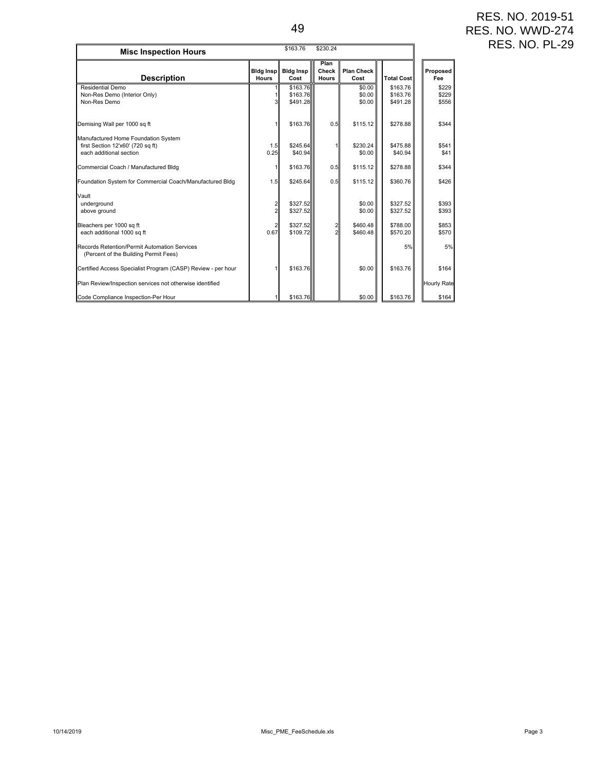| \$163.76<br>\$230.24<br><b>Misc Inspection Hours</b>                                                |                                   |                                  |                        |                            |                                  |                         |  |
|-----------------------------------------------------------------------------------------------------|-----------------------------------|----------------------------------|------------------------|----------------------------|----------------------------------|-------------------------|--|
| <b>Description</b>                                                                                  | <b>Bidg Insp.</b><br><b>Hours</b> | <b>Bidg Insp</b><br>Cost         | Plan<br>Check<br>Hours | <b>Plan Check</b><br>Cost  | <b>Total Cost</b>                | Proposed<br>Fee         |  |
| Residential Demo<br>Non-Res Demo (Interior Only)<br>Non-Res Demo                                    |                                   | \$163.76<br>\$163.76<br>\$491.28 |                        | \$0.00<br>\$0.00<br>\$0.00 | \$163.76<br>\$163.76<br>\$491.28 | \$229<br>\$229<br>\$556 |  |
| Demising Wall per 1000 sq ft                                                                        |                                   | \$163.76                         | 0.5                    | \$115.12                   | \$278.88                         | \$344                   |  |
| Manufactured Home Foundation System<br>first Section 12'x60' (720 sq ft)<br>each additional section | 1.5<br>0.25                       | \$245.64<br>\$40.94              |                        | \$230.24<br>\$0.00         | \$475.88<br>\$40.94              | \$541<br>\$41           |  |
| Commercial Coach / Manufactured Bldg                                                                |                                   | \$163.76                         | 0.5                    | \$115.12                   | \$278.88                         | \$344                   |  |
| Foundation System for Commercial Coach/Manufactured Bldg                                            | 1.5                               | \$245.64                         | 0.5                    | \$115.12                   | \$360.76                         | \$426                   |  |
| Vault<br>underground<br>above ground                                                                |                                   | \$327.52<br>\$327.52             |                        | \$0.00<br>\$0.00           | \$327.52<br>\$327.52             | \$393<br>\$393          |  |
| Bleachers per 1000 sq ft<br>each additional 1000 sq ft                                              | 0.67                              | \$327.52<br>\$109.72             |                        | \$460.48<br>\$460.48       | \$788.00<br>\$570.20             | \$853<br>\$570          |  |
| Records Retention/Permit Automation Services<br>(Percent of the Building Permit Fees)               |                                   |                                  |                        |                            | 5%                               | 5%                      |  |
| Certified Access Specialist Program (CASP) Review - per hour                                        |                                   | \$163.76                         |                        | \$0.00                     | \$163.76                         | \$164                   |  |
| Plan Review/Inspection services not otherwise identified                                            |                                   |                                  |                        |                            |                                  | <b>Hourly Rate</b>      |  |
| Code Compliance Inspection-Per Hour                                                                 |                                   | \$163.76                         |                        | \$0.00                     | \$163.76                         | \$164                   |  |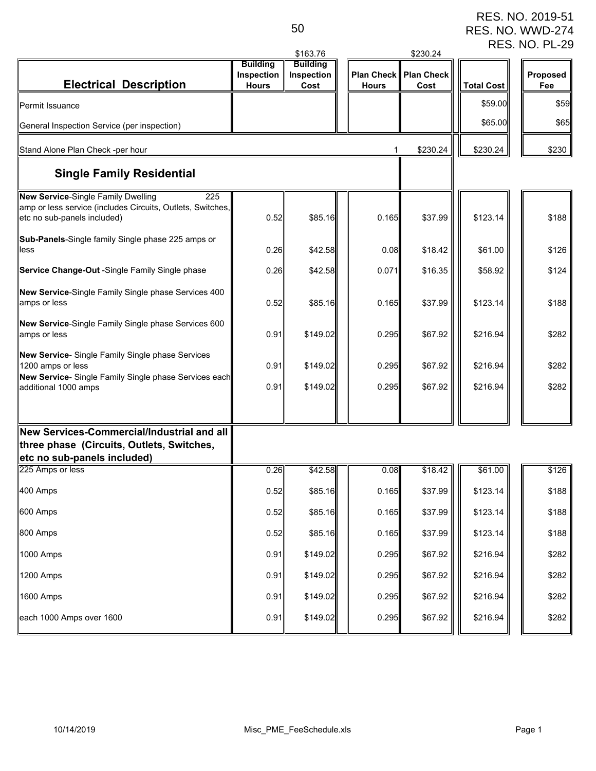RES. NO. 2019-51 RES. NO. WWD-274 RES. NO. PL-29

|                                                                                                                                        |                            | \$163.76           |                                   | \$230.24                  |                   |                 |
|----------------------------------------------------------------------------------------------------------------------------------------|----------------------------|--------------------|-----------------------------------|---------------------------|-------------------|-----------------|
|                                                                                                                                        | <b>Building</b>            | <b>Building</b>    |                                   |                           |                   |                 |
| <b>Electrical Description</b>                                                                                                          | Inspection<br><b>Hours</b> | Inspection<br>Cost | <b>Plan Check</b><br><b>Hours</b> | <b>Plan Check</b><br>Cost | <b>Total Cost</b> | Proposed<br>Fee |
|                                                                                                                                        |                            |                    |                                   |                           |                   |                 |
| Permit Issuance                                                                                                                        |                            |                    |                                   |                           | \$59.00           | \$59            |
| General Inspection Service (per inspection)                                                                                            |                            |                    |                                   |                           | \$65.00           | \$65            |
| Stand Alone Plan Check -per hour                                                                                                       |                            |                    |                                   | \$230.24                  | \$230.24          | \$230           |
| <b>Single Family Residential</b>                                                                                                       |                            |                    |                                   |                           |                   |                 |
| New Service-Single Family Dwelling<br>225<br>amp or less service (includes Circuits, Outlets, Switches,<br>etc no sub-panels included) | 0.52                       | \$85.16            | 0.165                             | \$37.99                   | \$123.14          | \$188           |
| Sub-Panels-Single family Single phase 225 amps or<br>less                                                                              | 0.26                       | \$42.58            | 0.08                              | \$18.42                   | \$61.00           | \$126           |
| Service Change-Out -Single Family Single phase                                                                                         | 0.26                       | \$42.58            | 0.071                             | \$16.35                   | \$58.92           | \$124           |
| New Service-Single Family Single phase Services 400<br>amps or less                                                                    | 0.52                       | \$85.16            | 0.165                             | \$37.99                   | \$123.14          | \$188           |
| New Service-Single Family Single phase Services 600<br>amps or less                                                                    | 0.91                       | \$149.02           | 0.295                             | \$67.92                   | \$216.94          | \$282           |
| New Service- Single Family Single phase Services<br>1200 amps or less                                                                  | 0.91                       | \$149.02           | 0.295                             | \$67.92                   | \$216.94          | \$282           |
| New Service- Single Family Single phase Services each<br>additional 1000 amps                                                          | 0.91                       | \$149.02           | 0.295                             | \$67.92                   | \$216.94          | \$282           |
|                                                                                                                                        |                            |                    |                                   |                           |                   |                 |
| New Services-Commercial/Industrial and all<br>three phase (Circuits, Outlets, Switches,<br>etc no sub-panels included)                 |                            |                    |                                   |                           |                   |                 |
| 225 Amps or less                                                                                                                       | 0.26                       | \$42.58            | 0.08                              | \$18.42                   | \$61.00           | \$126           |
| 400 Amps                                                                                                                               | 0.52                       | \$85.16            | 0.165                             | \$37.99                   | \$123.14          | \$188           |
| 600 Amps                                                                                                                               | 0.52                       | \$85.16            | 0.165                             | \$37.99                   | \$123.14          | \$188           |
| 800 Amps                                                                                                                               | 0.52                       | \$85.16            | 0.165                             | \$37.99                   | \$123.14          | \$188           |
| 1000 Amps                                                                                                                              | 0.91                       | \$149.02           | 0.295                             | \$67.92                   | \$216.94          | \$282           |
| 1200 Amps                                                                                                                              | 0.91                       | \$149.02           | 0.295                             | \$67.92                   | \$216.94          | \$282           |
| 1600 Amps                                                                                                                              | 0.91                       | \$149.02           | 0.295                             | \$67.92                   | \$216.94          | \$282           |
| each 1000 Amps over 1600                                                                                                               | 0.91                       | \$149.02           | 0.295                             | \$67.92                   | \$216.94          | \$282           |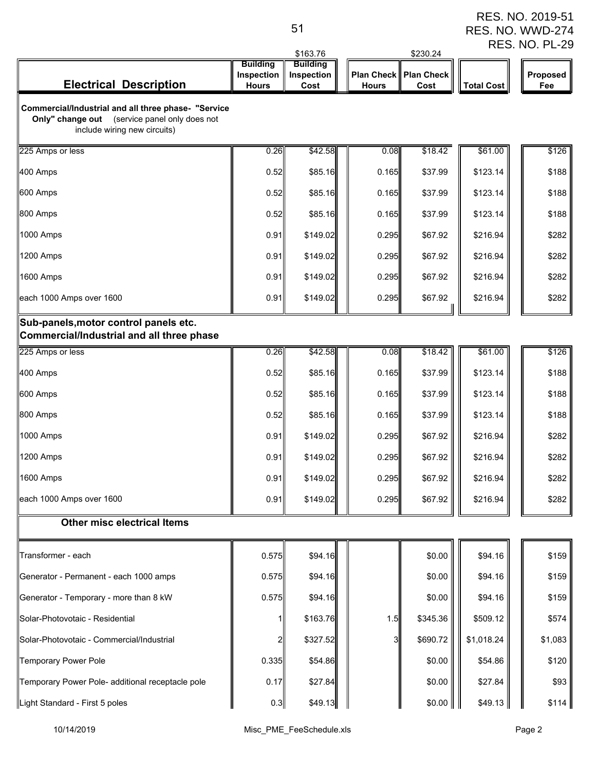|                                                                                                                                         |                                               | \$163.76                              |              | \$230.24                        |                   | <b>RES. NO. PL-29</b> |
|-----------------------------------------------------------------------------------------------------------------------------------------|-----------------------------------------------|---------------------------------------|--------------|---------------------------------|-------------------|-----------------------|
| <b>Electrical Description</b>                                                                                                           | <b>Building</b><br>Inspection<br><b>Hours</b> | <b>Building</b><br>Inspection<br>Cost | <b>Hours</b> | Plan Check   Plan Check<br>Cost | <b>Total Cost</b> | Proposed<br>Fee       |
| Commercial/Industrial and all three phase- "Service<br>Only" change out<br>(service panel only does not<br>include wiring new circuits) |                                               |                                       |              |                                 |                   |                       |
| 225 Amps or less                                                                                                                        | 0.26                                          | \$42.58                               | 0.08         | \$18.42                         | \$61.00           | \$126                 |
| 400 Amps                                                                                                                                | 0.52                                          | \$85.16                               | 0.165        | \$37.99                         | \$123.14          | \$188                 |
| 600 Amps                                                                                                                                | 0.52                                          | \$85.16                               | 0.165        | \$37.99                         | \$123.14          | \$188                 |
| 800 Amps                                                                                                                                | 0.52                                          | \$85.16                               | 0.165        | \$37.99                         | \$123.14          | \$188                 |
| 1000 Amps                                                                                                                               | 0.91                                          | \$149.02                              | 0.295        | \$67.92                         | \$216.94          | \$282                 |
| 1200 Amps                                                                                                                               | 0.91                                          | \$149.02                              | 0.295        | \$67.92                         | \$216.94          | \$282                 |
| 1600 Amps                                                                                                                               | 0.91                                          | \$149.02                              | 0.295        | \$67.92                         | \$216.94          | \$282                 |
| each 1000 Amps over 1600                                                                                                                | 0.91                                          | \$149.02                              | 0.295        | \$67.92                         | \$216.94          | \$282                 |
| Sub-panels, motor control panels etc.<br>Commercial/Industrial and all three phase                                                      |                                               |                                       |              |                                 |                   |                       |
| 225 Amps or less                                                                                                                        | 0.26                                          | \$42.58                               | 0.08         | \$18.42                         | \$61.00           | \$126                 |
| 400 Amps                                                                                                                                | 0.52                                          | \$85.16                               | 0.165        | \$37.99                         | \$123.14          | \$188                 |
| 600 Amps                                                                                                                                | 0.52                                          | \$85.16                               | 0.165        | \$37.99                         | \$123.14          | \$188                 |
| 800 Amps                                                                                                                                | 0.52                                          | \$85.16                               | 0.165        | \$37.99                         | \$123.14          | \$188                 |
| 1000 Amps                                                                                                                               | 0.91                                          | \$149.02                              | 0.295        | \$67.92                         | \$216.94          | \$282                 |
| 1200 Amps                                                                                                                               | 0.91                                          | \$149.02                              | 0.295        | \$67.92                         | \$216.94          | \$282                 |
| 1600 Amps                                                                                                                               | 0.91                                          | \$149.02                              | 0.295        | \$67.92                         | \$216.94          | \$282                 |
| each 1000 Amps over 1600                                                                                                                | 0.91                                          | \$149.02                              | 0.295        | \$67.92                         | \$216.94          | \$282                 |
| <b>Other misc electrical Items</b>                                                                                                      |                                               |                                       |              |                                 |                   |                       |
| Transformer - each                                                                                                                      | 0.575                                         | \$94.16                               |              | \$0.00                          | \$94.16           | \$159                 |
| Generator - Permanent - each 1000 amps                                                                                                  | 0.575                                         | \$94.16                               |              | \$0.00                          | \$94.16           | \$159                 |
| Generator - Temporary - more than 8 kW                                                                                                  | 0.575                                         | \$94.16                               |              | \$0.00                          | \$94.16           | \$159                 |
| Solar-Photovotaic - Residential                                                                                                         |                                               | \$163.76                              | 1.5          | \$345.36                        | \$509.12          | \$574                 |
| Solar-Photovotaic - Commercial/Industrial                                                                                               | 2                                             | \$327.52                              |              | \$690.72                        | \$1,018.24        | \$1,083               |
| <b>Temporary Power Pole</b>                                                                                                             | 0.335                                         | \$54.86                               |              | \$0.00                          | \$54.86           | \$120                 |
| Temporary Power Pole- additional receptacle pole                                                                                        | 0.17                                          | \$27.84                               |              | \$0.00                          | \$27.84           | \$93                  |
| Light Standard - First 5 poles                                                                                                          | 0.3                                           | \$49.13                               |              | \$0.00                          | \$49.13           | \$114                 |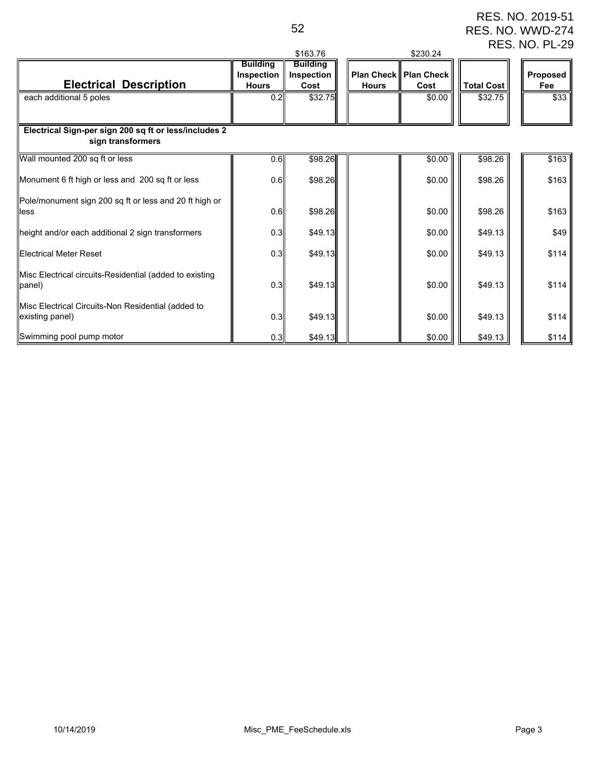RES. NO. 2019-51 RES. NO. WWD-274 RES. NO. PL-29

|                                                                            |                                               | \$163.76                              |              | \$230.24                               |                   |                 |
|----------------------------------------------------------------------------|-----------------------------------------------|---------------------------------------|--------------|----------------------------------------|-------------------|-----------------|
| <b>Electrical Description</b>                                              | <b>Building</b><br>Inspection<br><b>Hours</b> | <b>Building</b><br>Inspection<br>Cost | <b>Hours</b> | <b>Plan Check   Plan Check</b><br>Cost | <b>Total Cost</b> | Proposed<br>Fee |
| each additional 5 poles                                                    | 0.2                                           | \$32.75                               |              | \$0.00                                 | \$32.75           | \$33            |
| Electrical Sign-per sign 200 sq ft or less/includes 2<br>sign transformers |                                               |                                       |              |                                        |                   |                 |
| Wall mounted 200 sq ft or less                                             | 0.6                                           | \$98.26                               |              | \$0.00                                 | \$98.26           | \$163           |
| Monument 6 ft high or less and 200 sq ft or less                           | 0.6                                           | \$98.26                               |              | \$0.00                                 | \$98.26           | \$163           |
| Pole/monument sign 200 sq ft or less and 20 ft high or<br>less             | 0.6                                           | \$98.26                               |              | \$0.00                                 | \$98.26           | \$163           |
| height and/or each additional 2 sign transformers                          | 0.3                                           | \$49.13                               |              | \$0.00                                 | \$49.13           | \$49            |
| <b>Electrical Meter Reset</b>                                              | 0.3                                           | \$49.13                               |              | \$0.00                                 | \$49.13           | \$114           |
| Misc Electrical circuits-Residential (added to existing<br>panel)          | 0.3                                           | \$49.13                               |              | \$0.00                                 | \$49.13           | \$114           |
| Misc Electrical Circuits-Non Residential (added to<br>existing panel)      | 0.3                                           | \$49.13                               |              | \$0.00                                 | \$49.13           | \$114           |
| Swimming pool pump motor                                                   | 0.3                                           | \$49.13                               |              | \$0.00                                 | \$49.13           | \$114           |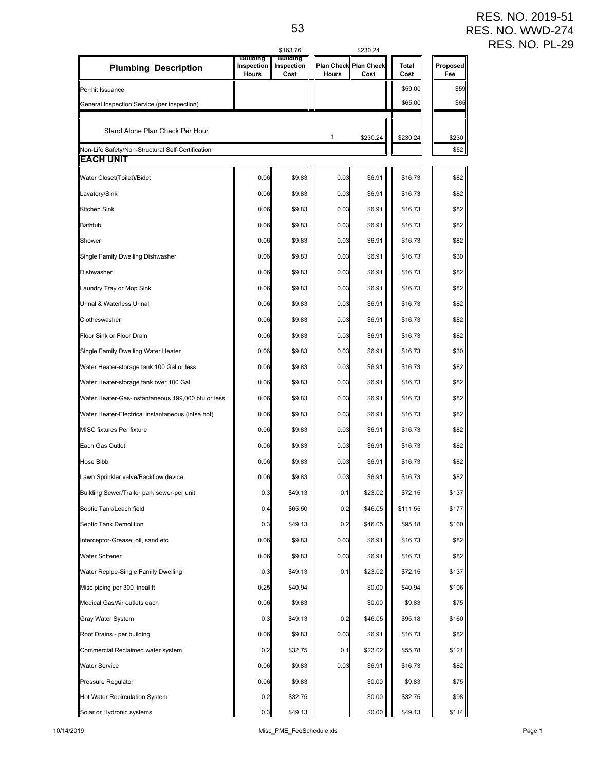RES. NO. 2019-51 RES. NO. WWD-274 RES. NO. PL-29

|                                                                |                                        | \$163.76                       |                                       | \$230.24 |               |                 |
|----------------------------------------------------------------|----------------------------------------|--------------------------------|---------------------------------------|----------|---------------|-----------------|
| <b>Plumbing Description</b>                                    | <b>Building</b><br>Inspection<br>Hours | Building<br>Inspection<br>Cost | <b>Plan Check Plan Check</b><br>Hours | Cost     | Total<br>Cost | Proposed<br>Fee |
| Permit Issuance                                                |                                        |                                |                                       |          | \$59.00       | \$59            |
| General Inspection Service (per inspection)                    |                                        |                                |                                       |          | \$65.00       | \$65            |
| Stand Alone Plan Check Per Hour                                |                                        |                                | 1                                     | \$230.24 | \$230.24      | \$230           |
| Non-Life Safety/Non-Structural Self-Certification<br>EACH UNIT |                                        |                                |                                       |          |               | \$52            |
| Water Closet(Toilet)/Bidet                                     | 0.06                                   | \$9.83                         | 0.03                                  | \$6.91   | \$16.73       | \$82            |
| Lavatory/Sink                                                  | 0.06                                   | \$9.83                         | 0.03                                  | \$6.91   | \$16.73       | \$82            |
| Kitchen Sink                                                   | 0.06                                   | \$9.83                         | 0.03                                  | \$6.91   | \$16.73       | \$82            |
| Bathtub                                                        | 0.06                                   | \$9.83                         | 0.03                                  | \$6.91   | \$16.73       | \$82            |
| Shower                                                         | 0.06                                   | \$9.83                         | 0.03                                  | \$6.91   |               | \$82            |
|                                                                |                                        |                                |                                       |          | \$16.73       |                 |
| Single Family Dwelling Dishwasher                              | 0.06                                   | \$9.83                         | 0.03                                  | \$6.91   | \$16.73       | \$30            |
| Dishwasher                                                     | 0.06                                   | \$9.83                         | 0.03                                  | \$6.91   | \$16.73       | \$82            |
| Laundry Tray or Mop Sink                                       | 0.06                                   | \$9.83                         | 0.03                                  | \$6.91   | \$16.73       | \$82            |
| Urinal & Waterless Urinal                                      | 0.06                                   | \$9.83                         | 0.03                                  | \$6.91   | \$16.73       | \$82            |
| Clotheswasher                                                  | 0.06                                   | \$9.83                         | 0.03                                  | \$6.91   | \$16.73       | \$82            |
| Floor Sink or Floor Drain                                      | 0.06                                   | \$9.83                         | 0.03                                  | \$6.91   | \$16.73       | \$82            |
| Single Family Dwelling Water Heater                            | 0.06                                   | \$9.83                         | 0.03                                  | \$6.91   | \$16.73       | \$30            |
| Water Heater-storage tank 100 Gal or less                      | 0.06                                   | \$9.83                         | 0.03                                  | \$6.91   | \$16.73       | \$82            |
| Water Heater-storage tank over 100 Gal                         | 0.06                                   | \$9.83                         | 0.03                                  | \$6.91   | \$16.73       | \$82            |
| Water Heater-Gas-instantaneous 199,000 btu or less             | 0.06                                   | \$9.83                         | 0.03                                  | \$6.91   | \$16.73       | \$82            |
| Water Heater-Electrical instantaneous (intsa hot)              | 0.06                                   | \$9.83                         | 0.03                                  | \$6.91   | \$16.73       | \$82            |
| MISC fixtures Per fixture                                      | 0.06                                   | \$9.83                         | 0.03                                  | \$6.91   | \$16.73       | \$82            |
| Each Gas Outlet                                                | 0.06                                   | \$9.83                         | 0.03                                  | \$6.91   | \$16.73       | \$82            |
| Hose Bibb                                                      | 0.06                                   | \$9.83                         | 0.03                                  | \$6.91   | \$16.73       | \$82            |
| Lawn Sprinkler valve/Backflow device                           | 0.06                                   | \$9.83                         | 0.03                                  | \$6.91   | \$16.73       | \$82            |
| Building Sewer/Trailer park sewer-per unit                     | 0.3                                    | \$49.13                        | 0.1                                   | \$23.02  | \$72.15       | \$137           |
| Septic Tank/Leach field                                        | 0.4                                    | \$65.50                        | 0.2                                   | \$46.05  | \$111.55      | \$177           |
| Septic Tank Demolition                                         | 0.3                                    | \$49.13                        | 0.2                                   | \$46.05  | \$95.18       | \$160           |
| Interceptor-Grease, oil, sand etc                              | 0.06                                   | \$9.83                         | 0.03                                  | \$6.91   | \$16.73       | \$82            |
| Water Softener                                                 | 0.06                                   | \$9.83                         | 0.03                                  | \$6.91   | \$16.73       | \$82            |
| Water Repipe-Single Family Dwelling                            | 0.3                                    | \$49.13                        | 0.1                                   | \$23.02  | \$72.15       | \$137           |
| Misc piping per 300 lineal ft                                  | 0.25                                   | \$40.94                        |                                       | \$0.00   | \$40.94       | \$106           |
| Medical Gas/Air outlets each                                   | 0.06                                   | \$9.83                         |                                       | \$0.00   | \$9.83        | \$75            |
| Gray Water System                                              | 0.3                                    | \$49.13                        | 0.2                                   | \$46.05  | \$95.18       | \$160           |
| Roof Drains - per building                                     | 0.06                                   | \$9.83                         | 0.03                                  | \$6.91   | \$16.73       | \$82            |
| Commercial Reclaimed water system                              | 0.2                                    | \$32.75                        | 0.1                                   | \$23.02  | \$55.78       | \$121           |
| Water Service                                                  | 0.06                                   | \$9.83                         | 0.03                                  | \$6.91   | \$16.73       | \$82            |
| Pressure Regulator                                             | 0.06                                   | \$9.83                         |                                       | \$0.00   | \$9.83        | \$75            |
| Hot Water Recirculation System                                 | 0.2                                    | \$32.75                        |                                       | \$0.00   | \$32.75       | \$98            |
| Solar or Hydronic systems                                      | 0.3                                    | \$49.13                        |                                       | \$0.00   | \$49.13       | \$114           |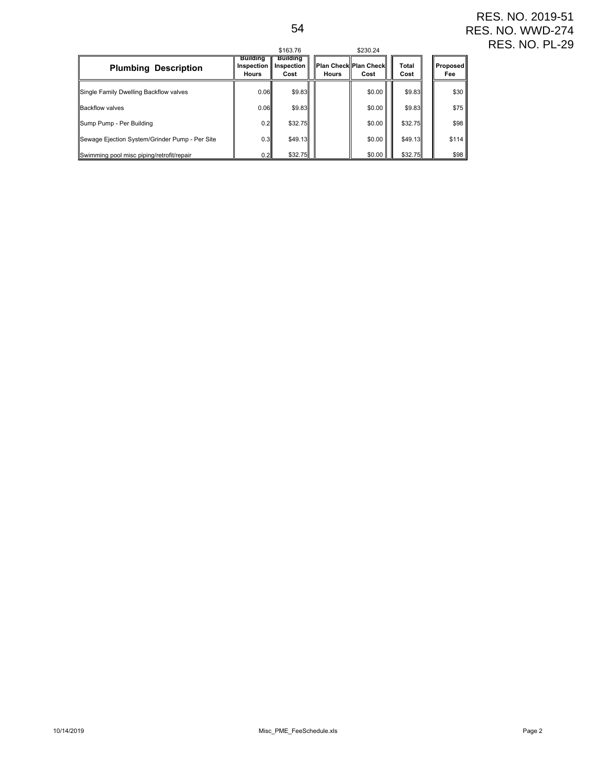|                                                |                                               | \$163.76                              |              | \$230.24                      |               |                 |
|------------------------------------------------|-----------------------------------------------|---------------------------------------|--------------|-------------------------------|---------------|-----------------|
| <b>Plumbing Description</b>                    | <b>Building</b><br>Inspection<br><b>Hours</b> | <b>Building</b><br>Inspection<br>Cost | <b>Hours</b> | Plan Check Plan Check<br>Cost | Total<br>Cost | Proposed<br>Fee |
| Single Family Dwelling Backflow valves         | 0.06                                          | \$9.83                                |              | \$0.00                        | \$9.83        | \$30            |
| <b>Backflow valves</b>                         | 0.06                                          | \$9.83                                |              | \$0.00                        | \$9.83        | \$75            |
| Sump Pump - Per Building                       | 0.2                                           | \$32.75                               |              | \$0.00                        | \$32.75       | \$98            |
| Sewage Ejection System/Grinder Pump - Per Site | 0.3 <sub>II</sub>                             | \$49.13                               |              | \$0.00                        | \$49.13       | \$114           |
| Swimming pool misc piping/retrofit/repair      | 0.2                                           | \$32.75                               |              | \$0.00                        | \$32.75       | \$98            |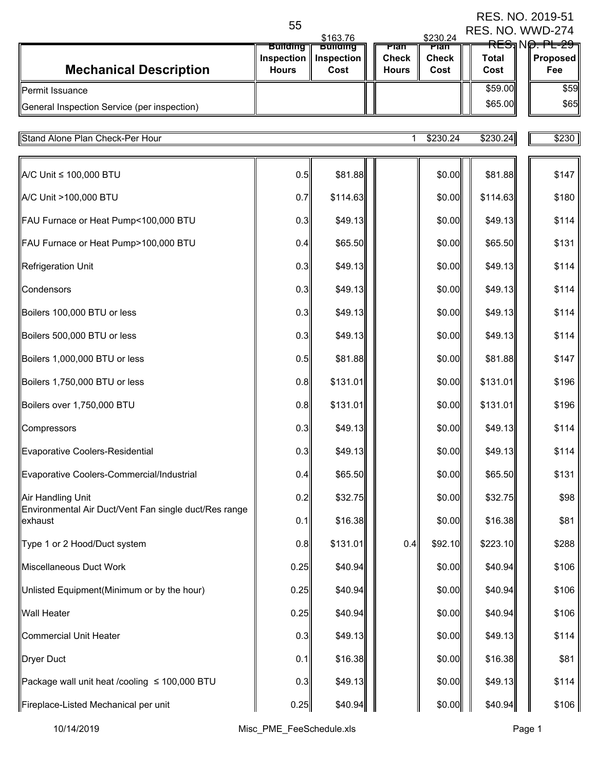|                                                                            | 55                                            | \$163.76                              |  | \$230.24                             | ו ט−טו ט∠ געווי<br>RES. NO. WWD-274 |                      |                                                                 |
|----------------------------------------------------------------------------|-----------------------------------------------|---------------------------------------|--|--------------------------------------|-------------------------------------|----------------------|-----------------------------------------------------------------|
| <b>Mechanical Description</b>                                              | <b>Building</b><br>Inspection<br><b>Hours</b> | <b>Bullaina</b><br>Inspection<br>Cost |  | rian<br><b>Check</b><br><b>Hours</b> | Pian<br><b>Check</b><br>Cost        | <b>Total</b><br>Cost | <del>RESJ</del> N <del>O. PL-29</del><br><b>Proposed</b><br>Fee |
| Permit Issuance                                                            |                                               |                                       |  |                                      |                                     | \$59.00              | \$59                                                            |
| General Inspection Service (per inspection)                                |                                               |                                       |  |                                      |                                     | \$65.00              | \$65                                                            |
| <b>Stand Alone Plan Check-Per Hour</b>                                     |                                               |                                       |  |                                      | \$230.24                            | \$230.24             | \$230                                                           |
|                                                                            |                                               |                                       |  |                                      |                                     |                      |                                                                 |
| A/C Unit ≤ 100,000 BTU                                                     | 0.5                                           | \$81.88                               |  |                                      | \$0.00                              | \$81.88              | \$147                                                           |
| A/C Unit >100,000 BTU                                                      | 0.7                                           | \$114.63                              |  |                                      | \$0.00                              | \$114.63             | \$180                                                           |
| FAU Furnace or Heat Pump<100,000 BTU                                       | 0.3                                           | \$49.13                               |  |                                      | \$0.00                              | \$49.13              | \$114                                                           |
| FAU Furnace or Heat Pump>100,000 BTU                                       | 0.4                                           | \$65.50                               |  |                                      | \$0.00                              | \$65.50              | \$131                                                           |
| <b>Refrigeration Unit</b>                                                  | 0.3                                           | \$49.13                               |  |                                      | \$0.00                              | \$49.13              | \$114                                                           |
| Condensors                                                                 | 0.3                                           | \$49.13                               |  |                                      | \$0.00                              | \$49.13              | \$114                                                           |
| Boilers 100,000 BTU or less                                                | 0.3                                           | \$49.13                               |  |                                      | \$0.00                              | \$49.13              | \$114                                                           |
| Boilers 500,000 BTU or less                                                | 0.3                                           | \$49.13                               |  |                                      | \$0.00                              | \$49.13              | \$114                                                           |
| Boilers 1,000,000 BTU or less                                              | 0.5                                           | \$81.88                               |  |                                      | \$0.00                              | \$81.88              | \$147                                                           |
| Boilers 1,750,000 BTU or less                                              | 0.8                                           | \$131.01                              |  |                                      | \$0.00                              | \$131.01             | \$196                                                           |
| Boilers over 1,750,000 BTU                                                 | 0.8                                           | \$131.01                              |  |                                      | \$0.00                              | \$131.01             | \$196                                                           |
| Compressors                                                                | 0.3                                           | \$49.13                               |  |                                      | \$0.00                              | \$49.13              | \$114                                                           |
| <b>Evaporative Coolers-Residential</b>                                     | 0.3                                           | \$49.13                               |  |                                      | \$0.00                              | \$49.13              | \$114                                                           |
| Evaporative Coolers-Commercial/Industrial                                  | 0.4                                           | \$65.50                               |  |                                      | \$0.00                              | \$65.50              | \$131                                                           |
| Air Handling Unit<br>Environmental Air Duct/Vent Fan single duct/Res range | 0.2                                           | \$32.75                               |  |                                      | \$0.00                              | \$32.75              | \$98                                                            |
| exhaust                                                                    | 0.1                                           | \$16.38                               |  |                                      | \$0.00                              | \$16.38              | \$81                                                            |
| Type 1 or 2 Hood/Duct system                                               | 0.8                                           | \$131.01                              |  | 0.4                                  | \$92.10                             | \$223.10             | \$288                                                           |
| Miscellaneous Duct Work                                                    | 0.25                                          | \$40.94                               |  |                                      | \$0.00                              | \$40.94              | \$106                                                           |
| Unlisted Equipment(Minimum or by the hour)                                 | 0.25                                          | \$40.94                               |  |                                      | \$0.00                              | \$40.94              | \$106                                                           |
| <b>Wall Heater</b>                                                         | 0.25                                          | \$40.94                               |  |                                      | \$0.00                              | \$40.94              | \$106                                                           |
| <b>Commercial Unit Heater</b>                                              | 0.3                                           | \$49.13                               |  |                                      | \$0.00                              | \$49.13              | \$114                                                           |
| <b>Dryer Duct</b>                                                          | 0.1                                           | \$16.38                               |  |                                      | \$0.00                              | \$16.38              | \$81                                                            |
| Package wall unit heat /cooling ≤ 100,000 BTU                              | 0.3                                           | \$49.13                               |  |                                      | \$0.00                              | \$49.13              | \$114                                                           |
| Fireplace-Listed Mechanical per unit                                       | 0.25                                          | \$40.94                               |  |                                      | \$0.00                              | \$40.94              | \$106                                                           |